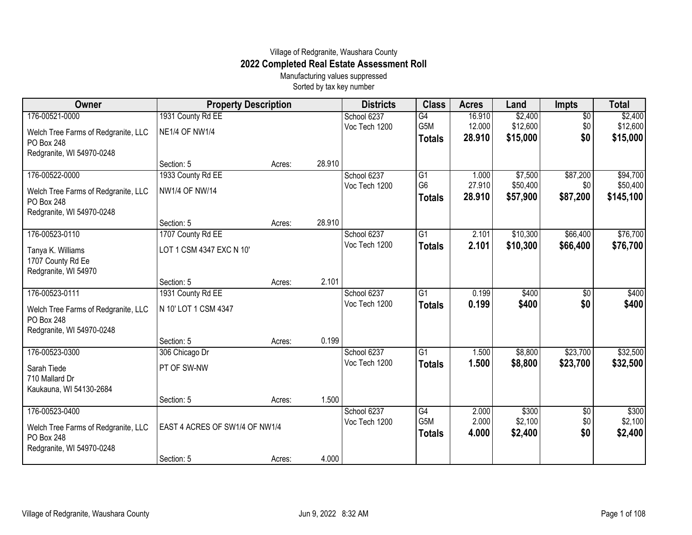## Village of Redgranite, Waushara County **2022 Completed Real Estate Assessment Roll**

Manufacturing values suppressed Sorted by tax key number

| Owner                                     | <b>Property Description</b>     |        |        | <b>Districts</b>             | <b>Class</b>    | <b>Acres</b> | Land     | <b>Impts</b>    | <b>Total</b> |
|-------------------------------------------|---------------------------------|--------|--------|------------------------------|-----------------|--------------|----------|-----------------|--------------|
| 176-00521-0000                            | 1931 County Rd EE               |        |        | School 6237                  | $\overline{G4}$ | 16.910       | \$2,400  | $\overline{60}$ | \$2,400      |
| Welch Tree Farms of Redgranite, LLC       | <b>NE1/4 OF NW1/4</b>           |        |        | Voc Tech 1200                | G5M             | 12.000       | \$12,600 | \$0             | \$12,600     |
| PO Box 248                                |                                 |        |        |                              | <b>Totals</b>   | 28.910       | \$15,000 | \$0             | \$15,000     |
| Redgranite, WI 54970-0248                 |                                 |        |        |                              |                 |              |          |                 |              |
|                                           | Section: 5                      | Acres: | 28.910 |                              |                 |              |          |                 |              |
| 176-00522-0000                            | 1933 County Rd EE               |        |        | School 6237                  | G1              | 1.000        | \$7,500  | \$87,200        | \$94,700     |
| Welch Tree Farms of Redgranite, LLC       | <b>NW1/4 OF NW/14</b>           |        |        | Voc Tech 1200                | G <sub>6</sub>  | 27.910       | \$50,400 | \$0             | \$50,400     |
| PO Box 248                                |                                 |        |        |                              | <b>Totals</b>   | 28.910       | \$57,900 | \$87,200        | \$145,100    |
| Redgranite, WI 54970-0248                 |                                 |        |        |                              |                 |              |          |                 |              |
|                                           | Section: 5                      | Acres: | 28.910 |                              |                 |              |          |                 |              |
| 176-00523-0110                            | 1707 County Rd EE               |        |        | School 6237<br>Voc Tech 1200 | $\overline{G1}$ | 2.101        | \$10,300 | \$66,400        | \$76,700     |
| Tanya K. Williams                         | LOT 1 CSM 4347 EXC N 10'        |        |        |                              | <b>Totals</b>   | 2.101        | \$10,300 | \$66,400        | \$76,700     |
| 1707 County Rd Ee                         |                                 |        |        |                              |                 |              |          |                 |              |
| Redgranite, WI 54970                      |                                 |        | 2.101  |                              |                 |              |          |                 |              |
| 176-00523-0111                            | Section: 5<br>1931 County Rd EE | Acres: |        | School 6237                  | $\overline{G1}$ | 0.199        | \$400    | $\overline{60}$ | \$400        |
|                                           |                                 |        |        | Voc Tech 1200                | <b>Totals</b>   | 0.199        | \$400    | \$0             | \$400        |
| Welch Tree Farms of Redgranite, LLC       | N 10' LOT 1 CSM 4347            |        |        |                              |                 |              |          |                 |              |
| PO Box 248                                |                                 |        |        |                              |                 |              |          |                 |              |
| Redgranite, WI 54970-0248                 | Section: 5                      | Acres: | 0.199  |                              |                 |              |          |                 |              |
| 176-00523-0300                            | 306 Chicago Dr                  |        |        | School 6237                  | $\overline{G1}$ | 1.500        | \$8,800  | \$23,700        | \$32,500     |
|                                           |                                 |        |        | Voc Tech 1200                | <b>Totals</b>   | 1.500        | \$8,800  | \$23,700        | \$32,500     |
| Sarah Tiede                               | PT OF SW-NW                     |        |        |                              |                 |              |          |                 |              |
| 710 Mallard Dr<br>Kaukauna, WI 54130-2684 |                                 |        |        |                              |                 |              |          |                 |              |
|                                           | Section: 5                      | Acres: | 1.500  |                              |                 |              |          |                 |              |
| 176-00523-0400                            |                                 |        |        | School 6237                  | $\overline{G4}$ | 2.000        | \$300    | \$0             | \$300        |
| Welch Tree Farms of Redgranite, LLC       | EAST 4 ACRES OF SW1/4 OF NW1/4  |        |        | Voc Tech 1200                | G5M             | 2.000        | \$2,100  | \$0             | \$2,100      |
| PO Box 248                                |                                 |        |        |                              | <b>Totals</b>   | 4.000        | \$2,400  | \$0             | \$2,400      |
| Redgranite, WI 54970-0248                 |                                 |        |        |                              |                 |              |          |                 |              |
|                                           | Section: 5                      | Acres: | 4.000  |                              |                 |              |          |                 |              |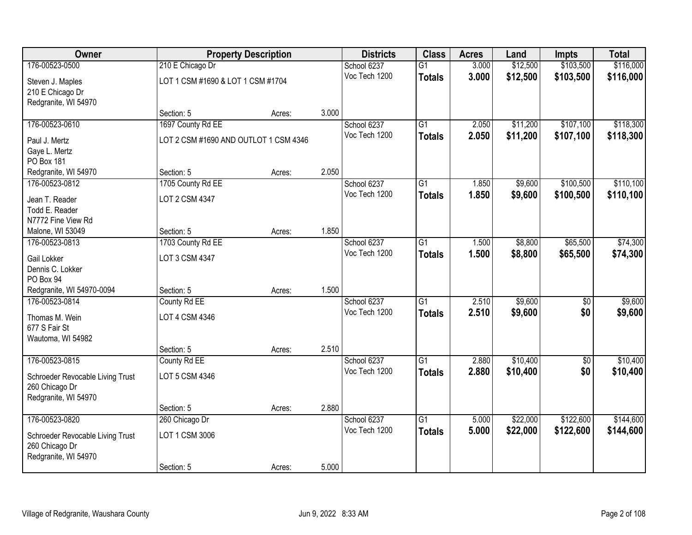| Owner                            |                                       | <b>Property Description</b> |       | <b>Districts</b> | <b>Class</b>    | <b>Acres</b> | Land     | <b>Impts</b>    | <b>Total</b> |
|----------------------------------|---------------------------------------|-----------------------------|-------|------------------|-----------------|--------------|----------|-----------------|--------------|
| 176-00523-0500                   | 210 E Chicago Dr                      |                             |       | School 6237      | $\overline{G1}$ | 3.000        | \$12,500 | \$103,500       | \$116,000    |
| Steven J. Maples                 | LOT 1 CSM #1690 & LOT 1 CSM #1704     |                             |       | Voc Tech 1200    | <b>Totals</b>   | 3.000        | \$12,500 | \$103,500       | \$116,000    |
| 210 E Chicago Dr                 |                                       |                             |       |                  |                 |              |          |                 |              |
| Redgranite, WI 54970             |                                       |                             |       |                  |                 |              |          |                 |              |
|                                  | Section: 5                            | Acres:                      | 3.000 |                  |                 |              |          |                 |              |
| 176-00523-0610                   | 1697 County Rd EE                     |                             |       | School 6237      | G1              | 2.050        | \$11,200 | \$107,100       | \$118,300    |
| Paul J. Mertz                    | LOT 2 CSM #1690 AND OUTLOT 1 CSM 4346 |                             |       | Voc Tech 1200    | <b>Totals</b>   | 2.050        | \$11,200 | \$107,100       | \$118,300    |
| Gaye L. Mertz                    |                                       |                             |       |                  |                 |              |          |                 |              |
| PO Box 181                       |                                       |                             |       |                  |                 |              |          |                 |              |
| Redgranite, WI 54970             | Section: 5                            | Acres:                      | 2.050 |                  |                 |              |          |                 |              |
| 176-00523-0812                   | 1705 County Rd EE                     |                             |       | School 6237      | $\overline{G1}$ | 1.850        | \$9,600  | \$100,500       | \$110,100    |
| Jean T. Reader                   | LOT 2 CSM 4347                        |                             |       | Voc Tech 1200    | <b>Totals</b>   | 1.850        | \$9,600  | \$100,500       | \$110,100    |
| Todd E. Reader                   |                                       |                             |       |                  |                 |              |          |                 |              |
| N7772 Fine View Rd               |                                       |                             |       |                  |                 |              |          |                 |              |
| Malone, WI 53049                 | Section: 5                            | Acres:                      | 1.850 |                  |                 |              |          |                 |              |
| 176-00523-0813                   | 1703 County Rd EE                     |                             |       | School 6237      | $\overline{G1}$ | 1.500        | \$8,800  | \$65,500        | \$74,300     |
| Gail Lokker                      | LOT 3 CSM 4347                        |                             |       | Voc Tech 1200    | <b>Totals</b>   | 1.500        | \$8,800  | \$65,500        | \$74,300     |
| Dennis C. Lokker                 |                                       |                             |       |                  |                 |              |          |                 |              |
| PO Box 94                        |                                       |                             |       |                  |                 |              |          |                 |              |
| Redgranite, WI 54970-0094        | Section: 5                            | Acres:                      | 1.500 |                  |                 |              |          |                 |              |
| 176-00523-0814                   | County Rd EE                          |                             |       | School 6237      | $\overline{G1}$ | 2.510        | \$9,600  | \$0             | \$9,600      |
| Thomas M. Wein                   | LOT 4 CSM 4346                        |                             |       | Voc Tech 1200    | <b>Totals</b>   | 2.510        | \$9,600  | \$0             | \$9,600      |
| 677 S Fair St                    |                                       |                             |       |                  |                 |              |          |                 |              |
| Wautoma, WI 54982                |                                       |                             |       |                  |                 |              |          |                 |              |
|                                  | Section: 5                            | Acres:                      | 2.510 |                  |                 |              |          |                 |              |
| 176-00523-0815                   | County Rd EE                          |                             |       | School 6237      | $\overline{G1}$ | 2.880        | \$10,400 | $\overline{50}$ | \$10,400     |
| Schroeder Revocable Living Trust | LOT 5 CSM 4346                        |                             |       | Voc Tech 1200    | <b>Totals</b>   | 2.880        | \$10,400 | \$0             | \$10,400     |
| 260 Chicago Dr                   |                                       |                             |       |                  |                 |              |          |                 |              |
| Redgranite, WI 54970             |                                       |                             |       |                  |                 |              |          |                 |              |
|                                  | Section: 5                            | Acres:                      | 2.880 |                  |                 |              |          |                 |              |
| 176-00523-0820                   | 260 Chicago Dr                        |                             |       | School 6237      | $\overline{G1}$ | 5.000        | \$22,000 | \$122,600       | \$144,600    |
| Schroeder Revocable Living Trust | LOT 1 CSM 3006                        |                             |       | Voc Tech 1200    | <b>Totals</b>   | 5.000        | \$22,000 | \$122,600       | \$144,600    |
| 260 Chicago Dr                   |                                       |                             |       |                  |                 |              |          |                 |              |
| Redgranite, WI 54970             |                                       |                             |       |                  |                 |              |          |                 |              |
|                                  | Section: 5                            | Acres:                      | 5.000 |                  |                 |              |          |                 |              |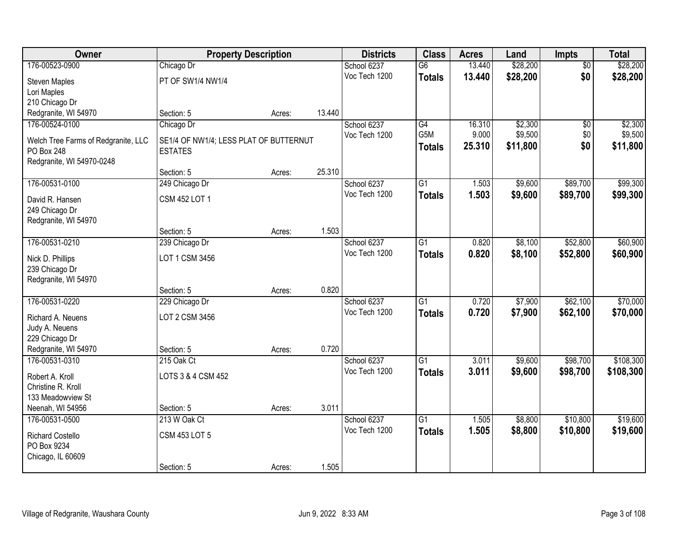| Owner                                  | <b>Property Description</b>            |        |        | <b>Districts</b> | <b>Class</b>     | <b>Acres</b> | Land     | <b>Impts</b>    | <b>Total</b> |
|----------------------------------------|----------------------------------------|--------|--------|------------------|------------------|--------------|----------|-----------------|--------------|
| 176-00523-0900                         | Chicago Dr                             |        |        | School 6237      | $\overline{G6}$  | 13.440       | \$28,200 | $\overline{50}$ | \$28,200     |
| Steven Maples                          | PT OF SW1/4 NW1/4                      |        |        | Voc Tech 1200    | <b>Totals</b>    | 13.440       | \$28,200 | \$0             | \$28,200     |
| Lori Maples                            |                                        |        |        |                  |                  |              |          |                 |              |
| 210 Chicago Dr                         |                                        |        |        |                  |                  |              |          |                 |              |
| Redgranite, WI 54970                   | Section: 5                             | Acres: | 13.440 |                  |                  |              |          |                 |              |
| 176-00524-0100                         | Chicago Dr                             |        |        | School 6237      | G4               | 16.310       | \$2,300  | $\overline{50}$ | \$2,300      |
| Welch Tree Farms of Redgranite, LLC    | SE1/4 OF NW1/4; LESS PLAT OF BUTTERNUT |        |        | Voc Tech 1200    | G <sub>5</sub> M | 9.000        | \$9,500  | \$0             | \$9,500      |
| PO Box 248                             | <b>ESTATES</b>                         |        |        |                  | <b>Totals</b>    | 25.310       | \$11,800 | \$0             | \$11,800     |
| Redgranite, WI 54970-0248              |                                        |        |        |                  |                  |              |          |                 |              |
|                                        | Section: 5                             | Acres: | 25.310 |                  |                  |              |          |                 |              |
| 176-00531-0100                         | 249 Chicago Dr                         |        |        | School 6237      | G1               | 1.503        | \$9,600  | \$89,700        | \$99,300     |
| David R. Hansen                        | <b>CSM 452 LOT 1</b>                   |        |        | Voc Tech 1200    | <b>Totals</b>    | 1.503        | \$9,600  | \$89,700        | \$99,300     |
| 249 Chicago Dr                         |                                        |        |        |                  |                  |              |          |                 |              |
| Redgranite, WI 54970                   |                                        |        |        |                  |                  |              |          |                 |              |
|                                        | Section: 5                             | Acres: | 1.503  |                  |                  |              |          |                 |              |
| 176-00531-0210                         | 239 Chicago Dr                         |        |        | School 6237      | G1               | 0.820        | \$8,100  | \$52,800        | \$60,900     |
| Nick D. Phillips                       | LOT 1 CSM 3456                         |        |        | Voc Tech 1200    | <b>Totals</b>    | 0.820        | \$8,100  | \$52,800        | \$60,900     |
| 239 Chicago Dr                         |                                        |        |        |                  |                  |              |          |                 |              |
| Redgranite, WI 54970                   |                                        |        |        |                  |                  |              |          |                 |              |
|                                        | Section: 5                             | Acres: | 0.820  |                  |                  |              |          |                 |              |
| 176-00531-0220                         | 229 Chicago Dr                         |        |        | School 6237      | $\overline{G1}$  | 0.720        | \$7,900  | \$62,100        | \$70,000     |
| Richard A. Neuens                      | LOT 2 CSM 3456                         |        |        | Voc Tech 1200    | <b>Totals</b>    | 0.720        | \$7,900  | \$62,100        | \$70,000     |
| Judy A. Neuens                         |                                        |        |        |                  |                  |              |          |                 |              |
| 229 Chicago Dr                         |                                        |        |        |                  |                  |              |          |                 |              |
| Redgranite, WI 54970                   | Section: 5                             | Acres: | 0.720  |                  |                  |              |          |                 |              |
| 176-00531-0310                         | 215 Oak Ct                             |        |        | School 6237      | $\overline{G1}$  | 3.011        | \$9,600  | \$98,700        | \$108,300    |
| Robert A. Kroll                        | LOTS 3 & 4 CSM 452                     |        |        | Voc Tech 1200    | <b>Totals</b>    | 3.011        | \$9,600  | \$98,700        | \$108,300    |
| Christine R. Kroll                     |                                        |        |        |                  |                  |              |          |                 |              |
| 133 Meadowview St                      |                                        |        |        |                  |                  |              |          |                 |              |
| Neenah, WI 54956                       | Section: 5                             | Acres: | 3.011  |                  |                  |              |          |                 |              |
| 176-00531-0500                         | 213 W Oak Ct                           |        |        | School 6237      | $\overline{G1}$  | 1.505        | \$8,800  | \$10,800        | \$19,600     |
|                                        | <b>CSM 453 LOT 5</b>                   |        |        | Voc Tech 1200    | <b>Totals</b>    | 1.505        | \$8,800  | \$10,800        | \$19,600     |
| <b>Richard Costello</b><br>PO Box 9234 |                                        |        |        |                  |                  |              |          |                 |              |
| Chicago, IL 60609                      |                                        |        |        |                  |                  |              |          |                 |              |
|                                        | Section: 5                             | Acres: | 1.505  |                  |                  |              |          |                 |              |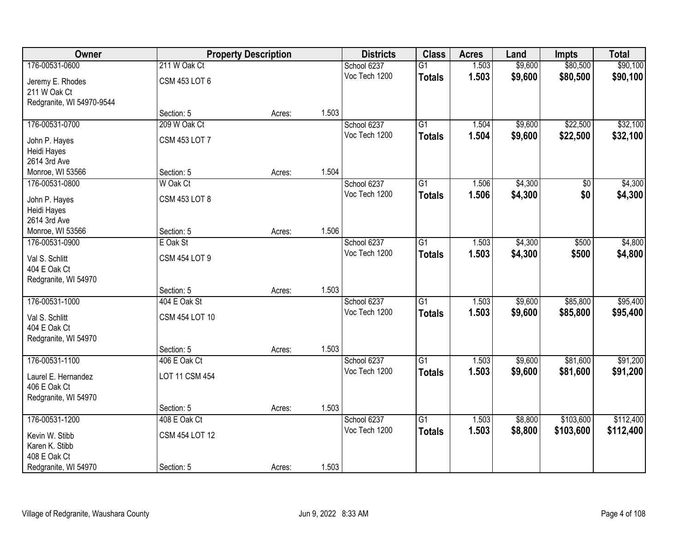| Owner                          |                       | <b>Property Description</b> |       | <b>Districts</b> | <b>Class</b>    | <b>Acres</b> | Land    | <b>Impts</b> | <b>Total</b> |
|--------------------------------|-----------------------|-----------------------------|-------|------------------|-----------------|--------------|---------|--------------|--------------|
| 176-00531-0600                 | 211 W Oak Ct          |                             |       | School 6237      | $\overline{G1}$ | 1.503        | \$9,600 | \$80,500     | \$90,100     |
| Jeremy E. Rhodes               | <b>CSM 453 LOT 6</b>  |                             |       | Voc Tech 1200    | <b>Totals</b>   | 1.503        | \$9,600 | \$80,500     | \$90,100     |
| 211 W Oak Ct                   |                       |                             |       |                  |                 |              |         |              |              |
| Redgranite, WI 54970-9544      |                       |                             |       |                  |                 |              |         |              |              |
|                                | Section: 5            | Acres:                      | 1.503 |                  |                 |              |         |              |              |
| 176-00531-0700                 | 209 W Oak Ct          |                             |       | School 6237      | $\overline{G1}$ | 1.504        | \$9,600 | \$22,500     | \$32,100     |
| John P. Hayes                  | <b>CSM 453 LOT 7</b>  |                             |       | Voc Tech 1200    | <b>Totals</b>   | 1.504        | \$9,600 | \$22,500     | \$32,100     |
| Heidi Hayes                    |                       |                             |       |                  |                 |              |         |              |              |
| 2614 3rd Ave                   |                       |                             |       |                  |                 |              |         |              |              |
| Monroe, WI 53566               | Section: 5            | Acres:                      | 1.504 |                  |                 |              |         |              |              |
| 176-00531-0800                 | W Oak Ct              |                             |       | School 6237      | G1              | 1.506        | \$4,300 | \$0          | \$4,300      |
| John P. Hayes                  | <b>CSM 453 LOT 8</b>  |                             |       | Voc Tech 1200    | <b>Totals</b>   | 1.506        | \$4,300 | \$0          | \$4,300      |
| Heidi Hayes                    |                       |                             |       |                  |                 |              |         |              |              |
| 2614 3rd Ave                   |                       |                             |       |                  |                 |              |         |              |              |
| Monroe, WI 53566               | Section: 5            | Acres:                      | 1.506 |                  |                 |              |         |              |              |
| 176-00531-0900                 | E Oak St              |                             |       | School 6237      | G1              | 1.503        | \$4,300 | \$500        | \$4,800      |
|                                |                       |                             |       | Voc Tech 1200    | <b>Totals</b>   | 1.503        | \$4,300 | \$500        | \$4,800      |
| Val S. Schlitt<br>404 E Oak Ct | <b>CSM 454 LOT 9</b>  |                             |       |                  |                 |              |         |              |              |
| Redgranite, WI 54970           |                       |                             |       |                  |                 |              |         |              |              |
|                                | Section: 5            | Acres:                      | 1.503 |                  |                 |              |         |              |              |
| 176-00531-1000                 | 404 E Oak St          |                             |       | School 6237      | $\overline{G1}$ | 1.503        | \$9,600 | \$85,800     | \$95,400     |
|                                |                       |                             |       | Voc Tech 1200    | <b>Totals</b>   | 1.503        | \$9,600 | \$85,800     | \$95,400     |
| Val S. Schlitt                 | <b>CSM 454 LOT 10</b> |                             |       |                  |                 |              |         |              |              |
| 404 E Oak Ct                   |                       |                             |       |                  |                 |              |         |              |              |
| Redgranite, WI 54970           | Section: 5            | Acres:                      | 1.503 |                  |                 |              |         |              |              |
| 176-00531-1100                 | 406 E Oak Ct          |                             |       | School 6237      | $\overline{G1}$ | 1.503        | \$9,600 | \$81,600     | \$91,200     |
|                                |                       |                             |       | Voc Tech 1200    | <b>Totals</b>   | 1.503        | \$9,600 | \$81,600     | \$91,200     |
| Laurel E. Hernandez            | LOT 11 CSM 454        |                             |       |                  |                 |              |         |              |              |
| 406 E Oak Ct                   |                       |                             |       |                  |                 |              |         |              |              |
| Redgranite, WI 54970           | Section: 5            | Acres:                      | 1.503 |                  |                 |              |         |              |              |
| 176-00531-1200                 | 408 E Oak Ct          |                             |       | School 6237      | $\overline{G1}$ | 1.503        | \$8,800 | \$103,600    | \$112,400    |
|                                |                       |                             |       | Voc Tech 1200    | <b>Totals</b>   | 1.503        | \$8,800 | \$103,600    | \$112,400    |
| Kevin W. Stibb                 | <b>CSM 454 LOT 12</b> |                             |       |                  |                 |              |         |              |              |
| Karen K. Stibb                 |                       |                             |       |                  |                 |              |         |              |              |
| 408 E Oak Ct                   |                       |                             |       |                  |                 |              |         |              |              |
| Redgranite, WI 54970           | Section: 5            | Acres:                      | 1.503 |                  |                 |              |         |              |              |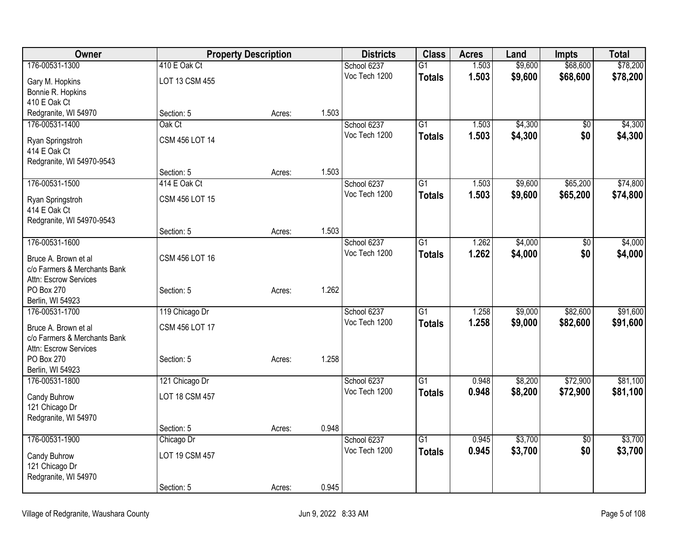| Owner                               |                       | <b>Property Description</b> |       | <b>Districts</b> | <b>Class</b>    | <b>Acres</b> | Land    | <b>Impts</b>    | <b>Total</b> |
|-------------------------------------|-----------------------|-----------------------------|-------|------------------|-----------------|--------------|---------|-----------------|--------------|
| 176-00531-1300                      | 410 E Oak Ct          |                             |       | School 6237      | $\overline{G1}$ | 1.503        | \$9,600 | \$68,600        | \$78,200     |
| Gary M. Hopkins                     | LOT 13 CSM 455        |                             |       | Voc Tech 1200    | <b>Totals</b>   | 1.503        | \$9,600 | \$68,600        | \$78,200     |
| Bonnie R. Hopkins                   |                       |                             |       |                  |                 |              |         |                 |              |
| 410 E Oak Ct                        |                       |                             |       |                  |                 |              |         |                 |              |
| Redgranite, WI 54970                | Section: 5            | Acres:                      | 1.503 |                  |                 |              |         |                 |              |
| 176-00531-1400                      | Oak Ct                |                             |       | School 6237      | $\overline{G1}$ | 1.503        | \$4,300 | \$0             | \$4,300      |
| Ryan Springstroh                    | <b>CSM 456 LOT 14</b> |                             |       | Voc Tech 1200    | <b>Totals</b>   | 1.503        | \$4,300 | \$0             | \$4,300      |
| 414 E Oak Ct                        |                       |                             |       |                  |                 |              |         |                 |              |
| Redgranite, WI 54970-9543           |                       |                             |       |                  |                 |              |         |                 |              |
|                                     | Section: 5            | Acres:                      | 1.503 |                  |                 |              |         |                 |              |
| 176-00531-1500                      | 414 E Oak Ct          |                             |       | School 6237      | $\overline{G1}$ | 1.503        | \$9,600 | \$65,200        | \$74,800     |
| Ryan Springstroh                    | <b>CSM 456 LOT 15</b> |                             |       | Voc Tech 1200    | <b>Totals</b>   | 1.503        | \$9,600 | \$65,200        | \$74,800     |
| 414 E Oak Ct                        |                       |                             |       |                  |                 |              |         |                 |              |
| Redgranite, WI 54970-9543           |                       |                             |       |                  |                 |              |         |                 |              |
|                                     | Section: 5            | Acres:                      | 1.503 |                  |                 |              |         |                 |              |
| 176-00531-1600                      |                       |                             |       | School 6237      | $\overline{G1}$ | 1.262        | \$4,000 | $\overline{30}$ | \$4,000      |
| Bruce A. Brown et al                | <b>CSM 456 LOT 16</b> |                             |       | Voc Tech 1200    | <b>Totals</b>   | 1.262        | \$4,000 | \$0             | \$4,000      |
| c/o Farmers & Merchants Bank        |                       |                             |       |                  |                 |              |         |                 |              |
| Attn: Escrow Services               |                       |                             |       |                  |                 |              |         |                 |              |
| PO Box 270<br>Berlin, WI 54923      | Section: 5            | Acres:                      | 1.262 |                  |                 |              |         |                 |              |
| 176-00531-1700                      | 119 Chicago Dr        |                             |       | School 6237      | $\overline{G1}$ | 1.258        | \$9,000 | \$82,600        | \$91,600     |
|                                     |                       |                             |       | Voc Tech 1200    | <b>Totals</b>   | 1.258        | \$9,000 | \$82,600        | \$91,600     |
| Bruce A. Brown et al                | CSM 456 LOT 17        |                             |       |                  |                 |              |         |                 |              |
| c/o Farmers & Merchants Bank        |                       |                             |       |                  |                 |              |         |                 |              |
| Attn: Escrow Services<br>PO Box 270 | Section: 5            | Acres:                      | 1.258 |                  |                 |              |         |                 |              |
| Berlin, WI 54923                    |                       |                             |       |                  |                 |              |         |                 |              |
| 176-00531-1800                      | 121 Chicago Dr        |                             |       | School 6237      | $\overline{G1}$ | 0.948        | \$8,200 | \$72,900        | \$81,100     |
| Candy Buhrow                        | LOT 18 CSM 457        |                             |       | Voc Tech 1200    | <b>Totals</b>   | 0.948        | \$8,200 | \$72,900        | \$81,100     |
| 121 Chicago Dr                      |                       |                             |       |                  |                 |              |         |                 |              |
| Redgranite, WI 54970                |                       |                             |       |                  |                 |              |         |                 |              |
|                                     | Section: 5            | Acres:                      | 0.948 |                  |                 |              |         |                 |              |
| 176-00531-1900                      | Chicago Dr            |                             |       | School 6237      | $\overline{G1}$ | 0.945        | \$3,700 | $\sqrt{6}$      | \$3,700      |
| Candy Buhrow                        | LOT 19 CSM 457        |                             |       | Voc Tech 1200    | Totals          | 0.945        | \$3,700 | \$0             | \$3,700      |
| 121 Chicago Dr                      |                       |                             |       |                  |                 |              |         |                 |              |
| Redgranite, WI 54970                |                       |                             |       |                  |                 |              |         |                 |              |
|                                     | Section: 5            | Acres:                      | 0.945 |                  |                 |              |         |                 |              |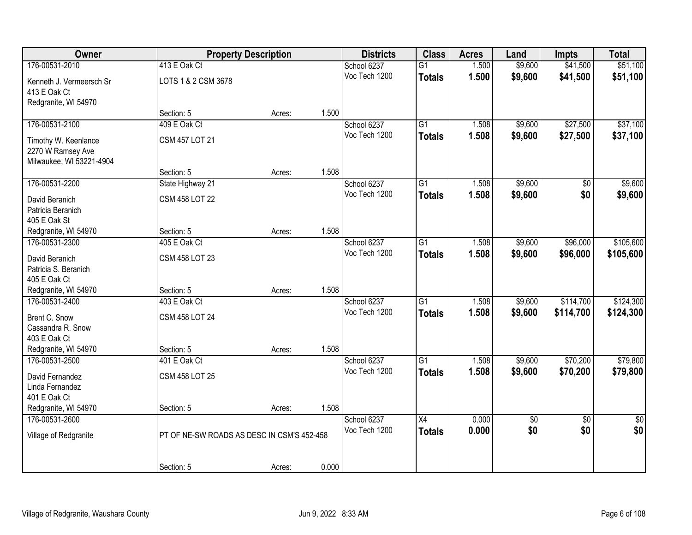| Owner                                     | <b>Property Description</b>                |        |       | <b>Districts</b> | <b>Class</b>    | <b>Acres</b> | Land            | <b>Impts</b>    | <b>Total</b>    |
|-------------------------------------------|--------------------------------------------|--------|-------|------------------|-----------------|--------------|-----------------|-----------------|-----------------|
| 176-00531-2010                            | 413 E Oak Ct                               |        |       | School 6237      | $\overline{G1}$ | 1.500        | \$9,600         | \$41,500        | \$51,100        |
| Kenneth J. Vermeersch Sr<br>413 E Oak Ct  | LOTS 1 & 2 CSM 3678                        |        |       | Voc Tech 1200    | <b>Totals</b>   | 1.500        | \$9,600         | \$41,500        | \$51,100        |
| Redgranite, WI 54970                      |                                            |        |       |                  |                 |              |                 |                 |                 |
|                                           | Section: 5                                 | Acres: | 1.500 |                  |                 |              |                 |                 |                 |
| 176-00531-2100                            | 409 E Oak Ct                               |        |       | School 6237      | $\overline{G1}$ | 1.508        | \$9,600         | \$27,500        | \$37,100        |
|                                           | <b>CSM 457 LOT 21</b>                      |        |       | Voc Tech 1200    | <b>Totals</b>   | 1.508        | \$9,600         | \$27,500        | \$37,100        |
| Timothy W. Keenlance<br>2270 W Ramsey Ave |                                            |        |       |                  |                 |              |                 |                 |                 |
| Milwaukee, WI 53221-4904                  |                                            |        |       |                  |                 |              |                 |                 |                 |
|                                           | Section: 5                                 | Acres: | 1.508 |                  |                 |              |                 |                 |                 |
| 176-00531-2200                            | State Highway 21                           |        |       | School 6237      | $\overline{G1}$ | 1.508        | \$9,600         | $\sqrt{6}$      | \$9,600         |
|                                           | <b>CSM 458 LOT 22</b>                      |        |       | Voc Tech 1200    | <b>Totals</b>   | 1.508        | \$9,600         | \$0             | \$9,600         |
| David Beranich<br>Patricia Beranich       |                                            |        |       |                  |                 |              |                 |                 |                 |
| 405 E Oak St                              |                                            |        |       |                  |                 |              |                 |                 |                 |
| Redgranite, WI 54970                      | Section: 5                                 | Acres: | 1.508 |                  |                 |              |                 |                 |                 |
| 176-00531-2300                            | 405 E Oak Ct                               |        |       | School 6237      | $\overline{G1}$ | 1.508        | \$9,600         | \$96,000        | \$105,600       |
|                                           |                                            |        |       | Voc Tech 1200    | <b>Totals</b>   | 1.508        | \$9,600         | \$96,000        | \$105,600       |
| David Beranich                            | <b>CSM 458 LOT 23</b>                      |        |       |                  |                 |              |                 |                 |                 |
| Patricia S. Beranich<br>405 E Oak Ct      |                                            |        |       |                  |                 |              |                 |                 |                 |
| Redgranite, WI 54970                      | Section: 5                                 | Acres: | 1.508 |                  |                 |              |                 |                 |                 |
| 176-00531-2400                            | 403 E Oak Ct                               |        |       | School 6237      | $\overline{G1}$ | 1.508        | \$9,600         | \$114,700       | \$124,300       |
|                                           |                                            |        |       | Voc Tech 1200    | <b>Totals</b>   | 1.508        | \$9,600         | \$114,700       | \$124,300       |
| Brent C. Snow                             | <b>CSM 458 LOT 24</b>                      |        |       |                  |                 |              |                 |                 |                 |
| Cassandra R. Snow<br>403 E Oak Ct         |                                            |        |       |                  |                 |              |                 |                 |                 |
| Redgranite, WI 54970                      | Section: 5                                 | Acres: | 1.508 |                  |                 |              |                 |                 |                 |
| 176-00531-2500                            | 401 E Oak Ct                               |        |       | School 6237      | $\overline{G1}$ | 1.508        | \$9,600         | \$70,200        | \$79,800        |
|                                           |                                            |        |       | Voc Tech 1200    | <b>Totals</b>   | 1.508        | \$9,600         | \$70,200        | \$79,800        |
| David Fernandez                           | <b>CSM 458 LOT 25</b>                      |        |       |                  |                 |              |                 |                 |                 |
| Linda Fernandez                           |                                            |        |       |                  |                 |              |                 |                 |                 |
| 401 E Oak Ct<br>Redgranite, WI 54970      | Section: 5                                 | Acres: | 1.508 |                  |                 |              |                 |                 |                 |
| 176-00531-2600                            |                                            |        |       | School 6237      | $\overline{X4}$ | 0.000        | $\overline{50}$ | $\overline{50}$ | $\overline{50}$ |
|                                           |                                            |        |       | Voc Tech 1200    | <b>Totals</b>   | 0.000        | \$0             | \$0             | \$0             |
| Village of Redgranite                     | PT OF NE-SW ROADS AS DESC IN CSM'S 452-458 |        |       |                  |                 |              |                 |                 |                 |
|                                           | Section: 5                                 | Acres: | 0.000 |                  |                 |              |                 |                 |                 |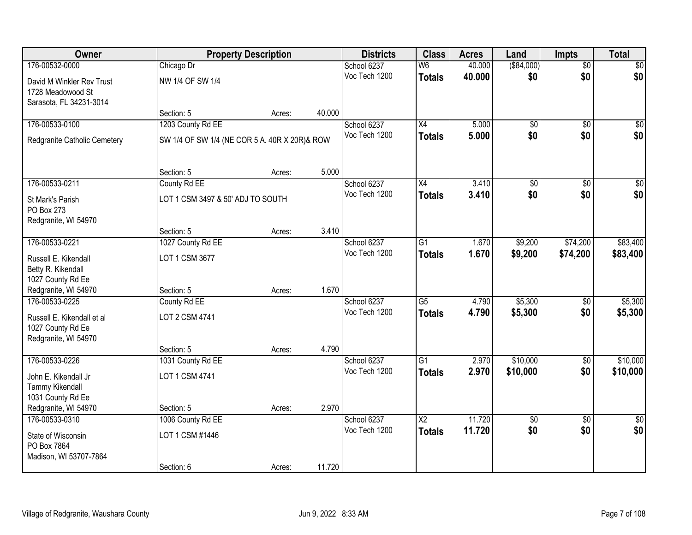| Owner                                                                                     |                                               | <b>Property Description</b> |        | <b>Districts</b>             | <b>Class</b>                     | <b>Acres</b>   | Land               | <b>Impts</b>    | <b>Total</b>       |
|-------------------------------------------------------------------------------------------|-----------------------------------------------|-----------------------------|--------|------------------------------|----------------------------------|----------------|--------------------|-----------------|--------------------|
| 176-00532-0000                                                                            | Chicago Dr                                    |                             |        | School 6237                  | W <sub>6</sub>                   | 40.000         | ( \$84,000)        | $\overline{50}$ | $\overline{30}$    |
| David M Winkler Rev Trust<br>1728 Meadowood St<br>Sarasota, FL 34231-3014                 | NW 1/4 OF SW 1/4                              |                             |        | Voc Tech 1200                | <b>Totals</b>                    | 40.000         | \$0                | \$0             | \$0                |
|                                                                                           | Section: 5                                    | Acres:                      | 40.000 |                              |                                  |                |                    |                 |                    |
| 176-00533-0100                                                                            | 1203 County Rd EE                             |                             |        | School 6237                  | $\overline{X4}$                  | 5.000          | \$0                | $\overline{50}$ | \$0                |
| Redgranite Catholic Cemetery                                                              | SW 1/4 OF SW 1/4 (NE COR 5 A. 40R X 20R)& ROW |                             |        | Voc Tech 1200                | <b>Totals</b>                    | 5.000          | \$0                | \$0             | \$0                |
|                                                                                           | Section: 5                                    | Acres:                      | 5.000  |                              |                                  |                |                    |                 |                    |
| 176-00533-0211                                                                            | County Rd EE                                  |                             |        | School 6237                  | X4                               | 3.410          | $\overline{50}$    | \$0             | $\overline{50}$    |
| St Mark's Parish<br>PO Box 273<br>Redgranite, WI 54970                                    | LOT 1 CSM 3497 & 50' ADJ TO SOUTH             |                             |        | Voc Tech 1200                | <b>Totals</b>                    | 3.410          | \$0                | \$0             | \$0                |
|                                                                                           | Section: 5                                    | Acres:                      | 3.410  |                              |                                  |                |                    |                 |                    |
| 176-00533-0221                                                                            | 1027 County Rd EE                             |                             |        | School 6237                  | $\overline{G1}$                  | 1.670          | \$9,200            | \$74,200        | \$83,400           |
| Russell E. Kikendall<br>Betty R. Kikendall<br>1027 County Rd Ee                           | LOT 1 CSM 3677                                |                             |        | Voc Tech 1200                | <b>Totals</b>                    | 1.670          | \$9,200            | \$74,200        | \$83,400           |
| Redgranite, WI 54970                                                                      | Section: 5                                    | Acres:                      | 1.670  |                              |                                  |                |                    |                 |                    |
| 176-00533-0225<br>Russell E. Kikendall et al<br>1027 County Rd Ee<br>Redgranite, WI 54970 | County Rd EE<br>LOT 2 CSM 4741                |                             |        | School 6237<br>Voc Tech 1200 | $\overline{G5}$<br><b>Totals</b> | 4.790<br>4.790 | \$5,300<br>\$5,300 | \$0<br>\$0      | \$5,300<br>\$5,300 |
|                                                                                           | Section: 5                                    | Acres:                      | 4.790  |                              |                                  |                |                    |                 |                    |
| 176-00533-0226                                                                            | 1031 County Rd EE                             |                             |        | School 6237                  | $\overline{G1}$                  | 2.970          | \$10,000           | $\sqrt{6}$      | \$10,000           |
| John E. Kikendall Jr<br><b>Tammy Kikendall</b><br>1031 County Rd Ee                       | LOT 1 CSM 4741                                |                             |        | Voc Tech 1200                | <b>Totals</b>                    | 2.970          | \$10,000           | \$0             | \$10,000           |
| Redgranite, WI 54970                                                                      | Section: 5                                    | Acres:                      | 2.970  |                              |                                  |                |                    |                 |                    |
| 176-00533-0310                                                                            | 1006 County Rd EE                             |                             |        | School 6237                  | $\overline{X2}$                  | 11.720         | $\overline{50}$    | $\overline{30}$ | $\overline{30}$    |
| State of Wisconsin<br>PO Box 7864<br>Madison, WI 53707-7864                               | LOT 1 CSM #1446                               |                             |        | Voc Tech 1200                | <b>Totals</b>                    | 11.720         | \$0                | \$0             | \$0                |
|                                                                                           | Section: 6                                    | Acres:                      | 11.720 |                              |                                  |                |                    |                 |                    |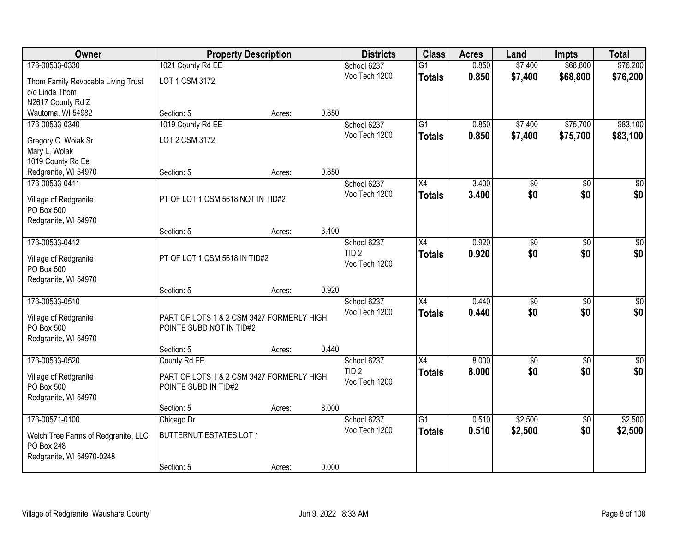| Owner                               |                                                                       | <b>Property Description</b> |       | <b>Districts</b>             | <b>Class</b>    | <b>Acres</b> | Land            | <b>Impts</b>    | <b>Total</b>       |
|-------------------------------------|-----------------------------------------------------------------------|-----------------------------|-------|------------------------------|-----------------|--------------|-----------------|-----------------|--------------------|
| 176-00533-0330                      | 1021 County Rd EE                                                     |                             |       | School 6237                  | $\overline{G1}$ | 0.850        | \$7,400         | \$68,800        | \$76,200           |
| Thom Family Revocable Living Trust  | LOT 1 CSM 3172                                                        |                             |       | Voc Tech 1200                | <b>Totals</b>   | 0.850        | \$7,400         | \$68,800        | \$76,200           |
| c/o Linda Thom                      |                                                                       |                             |       |                              |                 |              |                 |                 |                    |
| N2617 County Rd Z                   |                                                                       |                             |       |                              |                 |              |                 |                 |                    |
| Wautoma, WI 54982                   | Section: 5                                                            | Acres:                      | 0.850 |                              |                 |              |                 |                 |                    |
| 176-00533-0340                      | 1019 County Rd EE                                                     |                             |       | School 6237                  | $\overline{G1}$ | 0.850        | \$7,400         | \$75,700        | \$83,100           |
| Gregory C. Woiak Sr                 | LOT 2 CSM 3172                                                        |                             |       | Voc Tech 1200                | <b>Totals</b>   | 0.850        | \$7,400         | \$75,700        | \$83,100           |
| Mary L. Woiak                       |                                                                       |                             |       |                              |                 |              |                 |                 |                    |
| 1019 County Rd Ee                   |                                                                       |                             |       |                              |                 |              |                 |                 |                    |
| Redgranite, WI 54970                | Section: 5                                                            | Acres:                      | 0.850 |                              |                 |              |                 |                 |                    |
| 176-00533-0411                      |                                                                       |                             |       | School 6237<br>Voc Tech 1200 | X4              | 3.400        | \$0<br>\$0      | \$0<br>\$0      | $\sqrt{50}$<br>\$0 |
| Village of Redgranite               | PT OF LOT 1 CSM 5618 NOT IN TID#2                                     |                             |       |                              | <b>Totals</b>   | 3.400        |                 |                 |                    |
| PO Box 500                          |                                                                       |                             |       |                              |                 |              |                 |                 |                    |
| Redgranite, WI 54970                |                                                                       |                             |       |                              |                 |              |                 |                 |                    |
| 176-00533-0412                      | Section: 5                                                            | Acres:                      | 3.400 | School 6237                  | X4              | 0.920        | \$0             | \$0             | $\sqrt{50}$        |
|                                     |                                                                       |                             |       | TID <sub>2</sub>             | <b>Totals</b>   | 0.920        | \$0             | \$0             | \$0                |
| Village of Redgranite               | PT OF LOT 1 CSM 5618 IN TID#2                                         |                             |       | Voc Tech 1200                |                 |              |                 |                 |                    |
| PO Box 500                          |                                                                       |                             |       |                              |                 |              |                 |                 |                    |
| Redgranite, WI 54970                | Section: 5                                                            | Acres:                      | 0.920 |                              |                 |              |                 |                 |                    |
| 176-00533-0510                      |                                                                       |                             |       | School 6237                  | $\overline{X4}$ | 0.440        | $\overline{50}$ | $\overline{50}$ | $\overline{50}$    |
|                                     |                                                                       |                             |       | Voc Tech 1200                | <b>Totals</b>   | 0.440        | \$0             | \$0             | \$0                |
| Village of Redgranite<br>PO Box 500 | PART OF LOTS 1 & 2 CSM 3427 FORMERLY HIGH<br>POINTE SUBD NOT IN TID#2 |                             |       |                              |                 |              |                 |                 |                    |
| Redgranite, WI 54970                |                                                                       |                             |       |                              |                 |              |                 |                 |                    |
|                                     | Section: 5                                                            | Acres:                      | 0.440 |                              |                 |              |                 |                 |                    |
| 176-00533-0520                      | County Rd EE                                                          |                             |       | School 6237                  | X4              | 8.000        | \$0             | \$0             | $\overline{\$0}$   |
| Village of Redgranite               | PART OF LOTS 1 & 2 CSM 3427 FORMERLY HIGH                             |                             |       | TID <sub>2</sub>             | <b>Totals</b>   | 8.000        | \$0             | \$0             | \$0                |
| PO Box 500                          | POINTE SUBD IN TID#2                                                  |                             |       | Voc Tech 1200                |                 |              |                 |                 |                    |
| Redgranite, WI 54970                |                                                                       |                             |       |                              |                 |              |                 |                 |                    |
|                                     | Section: 5                                                            | Acres:                      | 8.000 |                              |                 |              |                 |                 |                    |
| 176-00571-0100                      | Chicago Dr                                                            |                             |       | School 6237                  | $\overline{G1}$ | 0.510        | \$2,500         | $\overline{60}$ | \$2,500            |
| Welch Tree Farms of Redgranite, LLC | <b>BUTTERNUT ESTATES LOT 1</b>                                        |                             |       | Voc Tech 1200                | <b>Totals</b>   | 0.510        | \$2,500         | \$0             | \$2,500            |
| PO Box 248                          |                                                                       |                             |       |                              |                 |              |                 |                 |                    |
| Redgranite, WI 54970-0248           |                                                                       |                             |       |                              |                 |              |                 |                 |                    |
|                                     | Section: 5                                                            | Acres:                      | 0.000 |                              |                 |              |                 |                 |                    |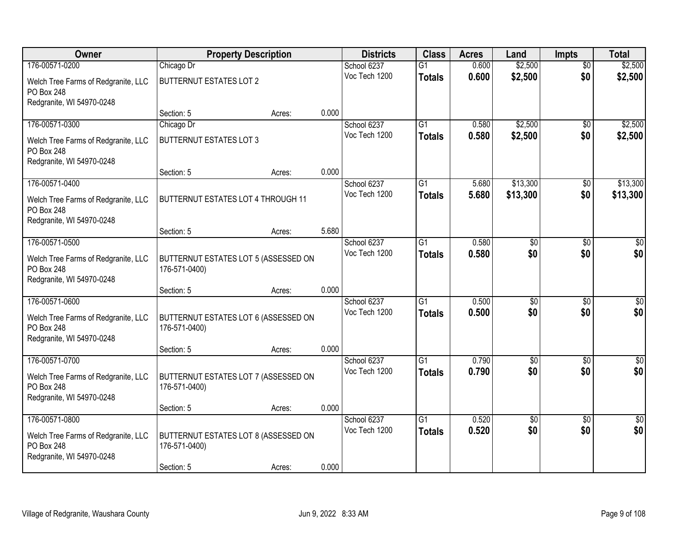| Owner                                                                                 | <b>Property Description</b>                           |        |       | <b>Districts</b> | <b>Class</b>    | <b>Acres</b> | Land            | <b>Impts</b>    | <b>Total</b>     |
|---------------------------------------------------------------------------------------|-------------------------------------------------------|--------|-------|------------------|-----------------|--------------|-----------------|-----------------|------------------|
| 176-00571-0200                                                                        | Chicago Dr                                            |        |       | School 6237      | G1              | 0.600        | \$2,500         | $\overline{50}$ | \$2,500          |
| Welch Tree Farms of Redgranite, LLC<br>PO Box 248<br>Redgranite, WI 54970-0248        | <b>BUTTERNUT ESTATES LOT 2</b>                        |        |       | Voc Tech 1200    | <b>Totals</b>   | 0.600        | \$2,500         | \$0             | \$2,500          |
|                                                                                       | Section: 5                                            | Acres: | 0.000 |                  |                 |              |                 |                 |                  |
| 176-00571-0300                                                                        | Chicago Dr                                            |        |       | School 6237      | $\overline{G1}$ | 0.580        | \$2,500         | \$0             | \$2,500          |
| Welch Tree Farms of Redgranite, LLC<br>PO Box 248<br>Redgranite, WI 54970-0248        | <b>BUTTERNUT ESTATES LOT 3</b>                        |        |       | Voc Tech 1200    | <b>Totals</b>   | 0.580        | \$2,500         | \$0             | \$2,500          |
|                                                                                       | Section: 5                                            | Acres: | 0.000 |                  |                 |              |                 |                 |                  |
| 176-00571-0400                                                                        |                                                       |        |       | School 6237      | $\overline{G1}$ | 5.680        | \$13,300        | \$0             | \$13,300         |
| Welch Tree Farms of Redgranite, LLC<br>PO Box 248<br>Redgranite, WI 54970-0248        | BUTTERNUT ESTATES LOT 4 THROUGH 11                    |        |       | Voc Tech 1200    | <b>Totals</b>   | 5.680        | \$13,300        | \$0             | \$13,300         |
|                                                                                       | Section: 5                                            | Acres: | 5.680 |                  |                 |              |                 |                 |                  |
| 176-00571-0500                                                                        |                                                       |        |       | School 6237      | G1              | 0.580        | \$0             | $\sqrt{6}$      | \$0              |
| Welch Tree Farms of Redgranite, LLC<br><b>PO Box 248</b><br>Redgranite, WI 54970-0248 | BUTTERNUT ESTATES LOT 5 (ASSESSED ON<br>176-571-0400) |        |       | Voc Tech 1200    | <b>Totals</b>   | 0.580        | \$0             | \$0             | \$0              |
|                                                                                       | Section: 5                                            | Acres: | 0.000 |                  |                 |              |                 |                 |                  |
| 176-00571-0600                                                                        |                                                       |        |       | School 6237      | $\overline{G1}$ | 0.500        | $\overline{50}$ | $\overline{30}$ | $\overline{50}$  |
| Welch Tree Farms of Redgranite, LLC<br><b>PO Box 248</b><br>Redgranite, WI 54970-0248 | BUTTERNUT ESTATES LOT 6 (ASSESSED ON<br>176-571-0400) |        |       | Voc Tech 1200    | <b>Totals</b>   | 0.500        | \$0             | \$0             | \$0              |
|                                                                                       | Section: 5                                            | Acres: | 0.000 |                  |                 |              |                 |                 |                  |
| 176-00571-0700                                                                        |                                                       |        |       | School 6237      | $\overline{G1}$ | 0.790        | $\overline{50}$ | $\overline{50}$ | $\overline{\$0}$ |
| Welch Tree Farms of Redgranite, LLC<br>PO Box 248<br>Redgranite, WI 54970-0248        | BUTTERNUT ESTATES LOT 7 (ASSESSED ON<br>176-571-0400) |        |       | Voc Tech 1200    | <b>Totals</b>   | 0.790        | \$0             | \$0             | \$0              |
|                                                                                       | Section: 5                                            | Acres: | 0.000 |                  |                 |              |                 |                 |                  |
| 176-00571-0800                                                                        |                                                       |        |       | School 6237      | G1              | 0.520        | $\overline{60}$ | $\overline{50}$ | $\sqrt{50}$      |
| Welch Tree Farms of Redgranite, LLC<br><b>PO Box 248</b><br>Redgranite, WI 54970-0248 | BUTTERNUT ESTATES LOT 8 (ASSESSED ON<br>176-571-0400) |        |       | Voc Tech 1200    | <b>Totals</b>   | 0.520        | \$0             | \$0             | \$0              |
|                                                                                       | Section: 5                                            | Acres: | 0.000 |                  |                 |              |                 |                 |                  |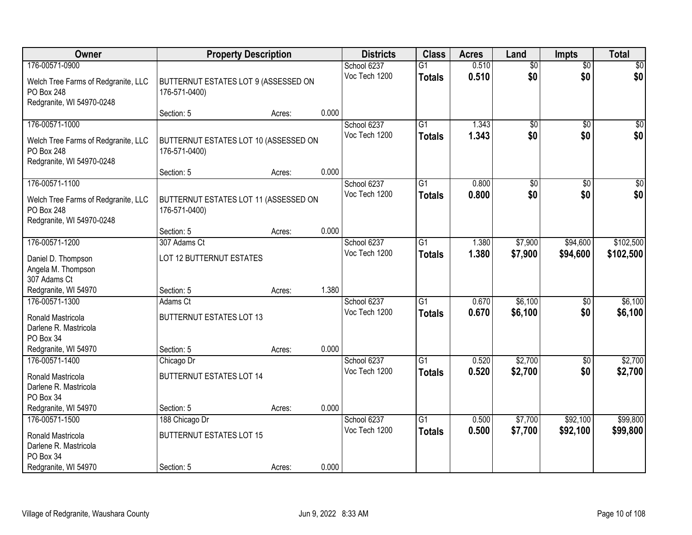| Owner                                                                                                   | <b>Property Description</b>                                          |        | <b>Districts</b>                      | <b>Class</b>                     | <b>Acres</b>   | Land               | <b>Impts</b>           | <b>Total</b>         |
|---------------------------------------------------------------------------------------------------------|----------------------------------------------------------------------|--------|---------------------------------------|----------------------------------|----------------|--------------------|------------------------|----------------------|
| 176-00571-0900                                                                                          |                                                                      |        | School 6237                           | $\overline{G1}$                  | 0.510          | $\overline{50}$    | $\overline{60}$        | $\overline{30}$      |
| Welch Tree Farms of Redgranite, LLC<br><b>PO Box 248</b><br>Redgranite, WI 54970-0248                   | BUTTERNUT ESTATES LOT 9 (ASSESSED ON<br>176-571-0400)                |        | Voc Tech 1200                         | <b>Totals</b>                    | 0.510          | \$0                | \$0                    | \$0                  |
|                                                                                                         | Section: 5                                                           | Acres: | 0.000                                 |                                  |                |                    |                        |                      |
| 176-00571-1000<br>Welch Tree Farms of Redgranite, LLC<br><b>PO Box 248</b><br>Redgranite, WI 54970-0248 | BUTTERNUT ESTATES LOT 10 (ASSESSED ON<br>176-571-0400)<br>Section: 5 | Acres: | School 6237<br>Voc Tech 1200<br>0.000 | $\overline{G1}$<br><b>Totals</b> | 1.343<br>1.343 | \$0<br>\$0         | $\overline{50}$<br>\$0 | \$0<br>\$0           |
| 176-00571-1100                                                                                          |                                                                      |        | School 6237                           | G1                               | 0.800          | $\overline{50}$    | \$0                    | $\overline{50}$      |
| Welch Tree Farms of Redgranite, LLC<br>PO Box 248<br>Redgranite, WI 54970-0248                          | BUTTERNUT ESTATES LOT 11 (ASSESSED ON<br>176-571-0400)               |        | Voc Tech 1200                         | <b>Totals</b>                    | 0.800          | \$0                | \$0                    | \$0                  |
|                                                                                                         | Section: 5                                                           | Acres: | 0.000                                 |                                  |                |                    |                        |                      |
| 176-00571-1200                                                                                          | 307 Adams Ct                                                         |        | School 6237                           | $\overline{G1}$                  | 1.380          | \$7,900            | \$94,600               | \$102,500            |
| Daniel D. Thompson<br>Angela M. Thompson<br>307 Adams Ct                                                | LOT 12 BUTTERNUT ESTATES                                             |        | Voc Tech 1200                         | <b>Totals</b>                    | 1.380          | \$7,900            | \$94,600               | \$102,500            |
| Redgranite, WI 54970                                                                                    | Section: 5                                                           | Acres: | 1.380                                 |                                  |                |                    |                        |                      |
| 176-00571-1300<br>Ronald Mastricola<br>Darlene R. Mastricola<br>PO Box 34<br>Redgranite, WI 54970       | Adams Ct<br><b>BUTTERNUT ESTATES LOT 13</b><br>Section: 5            | Acres: | School 6237<br>Voc Tech 1200<br>0.000 | $\overline{G1}$<br><b>Totals</b> | 0.670<br>0.670 | \$6,100<br>\$6,100 | \$0<br>\$0             | \$6,100<br>\$6,100   |
| 176-00571-1400                                                                                          | Chicago Dr                                                           |        | School 6237                           | $\overline{G1}$                  | 0.520          | \$2,700            | $\overline{50}$        | \$2,700              |
| Ronald Mastricola<br>Darlene R. Mastricola<br>PO Box 34                                                 | <b>BUTTERNUT ESTATES LOT 14</b>                                      |        | Voc Tech 1200                         | <b>Totals</b>                    | 0.520          | \$2,700            | \$0                    | \$2,700              |
| Redgranite, WI 54970                                                                                    | Section: 5                                                           | Acres: | 0.000                                 |                                  |                |                    |                        |                      |
| 176-00571-1500<br>Ronald Mastricola<br>Darlene R. Mastricola<br>PO Box 34                               | 188 Chicago Dr<br><b>BUTTERNUT ESTATES LOT 15</b>                    |        | School 6237<br>Voc Tech 1200          | $\overline{G1}$<br><b>Totals</b> | 0.500<br>0.500 | \$7,700<br>\$7,700 | \$92,100<br>\$92,100   | \$99,800<br>\$99,800 |
| Redgranite, WI 54970                                                                                    | Section: 5                                                           | Acres: | 0.000                                 |                                  |                |                    |                        |                      |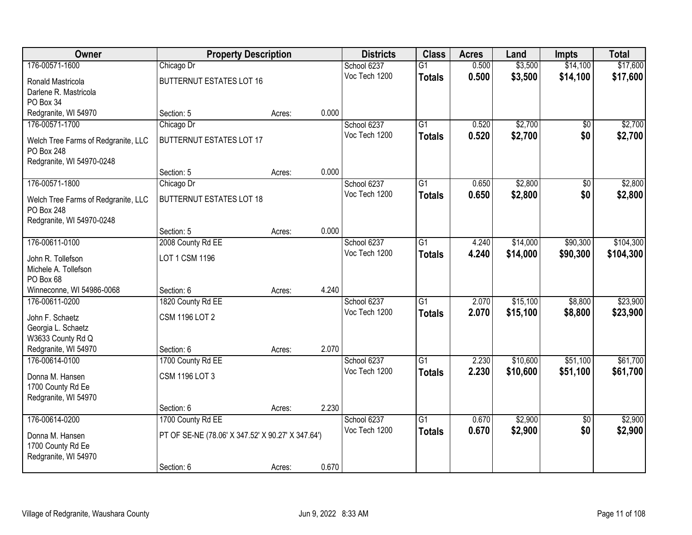| Owner                               | <b>Property Description</b>                       |        |       | <b>Districts</b> | <b>Class</b>    | <b>Acres</b> | Land     | <b>Impts</b>    | <b>Total</b> |
|-------------------------------------|---------------------------------------------------|--------|-------|------------------|-----------------|--------------|----------|-----------------|--------------|
| 176-00571-1600                      | Chicago Dr                                        |        |       | School 6237      | $\overline{G1}$ | 0.500        | \$3,500  | \$14,100        | \$17,600     |
| Ronald Mastricola                   | <b>BUTTERNUT ESTATES LOT 16</b>                   |        |       | Voc Tech 1200    | <b>Totals</b>   | 0.500        | \$3,500  | \$14,100        | \$17,600     |
| Darlene R. Mastricola               |                                                   |        |       |                  |                 |              |          |                 |              |
| PO Box 34                           |                                                   |        |       |                  |                 |              |          |                 |              |
| Redgranite, WI 54970                | Section: 5                                        | Acres: | 0.000 |                  |                 |              |          |                 |              |
| 176-00571-1700                      | Chicago Dr                                        |        |       | School 6237      | $\overline{G1}$ | 0.520        | \$2,700  | $\overline{30}$ | \$2,700      |
| Welch Tree Farms of Redgranite, LLC | <b>BUTTERNUT ESTATES LOT 17</b>                   |        |       | Voc Tech 1200    | <b>Totals</b>   | 0.520        | \$2,700  | \$0             | \$2,700      |
| <b>PO Box 248</b>                   |                                                   |        |       |                  |                 |              |          |                 |              |
| Redgranite, WI 54970-0248           |                                                   |        |       |                  |                 |              |          |                 |              |
|                                     | Section: 5                                        | Acres: | 0.000 |                  |                 |              |          |                 |              |
| 176-00571-1800                      | Chicago Dr                                        |        |       | School 6237      | $\overline{G1}$ | 0.650        | \$2,800  | \$0             | \$2,800      |
| Welch Tree Farms of Redgranite, LLC | <b>BUTTERNUT ESTATES LOT 18</b>                   |        |       | Voc Tech 1200    | <b>Totals</b>   | 0.650        | \$2,800  | \$0             | \$2,800      |
| <b>PO Box 248</b>                   |                                                   |        |       |                  |                 |              |          |                 |              |
| Redgranite, WI 54970-0248           |                                                   |        |       |                  |                 |              |          |                 |              |
|                                     | Section: 5                                        | Acres: | 0.000 |                  |                 |              |          |                 |              |
| 176-00611-0100                      | 2008 County Rd EE                                 |        |       | School 6237      | $\overline{G1}$ | 4.240        | \$14,000 | \$90,300        | \$104,300    |
| John R. Tollefson                   | LOT 1 CSM 1196                                    |        |       | Voc Tech 1200    | <b>Totals</b>   | 4.240        | \$14,000 | \$90,300        | \$104,300    |
| Michele A. Tollefson                |                                                   |        |       |                  |                 |              |          |                 |              |
| PO Box 68                           |                                                   |        |       |                  |                 |              |          |                 |              |
| Winneconne, WI 54986-0068           | Section: 6                                        | Acres: | 4.240 |                  |                 |              |          |                 |              |
| 176-00611-0200                      | 1820 County Rd EE                                 |        |       | School 6237      | $\overline{G1}$ | 2.070        | \$15,100 | \$8,800         | \$23,900     |
| John F. Schaetz                     | <b>CSM 1196 LOT 2</b>                             |        |       | Voc Tech 1200    | <b>Totals</b>   | 2.070        | \$15,100 | \$8,800         | \$23,900     |
| Georgia L. Schaetz                  |                                                   |        |       |                  |                 |              |          |                 |              |
| W3633 County Rd Q                   |                                                   |        |       |                  |                 |              |          |                 |              |
| Redgranite, WI 54970                | Section: 6                                        | Acres: | 2.070 |                  |                 |              |          |                 |              |
| 176-00614-0100                      | 1700 County Rd EE                                 |        |       | School 6237      | $\overline{G1}$ | 2.230        | \$10,600 | \$51,100        | \$61,700     |
| Donna M. Hansen                     | <b>CSM 1196 LOT 3</b>                             |        |       | Voc Tech 1200    | <b>Totals</b>   | 2.230        | \$10,600 | \$51,100        | \$61,700     |
| 1700 County Rd Ee                   |                                                   |        |       |                  |                 |              |          |                 |              |
| Redgranite, WI 54970                |                                                   |        |       |                  |                 |              |          |                 |              |
|                                     | Section: 6                                        | Acres: | 2.230 |                  |                 |              |          |                 |              |
| 176-00614-0200                      | 1700 County Rd EE                                 |        |       | School 6237      | $\overline{G1}$ | 0.670        | \$2,900  | $\overline{50}$ | \$2,900      |
| Donna M. Hansen                     | PT OF SE-NE (78.06' X 347.52' X 90.27' X 347.64') |        |       | Voc Tech 1200    | <b>Totals</b>   | 0.670        | \$2,900  | \$0             | \$2,900      |
| 1700 County Rd Ee                   |                                                   |        |       |                  |                 |              |          |                 |              |
| Redgranite, WI 54970                |                                                   |        |       |                  |                 |              |          |                 |              |
|                                     | Section: 6                                        | Acres: | 0.670 |                  |                 |              |          |                 |              |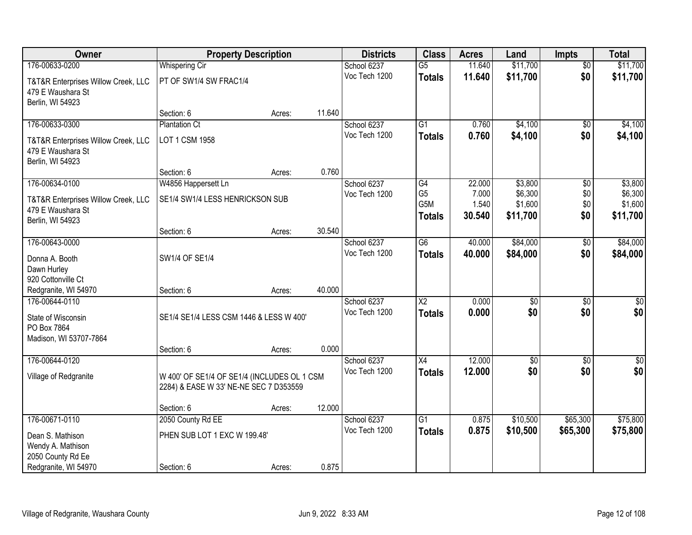| Owner                                                                        | <b>Property Description</b>                                                           |        |        | <b>Districts</b> | <b>Class</b>                           | <b>Acres</b>             | Land                           | <b>Impts</b>      | <b>Total</b>                   |
|------------------------------------------------------------------------------|---------------------------------------------------------------------------------------|--------|--------|------------------|----------------------------------------|--------------------------|--------------------------------|-------------------|--------------------------------|
| 176-00633-0200                                                               | <b>Whispering Cir</b>                                                                 |        |        | School 6237      | $\overline{G5}$                        | 11.640                   | \$11,700                       | $\overline{50}$   | \$11,700                       |
| T&T&R Enterprises Willow Creek, LLC<br>479 E Waushara St<br>Berlin, WI 54923 | PT OF SW1/4 SW FRAC1/4                                                                |        |        | Voc Tech 1200    | <b>Totals</b>                          | 11.640                   | \$11,700                       | \$0               | \$11,700                       |
|                                                                              | Section: 6                                                                            | Acres: | 11.640 |                  |                                        |                          |                                |                   |                                |
| 176-00633-0300                                                               | <b>Plantation Ct</b>                                                                  |        |        | School 6237      | $\overline{G1}$                        | 0.760                    | \$4,100                        | $\overline{50}$   | \$4,100                        |
| T&T&R Enterprises Willow Creek, LLC<br>479 E Waushara St<br>Berlin, WI 54923 | LOT 1 CSM 1958                                                                        |        |        | Voc Tech 1200    | <b>Totals</b>                          | 0.760                    | \$4,100                        | \$0               | \$4,100                        |
|                                                                              | Section: 6                                                                            | Acres: | 0.760  |                  |                                        |                          |                                |                   |                                |
| 176-00634-0100                                                               | W4856 Happersett Ln                                                                   |        |        | School 6237      | G4                                     | 22.000                   | \$3,800                        | $\overline{50}$   | \$3,800                        |
| T&T&R Enterprises Willow Creek, LLC<br>479 E Waushara St<br>Berlin, WI 54923 | SE1/4 SW1/4 LESS HENRICKSON SUB                                                       |        |        | Voc Tech 1200    | G <sub>5</sub><br>G5M<br><b>Totals</b> | 7.000<br>1.540<br>30.540 | \$6,300<br>\$1,600<br>\$11,700 | \$0<br>\$0<br>\$0 | \$6,300<br>\$1,600<br>\$11,700 |
|                                                                              | Section: 6                                                                            | Acres: | 30.540 |                  |                                        |                          |                                |                   |                                |
| 176-00643-0000                                                               |                                                                                       |        |        | School 6237      | $\overline{G6}$                        | 40.000                   | \$84,000                       | $\overline{50}$   | \$84,000                       |
| Donna A. Booth                                                               | SW1/4 OF SE1/4                                                                        |        |        | Voc Tech 1200    | Totals                                 | 40.000                   | \$84,000                       | \$0               | \$84,000                       |
| Dawn Hurley<br>920 Cottonville Ct                                            |                                                                                       |        |        |                  |                                        |                          |                                |                   |                                |
| Redgranite, WI 54970                                                         | Section: 6                                                                            | Acres: | 40.000 |                  |                                        |                          |                                |                   |                                |
| 176-00644-0110                                                               |                                                                                       |        |        | School 6237      | $\overline{\text{X2}}$                 | 0.000                    | \$0                            | \$0               | $\sqrt{50}$                    |
| State of Wisconsin                                                           | SE1/4 SE1/4 LESS CSM 1446 & LESS W 400'                                               |        |        | Voc Tech 1200    | <b>Totals</b>                          | 0.000                    | \$0                            | \$0               | \$0                            |
| PO Box 7864                                                                  |                                                                                       |        |        |                  |                                        |                          |                                |                   |                                |
| Madison, WI 53707-7864                                                       |                                                                                       |        |        |                  |                                        |                          |                                |                   |                                |
|                                                                              | Section: 6                                                                            | Acres: | 0.000  |                  |                                        |                          |                                |                   |                                |
| 176-00644-0120                                                               |                                                                                       |        |        | School 6237      | X4                                     | 12.000                   | $\overline{50}$                | \$0               | $\sqrt{50}$                    |
| Village of Redgranite                                                        | W 400' OF SE1/4 OF SE1/4 (INCLUDES OL 1 CSM<br>2284) & EASE W 33' NE-NE SEC 7 D353559 |        |        | Voc Tech 1200    | <b>Totals</b>                          | 12.000                   | \$0                            | \$0               | \$0                            |
|                                                                              | Section: 6                                                                            | Acres: | 12.000 |                  |                                        |                          |                                |                   |                                |
| 176-00671-0110                                                               | 2050 County Rd EE                                                                     |        |        | School 6237      | $\overline{G1}$                        | 0.875                    | \$10,500                       | \$65,300          | \$75,800                       |
| Dean S. Mathison<br>Wendy A. Mathison                                        | PHEN SUB LOT 1 EXC W 199.48'                                                          |        |        | Voc Tech 1200    | <b>Totals</b>                          | 0.875                    | \$10,500                       | \$65,300          | \$75,800                       |
| 2050 County Rd Ee<br>Redgranite, WI 54970                                    | Section: 6                                                                            | Acres: | 0.875  |                  |                                        |                          |                                |                   |                                |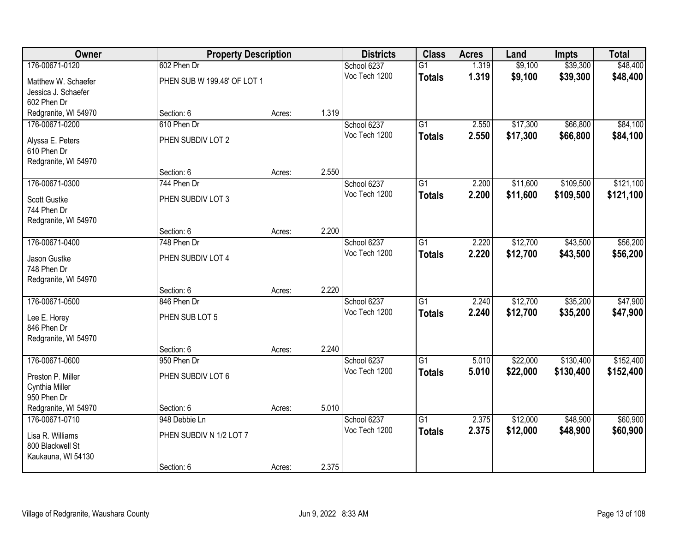| Owner                | <b>Property Description</b> |        |       | <b>Districts</b> | <b>Class</b>    | <b>Acres</b> | Land     | <b>Impts</b> | <b>Total</b> |
|----------------------|-----------------------------|--------|-------|------------------|-----------------|--------------|----------|--------------|--------------|
| 176-00671-0120       | 602 Phen Dr                 |        |       | School 6237      | $\overline{G1}$ | 1.319        | \$9,100  | \$39,300     | \$48,400     |
| Matthew W. Schaefer  | PHEN SUB W 199.48' OF LOT 1 |        |       | Voc Tech 1200    | <b>Totals</b>   | 1.319        | \$9,100  | \$39,300     | \$48,400     |
| Jessica J. Schaefer  |                             |        |       |                  |                 |              |          |              |              |
| 602 Phen Dr          |                             |        |       |                  |                 |              |          |              |              |
| Redgranite, WI 54970 | Section: 6                  | Acres: | 1.319 |                  |                 |              |          |              |              |
| 176-00671-0200       | 610 Phen Dr                 |        |       | School 6237      | $\overline{G1}$ | 2.550        | \$17,300 | \$66,800     | \$84,100     |
| Alyssa E. Peters     | PHEN SUBDIV LOT 2           |        |       | Voc Tech 1200    | <b>Totals</b>   | 2.550        | \$17,300 | \$66,800     | \$84,100     |
| 610 Phen Dr          |                             |        |       |                  |                 |              |          |              |              |
| Redgranite, WI 54970 |                             |        |       |                  |                 |              |          |              |              |
|                      | Section: 6                  | Acres: | 2.550 |                  |                 |              |          |              |              |
| 176-00671-0300       | 744 Phen Dr                 |        |       | School 6237      | G1              | 2.200        | \$11,600 | \$109,500    | \$121,100    |
| Scott Gustke         | PHEN SUBDIV LOT 3           |        |       | Voc Tech 1200    | <b>Totals</b>   | 2.200        | \$11,600 | \$109,500    | \$121,100    |
| 744 Phen Dr          |                             |        |       |                  |                 |              |          |              |              |
| Redgranite, WI 54970 |                             |        |       |                  |                 |              |          |              |              |
|                      | Section: 6                  | Acres: | 2.200 |                  |                 |              |          |              |              |
| 176-00671-0400       | 748 Phen Dr                 |        |       | School 6237      | G1              | 2.220        | \$12,700 | \$43,500     | \$56,200     |
| Jason Gustke         | PHEN SUBDIV LOT 4           |        |       | Voc Tech 1200    | <b>Totals</b>   | 2.220        | \$12,700 | \$43,500     | \$56,200     |
| 748 Phen Dr          |                             |        |       |                  |                 |              |          |              |              |
| Redgranite, WI 54970 |                             |        |       |                  |                 |              |          |              |              |
|                      | Section: 6                  | Acres: | 2.220 |                  |                 |              |          |              |              |
| 176-00671-0500       | 846 Phen Dr                 |        |       | School 6237      | $\overline{G1}$ | 2.240        | \$12,700 | \$35,200     | \$47,900     |
| Lee E. Horey         | PHEN SUB LOT 5              |        |       | Voc Tech 1200    | <b>Totals</b>   | 2.240        | \$12,700 | \$35,200     | \$47,900     |
| 846 Phen Dr          |                             |        |       |                  |                 |              |          |              |              |
| Redgranite, WI 54970 |                             |        |       |                  |                 |              |          |              |              |
|                      | Section: 6                  | Acres: | 2.240 |                  |                 |              |          |              |              |
| 176-00671-0600       | 950 Phen Dr                 |        |       | School 6237      | $\overline{G1}$ | 5.010        | \$22,000 | \$130,400    | \$152,400    |
| Preston P. Miller    | PHEN SUBDIV LOT 6           |        |       | Voc Tech 1200    | <b>Totals</b>   | 5.010        | \$22,000 | \$130,400    | \$152,400    |
| Cynthia Miller       |                             |        |       |                  |                 |              |          |              |              |
| 950 Phen Dr          |                             |        |       |                  |                 |              |          |              |              |
| Redgranite, WI 54970 | Section: 6                  | Acres: | 5.010 |                  |                 |              |          |              |              |
| 176-00671-0710       | 948 Debbie Ln               |        |       | School 6237      | $\overline{G1}$ | 2.375        | \$12,000 | \$48,900     | \$60,900     |
| Lisa R. Williams     | PHEN SUBDIV N 1/2 LOT 7     |        |       | Voc Tech 1200    | <b>Totals</b>   | 2.375        | \$12,000 | \$48,900     | \$60,900     |
| 800 Blackwell St     |                             |        |       |                  |                 |              |          |              |              |
| Kaukauna, WI 54130   |                             |        |       |                  |                 |              |          |              |              |
|                      | Section: 6                  | Acres: | 2.375 |                  |                 |              |          |              |              |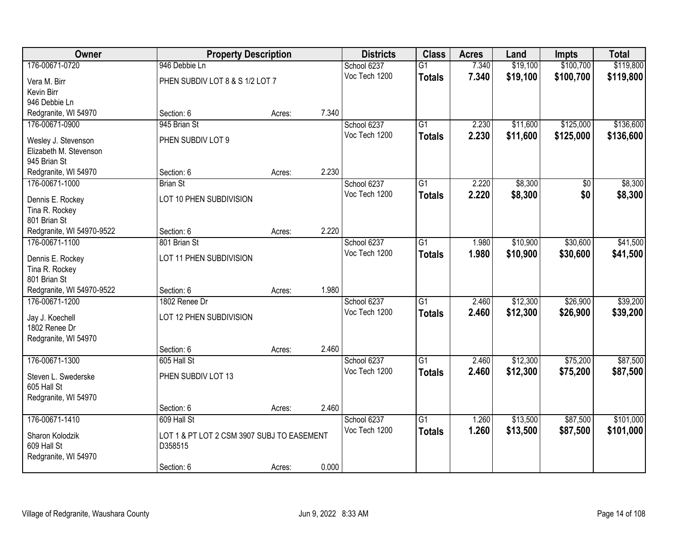| Owner                            | <b>Property Description</b>                |        |       | <b>Districts</b> | <b>Class</b>    | <b>Acres</b> | Land     | <b>Impts</b> | <b>Total</b> |
|----------------------------------|--------------------------------------------|--------|-------|------------------|-----------------|--------------|----------|--------------|--------------|
| 176-00671-0720                   | 946 Debbie Ln                              |        |       | School 6237      | $\overline{G1}$ | 7.340        | \$19,100 | \$100,700    | \$119,800    |
| Vera M. Birr                     | PHEN SUBDIV LOT 8 & S 1/2 LOT 7            |        |       | Voc Tech 1200    | <b>Totals</b>   | 7.340        | \$19,100 | \$100,700    | \$119,800    |
| Kevin Birr                       |                                            |        |       |                  |                 |              |          |              |              |
| 946 Debbie Ln                    |                                            |        |       |                  |                 |              |          |              |              |
| Redgranite, WI 54970             | Section: 6                                 | Acres: | 7.340 |                  |                 |              |          |              |              |
| 176-00671-0900                   | 945 Brian St                               |        |       | School 6237      | $\overline{G1}$ | 2.230        | \$11,600 | \$125,000    | \$136,600    |
| Wesley J. Stevenson              | PHEN SUBDIV LOT 9                          |        |       | Voc Tech 1200    | <b>Totals</b>   | 2.230        | \$11,600 | \$125,000    | \$136,600    |
| Elizabeth M. Stevenson           |                                            |        |       |                  |                 |              |          |              |              |
| 945 Brian St                     |                                            |        |       |                  |                 |              |          |              |              |
| Redgranite, WI 54970             | Section: 6                                 | Acres: | 2.230 |                  |                 |              |          |              |              |
| 176-00671-1000                   | <b>Brian St</b>                            |        |       | School 6237      | G1              | 2.220        | \$8,300  | $\sqrt{6}$   | \$8,300      |
| Dennis E. Rockey                 | LOT 10 PHEN SUBDIVISION                    |        |       | Voc Tech 1200    | <b>Totals</b>   | 2.220        | \$8,300  | \$0          | \$8,300      |
| Tina R. Rockey                   |                                            |        |       |                  |                 |              |          |              |              |
| 801 Brian St                     |                                            |        |       |                  |                 |              |          |              |              |
| Redgranite, WI 54970-9522        | Section: 6                                 | Acres: | 2.220 |                  |                 |              |          |              |              |
| 176-00671-1100                   | 801 Brian St                               |        |       | School 6237      | $\overline{G1}$ | 1.980        | \$10,900 | \$30,600     | \$41,500     |
| Dennis E. Rockey                 | LOT 11 PHEN SUBDIVISION                    |        |       | Voc Tech 1200    | <b>Totals</b>   | 1.980        | \$10,900 | \$30,600     | \$41,500     |
| Tina R. Rockey                   |                                            |        |       |                  |                 |              |          |              |              |
| 801 Brian St                     |                                            |        |       |                  |                 |              |          |              |              |
| Redgranite, WI 54970-9522        | Section: 6                                 | Acres: | 1.980 |                  |                 |              |          |              |              |
| 176-00671-1200                   | 1802 Renee Dr                              |        |       | School 6237      | $\overline{G1}$ | 2.460        | \$12,300 | \$26,900     | \$39,200     |
|                                  | LOT 12 PHEN SUBDIVISION                    |        |       | Voc Tech 1200    | <b>Totals</b>   | 2.460        | \$12,300 | \$26,900     | \$39,200     |
| Jay J. Koechell<br>1802 Renee Dr |                                            |        |       |                  |                 |              |          |              |              |
| Redgranite, WI 54970             |                                            |        |       |                  |                 |              |          |              |              |
|                                  | Section: 6                                 | Acres: | 2.460 |                  |                 |              |          |              |              |
| 176-00671-1300                   | 605 Hall St                                |        |       | School 6237      | $\overline{G1}$ | 2.460        | \$12,300 | \$75,200     | \$87,500     |
| Steven L. Swederske              | PHEN SUBDIV LOT 13                         |        |       | Voc Tech 1200    | <b>Totals</b>   | 2.460        | \$12,300 | \$75,200     | \$87,500     |
| 605 Hall St                      |                                            |        |       |                  |                 |              |          |              |              |
| Redgranite, WI 54970             |                                            |        |       |                  |                 |              |          |              |              |
|                                  | Section: 6                                 | Acres: | 2.460 |                  |                 |              |          |              |              |
| 176-00671-1410                   | 609 Hall St                                |        |       | School 6237      | $\overline{G1}$ | 1.260        | \$13,500 | \$87,500     | \$101,000    |
| Sharon Kolodzik                  | LOT 1 & PT LOT 2 CSM 3907 SUBJ TO EASEMENT |        |       | Voc Tech 1200    | <b>Totals</b>   | 1.260        | \$13,500 | \$87,500     | \$101,000    |
| 609 Hall St                      | D358515                                    |        |       |                  |                 |              |          |              |              |
| Redgranite, WI 54970             |                                            |        |       |                  |                 |              |          |              |              |
|                                  | Section: 6                                 | Acres: | 0.000 |                  |                 |              |          |              |              |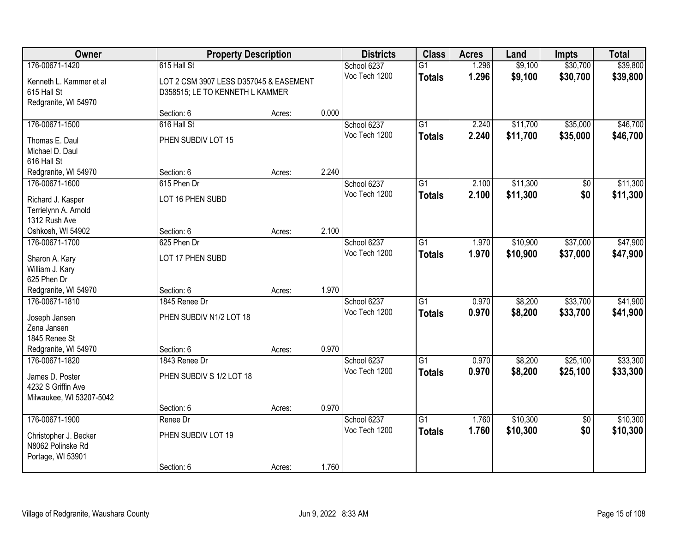| Owner                                  | <b>Property Description</b>                                               |        |       | <b>Districts</b> | <b>Class</b>    | <b>Acres</b> | Land     | <b>Impts</b>    | <b>Total</b> |
|----------------------------------------|---------------------------------------------------------------------------|--------|-------|------------------|-----------------|--------------|----------|-----------------|--------------|
| 176-00671-1420                         | 615 Hall St                                                               |        |       | School 6237      | $\overline{G1}$ | 1.296        | \$9,100  | \$30,700        | \$39,800     |
| Kenneth L. Kammer et al<br>615 Hall St | LOT 2 CSM 3907 LESS D357045 & EASEMENT<br>D358515; LE TO KENNETH L KAMMER |        |       | Voc Tech 1200    | <b>Totals</b>   | 1.296        | \$9,100  | \$30,700        | \$39,800     |
| Redgranite, WI 54970                   |                                                                           |        |       |                  |                 |              |          |                 |              |
|                                        | Section: 6                                                                | Acres: | 0.000 |                  |                 |              |          |                 |              |
| 176-00671-1500                         | 616 Hall St                                                               |        |       | School 6237      | $\overline{G1}$ | 2.240        | \$11,700 | \$35,000        | \$46,700     |
| Thomas E. Daul                         | PHEN SUBDIV LOT 15                                                        |        |       | Voc Tech 1200    | <b>Totals</b>   | 2.240        | \$11,700 | \$35,000        | \$46,700     |
| Michael D. Daul                        |                                                                           |        |       |                  |                 |              |          |                 |              |
| 616 Hall St                            |                                                                           |        |       |                  |                 |              |          |                 |              |
| Redgranite, WI 54970                   | Section: 6                                                                | Acres: | 2.240 |                  |                 |              |          |                 |              |
| 176-00671-1600                         | 615 Phen Dr                                                               |        |       | School 6237      | G1              | 2.100        | \$11,300 | \$0             | \$11,300     |
| Richard J. Kasper                      | LOT 16 PHEN SUBD                                                          |        |       | Voc Tech 1200    | <b>Totals</b>   | 2.100        | \$11,300 | \$0             | \$11,300     |
| Terrielynn A. Arnold                   |                                                                           |        |       |                  |                 |              |          |                 |              |
| 1312 Rush Ave                          |                                                                           |        |       |                  |                 |              |          |                 |              |
| Oshkosh, WI 54902                      | Section: 6                                                                | Acres: | 2.100 |                  |                 |              |          |                 |              |
| 176-00671-1700                         | 625 Phen Dr                                                               |        |       | School 6237      | G1              | 1.970        | \$10,900 | \$37,000        | \$47,900     |
| Sharon A. Kary                         | LOT 17 PHEN SUBD                                                          |        |       | Voc Tech 1200    | <b>Totals</b>   | 1.970        | \$10,900 | \$37,000        | \$47,900     |
| William J. Kary                        |                                                                           |        |       |                  |                 |              |          |                 |              |
| 625 Phen Dr                            |                                                                           |        |       |                  |                 |              |          |                 |              |
| Redgranite, WI 54970                   | Section: 6                                                                | Acres: | 1.970 |                  |                 |              |          |                 |              |
| 176-00671-1810                         | 1845 Renee Dr                                                             |        |       | School 6237      | $\overline{G1}$ | 0.970        | \$8,200  | \$33,700        | \$41,900     |
| Joseph Jansen                          | PHEN SUBDIV N1/2 LOT 18                                                   |        |       | Voc Tech 1200    | <b>Totals</b>   | 0.970        | \$8,200  | \$33,700        | \$41,900     |
| Zena Jansen                            |                                                                           |        |       |                  |                 |              |          |                 |              |
| 1845 Renee St                          |                                                                           |        |       |                  |                 |              |          |                 |              |
| Redgranite, WI 54970                   | Section: 6                                                                | Acres: | 0.970 |                  |                 |              |          |                 |              |
| 176-00671-1820                         | 1843 Renee Dr                                                             |        |       | School 6237      | $\overline{G1}$ | 0.970        | \$8,200  | \$25,100        | \$33,300     |
| James D. Poster                        | PHEN SUBDIV S 1/2 LOT 18                                                  |        |       | Voc Tech 1200    | <b>Totals</b>   | 0.970        | \$8,200  | \$25,100        | \$33,300     |
| 4232 S Griffin Ave                     |                                                                           |        |       |                  |                 |              |          |                 |              |
| Milwaukee, WI 53207-5042               |                                                                           |        |       |                  |                 |              |          |                 |              |
|                                        | Section: 6                                                                | Acres: | 0.970 |                  |                 |              |          |                 |              |
| 176-00671-1900                         | Renee Dr                                                                  |        |       | School 6237      | $\overline{G1}$ | 1.760        | \$10,300 | $\overline{50}$ | \$10,300     |
| Christopher J. Becker                  | PHEN SUBDIV LOT 19                                                        |        |       | Voc Tech 1200    | <b>Totals</b>   | 1.760        | \$10,300 | \$0             | \$10,300     |
| N8062 Polinske Rd                      |                                                                           |        |       |                  |                 |              |          |                 |              |
| Portage, WI 53901                      |                                                                           |        |       |                  |                 |              |          |                 |              |
|                                        | Section: 6                                                                | Acres: | 1.760 |                  |                 |              |          |                 |              |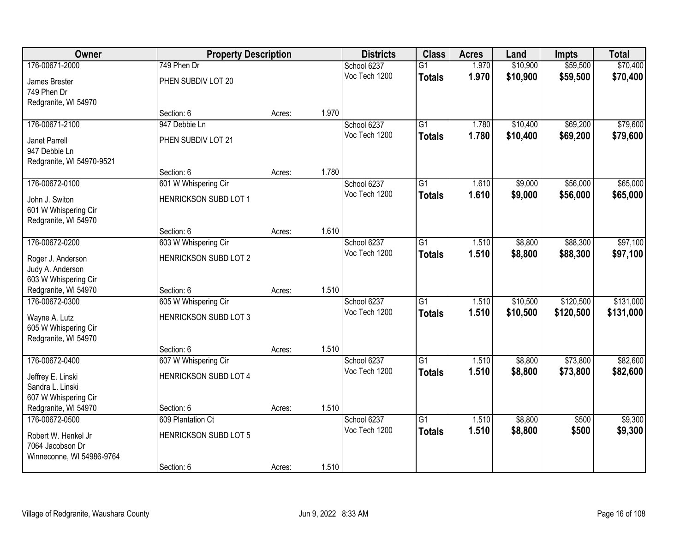| Owner                     | <b>Property Description</b> |        |       | <b>Districts</b> | <b>Class</b>    | <b>Acres</b> | Land     | <b>Impts</b> | <b>Total</b> |
|---------------------------|-----------------------------|--------|-------|------------------|-----------------|--------------|----------|--------------|--------------|
| 176-00671-2000            | 749 Phen Dr                 |        |       | School 6237      | $\overline{G1}$ | 1.970        | \$10,900 | \$59,500     | \$70,400     |
| James Brester             | PHEN SUBDIV LOT 20          |        |       | Voc Tech 1200    | <b>Totals</b>   | 1.970        | \$10,900 | \$59,500     | \$70,400     |
| 749 Phen Dr               |                             |        |       |                  |                 |              |          |              |              |
| Redgranite, WI 54970      |                             |        |       |                  |                 |              |          |              |              |
|                           | Section: 6                  | Acres: | 1.970 |                  |                 |              |          |              |              |
| 176-00671-2100            | 947 Debbie Ln               |        |       | School 6237      | $\overline{G1}$ | 1.780        | \$10,400 | \$69,200     | \$79,600     |
| Janet Parrell             | PHEN SUBDIV LOT 21          |        |       | Voc Tech 1200    | <b>Totals</b>   | 1.780        | \$10,400 | \$69,200     | \$79,600     |
| 947 Debbie Ln             |                             |        |       |                  |                 |              |          |              |              |
| Redgranite, WI 54970-9521 |                             |        |       |                  |                 |              |          |              |              |
|                           | Section: 6                  | Acres: | 1.780 |                  |                 |              |          |              |              |
| 176-00672-0100            | 601 W Whispering Cir        |        |       | School 6237      | G1              | 1.610        | \$9,000  | \$56,000     | \$65,000     |
| John J. Switon            | HENRICKSON SUBD LOT 1       |        |       | Voc Tech 1200    | <b>Totals</b>   | 1.610        | \$9,000  | \$56,000     | \$65,000     |
| 601 W Whispering Cir      |                             |        |       |                  |                 |              |          |              |              |
| Redgranite, WI 54970      |                             |        |       |                  |                 |              |          |              |              |
|                           | Section: 6                  | Acres: | 1.610 |                  |                 |              |          |              |              |
| 176-00672-0200            | 603 W Whispering Cir        |        |       | School 6237      | G1              | 1.510        | \$8,800  | \$88,300     | \$97,100     |
| Roger J. Anderson         | HENRICKSON SUBD LOT 2       |        |       | Voc Tech 1200    | <b>Totals</b>   | 1.510        | \$8,800  | \$88,300     | \$97,100     |
| Judy A. Anderson          |                             |        |       |                  |                 |              |          |              |              |
| 603 W Whispering Cir      |                             |        |       |                  |                 |              |          |              |              |
| Redgranite, WI 54970      | Section: 6                  | Acres: | 1.510 |                  |                 |              |          |              |              |
| 176-00672-0300            | 605 W Whispering Cir        |        |       | School 6237      | $\overline{G1}$ | 1.510        | \$10,500 | \$120,500    | \$131,000    |
| Wayne A. Lutz             | HENRICKSON SUBD LOT 3       |        |       | Voc Tech 1200    | <b>Totals</b>   | 1.510        | \$10,500 | \$120,500    | \$131,000    |
| 605 W Whispering Cir      |                             |        |       |                  |                 |              |          |              |              |
| Redgranite, WI 54970      |                             |        |       |                  |                 |              |          |              |              |
|                           | Section: 6                  | Acres: | 1.510 |                  |                 |              |          |              |              |
| 176-00672-0400            | 607 W Whispering Cir        |        |       | School 6237      | G1              | 1.510        | \$8,800  | \$73,800     | \$82,600     |
| Jeffrey E. Linski         | HENRICKSON SUBD LOT 4       |        |       | Voc Tech 1200    | <b>Totals</b>   | 1.510        | \$8,800  | \$73,800     | \$82,600     |
| Sandra L. Linski          |                             |        |       |                  |                 |              |          |              |              |
| 607 W Whispering Cir      |                             |        |       |                  |                 |              |          |              |              |
| Redgranite, WI 54970      | Section: 6                  | Acres: | 1.510 |                  |                 |              |          |              |              |
| 176-00672-0500            | 609 Plantation Ct           |        |       | School 6237      | $\overline{G1}$ | 1.510        | \$8,800  | \$500        | \$9,300      |
| Robert W. Henkel Jr       | HENRICKSON SUBD LOT 5       |        |       | Voc Tech 1200    | <b>Totals</b>   | 1.510        | \$8,800  | \$500        | \$9,300      |
| 7064 Jacobson Dr          |                             |        |       |                  |                 |              |          |              |              |
| Winneconne, WI 54986-9764 |                             |        |       |                  |                 |              |          |              |              |
|                           | Section: 6                  | Acres: | 1.510 |                  |                 |              |          |              |              |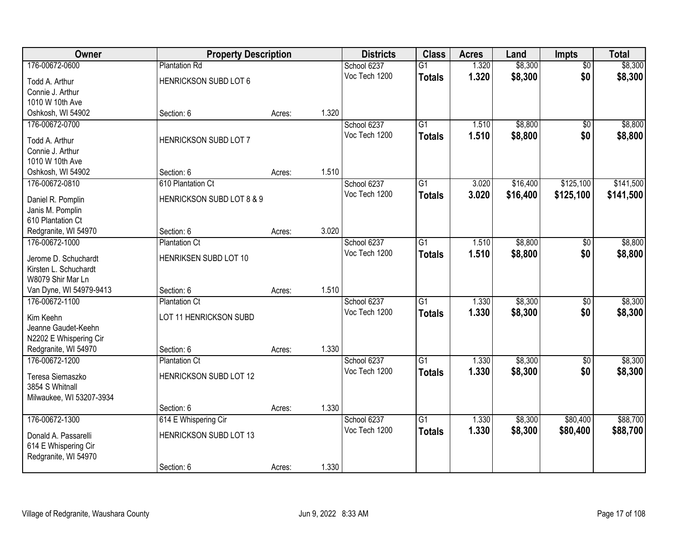| \$8,300<br>\$8,300<br>176-00672-0600<br>1.320<br><b>Plantation Rd</b><br>School 6237<br>$\overline{G1}$<br>$\overline{50}$<br>\$0<br>Voc Tech 1200<br>1.320<br>\$8,300<br>\$8,300<br><b>Totals</b><br>HENRICKSON SUBD LOT 6<br>Todd A. Arthur<br>Connie J. Arthur<br>1010 W 10th Ave<br>Oshkosh, WI 54902<br>1.320<br>Section: 6<br>Acres:<br>$\overline{G1}$<br>\$8,800<br>\$8,800<br>176-00672-0700<br>School 6237<br>1.510<br>$\overline{50}$<br>Voc Tech 1200<br>1.510<br>\$8,800<br>\$0<br>\$8,800<br><b>Totals</b><br>HENRICKSON SUBD LOT 7<br>Todd A. Arthur<br>Connie J. Arthur<br>1010 W 10th Ave<br>1.510<br>Oshkosh, WI 54902<br>Section: 6<br>Acres:<br>\$141,500<br>School 6237<br>$\overline{G1}$<br>\$16,400<br>\$125,100<br>176-00672-0810<br>610 Plantation Ct<br>3.020<br>Voc Tech 1200<br>3.020<br>\$16,400<br>\$125,100<br>\$141,500<br><b>Totals</b><br>HENRICKSON SUBD LOT 8 & 9<br>Daniel R. Pomplin<br>Janis M. Pomplin<br>610 Plantation Ct<br>3.020<br>Redgranite, WI 54970<br>Section: 6<br>Acres:<br>\$8,800<br>\$8,800<br>School 6237<br>$\overline{G1}$<br>176-00672-1000<br><b>Plantation Ct</b><br>1.510<br>\$0<br>Voc Tech 1200<br>1.510<br>\$8,800<br>\$0<br>\$8,800<br><b>Totals</b><br>HENRIKSEN SUBD LOT 10<br>Jerome D. Schuchardt<br>Kirsten L. Schuchardt<br>W8079 Shir Mar Ln<br>1.510<br>Van Dyne, WI 54979-9413<br>Section: 6<br>Acres:<br>$\overline{G1}$<br>\$8,300<br>\$8,300<br>176-00672-1100<br>1.330<br><b>Plantation Ct</b><br>School 6237<br>\$0<br>Voc Tech 1200<br>1.330<br>\$8,300<br>\$0<br>\$8,300<br><b>Totals</b><br>Kim Keehn<br>LOT 11 HENRICKSON SUBD<br>Jeanne Gaudet-Keehn<br>N2202 E Whispering Cir<br>1.330<br>Redgranite, WI 54970<br>Section: 6<br>Acres:<br>176-00672-1200<br>\$8,300<br>\$8,300<br>School 6237<br>$\overline{G1}$<br>1.330<br><b>Plantation Ct</b><br>\$0<br>Voc Tech 1200<br>1.330<br>\$8,300<br>\$0<br>\$8,300<br><b>Totals</b><br>HENRICKSON SUBD LOT 12<br>Teresa Siemaszko<br>3854 S Whitnall |
|------------------------------------------------------------------------------------------------------------------------------------------------------------------------------------------------------------------------------------------------------------------------------------------------------------------------------------------------------------------------------------------------------------------------------------------------------------------------------------------------------------------------------------------------------------------------------------------------------------------------------------------------------------------------------------------------------------------------------------------------------------------------------------------------------------------------------------------------------------------------------------------------------------------------------------------------------------------------------------------------------------------------------------------------------------------------------------------------------------------------------------------------------------------------------------------------------------------------------------------------------------------------------------------------------------------------------------------------------------------------------------------------------------------------------------------------------------------------------------------------------------------------------------------------------------------------------------------------------------------------------------------------------------------------------------------------------------------------------------------------------------------------------------------------------------------------------------------------------------------------------------------------------------------------------------------------------------------------------------------|
|                                                                                                                                                                                                                                                                                                                                                                                                                                                                                                                                                                                                                                                                                                                                                                                                                                                                                                                                                                                                                                                                                                                                                                                                                                                                                                                                                                                                                                                                                                                                                                                                                                                                                                                                                                                                                                                                                                                                                                                          |
|                                                                                                                                                                                                                                                                                                                                                                                                                                                                                                                                                                                                                                                                                                                                                                                                                                                                                                                                                                                                                                                                                                                                                                                                                                                                                                                                                                                                                                                                                                                                                                                                                                                                                                                                                                                                                                                                                                                                                                                          |
|                                                                                                                                                                                                                                                                                                                                                                                                                                                                                                                                                                                                                                                                                                                                                                                                                                                                                                                                                                                                                                                                                                                                                                                                                                                                                                                                                                                                                                                                                                                                                                                                                                                                                                                                                                                                                                                                                                                                                                                          |
|                                                                                                                                                                                                                                                                                                                                                                                                                                                                                                                                                                                                                                                                                                                                                                                                                                                                                                                                                                                                                                                                                                                                                                                                                                                                                                                                                                                                                                                                                                                                                                                                                                                                                                                                                                                                                                                                                                                                                                                          |
|                                                                                                                                                                                                                                                                                                                                                                                                                                                                                                                                                                                                                                                                                                                                                                                                                                                                                                                                                                                                                                                                                                                                                                                                                                                                                                                                                                                                                                                                                                                                                                                                                                                                                                                                                                                                                                                                                                                                                                                          |
|                                                                                                                                                                                                                                                                                                                                                                                                                                                                                                                                                                                                                                                                                                                                                                                                                                                                                                                                                                                                                                                                                                                                                                                                                                                                                                                                                                                                                                                                                                                                                                                                                                                                                                                                                                                                                                                                                                                                                                                          |
|                                                                                                                                                                                                                                                                                                                                                                                                                                                                                                                                                                                                                                                                                                                                                                                                                                                                                                                                                                                                                                                                                                                                                                                                                                                                                                                                                                                                                                                                                                                                                                                                                                                                                                                                                                                                                                                                                                                                                                                          |
|                                                                                                                                                                                                                                                                                                                                                                                                                                                                                                                                                                                                                                                                                                                                                                                                                                                                                                                                                                                                                                                                                                                                                                                                                                                                                                                                                                                                                                                                                                                                                                                                                                                                                                                                                                                                                                                                                                                                                                                          |
|                                                                                                                                                                                                                                                                                                                                                                                                                                                                                                                                                                                                                                                                                                                                                                                                                                                                                                                                                                                                                                                                                                                                                                                                                                                                                                                                                                                                                                                                                                                                                                                                                                                                                                                                                                                                                                                                                                                                                                                          |
|                                                                                                                                                                                                                                                                                                                                                                                                                                                                                                                                                                                                                                                                                                                                                                                                                                                                                                                                                                                                                                                                                                                                                                                                                                                                                                                                                                                                                                                                                                                                                                                                                                                                                                                                                                                                                                                                                                                                                                                          |
|                                                                                                                                                                                                                                                                                                                                                                                                                                                                                                                                                                                                                                                                                                                                                                                                                                                                                                                                                                                                                                                                                                                                                                                                                                                                                                                                                                                                                                                                                                                                                                                                                                                                                                                                                                                                                                                                                                                                                                                          |
|                                                                                                                                                                                                                                                                                                                                                                                                                                                                                                                                                                                                                                                                                                                                                                                                                                                                                                                                                                                                                                                                                                                                                                                                                                                                                                                                                                                                                                                                                                                                                                                                                                                                                                                                                                                                                                                                                                                                                                                          |
|                                                                                                                                                                                                                                                                                                                                                                                                                                                                                                                                                                                                                                                                                                                                                                                                                                                                                                                                                                                                                                                                                                                                                                                                                                                                                                                                                                                                                                                                                                                                                                                                                                                                                                                                                                                                                                                                                                                                                                                          |
|                                                                                                                                                                                                                                                                                                                                                                                                                                                                                                                                                                                                                                                                                                                                                                                                                                                                                                                                                                                                                                                                                                                                                                                                                                                                                                                                                                                                                                                                                                                                                                                                                                                                                                                                                                                                                                                                                                                                                                                          |
|                                                                                                                                                                                                                                                                                                                                                                                                                                                                                                                                                                                                                                                                                                                                                                                                                                                                                                                                                                                                                                                                                                                                                                                                                                                                                                                                                                                                                                                                                                                                                                                                                                                                                                                                                                                                                                                                                                                                                                                          |
|                                                                                                                                                                                                                                                                                                                                                                                                                                                                                                                                                                                                                                                                                                                                                                                                                                                                                                                                                                                                                                                                                                                                                                                                                                                                                                                                                                                                                                                                                                                                                                                                                                                                                                                                                                                                                                                                                                                                                                                          |
|                                                                                                                                                                                                                                                                                                                                                                                                                                                                                                                                                                                                                                                                                                                                                                                                                                                                                                                                                                                                                                                                                                                                                                                                                                                                                                                                                                                                                                                                                                                                                                                                                                                                                                                                                                                                                                                                                                                                                                                          |
|                                                                                                                                                                                                                                                                                                                                                                                                                                                                                                                                                                                                                                                                                                                                                                                                                                                                                                                                                                                                                                                                                                                                                                                                                                                                                                                                                                                                                                                                                                                                                                                                                                                                                                                                                                                                                                                                                                                                                                                          |
|                                                                                                                                                                                                                                                                                                                                                                                                                                                                                                                                                                                                                                                                                                                                                                                                                                                                                                                                                                                                                                                                                                                                                                                                                                                                                                                                                                                                                                                                                                                                                                                                                                                                                                                                                                                                                                                                                                                                                                                          |
|                                                                                                                                                                                                                                                                                                                                                                                                                                                                                                                                                                                                                                                                                                                                                                                                                                                                                                                                                                                                                                                                                                                                                                                                                                                                                                                                                                                                                                                                                                                                                                                                                                                                                                                                                                                                                                                                                                                                                                                          |
|                                                                                                                                                                                                                                                                                                                                                                                                                                                                                                                                                                                                                                                                                                                                                                                                                                                                                                                                                                                                                                                                                                                                                                                                                                                                                                                                                                                                                                                                                                                                                                                                                                                                                                                                                                                                                                                                                                                                                                                          |
|                                                                                                                                                                                                                                                                                                                                                                                                                                                                                                                                                                                                                                                                                                                                                                                                                                                                                                                                                                                                                                                                                                                                                                                                                                                                                                                                                                                                                                                                                                                                                                                                                                                                                                                                                                                                                                                                                                                                                                                          |
|                                                                                                                                                                                                                                                                                                                                                                                                                                                                                                                                                                                                                                                                                                                                                                                                                                                                                                                                                                                                                                                                                                                                                                                                                                                                                                                                                                                                                                                                                                                                                                                                                                                                                                                                                                                                                                                                                                                                                                                          |
|                                                                                                                                                                                                                                                                                                                                                                                                                                                                                                                                                                                                                                                                                                                                                                                                                                                                                                                                                                                                                                                                                                                                                                                                                                                                                                                                                                                                                                                                                                                                                                                                                                                                                                                                                                                                                                                                                                                                                                                          |
|                                                                                                                                                                                                                                                                                                                                                                                                                                                                                                                                                                                                                                                                                                                                                                                                                                                                                                                                                                                                                                                                                                                                                                                                                                                                                                                                                                                                                                                                                                                                                                                                                                                                                                                                                                                                                                                                                                                                                                                          |
|                                                                                                                                                                                                                                                                                                                                                                                                                                                                                                                                                                                                                                                                                                                                                                                                                                                                                                                                                                                                                                                                                                                                                                                                                                                                                                                                                                                                                                                                                                                                                                                                                                                                                                                                                                                                                                                                                                                                                                                          |
|                                                                                                                                                                                                                                                                                                                                                                                                                                                                                                                                                                                                                                                                                                                                                                                                                                                                                                                                                                                                                                                                                                                                                                                                                                                                                                                                                                                                                                                                                                                                                                                                                                                                                                                                                                                                                                                                                                                                                                                          |
|                                                                                                                                                                                                                                                                                                                                                                                                                                                                                                                                                                                                                                                                                                                                                                                                                                                                                                                                                                                                                                                                                                                                                                                                                                                                                                                                                                                                                                                                                                                                                                                                                                                                                                                                                                                                                                                                                                                                                                                          |
|                                                                                                                                                                                                                                                                                                                                                                                                                                                                                                                                                                                                                                                                                                                                                                                                                                                                                                                                                                                                                                                                                                                                                                                                                                                                                                                                                                                                                                                                                                                                                                                                                                                                                                                                                                                                                                                                                                                                                                                          |
| Milwaukee, WI 53207-3934<br>1.330<br>Section: 6<br>Acres:                                                                                                                                                                                                                                                                                                                                                                                                                                                                                                                                                                                                                                                                                                                                                                                                                                                                                                                                                                                                                                                                                                                                                                                                                                                                                                                                                                                                                                                                                                                                                                                                                                                                                                                                                                                                                                                                                                                                |
| 176-00672-1300<br>$\overline{G1}$<br>\$8,300<br>\$80,400<br>\$88,700<br>614 E Whispering Cir<br>School 6237<br>1.330                                                                                                                                                                                                                                                                                                                                                                                                                                                                                                                                                                                                                                                                                                                                                                                                                                                                                                                                                                                                                                                                                                                                                                                                                                                                                                                                                                                                                                                                                                                                                                                                                                                                                                                                                                                                                                                                     |
| 1.330<br>Voc Tech 1200<br>\$8,300<br>\$80,400<br>\$88,700<br><b>Totals</b>                                                                                                                                                                                                                                                                                                                                                                                                                                                                                                                                                                                                                                                                                                                                                                                                                                                                                                                                                                                                                                                                                                                                                                                                                                                                                                                                                                                                                                                                                                                                                                                                                                                                                                                                                                                                                                                                                                               |
| HENRICKSON SUBD LOT 13<br>Donald A. Passarelli                                                                                                                                                                                                                                                                                                                                                                                                                                                                                                                                                                                                                                                                                                                                                                                                                                                                                                                                                                                                                                                                                                                                                                                                                                                                                                                                                                                                                                                                                                                                                                                                                                                                                                                                                                                                                                                                                                                                           |
| 614 E Whispering Cir<br>Redgranite, WI 54970                                                                                                                                                                                                                                                                                                                                                                                                                                                                                                                                                                                                                                                                                                                                                                                                                                                                                                                                                                                                                                                                                                                                                                                                                                                                                                                                                                                                                                                                                                                                                                                                                                                                                                                                                                                                                                                                                                                                             |
| 1.330<br>Section: 6<br>Acres:                                                                                                                                                                                                                                                                                                                                                                                                                                                                                                                                                                                                                                                                                                                                                                                                                                                                                                                                                                                                                                                                                                                                                                                                                                                                                                                                                                                                                                                                                                                                                                                                                                                                                                                                                                                                                                                                                                                                                            |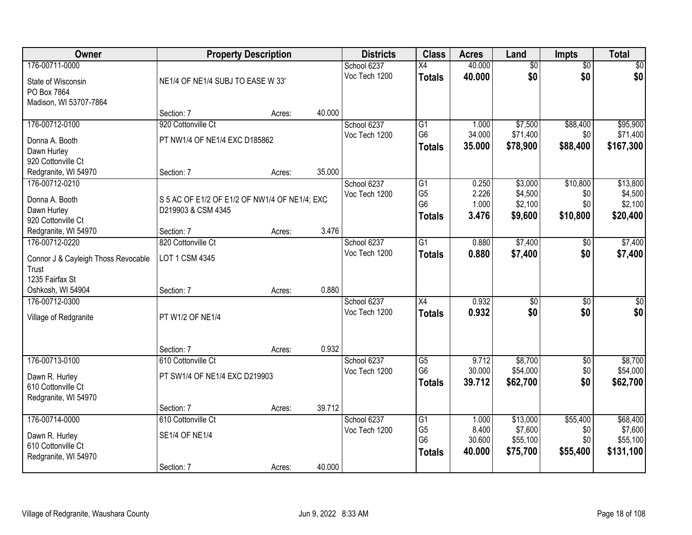| Owner                               |                                               | <b>Property Description</b> |        | <b>Districts</b> | <b>Class</b>    | <b>Acres</b> | Land            | <b>Impts</b>    | <b>Total</b> |
|-------------------------------------|-----------------------------------------------|-----------------------------|--------|------------------|-----------------|--------------|-----------------|-----------------|--------------|
| 176-00711-0000                      |                                               |                             |        | School 6237      | $\overline{X4}$ | 40.000       | $\overline{50}$ | $\overline{50}$ | $\sqrt{30}$  |
| State of Wisconsin                  | NE1/4 OF NE1/4 SUBJ TO EASE W 33'             |                             |        | Voc Tech 1200    | <b>Totals</b>   | 40.000       | \$0             | \$0             | \$0          |
| PO Box 7864                         |                                               |                             |        |                  |                 |              |                 |                 |              |
| Madison, WI 53707-7864              |                                               |                             |        |                  |                 |              |                 |                 |              |
|                                     | Section: 7                                    | Acres:                      | 40.000 |                  |                 |              |                 |                 |              |
| 176-00712-0100                      | 920 Cottonville Ct                            |                             |        | School 6237      | G1              | 1.000        | \$7,500         | \$88,400        | \$95,900     |
| Donna A. Booth                      | PT NW1/4 OF NE1/4 EXC D185862                 |                             |        | Voc Tech 1200    | G <sub>6</sub>  | 34.000       | \$71,400        | \$0             | \$71,400     |
| Dawn Hurley                         |                                               |                             |        |                  | <b>Totals</b>   | 35.000       | \$78,900        | \$88,400        | \$167,300    |
| 920 Cottonville Ct                  |                                               |                             |        |                  |                 |              |                 |                 |              |
| Redgranite, WI 54970                | Section: 7                                    | Acres:                      | 35.000 |                  |                 |              |                 |                 |              |
| 176-00712-0210                      |                                               |                             |        | School 6237      | $\overline{G1}$ | 0.250        | \$3,000         | \$10,800        | \$13,800     |
| Donna A. Booth                      | S 5 AC OF E1/2 OF E1/2 OF NW1/4 OF NE1/4; EXC |                             |        | Voc Tech 1200    | G <sub>5</sub>  | 2.226        | \$4,500         | \$0             | \$4,500      |
| Dawn Hurley                         | D219903 & CSM 4345                            |                             |        |                  | G <sub>6</sub>  | 1.000        | \$2,100         | \$0             | \$2,100      |
| 920 Cottonville Ct                  |                                               |                             |        |                  | <b>Totals</b>   | 3.476        | \$9,600         | \$10,800        | \$20,400     |
| Redgranite, WI 54970                | Section: 7                                    | Acres:                      | 3.476  |                  |                 |              |                 |                 |              |
| 176-00712-0220                      | 820 Cottonville Ct                            |                             |        | School 6237      | $\overline{G1}$ | 0.880        | \$7,400         | \$0             | \$7,400      |
| Connor J & Cayleigh Thoss Revocable | LOT 1 CSM 4345                                |                             |        | Voc Tech 1200    | <b>Totals</b>   | 0.880        | \$7,400         | \$0             | \$7,400      |
| Trust                               |                                               |                             |        |                  |                 |              |                 |                 |              |
| 1235 Fairfax St                     |                                               |                             |        |                  |                 |              |                 |                 |              |
| Oshkosh, WI 54904                   | Section: 7                                    | Acres:                      | 0.880  |                  |                 |              |                 |                 |              |
| 176-00712-0300                      |                                               |                             |        | School 6237      | $\overline{X4}$ | 0.932        | \$0             | $\overline{50}$ | \$0          |
| Village of Redgranite               | PT W1/2 OF NE1/4                              |                             |        | Voc Tech 1200    | <b>Totals</b>   | 0.932        | \$0             | \$0             | \$0          |
|                                     |                                               |                             |        |                  |                 |              |                 |                 |              |
|                                     |                                               |                             |        |                  |                 |              |                 |                 |              |
|                                     | Section: 7                                    | Acres:                      | 0.932  |                  |                 |              |                 |                 |              |
| 176-00713-0100                      | 610 Cottonville Ct                            |                             |        | School 6237      | G5              | 9.712        | \$8,700         | $\sqrt{6}$      | \$8,700      |
| Dawn R. Hurley                      | PT SW1/4 OF NE1/4 EXC D219903                 |                             |        | Voc Tech 1200    | G <sub>6</sub>  | 30.000       | \$54,000        | \$0             | \$54,000     |
| 610 Cottonville Ct                  |                                               |                             |        |                  | <b>Totals</b>   | 39.712       | \$62,700        | \$0             | \$62,700     |
| Redgranite, WI 54970                |                                               |                             |        |                  |                 |              |                 |                 |              |
|                                     | Section: 7                                    | Acres:                      | 39.712 |                  |                 |              |                 |                 |              |
| 176-00714-0000                      | 610 Cottonville Ct                            |                             |        | School 6237      | $\overline{G1}$ | 1.000        | \$13,000        | \$55,400        | \$68,400     |
| Dawn R. Hurley                      | <b>SE1/4 OF NE1/4</b>                         |                             |        | Voc Tech 1200    | G <sub>5</sub>  | 8.400        | \$7,600         | \$0             | \$7,600      |
| 610 Cottonville Ct                  |                                               |                             |        |                  | G <sub>6</sub>  | 30.600       | \$55,100        | \$0             | \$55,100     |
| Redgranite, WI 54970                |                                               |                             |        |                  | <b>Totals</b>   | 40.000       | \$75,700        | \$55,400        | \$131,100    |
|                                     | Section: 7                                    | Acres:                      | 40.000 |                  |                 |              |                 |                 |              |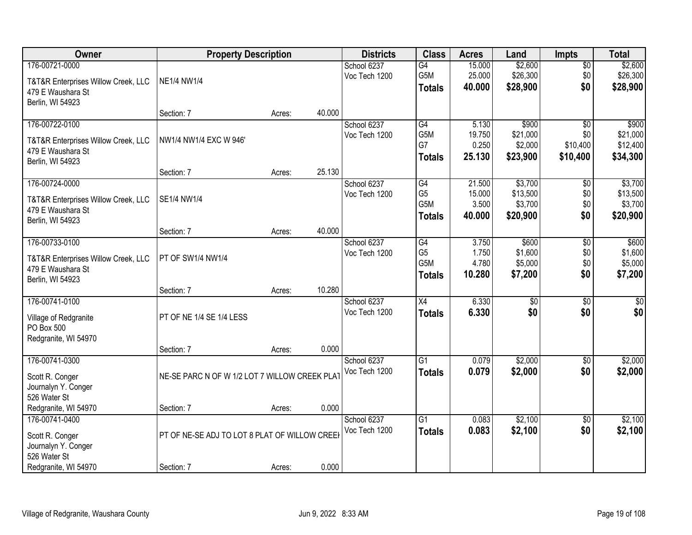| Owner                               | <b>Property Description</b>                   |        |        | <b>Districts</b> | <b>Class</b>    | <b>Acres</b> | Land     | <b>Impts</b>    | <b>Total</b> |
|-------------------------------------|-----------------------------------------------|--------|--------|------------------|-----------------|--------------|----------|-----------------|--------------|
| 176-00721-0000                      |                                               |        |        | School 6237      | $\overline{G4}$ | 15.000       | \$2,600  | \$0             | \$2,600      |
| T&T&R Enterprises Willow Creek, LLC | <b>NE1/4 NW1/4</b>                            |        |        | Voc Tech 1200    | G5M             | 25.000       | \$26,300 | \$0             | \$26,300     |
| 479 E Waushara St                   |                                               |        |        |                  | <b>Totals</b>   | 40.000       | \$28,900 | \$0             | \$28,900     |
| Berlin, WI 54923                    |                                               |        |        |                  |                 |              |          |                 |              |
|                                     | Section: 7                                    | Acres: | 40.000 |                  |                 |              |          |                 |              |
| 176-00722-0100                      |                                               |        |        | School 6237      | G4              | 5.130        | \$900    | $\overline{50}$ | \$900        |
| T&T&R Enterprises Willow Creek, LLC | NW1/4 NW1/4 EXC W 946'                        |        |        | Voc Tech 1200    | G5M             | 19.750       | \$21,000 | \$0             | \$21,000     |
| 479 E Waushara St                   |                                               |        |        |                  | G7              | 0.250        | \$2,000  | \$10,400        | \$12,400     |
| Berlin, WI 54923                    |                                               |        |        |                  | <b>Totals</b>   | 25.130       | \$23,900 | \$10,400        | \$34,300     |
|                                     | Section: 7                                    | Acres: | 25.130 |                  |                 |              |          |                 |              |
| 176-00724-0000                      |                                               |        |        | School 6237      | G4              | 21.500       | \$3,700  | \$0             | \$3,700      |
| T&T&R Enterprises Willow Creek, LLC | SE1/4 NW1/4                                   |        |        | Voc Tech 1200    | G <sub>5</sub>  | 15.000       | \$13,500 | \$0             | \$13,500     |
| 479 E Waushara St                   |                                               |        |        |                  | G5M             | 3.500        | \$3,700  | \$0             | \$3,700      |
| Berlin, WI 54923                    |                                               |        |        |                  | <b>Totals</b>   | 40.000       | \$20,900 | \$0             | \$20,900     |
|                                     | Section: 7                                    | Acres: | 40.000 |                  |                 |              |          |                 |              |
| 176-00733-0100                      |                                               |        |        | School 6237      | G4              | 3.750        | \$600    | \$0             | \$600        |
| T&T&R Enterprises Willow Creek, LLC | PT OF SW1/4 NW1/4                             |        |        | Voc Tech 1200    | G <sub>5</sub>  | 1.750        | \$1,600  | \$0             | \$1,600      |
| 479 E Waushara St                   |                                               |        |        |                  | G5M             | 4.780        | \$5,000  | \$0             | \$5,000      |
| Berlin, WI 54923                    |                                               |        |        |                  | <b>Totals</b>   | 10.280       | \$7,200  | \$0             | \$7,200      |
|                                     | Section: 7                                    | Acres: | 10.280 |                  |                 |              |          |                 |              |
| 176-00741-0100                      |                                               |        |        | School 6237      | $\overline{X4}$ | 6.330        | \$0      | \$0             | \$0          |
| Village of Redgranite               | PT OF NE 1/4 SE 1/4 LESS                      |        |        | Voc Tech 1200    | <b>Totals</b>   | 6.330        | \$0      | \$0             | \$0          |
| PO Box 500                          |                                               |        |        |                  |                 |              |          |                 |              |
| Redgranite, WI 54970                |                                               |        |        |                  |                 |              |          |                 |              |
|                                     | Section: 7                                    | Acres: | 0.000  |                  |                 |              |          |                 |              |
| 176-00741-0300                      |                                               |        |        | School 6237      | $\overline{G1}$ | 0.079        | \$2,000  | \$0             | \$2,000      |
| Scott R. Conger                     | NE-SE PARC N OF W 1/2 LOT 7 WILLOW CREEK PLAT |        |        | Voc Tech 1200    | <b>Totals</b>   | 0.079        | \$2,000  | \$0             | \$2,000      |
| Journalyn Y. Conger                 |                                               |        |        |                  |                 |              |          |                 |              |
| 526 Water St                        |                                               |        |        |                  |                 |              |          |                 |              |
| Redgranite, WI 54970                | Section: 7                                    | Acres: | 0.000  |                  |                 |              |          |                 |              |
| 176-00741-0400                      |                                               |        |        | School 6237      | $\overline{G1}$ | 0.083        | \$2,100  | $\overline{50}$ | \$2,100      |
| Scott R. Conger                     | PT OF NE-SE ADJ TO LOT 8 PLAT OF WILLOW CREEK |        |        | Voc Tech 1200    | <b>Totals</b>   | 0.083        | \$2,100  | \$0             | \$2,100      |
| Journalyn Y. Conger                 |                                               |        |        |                  |                 |              |          |                 |              |
| 526 Water St                        |                                               |        |        |                  |                 |              |          |                 |              |
| Redgranite, WI 54970                | Section: 7                                    | Acres: | 0.000  |                  |                 |              |          |                 |              |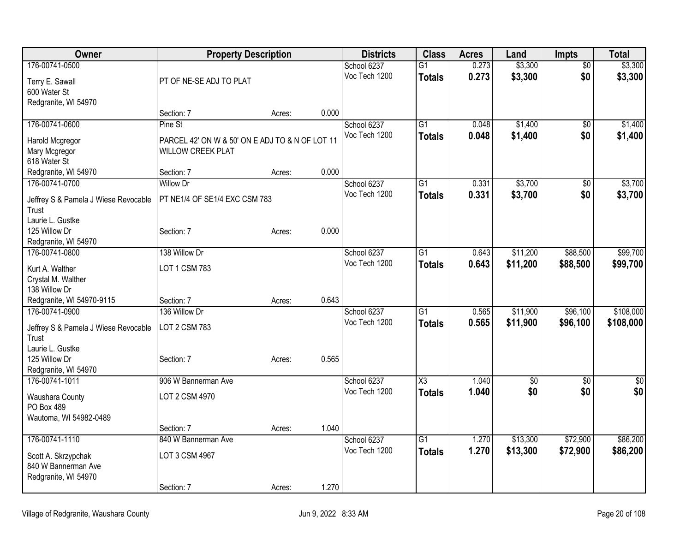| 0.273<br>\$3,300<br>176-00741-0500<br>School 6237<br>$\overline{G1}$<br>\$0                                                        |                 |
|------------------------------------------------------------------------------------------------------------------------------------|-----------------|
|                                                                                                                                    | \$3,300         |
| Voc Tech 1200<br>0.273<br>\$3,300<br>\$0<br><b>Totals</b><br>PT OF NE-SE ADJ TO PLAT<br>Terry E. Sawall                            | \$3,300         |
| 600 Water St                                                                                                                       |                 |
| Redgranite, WI 54970                                                                                                               |                 |
| 0.000<br>Section: 7<br>Acres:                                                                                                      |                 |
| 176-00741-0600<br>School 6237<br>$\overline{G1}$<br>0.048<br>\$1,400<br>Pine St<br>\$0                                             | \$1,400         |
| \$0<br>\$1,400<br>Voc Tech 1200<br>0.048<br><b>Totals</b><br>PARCEL 42' ON W & 50' ON E ADJ TO & N OF LOT 11<br>Harold Mcgregor    | \$1,400         |
| Mary Mcgregor<br><b>WILLOW CREEK PLAT</b>                                                                                          |                 |
| 618 Water St                                                                                                                       |                 |
| 0.000<br>Redgranite, WI 54970<br>Section: 7<br>Acres:                                                                              |                 |
| \$3,700<br>176-00741-0700<br>School 6237<br>G1<br>0.331<br><b>Willow Dr</b><br>\$0                                                 | \$3,700         |
| Voc Tech 1200<br>0.331<br>\$3,700<br>\$0<br><b>Totals</b><br>PT NE1/4 OF SE1/4 EXC CSM 783<br>Jeffrey S & Pamela J Wiese Revocable | \$3,700         |
| Trust                                                                                                                              |                 |
| Laurie L. Gustke                                                                                                                   |                 |
| 0.000<br>125 Willow Dr<br>Section: 7<br>Acres:                                                                                     |                 |
| Redgranite, WI 54970                                                                                                               |                 |
| 176-00741-0800<br>138 Willow Dr<br>School 6237<br>\$11,200<br>\$88,500<br>G <sub>1</sub><br>0.643                                  | \$99,700        |
| Voc Tech 1200<br>0.643<br>\$11,200<br>\$88,500<br><b>Totals</b><br>LOT 1 CSM 783<br>Kurt A. Walther                                | \$99,700        |
| Crystal M. Walther                                                                                                                 |                 |
| 138 Willow Dr                                                                                                                      |                 |
| 0.643<br>Redgranite, WI 54970-9115<br>Section: 7<br>Acres:                                                                         |                 |
| 176-00741-0900<br>School 6237<br>\$11,900<br>\$96,100<br>136 Willow Dr<br>G1<br>0.565                                              | \$108,000       |
| Voc Tech 1200<br>0.565<br>\$11,900<br>\$96,100<br><b>Totals</b><br>LOT 2 CSM 783                                                   | \$108,000       |
| Jeffrey S & Pamela J Wiese Revocable<br>Trust                                                                                      |                 |
| Laurie L. Gustke                                                                                                                   |                 |
| 125 Willow Dr<br>0.565<br>Section: 7<br>Acres:                                                                                     |                 |
| Redgranite, WI 54970                                                                                                               |                 |
| 176-00741-1011<br>906 W Bannerman Ave<br>School 6237<br>X3<br>1.040<br>\$0<br>\$0                                                  | $\overline{30}$ |
| \$0<br>1.040<br>\$0<br>Voc Tech 1200<br><b>Totals</b><br>LOT 2 CSM 4970<br>Waushara County                                         | \$0             |
| PO Box 489                                                                                                                         |                 |
| Wautoma, WI 54982-0489                                                                                                             |                 |
| 1.040<br>Section: 7<br>Acres:                                                                                                      |                 |
| \$72,900<br>176-00741-1110<br>School 6237<br>G1<br>\$13,300<br>840 W Bannerman Ave<br>1.270                                        | \$86,200        |
| 1.270<br>Voc Tech 1200<br>\$13,300<br>\$72,900<br><b>Totals</b>                                                                    | \$86,200        |
| LOT 3 CSM 4967<br>Scott A. Skrzypchak<br>840 W Bannerman Ave                                                                       |                 |
| Redgranite, WI 54970                                                                                                               |                 |
| 1.270<br>Section: 7<br>Acres:                                                                                                      |                 |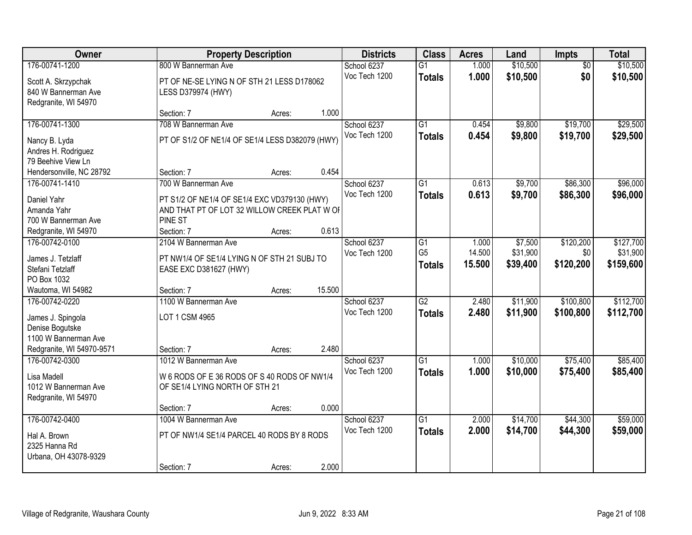| Owner                     |                                                 | <b>Property Description</b> |        | <b>Districts</b> | <b>Class</b>    | <b>Acres</b> | Land     | <b>Impts</b>    | <b>Total</b> |
|---------------------------|-------------------------------------------------|-----------------------------|--------|------------------|-----------------|--------------|----------|-----------------|--------------|
| 176-00741-1200            | 800 W Bannerman Ave                             |                             |        | School 6237      | $\overline{G1}$ | 1.000        | \$10,500 | $\overline{50}$ | \$10,500     |
| Scott A. Skrzypchak       | PT OF NE-SE LYING N OF STH 21 LESS D178062      |                             |        | Voc Tech 1200    | <b>Totals</b>   | 1.000        | \$10,500 | \$0             | \$10,500     |
| 840 W Bannerman Ave       | LESS D379974 (HWY)                              |                             |        |                  |                 |              |          |                 |              |
| Redgranite, WI 54970      |                                                 |                             |        |                  |                 |              |          |                 |              |
|                           | Section: 7                                      | Acres:                      | 1.000  |                  |                 |              |          |                 |              |
| 176-00741-1300            | 708 W Bannerman Ave                             |                             |        | School 6237      | $\overline{G1}$ | 0.454        | \$9,800  | \$19,700        | \$29,500     |
| Nancy B. Lyda             | PT OF S1/2 OF NE1/4 OF SE1/4 LESS D382079 (HWY) |                             |        | Voc Tech 1200    | Totals          | 0.454        | \$9,800  | \$19,700        | \$29,500     |
| Andres H. Rodriguez       |                                                 |                             |        |                  |                 |              |          |                 |              |
| 79 Beehive View Ln        |                                                 |                             |        |                  |                 |              |          |                 |              |
| Hendersonville, NC 28792  | Section: 7                                      | Acres:                      | 0.454  |                  |                 |              |          |                 |              |
| 176-00741-1410            | 700 W Bannerman Ave                             |                             |        | School 6237      | $\overline{G1}$ | 0.613        | \$9,700  | \$86,300        | \$96,000     |
| Daniel Yahr               | PT S1/2 OF NE1/4 OF SE1/4 EXC VD379130 (HWY)    |                             |        | Voc Tech 1200    | <b>Totals</b>   | 0.613        | \$9,700  | \$86,300        | \$96,000     |
| Amanda Yahr               | AND THAT PT OF LOT 32 WILLOW CREEK PLAT W OF    |                             |        |                  |                 |              |          |                 |              |
| 700 W Bannerman Ave       | <b>PINE ST</b>                                  |                             |        |                  |                 |              |          |                 |              |
| Redgranite, WI 54970      | Section: 7                                      | Acres:                      | 0.613  |                  |                 |              |          |                 |              |
| 176-00742-0100            | 2104 W Bannerman Ave                            |                             |        | School 6237      | $\overline{G1}$ | 1.000        | \$7,500  | \$120,200       | \$127,700    |
| James J. Tetzlaff         | PT NW1/4 OF SE1/4 LYING N OF STH 21 SUBJ TO     |                             |        | Voc Tech 1200    | G <sub>5</sub>  | 14.500       | \$31,900 | \$0             | \$31,900     |
| Stefani Tetzlaff          | EASE EXC D381627 (HWY)                          |                             |        |                  | <b>Totals</b>   | 15.500       | \$39,400 | \$120,200       | \$159,600    |
| PO Box 1032               |                                                 |                             |        |                  |                 |              |          |                 |              |
| Wautoma, WI 54982         | Section: 7                                      | Acres:                      | 15.500 |                  |                 |              |          |                 |              |
| 176-00742-0220            | 1100 W Bannerman Ave                            |                             |        | School 6237      | $\overline{G2}$ | 2.480        | \$11,900 | \$100,800       | \$112,700    |
| James J. Spingola         | LOT 1 CSM 4965                                  |                             |        | Voc Tech 1200    | <b>Totals</b>   | 2.480        | \$11,900 | \$100,800       | \$112,700    |
| Denise Bogutske           |                                                 |                             |        |                  |                 |              |          |                 |              |
| 1100 W Bannerman Ave      |                                                 |                             |        |                  |                 |              |          |                 |              |
| Redgranite, WI 54970-9571 | Section: 7                                      | Acres:                      | 2.480  |                  |                 |              |          |                 |              |
| 176-00742-0300            | 1012 W Bannerman Ave                            |                             |        | School 6237      | $\overline{G1}$ | 1.000        | \$10,000 | \$75,400        | \$85,400     |
| Lisa Madell               | W 6 RODS OF E 36 RODS OF S 40 RODS OF NW1/4     |                             |        | Voc Tech 1200    | <b>Totals</b>   | 1.000        | \$10,000 | \$75,400        | \$85,400     |
| 1012 W Bannerman Ave      | OF SE1/4 LYING NORTH OF STH 21                  |                             |        |                  |                 |              |          |                 |              |
| Redgranite, WI 54970      |                                                 |                             |        |                  |                 |              |          |                 |              |
|                           | Section: 7                                      | Acres:                      | 0.000  |                  |                 |              |          |                 |              |
| 176-00742-0400            | 1004 W Bannerman Ave                            |                             |        | School 6237      | $\overline{G1}$ | 2.000        | \$14,700 | \$44,300        | \$59,000     |
| Hal A. Brown              | PT OF NW1/4 SE1/4 PARCEL 40 RODS BY 8 RODS      |                             |        | Voc Tech 1200    | <b>Totals</b>   | 2.000        | \$14,700 | \$44,300        | \$59,000     |
| 2325 Hanna Rd             |                                                 |                             |        |                  |                 |              |          |                 |              |
| Urbana, OH 43078-9329     |                                                 |                             |        |                  |                 |              |          |                 |              |
|                           | Section: 7                                      | Acres:                      | 2.000  |                  |                 |              |          |                 |              |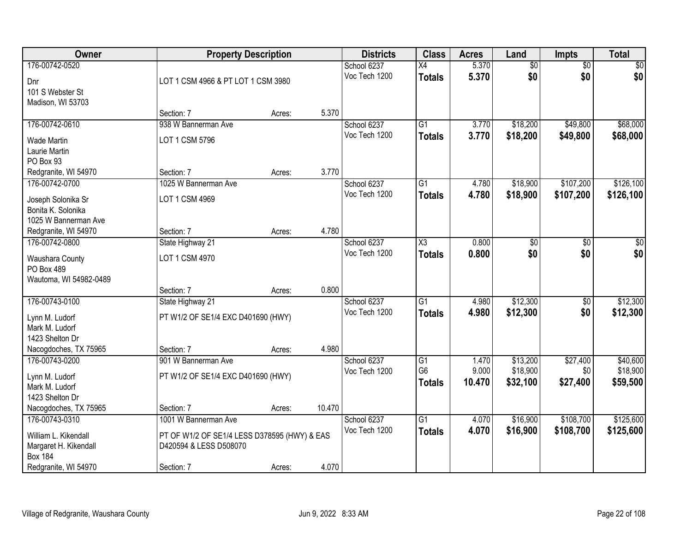| <b>Class</b><br>Owner<br><b>Property Description</b><br><b>Districts</b><br><b>Acres</b><br>Land              | <b>Impts</b>    | <b>Total</b> |
|---------------------------------------------------------------------------------------------------------------|-----------------|--------------|
| 176-00742-0520<br>5.370<br>$\overline{50}$<br>School 6237<br>$\overline{X4}$                                  | $\overline{50}$ | \$0          |
| \$0<br>5.370<br>Voc Tech 1200<br><b>Totals</b><br>LOT 1 CSM 4966 & PT LOT 1 CSM 3980<br>Dnr                   | \$0             | \$0          |
| 101 S Webster St                                                                                              |                 |              |
| Madison, WI 53703                                                                                             |                 |              |
| 5.370<br>Section: 7<br>Acres:                                                                                 |                 |              |
| 176-00742-0610<br>938 W Bannerman Ave<br>School 6237<br>$\overline{G1}$<br>3.770<br>\$18,200                  | \$49,800        | \$68,000     |
| 3.770<br>\$18,200<br>Voc Tech 1200<br><b>Totals</b><br>LOT 1 CSM 5796<br><b>Wade Martin</b>                   | \$49,800        | \$68,000     |
| Laurie Martin                                                                                                 |                 |              |
| PO Box 93                                                                                                     |                 |              |
| 3.770<br>Redgranite, WI 54970<br>Section: 7<br>Acres:                                                         |                 |              |
| \$18,900<br>176-00742-0700<br>1025 W Bannerman Ave<br>School 6237<br>$\overline{G1}$<br>4.780                 | \$107,200       | \$126,100    |
| Voc Tech 1200<br>4.780<br>\$18,900<br><b>Totals</b><br>LOT 1 CSM 4969<br>Joseph Solonika Sr                   | \$107,200       | \$126,100    |
| Bonita K. Solonika                                                                                            |                 |              |
| 1025 W Bannerman Ave                                                                                          |                 |              |
| 4.780<br>Section: 7<br>Redgranite, WI 54970<br>Acres:                                                         |                 |              |
| $\overline{\text{X3}}$<br>0.800<br>176-00742-0800<br>State Highway 21<br>School 6237<br>\$0                   | $\frac{1}{20}$  | $\sqrt{50}$  |
| Voc Tech 1200<br>0.800<br>\$0<br><b>Totals</b><br>LOT 1 CSM 4970<br>Waushara County                           | \$0             | \$0          |
| PO Box 489                                                                                                    |                 |              |
| Wautoma, WI 54982-0489                                                                                        |                 |              |
| 0.800<br>Section: 7<br>Acres:                                                                                 |                 |              |
| $\overline{G1}$<br>\$12,300<br>176-00743-0100<br>4.980<br>State Highway 21<br>School 6237                     | $\overline{50}$ | \$12,300     |
| \$12,300<br>4.980<br>Voc Tech 1200<br>Totals<br>PT W1/2 OF SE1/4 EXC D401690 (HWY)<br>Lynn M. Ludorf          | \$0             | \$12,300     |
| Mark M. Ludorf                                                                                                |                 |              |
| 1423 Shelton Dr                                                                                               |                 |              |
| 4.980<br>Nacogdoches, TX 75965<br>Section: 7<br>Acres:                                                        |                 |              |
| 176-00743-0200<br>\$13,200<br>901 W Bannerman Ave<br>School 6237<br>G1<br>1.470                               | \$27,400        | \$40,600     |
| G <sub>6</sub><br>\$18,900<br>9.000<br>Voc Tech 1200                                                          | \$0             | \$18,900     |
| PT W1/2 OF SE1/4 EXC D401690 (HWY)<br>Lynn M. Ludorf<br>10.470<br>\$32,100<br><b>Totals</b><br>Mark M. Ludorf | \$27,400        | \$59,500     |
| 1423 Shelton Dr                                                                                               |                 |              |
| 10.470<br>Nacogdoches, TX 75965<br>Section: 7<br>Acres:                                                       |                 |              |
| \$16,900<br>176-00743-0310<br>School 6237<br>$\overline{G1}$<br>1001 W Bannerman Ave<br>4.070                 | \$108,700       | \$125,600    |
| 4.070<br>\$16,900<br>Voc Tech 1200<br><b>Totals</b>                                                           | \$108,700       | \$125,600    |
| William L. Kikendall<br>PT OF W1/2 OF SE1/4 LESS D378595 (HWY) & EAS                                          |                 |              |
| Margaret H. Kikendall<br>D420594 & LESS D508070<br><b>Box 184</b>                                             |                 |              |
| Redgranite, WI 54970<br>4.070<br>Section: 7<br>Acres:                                                         |                 |              |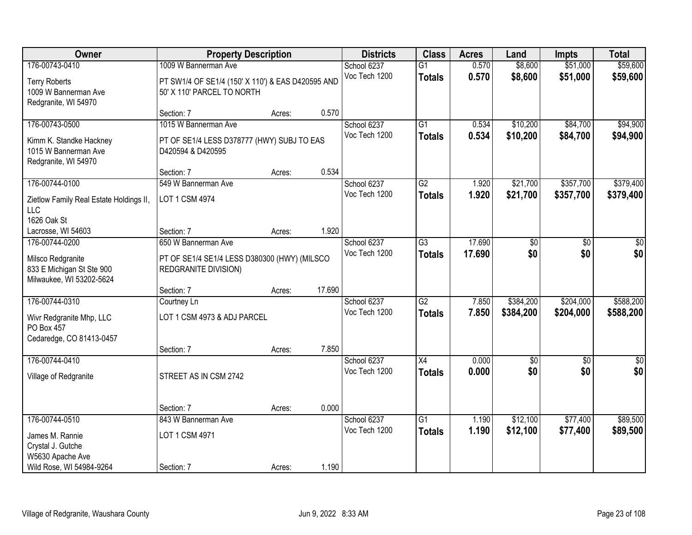| Owner                                                                      | <b>Property Description</b>                                                     |        |        | <b>Districts</b>             | <b>Class</b>    | <b>Acres</b>   | Land               | <b>Impts</b>         | <b>Total</b>         |
|----------------------------------------------------------------------------|---------------------------------------------------------------------------------|--------|--------|------------------------------|-----------------|----------------|--------------------|----------------------|----------------------|
| 176-00743-0410                                                             | 1009 W Bannerman Ave                                                            |        |        | School 6237<br>Voc Tech 1200 | $\overline{G1}$ | 0.570<br>0.570 | \$8,600<br>\$8,600 | \$51,000<br>\$51,000 | \$59,600<br>\$59,600 |
| <b>Terry Roberts</b><br>1009 W Bannerman Ave<br>Redgranite, WI 54970       | PT SW1/4 OF SE1/4 (150' X 110') & EAS D420595 AND<br>50' X 110' PARCEL TO NORTH |        |        |                              | <b>Totals</b>   |                |                    |                      |                      |
|                                                                            | Section: 7                                                                      | Acres: | 0.570  |                              |                 |                |                    |                      |                      |
| 176-00743-0500                                                             | 1015 W Bannerman Ave                                                            |        |        | School 6237                  | $\overline{G1}$ | 0.534          | \$10,200           | \$84,700             | \$94,900             |
| Kimm K. Standke Hackney<br>1015 W Bannerman Ave<br>Redgranite, WI 54970    | PT OF SE1/4 LESS D378777 (HWY) SUBJ TO EAS<br>D420594 & D420595                 |        |        | Voc Tech 1200                | <b>Totals</b>   | 0.534          | \$10,200           | \$84,700             | \$94,900             |
|                                                                            | Section: 7                                                                      | Acres: | 0.534  |                              |                 |                |                    |                      |                      |
| 176-00744-0100                                                             | 549 W Bannerman Ave                                                             |        |        | School 6237                  | G2              | 1.920          | \$21,700           | \$357,700            | \$379,400            |
| Zietlow Family Real Estate Holdings II,<br>LLC<br>1626 Oak St              | LOT 1 CSM 4974                                                                  |        |        | Voc Tech 1200                | <b>Totals</b>   | 1.920          | \$21,700           | \$357,700            | \$379,400            |
| Lacrosse, WI 54603                                                         | Section: 7                                                                      | Acres: | 1.920  |                              |                 |                |                    |                      |                      |
| 176-00744-0200                                                             | 650 W Bannerman Ave                                                             |        |        | School 6237                  | $\overline{G3}$ | 17.690         | \$0                | \$0                  | \$0                  |
| Milsco Redgranite<br>833 E Michigan St Ste 900<br>Milwaukee, WI 53202-5624 | PT OF SE1/4 SE1/4 LESS D380300 (HWY) (MILSCO<br>REDGRANITE DIVISION)            |        |        | Voc Tech 1200                | <b>Totals</b>   | 17.690         | \$0                | \$0                  | \$0                  |
|                                                                            | Section: 7                                                                      | Acres: | 17.690 |                              |                 |                |                    |                      |                      |
| 176-00744-0310                                                             | Courtney Ln                                                                     |        |        | School 6237                  | $\overline{G2}$ | 7.850          | \$384,200          | \$204,000            | \$588,200            |
| Wivr Redgranite Mhp, LLC<br>PO Box 457<br>Cedaredge, CO 81413-0457         | LOT 1 CSM 4973 & ADJ PARCEL                                                     |        |        | Voc Tech 1200                | <b>Totals</b>   | 7.850          | \$384,200          | \$204,000            | \$588,200            |
|                                                                            | Section: 7                                                                      | Acres: | 7.850  |                              |                 |                |                    |                      |                      |
| 176-00744-0410                                                             |                                                                                 |        |        | School 6237                  | $\overline{X4}$ | 0.000          | \$0                | $\overline{50}$      | \$0                  |
| Village of Redgranite                                                      | STREET AS IN CSM 2742                                                           |        |        | Voc Tech 1200                | <b>Totals</b>   | 0.000          | \$0                | \$0                  | \$0                  |
|                                                                            | Section: 7                                                                      | Acres: | 0.000  |                              |                 |                |                    |                      |                      |
| 176-00744-0510                                                             | 843 W Bannerman Ave                                                             |        |        | School 6237                  | $\overline{G1}$ | 1.190          | \$12,100           | \$77,400             | \$89,500             |
| James M. Rannie<br>Crystal J. Gutche<br>W5630 Apache Ave                   | LOT 1 CSM 4971                                                                  |        |        | Voc Tech 1200                | <b>Totals</b>   | 1.190          | \$12,100           | \$77,400             | \$89,500             |
| Wild Rose, WI 54984-9264                                                   | Section: 7                                                                      | Acres: | 1.190  |                              |                 |                |                    |                      |                      |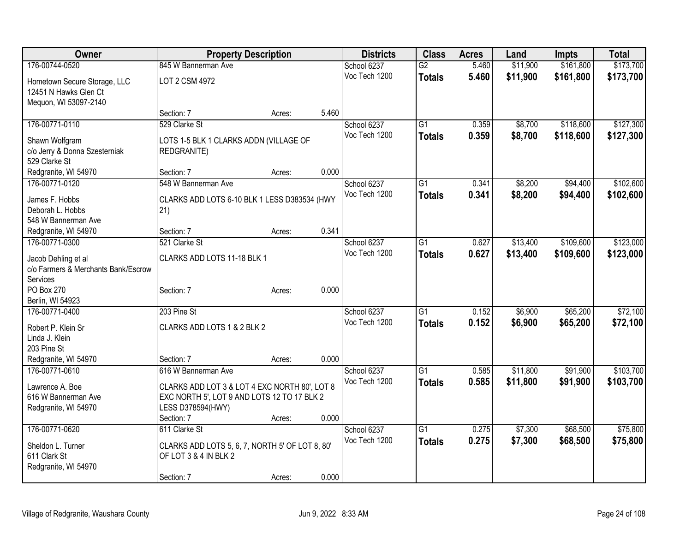| Owner                               | <b>Property Description</b>                     |        |       | <b>Districts</b> | <b>Class</b>    | <b>Acres</b> | Land     | Impts     | <b>Total</b> |
|-------------------------------------|-------------------------------------------------|--------|-------|------------------|-----------------|--------------|----------|-----------|--------------|
| 176-00744-0520                      | 845 W Bannerman Ave                             |        |       | School 6237      | $\overline{G2}$ | 5.460        | \$11,900 | \$161,800 | \$173,700    |
| Hometown Secure Storage, LLC        | LOT 2 CSM 4972                                  |        |       | Voc Tech 1200    | <b>Totals</b>   | 5.460        | \$11,900 | \$161,800 | \$173,700    |
| 12451 N Hawks Glen Ct               |                                                 |        |       |                  |                 |              |          |           |              |
| Mequon, WI 53097-2140               |                                                 |        |       |                  |                 |              |          |           |              |
|                                     | Section: 7                                      | Acres: | 5.460 |                  |                 |              |          |           |              |
| 176-00771-0110                      | 529 Clarke St                                   |        |       | School 6237      | $\overline{G1}$ | 0.359        | \$8,700  | \$118,600 | \$127,300    |
| Shawn Wolfgram                      | LOTS 1-5 BLK 1 CLARKS ADDN (VILLAGE OF          |        |       | Voc Tech 1200    | <b>Totals</b>   | 0.359        | \$8,700  | \$118,600 | \$127,300    |
| c/o Jerry & Donna Szesterniak       | REDGRANITE)                                     |        |       |                  |                 |              |          |           |              |
| 529 Clarke St                       |                                                 |        |       |                  |                 |              |          |           |              |
| Redgranite, WI 54970                | Section: 7                                      | Acres: | 0.000 |                  |                 |              |          |           |              |
| 176-00771-0120                      | 548 W Bannerman Ave                             |        |       | School 6237      | $\overline{G1}$ | 0.341        | \$8,200  | \$94,400  | \$102,600    |
| James F. Hobbs                      | CLARKS ADD LOTS 6-10 BLK 1 LESS D383534 (HWY    |        |       | Voc Tech 1200    | <b>Totals</b>   | 0.341        | \$8,200  | \$94,400  | \$102,600    |
| Deborah L. Hobbs                    | 21)                                             |        |       |                  |                 |              |          |           |              |
| 548 W Bannerman Ave                 |                                                 |        |       |                  |                 |              |          |           |              |
| Redgranite, WI 54970                | Section: 7                                      | Acres: | 0.341 |                  |                 |              |          |           |              |
| 176-00771-0300                      | 521 Clarke St                                   |        |       | School 6237      | $\overline{G1}$ | 0.627        | \$13,400 | \$109,600 | \$123,000    |
| Jacob Dehling et al                 | CLARKS ADD LOTS 11-18 BLK 1                     |        |       | Voc Tech 1200    | <b>Totals</b>   | 0.627        | \$13,400 | \$109,600 | \$123,000    |
| c/o Farmers & Merchants Bank/Escrow |                                                 |        |       |                  |                 |              |          |           |              |
| Services                            |                                                 |        |       |                  |                 |              |          |           |              |
| PO Box 270                          | Section: 7                                      | Acres: | 0.000 |                  |                 |              |          |           |              |
| Berlin, WI 54923                    |                                                 |        |       |                  |                 |              |          |           |              |
| 176-00771-0400                      | 203 Pine St                                     |        |       | School 6237      | G1              | 0.152        | \$6,900  | \$65,200  | \$72,100     |
| Robert P. Klein Sr                  | CLARKS ADD LOTS 1 & 2 BLK 2                     |        |       | Voc Tech 1200    | <b>Totals</b>   | 0.152        | \$6,900  | \$65,200  | \$72,100     |
| Linda J. Klein                      |                                                 |        |       |                  |                 |              |          |           |              |
| 203 Pine St                         |                                                 |        |       |                  |                 |              |          |           |              |
| Redgranite, WI 54970                | Section: 7                                      | Acres: | 0.000 |                  |                 |              |          |           |              |
| 176-00771-0610                      | 616 W Bannerman Ave                             |        |       | School 6237      | $\overline{G1}$ | 0.585        | \$11,800 | \$91,900  | \$103,700    |
| Lawrence A. Boe                     | CLARKS ADD LOT 3 & LOT 4 EXC NORTH 80', LOT 8   |        |       | Voc Tech 1200    | <b>Totals</b>   | 0.585        | \$11,800 | \$91,900  | \$103,700    |
| 616 W Bannerman Ave                 | EXC NORTH 5', LOT 9 AND LOTS 12 TO 17 BLK 2     |        |       |                  |                 |              |          |           |              |
| Redgranite, WI 54970                | LESS D378594(HWY)                               |        |       |                  |                 |              |          |           |              |
|                                     | Section: 7                                      | Acres: | 0.000 |                  |                 |              |          |           |              |
| 176-00771-0620                      | 611 Clarke St                                   |        |       | School 6237      | $\overline{G1}$ | 0.275        | \$7,300  | \$68,500  | \$75,800     |
| Sheldon L. Turner                   | CLARKS ADD LOTS 5, 6, 7, NORTH 5' OF LOT 8, 80' |        |       | Voc Tech 1200    | <b>Totals</b>   | 0.275        | \$7,300  | \$68,500  | \$75,800     |
| 611 Clark St                        | OF LOT 3 & 4 IN BLK 2                           |        |       |                  |                 |              |          |           |              |
| Redgranite, WI 54970                |                                                 |        |       |                  |                 |              |          |           |              |
|                                     | Section: 7                                      | Acres: | 0.000 |                  |                 |              |          |           |              |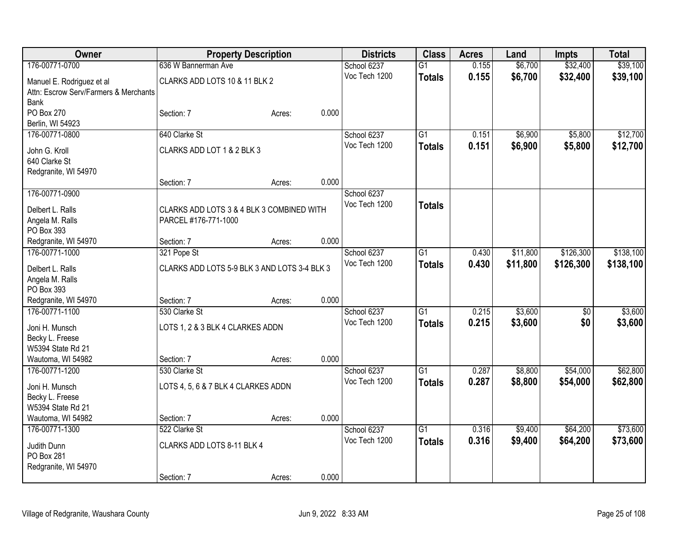| Owner                                 | <b>Property Description</b>                  |        |       | <b>Districts</b> | <b>Class</b>    | <b>Acres</b> | Land     | <b>Impts</b> | <b>Total</b> |
|---------------------------------------|----------------------------------------------|--------|-------|------------------|-----------------|--------------|----------|--------------|--------------|
| 176-00771-0700                        | 636 W Bannerman Ave                          |        |       | School 6237      | $\overline{G1}$ | 0.155        | \$6,700  | \$32,400     | \$39,100     |
| Manuel E. Rodriguez et al             | CLARKS ADD LOTS 10 & 11 BLK 2                |        |       | Voc Tech 1200    | <b>Totals</b>   | 0.155        | \$6,700  | \$32,400     | \$39,100     |
| Attn: Escrow Serv/Farmers & Merchants |                                              |        |       |                  |                 |              |          |              |              |
| <b>Bank</b>                           |                                              |        |       |                  |                 |              |          |              |              |
| PO Box 270                            | Section: 7                                   | Acres: | 0.000 |                  |                 |              |          |              |              |
| Berlin, WI 54923                      |                                              |        |       |                  |                 |              |          |              |              |
| 176-00771-0800                        | 640 Clarke St                                |        |       | School 6237      | $\overline{G1}$ | 0.151        | \$6,900  | \$5,800      | \$12,700     |
| John G. Kroll                         | CLARKS ADD LOT 1 & 2 BLK 3                   |        |       | Voc Tech 1200    | <b>Totals</b>   | 0.151        | \$6,900  | \$5,800      | \$12,700     |
| 640 Clarke St                         |                                              |        |       |                  |                 |              |          |              |              |
| Redgranite, WI 54970                  |                                              |        |       |                  |                 |              |          |              |              |
|                                       | Section: 7                                   | Acres: | 0.000 |                  |                 |              |          |              |              |
| 176-00771-0900                        |                                              |        |       | School 6237      |                 |              |          |              |              |
| Delbert L. Ralls                      | CLARKS ADD LOTS 3 & 4 BLK 3 COMBINED WITH    |        |       | Voc Tech 1200    | <b>Totals</b>   |              |          |              |              |
| Angela M. Ralls                       | PARCEL #176-771-1000                         |        |       |                  |                 |              |          |              |              |
| PO Box 393                            |                                              |        |       |                  |                 |              |          |              |              |
| Redgranite, WI 54970                  | Section: 7                                   | Acres: | 0.000 |                  |                 |              |          |              |              |
| 176-00771-1000                        | 321 Pope St                                  |        |       | School 6237      | $\overline{G1}$ | 0.430        | \$11,800 | \$126,300    | \$138,100    |
|                                       | CLARKS ADD LOTS 5-9 BLK 3 AND LOTS 3-4 BLK 3 |        |       | Voc Tech 1200    | <b>Totals</b>   | 0.430        | \$11,800 | \$126,300    | \$138,100    |
| Delbert L. Ralls<br>Angela M. Ralls   |                                              |        |       |                  |                 |              |          |              |              |
| PO Box 393                            |                                              |        |       |                  |                 |              |          |              |              |
| Redgranite, WI 54970                  | Section: 7                                   | Acres: | 0.000 |                  |                 |              |          |              |              |
| 176-00771-1100                        | 530 Clarke St                                |        |       | School 6237      | G1              | 0.215        | \$3,600  | $\sqrt{6}$   | \$3,600      |
|                                       |                                              |        |       | Voc Tech 1200    | <b>Totals</b>   | 0.215        | \$3,600  | \$0          | \$3,600      |
| Joni H. Munsch                        | LOTS 1, 2 & 3 BLK 4 CLARKES ADDN             |        |       |                  |                 |              |          |              |              |
| Becky L. Freese<br>W5394 State Rd 21  |                                              |        |       |                  |                 |              |          |              |              |
| Wautoma, WI 54982                     | Section: 7                                   | Acres: | 0.000 |                  |                 |              |          |              |              |
| 176-00771-1200                        | 530 Clarke St                                |        |       | School 6237      | $\overline{G1}$ | 0.287        | \$8,800  | \$54,000     | \$62,800     |
|                                       |                                              |        |       | Voc Tech 1200    | <b>Totals</b>   | 0.287        | \$8,800  | \$54,000     | \$62,800     |
| Joni H. Munsch                        | LOTS 4, 5, 6 & 7 BLK 4 CLARKES ADDN          |        |       |                  |                 |              |          |              |              |
| Becky L. Freese                       |                                              |        |       |                  |                 |              |          |              |              |
| W5394 State Rd 21                     |                                              |        |       |                  |                 |              |          |              |              |
| Wautoma, WI 54982                     | Section: 7                                   | Acres: | 0.000 |                  |                 |              |          |              |              |
| 176-00771-1300                        | 522 Clarke St                                |        |       | School 6237      | $\overline{G1}$ | 0.316        | \$9,400  | \$64,200     | \$73,600     |
| Judith Dunn                           | CLARKS ADD LOTS 8-11 BLK 4                   |        |       | Voc Tech 1200    | <b>Totals</b>   | 0.316        | \$9,400  | \$64,200     | \$73,600     |
| PO Box 281                            |                                              |        |       |                  |                 |              |          |              |              |
| Redgranite, WI 54970                  |                                              |        |       |                  |                 |              |          |              |              |
|                                       | Section: 7                                   | Acres: | 0.000 |                  |                 |              |          |              |              |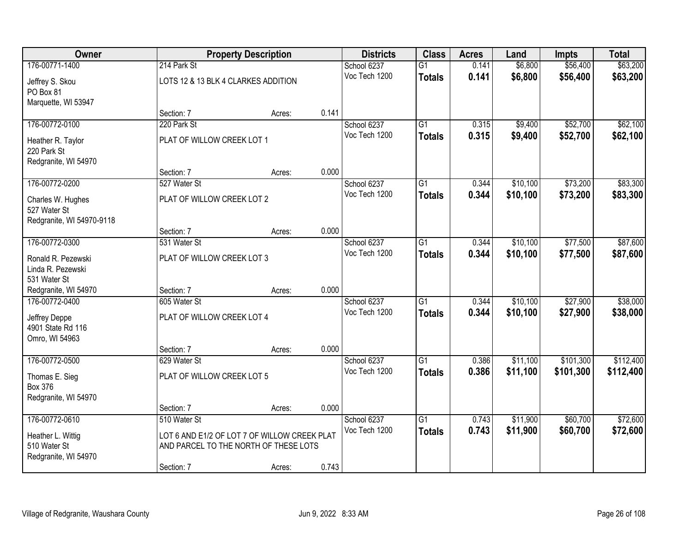| Owner                     |                                              | <b>Property Description</b> |       | <b>Districts</b> | <b>Class</b>    | <b>Acres</b> | Land     | <b>Impts</b> | <b>Total</b> |
|---------------------------|----------------------------------------------|-----------------------------|-------|------------------|-----------------|--------------|----------|--------------|--------------|
| 176-00771-1400            | 214 Park St                                  |                             |       | School 6237      | G1              | 0.141        | \$6,800  | \$56,400     | \$63,200     |
| Jeffrey S. Skou           | LOTS 12 & 13 BLK 4 CLARKES ADDITION          |                             |       | Voc Tech 1200    | <b>Totals</b>   | 0.141        | \$6,800  | \$56,400     | \$63,200     |
| PO Box 81                 |                                              |                             |       |                  |                 |              |          |              |              |
| Marquette, WI 53947       |                                              |                             |       |                  |                 |              |          |              |              |
|                           | Section: 7                                   | Acres:                      | 0.141 |                  |                 |              |          |              |              |
| 176-00772-0100            | 220 Park St                                  |                             |       | School 6237      | $\overline{G1}$ | 0.315        | \$9,400  | \$52,700     | \$62,100     |
| Heather R. Taylor         | PLAT OF WILLOW CREEK LOT 1                   |                             |       | Voc Tech 1200    | <b>Totals</b>   | 0.315        | \$9,400  | \$52,700     | \$62,100     |
| 220 Park St               |                                              |                             |       |                  |                 |              |          |              |              |
| Redgranite, WI 54970      |                                              |                             |       |                  |                 |              |          |              |              |
|                           | Section: 7                                   | Acres:                      | 0.000 |                  |                 |              |          |              |              |
| 176-00772-0200            | 527 Water St                                 |                             |       | School 6237      | $\overline{G1}$ | 0.344        | \$10,100 | \$73,200     | \$83,300     |
| Charles W. Hughes         | PLAT OF WILLOW CREEK LOT 2                   |                             |       | Voc Tech 1200    | <b>Totals</b>   | 0.344        | \$10,100 | \$73,200     | \$83,300     |
| 527 Water St              |                                              |                             |       |                  |                 |              |          |              |              |
| Redgranite, WI 54970-9118 |                                              |                             |       |                  |                 |              |          |              |              |
|                           | Section: 7                                   | Acres:                      | 0.000 |                  |                 |              |          |              |              |
| 176-00772-0300            | 531 Water St                                 |                             |       | School 6237      | G1              | 0.344        | \$10,100 | \$77,500     | \$87,600     |
| Ronald R. Pezewski        | PLAT OF WILLOW CREEK LOT 3                   |                             |       | Voc Tech 1200    | <b>Totals</b>   | 0.344        | \$10,100 | \$77,500     | \$87,600     |
| Linda R. Pezewski         |                                              |                             |       |                  |                 |              |          |              |              |
| 531 Water St              |                                              |                             |       |                  |                 |              |          |              |              |
| Redgranite, WI 54970      | Section: 7                                   | Acres:                      | 0.000 |                  |                 |              |          |              |              |
| 176-00772-0400            | 605 Water St                                 |                             |       | School 6237      | $\overline{G1}$ | 0.344        | \$10,100 | \$27,900     | \$38,000     |
| Jeffrey Deppe             | PLAT OF WILLOW CREEK LOT 4                   |                             |       | Voc Tech 1200    | <b>Totals</b>   | 0.344        | \$10,100 | \$27,900     | \$38,000     |
| 4901 State Rd 116         |                                              |                             |       |                  |                 |              |          |              |              |
| Omro, WI 54963            |                                              |                             |       |                  |                 |              |          |              |              |
|                           | Section: 7                                   | Acres:                      | 0.000 |                  |                 |              |          |              |              |
| 176-00772-0500            | 629 Water St                                 |                             |       | School 6237      | $\overline{G1}$ | 0.386        | \$11,100 | \$101,300    | \$112,400    |
| Thomas E. Sieg            | PLAT OF WILLOW CREEK LOT 5                   |                             |       | Voc Tech 1200    | <b>Totals</b>   | 0.386        | \$11,100 | \$101,300    | \$112,400    |
| <b>Box 376</b>            |                                              |                             |       |                  |                 |              |          |              |              |
| Redgranite, WI 54970      |                                              |                             |       |                  |                 |              |          |              |              |
|                           | Section: 7                                   | Acres:                      | 0.000 |                  |                 |              |          |              |              |
| 176-00772-0610            | 510 Water St                                 |                             |       | School 6237      | $\overline{G1}$ | 0.743        | \$11,900 | \$60,700     | \$72,600     |
| Heather L. Wittig         | LOT 6 AND E1/2 OF LOT 7 OF WILLOW CREEK PLAT |                             |       | Voc Tech 1200    | <b>Totals</b>   | 0.743        | \$11,900 | \$60,700     | \$72,600     |
| 510 Water St              | AND PARCEL TO THE NORTH OF THESE LOTS        |                             |       |                  |                 |              |          |              |              |
| Redgranite, WI 54970      |                                              |                             |       |                  |                 |              |          |              |              |
|                           | Section: 7                                   | Acres:                      | 0.743 |                  |                 |              |          |              |              |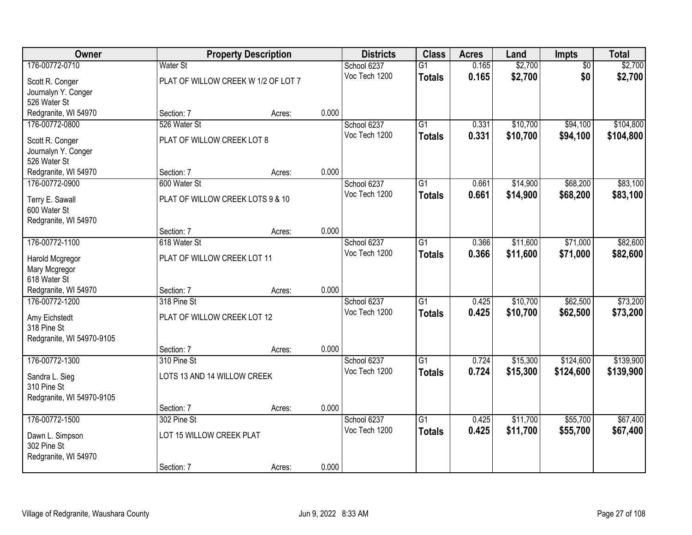| Owner                     |                                     | <b>Property Description</b> |       | <b>Districts</b> | <b>Class</b>    | <b>Acres</b> | Land     | <b>Impts</b>    | <b>Total</b> |
|---------------------------|-------------------------------------|-----------------------------|-------|------------------|-----------------|--------------|----------|-----------------|--------------|
| 176-00772-0710            | Water St                            |                             |       | School 6237      | $\overline{G1}$ | 0.165        | \$2,700  | $\overline{50}$ | \$2,700      |
| Scott R. Conger           | PLAT OF WILLOW CREEK W 1/2 OF LOT 7 |                             |       | Voc Tech 1200    | <b>Totals</b>   | 0.165        | \$2,700  | \$0             | \$2,700      |
| Journalyn Y. Conger       |                                     |                             |       |                  |                 |              |          |                 |              |
| 526 Water St              |                                     |                             |       |                  |                 |              |          |                 |              |
| Redgranite, WI 54970      | Section: 7                          | Acres:                      | 0.000 |                  |                 |              |          |                 |              |
| 176-00772-0800            | 526 Water St                        |                             |       | School 6237      | $\overline{G1}$ | 0.331        | \$10,700 | \$94,100        | \$104,800    |
| Scott R. Conger           | PLAT OF WILLOW CREEK LOT 8          |                             |       | Voc Tech 1200    | <b>Totals</b>   | 0.331        | \$10,700 | \$94,100        | \$104,800    |
| Journalyn Y. Conger       |                                     |                             |       |                  |                 |              |          |                 |              |
| 526 Water St              |                                     |                             |       |                  |                 |              |          |                 |              |
| Redgranite, WI 54970      | Section: 7                          | Acres:                      | 0.000 |                  |                 |              |          |                 |              |
| 176-00772-0900            | 600 Water St                        |                             |       | School 6237      | G1              | 0.661        | \$14,900 | \$68,200        | \$83,100     |
| Terry E. Sawall           | PLAT OF WILLOW CREEK LOTS 9 & 10    |                             |       | Voc Tech 1200    | <b>Totals</b>   | 0.661        | \$14,900 | \$68,200        | \$83,100     |
| 600 Water St              |                                     |                             |       |                  |                 |              |          |                 |              |
| Redgranite, WI 54970      |                                     |                             |       |                  |                 |              |          |                 |              |
|                           | Section: 7                          | Acres:                      | 0.000 |                  |                 |              |          |                 |              |
| 176-00772-1100            | 618 Water St                        |                             |       | School 6237      | G1              | 0.366        | \$11,600 | \$71,000        | \$82,600     |
| Harold Mcgregor           | PLAT OF WILLOW CREEK LOT 11         |                             |       | Voc Tech 1200    | <b>Totals</b>   | 0.366        | \$11,600 | \$71,000        | \$82,600     |
| Mary Mcgregor             |                                     |                             |       |                  |                 |              |          |                 |              |
| 618 Water St              |                                     |                             |       |                  |                 |              |          |                 |              |
| Redgranite, WI 54970      | Section: 7                          | Acres:                      | 0.000 |                  |                 |              |          |                 |              |
| 176-00772-1200            | 318 Pine St                         |                             |       | School 6237      | $\overline{G1}$ | 0.425        | \$10,700 | \$62,500        | \$73,200     |
| Amy Eichstedt             | PLAT OF WILLOW CREEK LOT 12         |                             |       | Voc Tech 1200    | <b>Totals</b>   | 0.425        | \$10,700 | \$62,500        | \$73,200     |
| 318 Pine St               |                                     |                             |       |                  |                 |              |          |                 |              |
| Redgranite, WI 54970-9105 |                                     |                             |       |                  |                 |              |          |                 |              |
|                           | Section: 7                          | Acres:                      | 0.000 |                  |                 |              |          |                 |              |
| 176-00772-1300            | 310 Pine St                         |                             |       | School 6237      | $\overline{G1}$ | 0.724        | \$15,300 | \$124,600       | \$139,900    |
| Sandra L. Sieg            | LOTS 13 AND 14 WILLOW CREEK         |                             |       | Voc Tech 1200    | <b>Totals</b>   | 0.724        | \$15,300 | \$124,600       | \$139,900    |
| 310 Pine St               |                                     |                             |       |                  |                 |              |          |                 |              |
| Redgranite, WI 54970-9105 |                                     |                             |       |                  |                 |              |          |                 |              |
|                           | Section: 7                          | Acres:                      | 0.000 |                  |                 |              |          |                 |              |
| 176-00772-1500            | 302 Pine St                         |                             |       | School 6237      | $\overline{G1}$ | 0.425        | \$11,700 | \$55,700        | \$67,400     |
| Dawn L. Simpson           | LOT 15 WILLOW CREEK PLAT            |                             |       | Voc Tech 1200    | <b>Totals</b>   | 0.425        | \$11,700 | \$55,700        | \$67,400     |
| 302 Pine St               |                                     |                             |       |                  |                 |              |          |                 |              |
| Redgranite, WI 54970      |                                     |                             |       |                  |                 |              |          |                 |              |
|                           | Section: 7                          | Acres:                      | 0.000 |                  |                 |              |          |                 |              |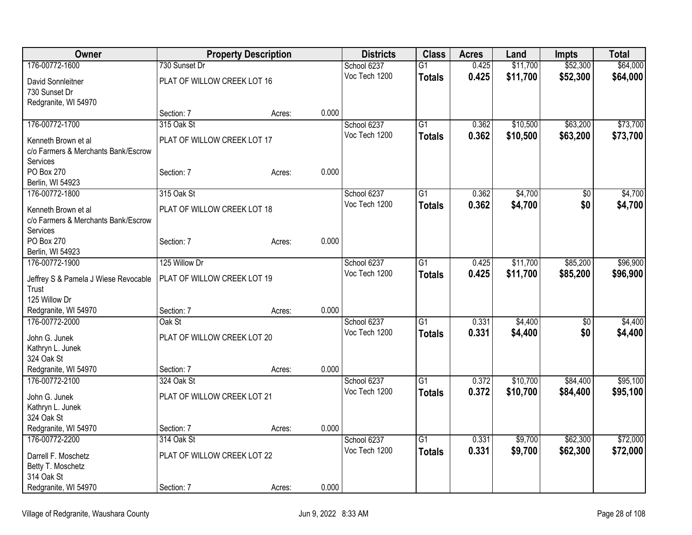| <b>Owner</b>                             |                             | <b>Property Description</b> |       | <b>Districts</b> | <b>Class</b>    | <b>Acres</b> | Land     | <b>Impts</b> | <b>Total</b> |
|------------------------------------------|-----------------------------|-----------------------------|-------|------------------|-----------------|--------------|----------|--------------|--------------|
| 176-00772-1600                           | 730 Sunset Dr               |                             |       | School 6237      | $\overline{G1}$ | 0.425        | \$11,700 | \$52,300     | \$64,000     |
| David Sonnleitner                        | PLAT OF WILLOW CREEK LOT 16 |                             |       | Voc Tech 1200    | <b>Totals</b>   | 0.425        | \$11,700 | \$52,300     | \$64,000     |
| 730 Sunset Dr                            |                             |                             |       |                  |                 |              |          |              |              |
| Redgranite, WI 54970                     |                             |                             |       |                  |                 |              |          |              |              |
|                                          | Section: 7                  | Acres:                      | 0.000 |                  |                 |              |          |              |              |
| 176-00772-1700                           | 315 Oak St                  |                             |       | School 6237      | $\overline{G1}$ | 0.362        | \$10,500 | \$63,200     | \$73,700     |
| Kenneth Brown et al                      | PLAT OF WILLOW CREEK LOT 17 |                             |       | Voc Tech 1200    | <b>Totals</b>   | 0.362        | \$10,500 | \$63,200     | \$73,700     |
| c/o Farmers & Merchants Bank/Escrow      |                             |                             |       |                  |                 |              |          |              |              |
| Services                                 |                             |                             |       |                  |                 |              |          |              |              |
| PO Box 270                               | Section: 7                  | Acres:                      | 0.000 |                  |                 |              |          |              |              |
| Berlin, WI 54923                         |                             |                             |       |                  |                 |              |          |              |              |
| 176-00772-1800                           | 315 Oak St                  |                             |       | School 6237      | $\overline{G1}$ | 0.362        | \$4,700  | \$0          | \$4,700      |
| Kenneth Brown et al                      | PLAT OF WILLOW CREEK LOT 18 |                             |       | Voc Tech 1200    | <b>Totals</b>   | 0.362        | \$4,700  | \$0          | \$4,700      |
| c/o Farmers & Merchants Bank/Escrow      |                             |                             |       |                  |                 |              |          |              |              |
| Services                                 |                             |                             |       |                  |                 |              |          |              |              |
| PO Box 270                               | Section: 7                  | Acres:                      | 0.000 |                  |                 |              |          |              |              |
| Berlin, WI 54923                         |                             |                             |       |                  |                 |              |          |              |              |
| 176-00772-1900                           | 125 Willow Dr               |                             |       | School 6237      | G1              | 0.425        | \$11,700 | \$85,200     | \$96,900     |
| Jeffrey S & Pamela J Wiese Revocable     | PLAT OF WILLOW CREEK LOT 19 |                             |       | Voc Tech 1200    | <b>Totals</b>   | 0.425        | \$11,700 | \$85,200     | \$96,900     |
| Trust                                    |                             |                             |       |                  |                 |              |          |              |              |
| 125 Willow Dr                            |                             |                             |       |                  |                 |              |          |              |              |
| Redgranite, WI 54970                     | Section: 7                  | Acres:                      | 0.000 |                  |                 |              |          |              |              |
| 176-00772-2000                           | Oak St                      |                             |       | School 6237      | G1              | 0.331        | \$4,400  | \$0          | \$4,400      |
| John G. Junek                            | PLAT OF WILLOW CREEK LOT 20 |                             |       | Voc Tech 1200    | <b>Totals</b>   | 0.331        | \$4,400  | \$0          | \$4,400      |
| Kathryn L. Junek                         |                             |                             |       |                  |                 |              |          |              |              |
| 324 Oak St                               |                             |                             |       |                  |                 |              |          |              |              |
| Redgranite, WI 54970                     | Section: 7                  | Acres:                      | 0.000 |                  |                 |              |          |              |              |
| 176-00772-2100                           | 324 Oak St                  |                             |       | School 6237      | G1              | 0.372        | \$10,700 | \$84,400     | \$95,100     |
| John G. Junek                            | PLAT OF WILLOW CREEK LOT 21 |                             |       | Voc Tech 1200    | <b>Totals</b>   | 0.372        | \$10,700 | \$84,400     | \$95,100     |
| Kathryn L. Junek                         |                             |                             |       |                  |                 |              |          |              |              |
| 324 Oak St                               |                             |                             |       |                  |                 |              |          |              |              |
| Redgranite, WI 54970                     | Section: 7                  | Acres:                      | 0.000 |                  |                 |              |          |              |              |
| 176-00772-2200                           | 314 Oak St                  |                             |       | School 6237      | $\overline{G1}$ | 0.331        | \$9,700  | \$62,300     | \$72,000     |
|                                          | PLAT OF WILLOW CREEK LOT 22 |                             |       | Voc Tech 1200    | <b>Totals</b>   | 0.331        | \$9,700  | \$62,300     | \$72,000     |
| Darrell F. Moschetz<br>Betty T. Moschetz |                             |                             |       |                  |                 |              |          |              |              |
| 314 Oak St                               |                             |                             |       |                  |                 |              |          |              |              |
| Redgranite, WI 54970                     | Section: 7                  | Acres:                      | 0.000 |                  |                 |              |          |              |              |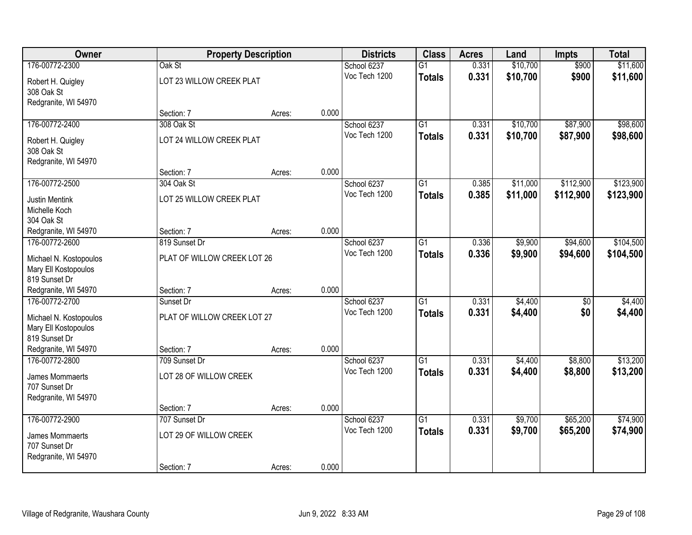| Owner                                                                             |                                          | <b>Property Description</b> |       | <b>Districts</b>             | <b>Class</b>                     | <b>Acres</b>   | Land               | <b>Impts</b> | <b>Total</b>       |
|-----------------------------------------------------------------------------------|------------------------------------------|-----------------------------|-------|------------------------------|----------------------------------|----------------|--------------------|--------------|--------------------|
| 176-00772-2300                                                                    | Oak St                                   |                             |       | School 6237                  | $\overline{G1}$                  | 0.331          | \$10,700           | \$900        | \$11,600           |
| Robert H. Quigley<br>308 Oak St<br>Redgranite, WI 54970                           | LOT 23 WILLOW CREEK PLAT                 |                             |       | Voc Tech 1200                | <b>Totals</b>                    | 0.331          | \$10,700           | \$900        | \$11,600           |
|                                                                                   | Section: 7                               | Acres:                      | 0.000 |                              |                                  |                |                    |              |                    |
| 176-00772-2400                                                                    | 308 Oak St                               |                             |       | School 6237                  | $\overline{G1}$                  | 0.331          | \$10,700           | \$87,900     | \$98,600           |
| Robert H. Quigley<br>308 Oak St<br>Redgranite, WI 54970                           | LOT 24 WILLOW CREEK PLAT                 |                             |       | Voc Tech 1200                | <b>Totals</b>                    | 0.331          | \$10,700           | \$87,900     | \$98,600           |
|                                                                                   | Section: 7                               | Acres:                      | 0.000 |                              |                                  |                |                    |              |                    |
| 176-00772-2500                                                                    | 304 Oak St                               |                             |       | School 6237                  | $\overline{G1}$                  | 0.385          | \$11,000           | \$112,900    | \$123,900          |
| <b>Justin Mentink</b><br>Michelle Koch<br>304 Oak St                              | LOT 25 WILLOW CREEK PLAT                 |                             |       | Voc Tech 1200                | <b>Totals</b>                    | 0.385          | \$11,000           | \$112,900    | \$123,900          |
| Redgranite, WI 54970                                                              | Section: 7                               | Acres:                      | 0.000 |                              |                                  |                |                    |              |                    |
| 176-00772-2600                                                                    | 819 Sunset Dr                            |                             |       | School 6237                  | $\overline{G1}$                  | 0.336          | \$9,900            | \$94,600     | \$104,500          |
| Michael N. Kostopoulos<br>Mary Ell Kostopoulos<br>819 Sunset Dr                   | PLAT OF WILLOW CREEK LOT 26              |                             |       | Voc Tech 1200                | <b>Totals</b>                    | 0.336          | \$9,900            | \$94,600     | \$104,500          |
| Redgranite, WI 54970                                                              | Section: 7                               | Acres:                      | 0.000 |                              |                                  |                |                    |              |                    |
| 176-00772-2700<br>Michael N. Kostopoulos<br>Mary Ell Kostopoulos<br>819 Sunset Dr | Sunset Dr<br>PLAT OF WILLOW CREEK LOT 27 |                             |       | School 6237<br>Voc Tech 1200 | $\overline{G1}$<br><b>Totals</b> | 0.331<br>0.331 | \$4,400<br>\$4,400 | \$0<br>\$0   | \$4,400<br>\$4,400 |
| Redgranite, WI 54970                                                              | Section: 7                               | Acres:                      | 0.000 |                              |                                  |                |                    |              |                    |
| 176-00772-2800                                                                    | 709 Sunset Dr                            |                             |       | School 6237                  | $\overline{G1}$                  | 0.331          | \$4,400            | \$8,800      | \$13,200           |
| James Mommaerts<br>707 Sunset Dr<br>Redgranite, WI 54970                          | LOT 28 OF WILLOW CREEK                   |                             |       | Voc Tech 1200                | <b>Totals</b>                    | 0.331          | \$4,400            | \$8,800      | \$13,200           |
|                                                                                   | Section: 7                               | Acres:                      | 0.000 |                              |                                  |                |                    |              |                    |
| 176-00772-2900                                                                    | 707 Sunset Dr                            |                             |       | School 6237                  | $\overline{G1}$                  | 0.331          | \$9,700            | \$65,200     | \$74,900           |
| James Mommaerts<br>707 Sunset Dr<br>Redgranite, WI 54970                          | LOT 29 OF WILLOW CREEK                   |                             |       | Voc Tech 1200                | <b>Totals</b>                    | 0.331          | \$9,700            | \$65,200     | \$74,900           |
|                                                                                   | Section: 7                               | Acres:                      | 0.000 |                              |                                  |                |                    |              |                    |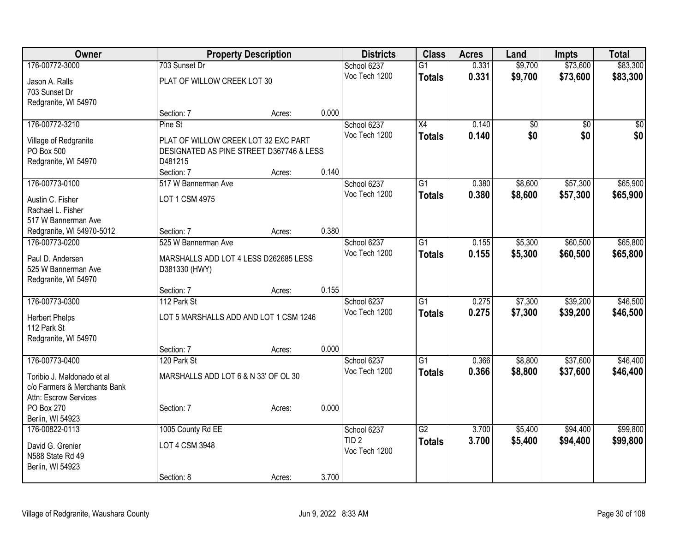| Owner                                |                                                                                  | <b>Property Description</b> |       | <b>Districts</b> | <b>Class</b>    | <b>Acres</b> | Land    | <b>Impts</b>    | <b>Total</b> |
|--------------------------------------|----------------------------------------------------------------------------------|-----------------------------|-------|------------------|-----------------|--------------|---------|-----------------|--------------|
| 176-00772-3000                       | 703 Sunset Dr                                                                    |                             |       | School 6237      | $\overline{G1}$ | 0.331        | \$9,700 | \$73,600        | \$83,300     |
| Jason A. Ralls                       | PLAT OF WILLOW CREEK LOT 30                                                      |                             |       | Voc Tech 1200    | <b>Totals</b>   | 0.331        | \$9,700 | \$73,600        | \$83,300     |
| 703 Sunset Dr                        |                                                                                  |                             |       |                  |                 |              |         |                 |              |
| Redgranite, WI 54970                 |                                                                                  |                             |       |                  |                 |              |         |                 |              |
|                                      | Section: 7                                                                       | Acres:                      | 0.000 |                  |                 |              |         |                 |              |
| 176-00772-3210                       | Pine St                                                                          |                             |       | School 6237      | X4              | 0.140        | \$0     | $\overline{50}$ | \$0          |
|                                      |                                                                                  |                             |       | Voc Tech 1200    | <b>Totals</b>   | 0.140        | \$0     | \$0             | \$0          |
| Village of Redgranite<br>PO Box 500  | PLAT OF WILLOW CREEK LOT 32 EXC PART<br>DESIGNATED AS PINE STREET D367746 & LESS |                             |       |                  |                 |              |         |                 |              |
|                                      | D481215                                                                          |                             |       |                  |                 |              |         |                 |              |
| Redgranite, WI 54970                 | Section: 7                                                                       | Acres:                      | 0.140 |                  |                 |              |         |                 |              |
| 176-00773-0100                       | 517 W Bannerman Ave                                                              |                             |       | School 6237      | $\overline{G1}$ | 0.380        | \$8,600 | \$57,300        | \$65,900     |
|                                      |                                                                                  |                             |       | Voc Tech 1200    |                 |              |         |                 |              |
| Austin C. Fisher                     | LOT 1 CSM 4975                                                                   |                             |       |                  | <b>Totals</b>   | 0.380        | \$8,600 | \$57,300        | \$65,900     |
| Rachael L. Fisher                    |                                                                                  |                             |       |                  |                 |              |         |                 |              |
| 517 W Bannerman Ave                  |                                                                                  |                             |       |                  |                 |              |         |                 |              |
| Redgranite, WI 54970-5012            | Section: 7                                                                       | Acres:                      | 0.380 |                  |                 |              |         |                 |              |
| 176-00773-0200                       | 525 W Bannerman Ave                                                              |                             |       | School 6237      | $\overline{G1}$ | 0.155        | \$5,300 | \$60,500        | \$65,800     |
| Paul D. Andersen                     | MARSHALLS ADD LOT 4 LESS D262685 LESS                                            |                             |       | Voc Tech 1200    | <b>Totals</b>   | 0.155        | \$5,300 | \$60,500        | \$65,800     |
| 525 W Bannerman Ave                  | D381330 (HWY)                                                                    |                             |       |                  |                 |              |         |                 |              |
| Redgranite, WI 54970                 |                                                                                  |                             |       |                  |                 |              |         |                 |              |
|                                      | Section: 7                                                                       | Acres:                      | 0.155 |                  |                 |              |         |                 |              |
| 176-00773-0300                       | 112 Park St                                                                      |                             |       | School 6237      | $\overline{G1}$ | 0.275        | \$7,300 | \$39,200        | \$46,500     |
|                                      |                                                                                  |                             |       | Voc Tech 1200    | <b>Totals</b>   | 0.275        | \$7,300 | \$39,200        | \$46,500     |
| <b>Herbert Phelps</b>                | LOT 5 MARSHALLS ADD AND LOT 1 CSM 1246                                           |                             |       |                  |                 |              |         |                 |              |
| 112 Park St                          |                                                                                  |                             |       |                  |                 |              |         |                 |              |
| Redgranite, WI 54970                 |                                                                                  |                             |       |                  |                 |              |         |                 |              |
|                                      | Section: 7                                                                       | Acres:                      | 0.000 |                  |                 |              |         |                 |              |
| 176-00773-0400                       | 120 Park St                                                                      |                             |       | School 6237      | $\overline{G1}$ | 0.366        | \$8,800 | \$37,600        | \$46,400     |
| Toribio J. Maldonado et al           | MARSHALLS ADD LOT 6 & N 33' OF OL 30                                             |                             |       | Voc Tech 1200    | <b>Totals</b>   | 0.366        | \$8,800 | \$37,600        | \$46,400     |
| c/o Farmers & Merchants Bank         |                                                                                  |                             |       |                  |                 |              |         |                 |              |
| Attn: Escrow Services                |                                                                                  |                             |       |                  |                 |              |         |                 |              |
| PO Box 270                           | Section: 7                                                                       | Acres:                      | 0.000 |                  |                 |              |         |                 |              |
| Berlin, WI 54923                     |                                                                                  |                             |       |                  |                 |              |         |                 |              |
| 176-00822-0113                       | 1005 County Rd EE                                                                |                             |       | School 6237      | G2              | 3.700        | \$5,400 | \$94,400        | \$99,800     |
|                                      | LOT 4 CSM 3948                                                                   |                             |       | TID <sub>2</sub> | <b>Totals</b>   | 3.700        | \$5,400 | \$94,400        | \$99,800     |
| David G. Grenier<br>N588 State Rd 49 |                                                                                  |                             |       | Voc Tech 1200    |                 |              |         |                 |              |
|                                      |                                                                                  |                             |       |                  |                 |              |         |                 |              |
| Berlin, WI 54923                     | Section: 8                                                                       |                             | 3.700 |                  |                 |              |         |                 |              |
|                                      |                                                                                  | Acres:                      |       |                  |                 |              |         |                 |              |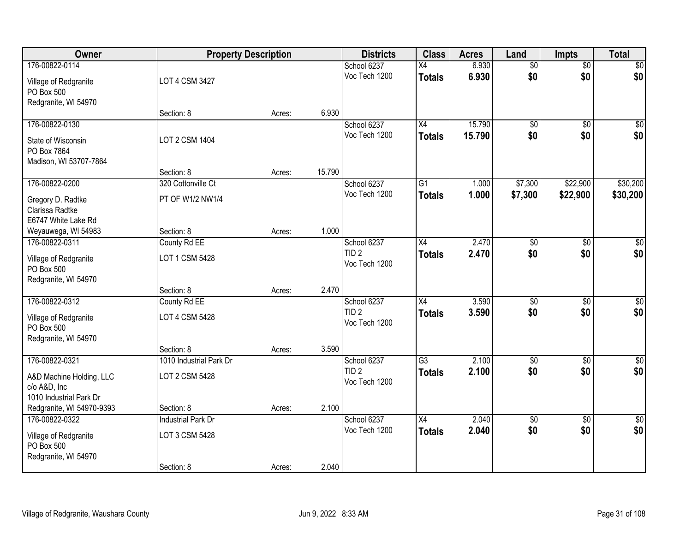| Owner                     | <b>Property Description</b> |        |        | <b>Districts</b> | <b>Class</b>    | <b>Acres</b> | Land            | <b>Impts</b>    | <b>Total</b>    |
|---------------------------|-----------------------------|--------|--------|------------------|-----------------|--------------|-----------------|-----------------|-----------------|
| 176-00822-0114            |                             |        |        | School 6237      | $\overline{X4}$ | 6.930        | $\overline{50}$ | $\sqrt{$0}$     | \$0             |
| Village of Redgranite     | LOT 4 CSM 3427              |        |        | Voc Tech 1200    | <b>Totals</b>   | 6.930        | \$0             | \$0             | \$0             |
| PO Box 500                |                             |        |        |                  |                 |              |                 |                 |                 |
| Redgranite, WI 54970      |                             |        |        |                  |                 |              |                 |                 |                 |
|                           | Section: 8                  | Acres: | 6.930  |                  |                 |              |                 |                 |                 |
| 176-00822-0130            |                             |        |        | School 6237      | $\overline{X4}$ | 15.790       | $\overline{50}$ | $\overline{50}$ | \$0             |
| State of Wisconsin        | LOT 2 CSM 1404              |        |        | Voc Tech 1200    | <b>Totals</b>   | 15.790       | \$0             | \$0             | \$0             |
| PO Box 7864               |                             |        |        |                  |                 |              |                 |                 |                 |
| Madison, WI 53707-7864    |                             |        |        |                  |                 |              |                 |                 |                 |
|                           | Section: 8                  | Acres: | 15.790 |                  |                 |              |                 |                 |                 |
| 176-00822-0200            | 320 Cottonville Ct          |        |        | School 6237      | G1              | 1.000        | \$7,300         | \$22,900        | \$30,200        |
| Gregory D. Radtke         | PT OF W1/2 NW1/4            |        |        | Voc Tech 1200    | <b>Totals</b>   | 1.000        | \$7,300         | \$22,900        | \$30,200        |
| Clarissa Radtke           |                             |        |        |                  |                 |              |                 |                 |                 |
| E6747 White Lake Rd       |                             |        |        |                  |                 |              |                 |                 |                 |
| Weyauwega, WI 54983       | Section: 8                  | Acres: | 1.000  |                  |                 |              |                 |                 |                 |
| 176-00822-0311            | County Rd EE                |        |        | School 6237      | X4              | 2.470        | \$0             | $\sqrt{6}$      | $\sqrt{50}$     |
| Village of Redgranite     | LOT 1 CSM 5428              |        |        | TID <sub>2</sub> | <b>Totals</b>   | 2.470        | \$0             | \$0             | \$0             |
| PO Box 500                |                             |        |        | Voc Tech 1200    |                 |              |                 |                 |                 |
| Redgranite, WI 54970      |                             |        |        |                  |                 |              |                 |                 |                 |
|                           | Section: 8                  | Acres: | 2.470  |                  |                 |              |                 |                 |                 |
| 176-00822-0312            | County Rd EE                |        |        | School 6237      | $\overline{X4}$ | 3.590        | $\overline{50}$ | $\overline{50}$ | $\sqrt{50}$     |
| Village of Redgranite     | LOT 4 CSM 5428              |        |        | TID <sub>2</sub> | <b>Totals</b>   | 3.590        | \$0             | \$0             | \$0             |
| PO Box 500                |                             |        |        | Voc Tech 1200    |                 |              |                 |                 |                 |
| Redgranite, WI 54970      |                             |        |        |                  |                 |              |                 |                 |                 |
|                           | Section: 8                  | Acres: | 3.590  |                  |                 |              |                 |                 |                 |
| 176-00822-0321            | 1010 Industrial Park Dr     |        |        | School 6237      | $\overline{G3}$ | 2.100        | $\overline{50}$ | $\overline{50}$ | $\sqrt{50}$     |
| A&D Machine Holding, LLC  | LOT 2 CSM 5428              |        |        | TID <sub>2</sub> | <b>Totals</b>   | 2.100        | \$0             | \$0             | \$0             |
| c/o A&D, Inc              |                             |        |        | Voc Tech 1200    |                 |              |                 |                 |                 |
| 1010 Industrial Park Dr   |                             |        |        |                  |                 |              |                 |                 |                 |
| Redgranite, WI 54970-9393 | Section: 8                  | Acres: | 2.100  |                  |                 |              |                 |                 |                 |
| 176-00822-0322            | <b>Industrial Park Dr</b>   |        |        | School 6237      | $\overline{X4}$ | 2.040        | $\overline{60}$ | $\overline{50}$ | $\overline{50}$ |
| Village of Redgranite     | LOT 3 CSM 5428              |        |        | Voc Tech 1200    | <b>Totals</b>   | 2.040        | \$0             | \$0             | \$0             |
| PO Box 500                |                             |        |        |                  |                 |              |                 |                 |                 |
| Redgranite, WI 54970      |                             |        |        |                  |                 |              |                 |                 |                 |
|                           | Section: 8                  | Acres: | 2.040  |                  |                 |              |                 |                 |                 |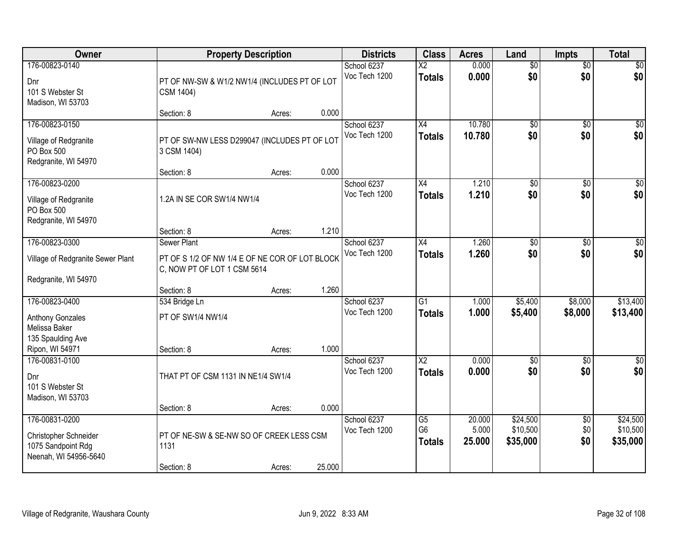| Owner                              |                                                | <b>Property Description</b> |        | <b>Districts</b>             | <b>Class</b>           | <b>Acres</b>    | Land                 | <b>Impts</b>           | <b>Total</b>         |
|------------------------------------|------------------------------------------------|-----------------------------|--------|------------------------------|------------------------|-----------------|----------------------|------------------------|----------------------|
| 176-00823-0140                     |                                                |                             |        | School 6237                  | $\overline{\text{X2}}$ | 0.000           | $\overline{50}$      | $\overline{50}$        | $\overline{30}$      |
| Dnr                                | PT OF NW-SW & W1/2 NW1/4 (INCLUDES PT OF LOT   |                             |        | Voc Tech 1200                | <b>Totals</b>          | 0.000           | \$0                  | \$0                    | \$0                  |
| 101 S Webster St                   | CSM 1404)                                      |                             |        |                              |                        |                 |                      |                        |                      |
| Madison, WI 53703                  |                                                |                             |        |                              |                        |                 |                      |                        |                      |
|                                    | Section: 8                                     | Acres:                      | 0.000  |                              |                        |                 |                      |                        |                      |
| 176-00823-0150                     |                                                |                             |        | School 6237<br>Voc Tech 1200 | $\overline{X4}$        | 10.780          | \$0                  | $\overline{50}$        | \$0                  |
| Village of Redgranite              | PT OF SW-NW LESS D299047 (INCLUDES PT OF LOT   |                             |        |                              | Totals                 | 10.780          | \$0                  | \$0                    | \$0                  |
| PO Box 500                         | 3 CSM 1404)                                    |                             |        |                              |                        |                 |                      |                        |                      |
| Redgranite, WI 54970               |                                                |                             | 0.000  |                              |                        |                 |                      |                        |                      |
| 176-00823-0200                     | Section: 8                                     | Acres:                      |        | School 6237                  | X4                     | 1.210           | \$0                  | \$0                    | $\overline{\$0}$     |
|                                    |                                                |                             |        | Voc Tech 1200                | <b>Totals</b>          | 1.210           | \$0                  | \$0                    | \$0                  |
| Village of Redgranite              | 1.2A IN SE COR SW1/4 NW1/4                     |                             |        |                              |                        |                 |                      |                        |                      |
| PO Box 500<br>Redgranite, WI 54970 |                                                |                             |        |                              |                        |                 |                      |                        |                      |
|                                    | Section: 8                                     | Acres:                      | 1.210  |                              |                        |                 |                      |                        |                      |
| 176-00823-0300                     | Sewer Plant                                    |                             |        | School 6237                  | X4                     | 1.260           | $\overline{50}$      | \$0                    | $\sqrt{50}$          |
|                                    | PT OF S 1/2 OF NW 1/4 E OF NE COR OF LOT BLOCK |                             |        | Voc Tech 1200                | <b>Totals</b>          | 1.260           | \$0                  | \$0                    | \$0                  |
| Village of Redgranite Sewer Plant  | C, NOW PT OF LOT 1 CSM 5614                    |                             |        |                              |                        |                 |                      |                        |                      |
| Redgranite, WI 54970               |                                                |                             |        |                              |                        |                 |                      |                        |                      |
|                                    | Section: 8                                     | Acres:                      | 1.260  |                              |                        |                 |                      |                        |                      |
| 176-00823-0400                     | 534 Bridge Ln                                  |                             |        | School 6237                  | $\overline{G1}$        | 1.000           | \$5,400              | \$8,000                | \$13,400             |
| <b>Anthony Gonzales</b>            | PT OF SW1/4 NW1/4                              |                             |        | Voc Tech 1200                | Totals                 | 1.000           | \$5,400              | \$8,000                | \$13,400             |
| Melissa Baker                      |                                                |                             |        |                              |                        |                 |                      |                        |                      |
| 135 Spaulding Ave                  |                                                |                             |        |                              |                        |                 |                      |                        |                      |
| Ripon, WI 54971                    | Section: 8                                     | Acres:                      | 1.000  |                              |                        |                 |                      |                        |                      |
| 176-00831-0100                     |                                                |                             |        | School 6237                  | $\overline{\text{X2}}$ | 0.000           | $\overline{50}$      | \$0                    | $\overline{\$0}$     |
| Dnr                                | THAT PT OF CSM 1131 IN NE1/4 SW1/4             |                             |        | Voc Tech 1200                | <b>Totals</b>          | 0.000           | \$0                  | \$0                    | \$0                  |
| 101 S Webster St                   |                                                |                             |        |                              |                        |                 |                      |                        |                      |
| Madison, WI 53703                  |                                                |                             |        |                              |                        |                 |                      |                        |                      |
| 176-00831-0200                     | Section: 8                                     | Acres:                      | 0.000  |                              |                        |                 |                      |                        |                      |
|                                    |                                                |                             |        | School 6237<br>Voc Tech 1200 | G5<br>G <sub>6</sub>   | 20.000<br>5.000 | \$24,500<br>\$10,500 | $\overline{60}$<br>\$0 | \$24,500<br>\$10,500 |
| Christopher Schneider              | PT OF NE-SW & SE-NW SO OF CREEK LESS CSM       |                             |        |                              | <b>Totals</b>          | 25.000          | \$35,000             | \$0                    | \$35,000             |
| 1075 Sandpoint Rdg                 | 1131                                           |                             |        |                              |                        |                 |                      |                        |                      |
| Neenah, WI 54956-5640              |                                                |                             | 25.000 |                              |                        |                 |                      |                        |                      |
|                                    | Section: 8                                     | Acres:                      |        |                              |                        |                 |                      |                        |                      |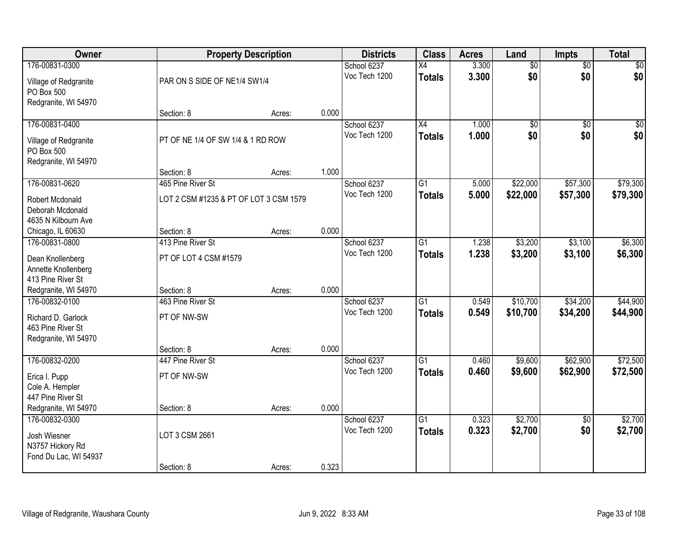| Owner                                  | <b>Property Description</b>            |        |       | <b>Districts</b>             | <b>Class</b>    | <b>Acres</b> | Land            | Impts           | <b>Total</b>    |
|----------------------------------------|----------------------------------------|--------|-------|------------------------------|-----------------|--------------|-----------------|-----------------|-----------------|
| 176-00831-0300                         |                                        |        |       | School 6237                  | X4              | 3.300        | $\overline{50}$ | $\overline{50}$ | \$0             |
| Village of Redgranite                  | PAR ON S SIDE OF NE1/4 SW1/4           |        |       | Voc Tech 1200                | <b>Totals</b>   | 3.300        | \$0             | \$0             | \$0             |
| PO Box 500                             |                                        |        |       |                              |                 |              |                 |                 |                 |
| Redgranite, WI 54970                   |                                        |        |       |                              |                 |              |                 |                 |                 |
|                                        | Section: 8                             | Acres: | 0.000 |                              |                 |              |                 |                 |                 |
| 176-00831-0400                         |                                        |        |       | School 6237                  | X4              | 1.000        | $\overline{60}$ | $\overline{50}$ | $\overline{50}$ |
| Village of Redgranite                  | PT OF NE 1/4 OF SW 1/4 & 1 RD ROW      |        |       | Voc Tech 1200                | <b>Totals</b>   | 1.000        | \$0             | \$0             | \$0             |
| PO Box 500                             |                                        |        |       |                              |                 |              |                 |                 |                 |
| Redgranite, WI 54970                   |                                        |        |       |                              |                 |              |                 |                 |                 |
|                                        | Section: 8                             | Acres: | 1.000 |                              |                 |              |                 |                 |                 |
| 176-00831-0620                         | 465 Pine River St                      |        |       | School 6237<br>Voc Tech 1200 | G <sub>1</sub>  | 5.000        | \$22,000        | \$57,300        | \$79,300        |
| Robert Mcdonald                        | LOT 2 CSM #1235 & PT OF LOT 3 CSM 1579 |        |       |                              | <b>Totals</b>   | 5.000        | \$22,000        | \$57,300        | \$79,300        |
| Deborah Mcdonald                       |                                        |        |       |                              |                 |              |                 |                 |                 |
| 4635 N Kilbourn Ave                    |                                        |        |       |                              |                 |              |                 |                 |                 |
| Chicago, IL 60630                      | Section: 8                             | Acres: | 0.000 |                              |                 |              |                 |                 |                 |
| 176-00831-0800                         | 413 Pine River St                      |        |       | School 6237<br>Voc Tech 1200 | $\overline{G1}$ | 1.238        | \$3,200         | \$3,100         | \$6,300         |
| Dean Knollenberg                       | PT OF LOT 4 CSM #1579                  |        |       |                              | <b>Totals</b>   | 1.238        | \$3,200         | \$3,100         | \$6,300         |
| Annette Knollenberg                    |                                        |        |       |                              |                 |              |                 |                 |                 |
| 413 Pine River St                      |                                        |        |       |                              |                 |              |                 |                 |                 |
| Redgranite, WI 54970                   | Section: 8<br>463 Pine River St        | Acres: | 0.000 |                              |                 |              |                 |                 |                 |
| 176-00832-0100                         |                                        |        |       | School 6237<br>Voc Tech 1200 | $\overline{G1}$ | 0.549        | \$10,700        | \$34,200        | \$44,900        |
| Richard D. Garlock                     | PT OF NW-SW                            |        |       |                              | <b>Totals</b>   | 0.549        | \$10,700        | \$34,200        | \$44,900        |
| 463 Pine River St                      |                                        |        |       |                              |                 |              |                 |                 |                 |
| Redgranite, WI 54970                   |                                        |        |       |                              |                 |              |                 |                 |                 |
| 176-00832-0200                         | Section: 8<br>447 Pine River St        | Acres: | 0.000 |                              | $\overline{G1}$ | 0.460        | \$9,600         | \$62,900        | \$72,500        |
|                                        |                                        |        |       | School 6237<br>Voc Tech 1200 | <b>Totals</b>   | 0.460        | \$9,600         | \$62,900        | \$72,500        |
| Erica I. Pupp                          | PT OF NW-SW                            |        |       |                              |                 |              |                 |                 |                 |
| Cole A. Hempler                        |                                        |        |       |                              |                 |              |                 |                 |                 |
| 447 Pine River St                      |                                        |        |       |                              |                 |              |                 |                 |                 |
| Redgranite, WI 54970<br>176-00832-0300 | Section: 8                             | Acres: | 0.000 | School 6237                  | $\overline{G1}$ | 0.323        | \$2,700         | $\overline{50}$ | \$2,700         |
|                                        |                                        |        |       | Voc Tech 1200                |                 | 0.323        | \$2,700         | \$0             | \$2,700         |
| Josh Wiesner                           | LOT 3 CSM 2661                         |        |       |                              | <b>Totals</b>   |              |                 |                 |                 |
| N3757 Hickory Rd                       |                                        |        |       |                              |                 |              |                 |                 |                 |
| Fond Du Lac, WI 54937                  |                                        |        |       |                              |                 |              |                 |                 |                 |
|                                        | Section: 8                             | Acres: | 0.323 |                              |                 |              |                 |                 |                 |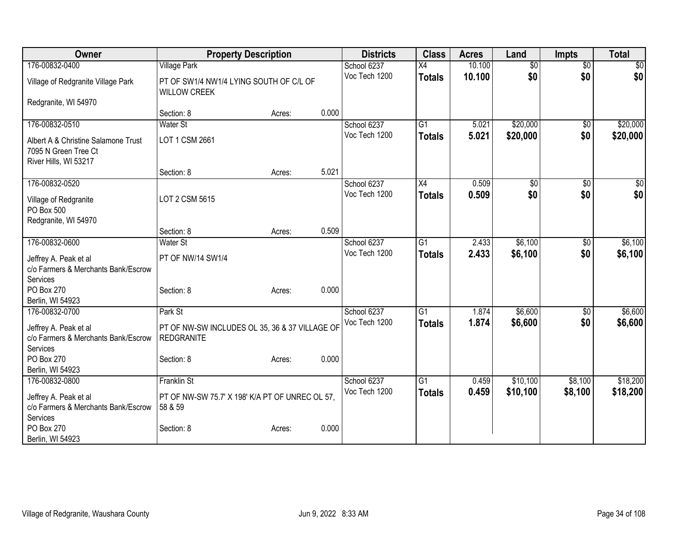| Owner                                                                                | <b>Property Description</b>                                    | <b>Districts</b> | <b>Class</b>    | <b>Acres</b> | Land            | <b>Impts</b>    | <b>Total</b> |
|--------------------------------------------------------------------------------------|----------------------------------------------------------------|------------------|-----------------|--------------|-----------------|-----------------|--------------|
| 176-00832-0400                                                                       | <b>Village Park</b>                                            | School 6237      | $\overline{X4}$ | 10.100       | $\overline{50}$ | $\overline{50}$ | \$0          |
| Village of Redgranite Village Park                                                   | PT OF SW1/4 NW1/4 LYING SOUTH OF C/L OF<br><b>WILLOW CREEK</b> | Voc Tech 1200    | <b>Totals</b>   | 10.100       | \$0             | \$0             | \$0          |
| Redgranite, WI 54970                                                                 |                                                                |                  |                 |              |                 |                 |              |
|                                                                                      | 0.000<br>Section: 8<br>Acres:                                  |                  |                 |              |                 |                 |              |
| 176-00832-0510                                                                       | Water St                                                       | School 6237      | $\overline{G1}$ | 5.021        | \$20,000        | \$0             | \$20,000     |
| Albert A & Christine Salamone Trust<br>7095 N Green Tree Ct<br>River Hills, WI 53217 | LOT 1 CSM 2661                                                 | Voc Tech 1200    | <b>Totals</b>   | 5.021        | \$20,000        | \$0             | \$20,000     |
|                                                                                      | 5.021<br>Section: 8<br>Acres:                                  |                  |                 |              |                 |                 |              |
| 176-00832-0520                                                                       |                                                                | School 6237      | X4              | 0.509        | \$0             | \$0             | $\sqrt{50}$  |
| Village of Redgranite<br>PO Box 500                                                  | LOT 2 CSM 5615                                                 | Voc Tech 1200    | <b>Totals</b>   | 0.509        | \$0             | \$0             | \$0          |
| Redgranite, WI 54970                                                                 |                                                                |                  |                 |              |                 |                 |              |
|                                                                                      | 0.509<br>Section: 8<br>Acres:                                  |                  |                 |              |                 |                 |              |
| 176-00832-0600                                                                       | <b>Water St</b>                                                | School 6237      | $\overline{G1}$ | 2.433        | \$6,100         | $\sqrt[6]{3}$   | \$6,100      |
| Jeffrey A. Peak et al                                                                | PT OF NW/14 SW1/4                                              | Voc Tech 1200    | <b>Totals</b>   | 2.433        | \$6,100         | \$0             | \$6,100      |
| c/o Farmers & Merchants Bank/Escrow                                                  |                                                                |                  |                 |              |                 |                 |              |
| Services                                                                             |                                                                |                  |                 |              |                 |                 |              |
| PO Box 270                                                                           | 0.000<br>Section: 8<br>Acres:                                  |                  |                 |              |                 |                 |              |
| Berlin, WI 54923                                                                     |                                                                |                  |                 |              |                 |                 |              |
| 176-00832-0700                                                                       | Park St                                                        | School 6237      | $\overline{G1}$ | 1.874        | \$6,600         | \$0             | \$6,600      |
| Jeffrey A. Peak et al                                                                | PT OF NW-SW INCLUDES OL 35, 36 & 37 VILLAGE OF                 | Voc Tech 1200    | <b>Totals</b>   | 1.874        | \$6,600         | \$0             | \$6,600      |
| c/o Farmers & Merchants Bank/Escrow                                                  | <b>REDGRANITE</b>                                              |                  |                 |              |                 |                 |              |
| Services                                                                             |                                                                |                  |                 |              |                 |                 |              |
| <b>PO Box 270</b>                                                                    | 0.000<br>Section: 8<br>Acres:                                  |                  |                 |              |                 |                 |              |
| Berlin, WI 54923                                                                     |                                                                |                  |                 |              |                 |                 |              |
| 176-00832-0800                                                                       | <b>Franklin St</b>                                             | School 6237      | $\overline{G1}$ | 0.459        | \$10,100        | \$8,100         | \$18,200     |
| Jeffrey A. Peak et al                                                                | PT OF NW-SW 75.7' X 198' K/A PT OF UNREC OL 57,                | Voc Tech 1200    | <b>Totals</b>   | 0.459        | \$10,100        | \$8,100         | \$18,200     |
| c/o Farmers & Merchants Bank/Escrow                                                  | 58 & 59                                                        |                  |                 |              |                 |                 |              |
| Services                                                                             |                                                                |                  |                 |              |                 |                 |              |
| PO Box 270<br>Berlin, WI 54923                                                       | 0.000<br>Section: 8<br>Acres:                                  |                  |                 |              |                 |                 |              |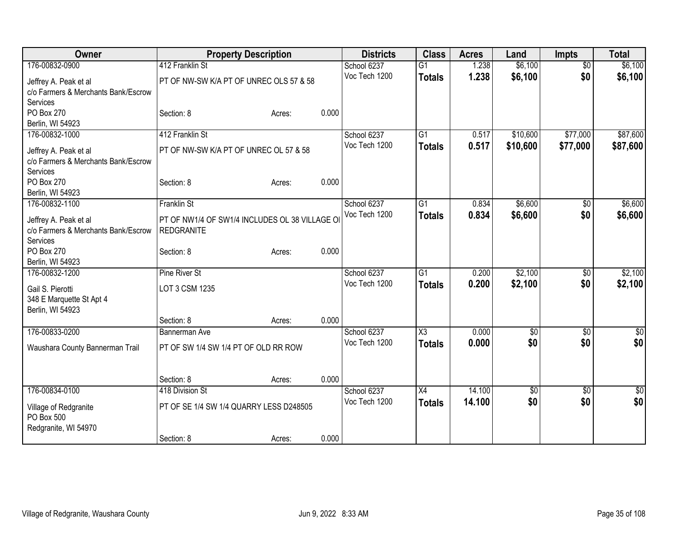| Owner                               | <b>Property Description</b>                   |        |       | <b>Districts</b> | <b>Class</b>        | <b>Acres</b> | Land            | <b>Impts</b>    | <b>Total</b> |
|-------------------------------------|-----------------------------------------------|--------|-------|------------------|---------------------|--------------|-----------------|-----------------|--------------|
| 176-00832-0900                      | 412 Franklin St                               |        |       | School 6237      | $\overline{G1}$     | 1.238        | \$6,100         | $\overline{50}$ | \$6,100      |
| Jeffrey A. Peak et al               | PT OF NW-SW K/A PT OF UNREC OLS 57 & 58       |        |       | Voc Tech 1200    | <b>Totals</b>       | 1.238        | \$6,100         | \$0             | \$6,100      |
| c/o Farmers & Merchants Bank/Escrow |                                               |        |       |                  |                     |              |                 |                 |              |
| Services                            |                                               |        |       |                  |                     |              |                 |                 |              |
| PO Box 270                          | Section: 8                                    | Acres: | 0.000 |                  |                     |              |                 |                 |              |
| Berlin, WI 54923                    |                                               |        |       |                  |                     |              |                 |                 |              |
| 176-00832-1000                      | 412 Franklin St                               |        |       | School 6237      | $\overline{G1}$     | 0.517        | \$10,600        | \$77,000        | \$87,600     |
| Jeffrey A. Peak et al               | PT OF NW-SW K/A PT OF UNREC OL 57 & 58        |        |       | Voc Tech 1200    | <b>Totals</b>       | 0.517        | \$10,600        | \$77,000        | \$87,600     |
| c/o Farmers & Merchants Bank/Escrow |                                               |        |       |                  |                     |              |                 |                 |              |
| Services                            |                                               |        |       |                  |                     |              |                 |                 |              |
| PO Box 270                          | Section: 8                                    | Acres: | 0.000 |                  |                     |              |                 |                 |              |
| Berlin, WI 54923                    |                                               |        |       |                  |                     |              |                 |                 |              |
| 176-00832-1100                      | <b>Franklin St</b>                            |        |       | School 6237      | $\overline{G1}$     | 0.834        | \$6,600         | \$0             | \$6,600      |
| Jeffrey A. Peak et al               | PT OF NW1/4 OF SW1/4 INCLUDES OL 38 VILLAGE O |        |       | Voc Tech 1200    | <b>Totals</b>       | 0.834        | \$6,600         | \$0             | \$6,600      |
| c/o Farmers & Merchants Bank/Escrow | <b>REDGRANITE</b>                             |        |       |                  |                     |              |                 |                 |              |
| Services                            |                                               |        |       |                  |                     |              |                 |                 |              |
| PO Box 270                          | Section: 8                                    | Acres: | 0.000 |                  |                     |              |                 |                 |              |
| Berlin, WI 54923                    |                                               |        |       |                  |                     |              |                 |                 |              |
| 176-00832-1200                      | <b>Pine River St</b>                          |        |       | School 6237      | $\overline{G1}$     | 0.200        | \$2,100         | \$0             | \$2,100      |
| Gail S. Pierotti                    | LOT 3 CSM 1235                                |        |       | Voc Tech 1200    | <b>Totals</b>       | 0.200        | \$2,100         | \$0             | \$2,100      |
| 348 E Marquette St Apt 4            |                                               |        |       |                  |                     |              |                 |                 |              |
| Berlin, WI 54923                    |                                               |        |       |                  |                     |              |                 |                 |              |
|                                     | Section: 8                                    | Acres: | 0.000 |                  |                     |              |                 |                 |              |
| 176-00833-0200                      | Bannerman Ave                                 |        |       | School 6237      | $\overline{\chi_3}$ | 0.000        | $\overline{50}$ | \$0             | \$0          |
| Waushara County Bannerman Trail     | PT OF SW 1/4 SW 1/4 PT OF OLD RR ROW          |        |       | Voc Tech 1200    | <b>Totals</b>       | 0.000        | \$0             | \$0             | \$0          |
|                                     |                                               |        |       |                  |                     |              |                 |                 |              |
|                                     |                                               |        |       |                  |                     |              |                 |                 |              |
|                                     | Section: 8                                    | Acres: | 0.000 |                  |                     |              |                 |                 |              |
| 176-00834-0100                      | 418 Division St                               |        |       | School 6237      | $\overline{X4}$     | 14.100       | $\overline{50}$ | $\frac{1}{20}$  | $\sqrt{50}$  |
|                                     | PT OF SE 1/4 SW 1/4 QUARRY LESS D248505       |        |       | Voc Tech 1200    | <b>Totals</b>       | 14.100       | \$0             | \$0             | \$0          |
| Village of Redgranite<br>PO Box 500 |                                               |        |       |                  |                     |              |                 |                 |              |
| Redgranite, WI 54970                |                                               |        |       |                  |                     |              |                 |                 |              |
|                                     | Section: 8                                    | Acres: | 0.000 |                  |                     |              |                 |                 |              |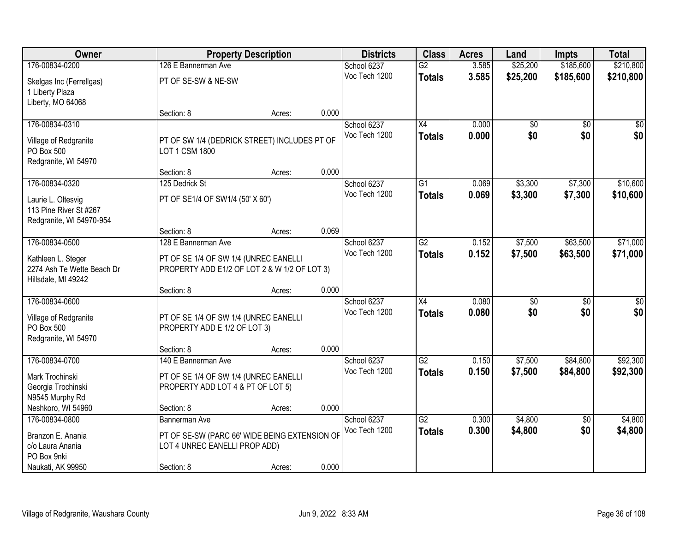| <b>Owner</b>               |                                               | <b>Property Description</b> |       | <b>Districts</b>             | <b>Class</b>    | <b>Acres</b>   | Land               | <b>Impts</b>           | <b>Total</b>         |
|----------------------------|-----------------------------------------------|-----------------------------|-------|------------------------------|-----------------|----------------|--------------------|------------------------|----------------------|
| 176-00834-0200             | 126 E Bannerman Ave                           |                             |       | School 6237                  | $\overline{G2}$ | 3.585          | \$25,200           | \$185,600              | \$210,800            |
| Skelgas Inc (Ferrellgas)   | PT OF SE-SW & NE-SW                           |                             |       | Voc Tech 1200                | <b>Totals</b>   | 3.585          | \$25,200           | \$185,600              | \$210,800            |
| 1 Liberty Plaza            |                                               |                             |       |                              |                 |                |                    |                        |                      |
| Liberty, MO 64068          |                                               |                             |       |                              |                 |                |                    |                        |                      |
|                            | Section: 8                                    | Acres:                      | 0.000 |                              |                 |                |                    |                        |                      |
| 176-00834-0310             |                                               |                             |       | School 6237                  | $\overline{X4}$ | 0.000          | \$0                | \$0                    | \$0                  |
| Village of Redgranite      | PT OF SW 1/4 (DEDRICK STREET) INCLUDES PT OF  |                             |       | Voc Tech 1200                | <b>Totals</b>   | 0.000          | \$0                | \$0                    | \$0                  |
| PO Box 500                 | LOT 1 CSM 1800                                |                             |       |                              |                 |                |                    |                        |                      |
| Redgranite, WI 54970       |                                               |                             |       |                              |                 |                |                    |                        |                      |
|                            | Section: 8                                    | Acres:                      | 0.000 |                              |                 |                |                    |                        |                      |
| 176-00834-0320             | 125 Dedrick St                                |                             |       | School 6237                  | $\overline{G1}$ | 0.069          | \$3,300            | \$7,300                | \$10,600             |
| Laurie L. Oltesvig         | PT OF SE1/4 OF SW1/4 (50' X 60')              |                             |       | Voc Tech 1200                | <b>Totals</b>   | 0.069          | \$3,300            | \$7,300                | \$10,600             |
| 113 Pine River St #267     |                                               |                             |       |                              |                 |                |                    |                        |                      |
| Redgranite, WI 54970-954   |                                               |                             |       |                              |                 |                |                    |                        |                      |
|                            | Section: 8                                    | Acres:                      | 0.069 |                              |                 |                |                    |                        |                      |
| 176-00834-0500             | 128 E Bannerman Ave                           |                             |       | School 6237                  | $\overline{G2}$ | 0.152          | \$7,500            | \$63,500               | \$71,000             |
| Kathleen L. Steger         | PT OF SE 1/4 OF SW 1/4 (UNREC EANELLI         |                             |       | Voc Tech 1200                | <b>Totals</b>   | 0.152          | \$7,500            | \$63,500               | \$71,000             |
| 2274 Ash Te Wette Beach Dr | PROPERTY ADD E1/2 OF LOT 2 & W 1/2 OF LOT 3)  |                             |       |                              |                 |                |                    |                        |                      |
| Hillsdale, MI 49242        |                                               |                             |       |                              |                 |                |                    |                        |                      |
|                            | Section: 8                                    | Acres:                      | 0.000 |                              |                 |                |                    |                        |                      |
| 176-00834-0600             |                                               |                             |       | School 6237                  | $\overline{X4}$ | 0.080          | $\overline{50}$    | $\overline{50}$        | $\overline{50}$      |
| Village of Redgranite      | PT OF SE 1/4 OF SW 1/4 (UNREC EANELLI         |                             |       | Voc Tech 1200                | Totals          | 0.080          | \$0                | \$0                    | \$0                  |
| PO Box 500                 | PROPERTY ADD E 1/2 OF LOT 3)                  |                             |       |                              |                 |                |                    |                        |                      |
| Redgranite, WI 54970       |                                               |                             |       |                              |                 |                |                    |                        |                      |
|                            | Section: 8                                    | Acres:                      | 0.000 |                              |                 |                |                    |                        |                      |
| 176-00834-0700             | 140 E Bannerman Ave                           |                             |       | School 6237<br>Voc Tech 1200 | G2              | 0.150<br>0.150 | \$7,500<br>\$7,500 | \$84,800<br>\$84,800   | \$92,300<br>\$92,300 |
| Mark Trochinski            | PT OF SE 1/4 OF SW 1/4 (UNREC EANELLI         |                             |       |                              | <b>Totals</b>   |                |                    |                        |                      |
| Georgia Trochinski         | PROPERTY ADD LOT 4 & PT OF LOT 5)             |                             |       |                              |                 |                |                    |                        |                      |
| N9545 Murphy Rd            |                                               |                             |       |                              |                 |                |                    |                        |                      |
| Neshkoro, WI 54960         | Section: 8                                    | Acres:                      | 0.000 |                              | G2              |                | \$4,800            |                        |                      |
| 176-00834-0800             | Bannerman Ave                                 |                             |       | School 6237<br>Voc Tech 1200 | <b>Totals</b>   | 0.300<br>0.300 | \$4,800            | $\overline{30}$<br>\$0 | \$4,800<br>\$4,800   |
| Branzon E. Anania          | PT OF SE-SW (PARC 66' WIDE BEING EXTENSION OF |                             |       |                              |                 |                |                    |                        |                      |
| c/o Laura Anania           | LOT 4 UNREC EANELLI PROP ADD)                 |                             |       |                              |                 |                |                    |                        |                      |
| PO Box 9nki                |                                               |                             |       |                              |                 |                |                    |                        |                      |
| Naukati, AK 99950          | Section: 8                                    | Acres:                      | 0.000 |                              |                 |                |                    |                        |                      |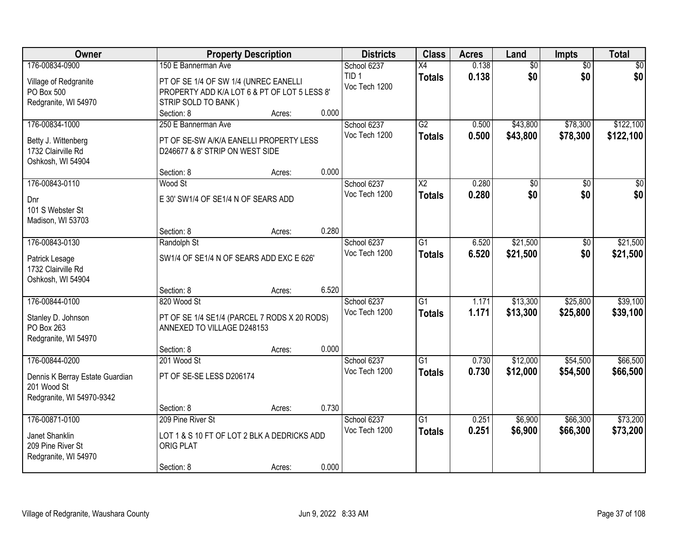| $\overline{30}$<br>176-00834-0900<br>150 E Bannerman Ave<br>0.138<br>$\overline{50}$<br>$\overline{60}$<br>School 6237<br>X4<br>\$0<br>\$0<br>0.138<br>\$0<br>TID <sub>1</sub><br><b>Totals</b><br>PT OF SE 1/4 OF SW 1/4 (UNREC EANELLI<br>Village of Redgranite<br>Voc Tech 1200<br>PROPERTY ADD K/A LOT 6 & PT OF LOT 5 LESS 8'<br>PO Box 500<br>Redgranite, WI 54970<br>STRIP SOLD TO BANK)<br>0.000<br>Section: 8<br>Acres:<br>G2<br>\$122,100<br>176-00834-1000<br>250 E Bannerman Ave<br>School 6237<br>\$43,800<br>\$78,300<br>0.500<br>Voc Tech 1200<br>0.500<br>\$43,800<br>\$78,300<br>\$122,100<br><b>Totals</b><br>Betty J. Wittenberg<br>PT OF SE-SW A/K/A EANELLI PROPERTY LESS<br>1732 Clairville Rd<br>D246677 & 8' STRIP ON WEST SIDE<br>Oshkosh, WI 54904<br>0.000<br>Section: 8<br>Acres:<br>$\overline{30}$<br>176-00843-0110<br>School 6237<br>X <sub>2</sub><br>0.280<br>\$0<br>Wood St<br>\$0<br>\$0<br>\$0<br>\$0 <br>Voc Tech 1200<br>0.280<br><b>Totals</b><br>E 30' SW1/4 OF SE1/4 N OF SEARS ADD<br>Dnr<br>101 S Webster St<br>Madison, WI 53703<br>0.280<br>Section: 8<br>Acres:<br>\$21,500<br>\$21,500<br>176-00843-0130<br>School 6237<br>$\overline{G1}$<br>6.520<br>Randolph St<br>$\sqrt[6]{3}$<br>Voc Tech 1200<br>6.520<br>\$0<br>\$21,500<br>\$21,500<br><b>Totals</b><br>SW1/4 OF SE1/4 N OF SEARS ADD EXC E 626'<br>Patrick Lesage<br>1732 Clairville Rd<br>Oshkosh, WI 54904<br>6.520<br>Section: 8<br>Acres:<br>\$25,800<br>\$39,100<br>176-00844-0100<br>820 Wood St<br>$\overline{G1}$<br>\$13,300<br>School 6237<br>1.171<br>1.171<br>\$13,300<br>\$25,800<br>Voc Tech 1200<br><b>Totals</b><br>\$39,100<br>Stanley D. Johnson<br>PT OF SE 1/4 SE1/4 (PARCEL 7 RODS X 20 RODS)<br>PO Box 263<br>ANNEXED TO VILLAGE D248153<br>Redgranite, WI 54970<br>0.000<br>Section: 8<br>Acres:<br>$\overline{G1}$<br>\$12,000<br>\$54,500<br>\$66,500<br>176-00844-0200<br>201 Wood St<br>School 6237<br>0.730<br>Voc Tech 1200<br>0.730<br>\$12,000<br>\$54,500<br>\$66,500<br><b>Totals</b><br>PT OF SE-SE LESS D206174<br>Dennis K Berray Estate Guardian<br>201 Wood St<br>Redgranite, WI 54970-9342<br>0.730<br>Section: 8<br>Acres: |
|------------------------------------------------------------------------------------------------------------------------------------------------------------------------------------------------------------------------------------------------------------------------------------------------------------------------------------------------------------------------------------------------------------------------------------------------------------------------------------------------------------------------------------------------------------------------------------------------------------------------------------------------------------------------------------------------------------------------------------------------------------------------------------------------------------------------------------------------------------------------------------------------------------------------------------------------------------------------------------------------------------------------------------------------------------------------------------------------------------------------------------------------------------------------------------------------------------------------------------------------------------------------------------------------------------------------------------------------------------------------------------------------------------------------------------------------------------------------------------------------------------------------------------------------------------------------------------------------------------------------------------------------------------------------------------------------------------------------------------------------------------------------------------------------------------------------------------------------------------------------------------------------------------------------------------------------------------------------------------------------------------------------------------------------------------------------------------------------------------------------------------------------------------------------------|
|                                                                                                                                                                                                                                                                                                                                                                                                                                                                                                                                                                                                                                                                                                                                                                                                                                                                                                                                                                                                                                                                                                                                                                                                                                                                                                                                                                                                                                                                                                                                                                                                                                                                                                                                                                                                                                                                                                                                                                                                                                                                                                                                                                              |
|                                                                                                                                                                                                                                                                                                                                                                                                                                                                                                                                                                                                                                                                                                                                                                                                                                                                                                                                                                                                                                                                                                                                                                                                                                                                                                                                                                                                                                                                                                                                                                                                                                                                                                                                                                                                                                                                                                                                                                                                                                                                                                                                                                              |
|                                                                                                                                                                                                                                                                                                                                                                                                                                                                                                                                                                                                                                                                                                                                                                                                                                                                                                                                                                                                                                                                                                                                                                                                                                                                                                                                                                                                                                                                                                                                                                                                                                                                                                                                                                                                                                                                                                                                                                                                                                                                                                                                                                              |
|                                                                                                                                                                                                                                                                                                                                                                                                                                                                                                                                                                                                                                                                                                                                                                                                                                                                                                                                                                                                                                                                                                                                                                                                                                                                                                                                                                                                                                                                                                                                                                                                                                                                                                                                                                                                                                                                                                                                                                                                                                                                                                                                                                              |
|                                                                                                                                                                                                                                                                                                                                                                                                                                                                                                                                                                                                                                                                                                                                                                                                                                                                                                                                                                                                                                                                                                                                                                                                                                                                                                                                                                                                                                                                                                                                                                                                                                                                                                                                                                                                                                                                                                                                                                                                                                                                                                                                                                              |
|                                                                                                                                                                                                                                                                                                                                                                                                                                                                                                                                                                                                                                                                                                                                                                                                                                                                                                                                                                                                                                                                                                                                                                                                                                                                                                                                                                                                                                                                                                                                                                                                                                                                                                                                                                                                                                                                                                                                                                                                                                                                                                                                                                              |
|                                                                                                                                                                                                                                                                                                                                                                                                                                                                                                                                                                                                                                                                                                                                                                                                                                                                                                                                                                                                                                                                                                                                                                                                                                                                                                                                                                                                                                                                                                                                                                                                                                                                                                                                                                                                                                                                                                                                                                                                                                                                                                                                                                              |
|                                                                                                                                                                                                                                                                                                                                                                                                                                                                                                                                                                                                                                                                                                                                                                                                                                                                                                                                                                                                                                                                                                                                                                                                                                                                                                                                                                                                                                                                                                                                                                                                                                                                                                                                                                                                                                                                                                                                                                                                                                                                                                                                                                              |
|                                                                                                                                                                                                                                                                                                                                                                                                                                                                                                                                                                                                                                                                                                                                                                                                                                                                                                                                                                                                                                                                                                                                                                                                                                                                                                                                                                                                                                                                                                                                                                                                                                                                                                                                                                                                                                                                                                                                                                                                                                                                                                                                                                              |
|                                                                                                                                                                                                                                                                                                                                                                                                                                                                                                                                                                                                                                                                                                                                                                                                                                                                                                                                                                                                                                                                                                                                                                                                                                                                                                                                                                                                                                                                                                                                                                                                                                                                                                                                                                                                                                                                                                                                                                                                                                                                                                                                                                              |
|                                                                                                                                                                                                                                                                                                                                                                                                                                                                                                                                                                                                                                                                                                                                                                                                                                                                                                                                                                                                                                                                                                                                                                                                                                                                                                                                                                                                                                                                                                                                                                                                                                                                                                                                                                                                                                                                                                                                                                                                                                                                                                                                                                              |
|                                                                                                                                                                                                                                                                                                                                                                                                                                                                                                                                                                                                                                                                                                                                                                                                                                                                                                                                                                                                                                                                                                                                                                                                                                                                                                                                                                                                                                                                                                                                                                                                                                                                                                                                                                                                                                                                                                                                                                                                                                                                                                                                                                              |
|                                                                                                                                                                                                                                                                                                                                                                                                                                                                                                                                                                                                                                                                                                                                                                                                                                                                                                                                                                                                                                                                                                                                                                                                                                                                                                                                                                                                                                                                                                                                                                                                                                                                                                                                                                                                                                                                                                                                                                                                                                                                                                                                                                              |
|                                                                                                                                                                                                                                                                                                                                                                                                                                                                                                                                                                                                                                                                                                                                                                                                                                                                                                                                                                                                                                                                                                                                                                                                                                                                                                                                                                                                                                                                                                                                                                                                                                                                                                                                                                                                                                                                                                                                                                                                                                                                                                                                                                              |
|                                                                                                                                                                                                                                                                                                                                                                                                                                                                                                                                                                                                                                                                                                                                                                                                                                                                                                                                                                                                                                                                                                                                                                                                                                                                                                                                                                                                                                                                                                                                                                                                                                                                                                                                                                                                                                                                                                                                                                                                                                                                                                                                                                              |
|                                                                                                                                                                                                                                                                                                                                                                                                                                                                                                                                                                                                                                                                                                                                                                                                                                                                                                                                                                                                                                                                                                                                                                                                                                                                                                                                                                                                                                                                                                                                                                                                                                                                                                                                                                                                                                                                                                                                                                                                                                                                                                                                                                              |
|                                                                                                                                                                                                                                                                                                                                                                                                                                                                                                                                                                                                                                                                                                                                                                                                                                                                                                                                                                                                                                                                                                                                                                                                                                                                                                                                                                                                                                                                                                                                                                                                                                                                                                                                                                                                                                                                                                                                                                                                                                                                                                                                                                              |
|                                                                                                                                                                                                                                                                                                                                                                                                                                                                                                                                                                                                                                                                                                                                                                                                                                                                                                                                                                                                                                                                                                                                                                                                                                                                                                                                                                                                                                                                                                                                                                                                                                                                                                                                                                                                                                                                                                                                                                                                                                                                                                                                                                              |
|                                                                                                                                                                                                                                                                                                                                                                                                                                                                                                                                                                                                                                                                                                                                                                                                                                                                                                                                                                                                                                                                                                                                                                                                                                                                                                                                                                                                                                                                                                                                                                                                                                                                                                                                                                                                                                                                                                                                                                                                                                                                                                                                                                              |
|                                                                                                                                                                                                                                                                                                                                                                                                                                                                                                                                                                                                                                                                                                                                                                                                                                                                                                                                                                                                                                                                                                                                                                                                                                                                                                                                                                                                                                                                                                                                                                                                                                                                                                                                                                                                                                                                                                                                                                                                                                                                                                                                                                              |
|                                                                                                                                                                                                                                                                                                                                                                                                                                                                                                                                                                                                                                                                                                                                                                                                                                                                                                                                                                                                                                                                                                                                                                                                                                                                                                                                                                                                                                                                                                                                                                                                                                                                                                                                                                                                                                                                                                                                                                                                                                                                                                                                                                              |
|                                                                                                                                                                                                                                                                                                                                                                                                                                                                                                                                                                                                                                                                                                                                                                                                                                                                                                                                                                                                                                                                                                                                                                                                                                                                                                                                                                                                                                                                                                                                                                                                                                                                                                                                                                                                                                                                                                                                                                                                                                                                                                                                                                              |
|                                                                                                                                                                                                                                                                                                                                                                                                                                                                                                                                                                                                                                                                                                                                                                                                                                                                                                                                                                                                                                                                                                                                                                                                                                                                                                                                                                                                                                                                                                                                                                                                                                                                                                                                                                                                                                                                                                                                                                                                                                                                                                                                                                              |
|                                                                                                                                                                                                                                                                                                                                                                                                                                                                                                                                                                                                                                                                                                                                                                                                                                                                                                                                                                                                                                                                                                                                                                                                                                                                                                                                                                                                                                                                                                                                                                                                                                                                                                                                                                                                                                                                                                                                                                                                                                                                                                                                                                              |
|                                                                                                                                                                                                                                                                                                                                                                                                                                                                                                                                                                                                                                                                                                                                                                                                                                                                                                                                                                                                                                                                                                                                                                                                                                                                                                                                                                                                                                                                                                                                                                                                                                                                                                                                                                                                                                                                                                                                                                                                                                                                                                                                                                              |
|                                                                                                                                                                                                                                                                                                                                                                                                                                                                                                                                                                                                                                                                                                                                                                                                                                                                                                                                                                                                                                                                                                                                                                                                                                                                                                                                                                                                                                                                                                                                                                                                                                                                                                                                                                                                                                                                                                                                                                                                                                                                                                                                                                              |
|                                                                                                                                                                                                                                                                                                                                                                                                                                                                                                                                                                                                                                                                                                                                                                                                                                                                                                                                                                                                                                                                                                                                                                                                                                                                                                                                                                                                                                                                                                                                                                                                                                                                                                                                                                                                                                                                                                                                                                                                                                                                                                                                                                              |
|                                                                                                                                                                                                                                                                                                                                                                                                                                                                                                                                                                                                                                                                                                                                                                                                                                                                                                                                                                                                                                                                                                                                                                                                                                                                                                                                                                                                                                                                                                                                                                                                                                                                                                                                                                                                                                                                                                                                                                                                                                                                                                                                                                              |
|                                                                                                                                                                                                                                                                                                                                                                                                                                                                                                                                                                                                                                                                                                                                                                                                                                                                                                                                                                                                                                                                                                                                                                                                                                                                                                                                                                                                                                                                                                                                                                                                                                                                                                                                                                                                                                                                                                                                                                                                                                                                                                                                                                              |
|                                                                                                                                                                                                                                                                                                                                                                                                                                                                                                                                                                                                                                                                                                                                                                                                                                                                                                                                                                                                                                                                                                                                                                                                                                                                                                                                                                                                                                                                                                                                                                                                                                                                                                                                                                                                                                                                                                                                                                                                                                                                                                                                                                              |
|                                                                                                                                                                                                                                                                                                                                                                                                                                                                                                                                                                                                                                                                                                                                                                                                                                                                                                                                                                                                                                                                                                                                                                                                                                                                                                                                                                                                                                                                                                                                                                                                                                                                                                                                                                                                                                                                                                                                                                                                                                                                                                                                                                              |
| 209 Pine River St<br>\$73,200<br>176-00871-0100<br>School 6237<br>\$6,900<br>\$66,300<br>G1<br>0.251                                                                                                                                                                                                                                                                                                                                                                                                                                                                                                                                                                                                                                                                                                                                                                                                                                                                                                                                                                                                                                                                                                                                                                                                                                                                                                                                                                                                                                                                                                                                                                                                                                                                                                                                                                                                                                                                                                                                                                                                                                                                         |
| 0.251<br>\$6,900<br>\$66,300<br>Voc Tech 1200<br>\$73,200<br><b>Totals</b>                                                                                                                                                                                                                                                                                                                                                                                                                                                                                                                                                                                                                                                                                                                                                                                                                                                                                                                                                                                                                                                                                                                                                                                                                                                                                                                                                                                                                                                                                                                                                                                                                                                                                                                                                                                                                                                                                                                                                                                                                                                                                                   |
| Janet Shanklin<br>LOT 1 & S 10 FT OF LOT 2 BLK A DEDRICKS ADD<br>209 Pine River St<br><b>ORIG PLAT</b>                                                                                                                                                                                                                                                                                                                                                                                                                                                                                                                                                                                                                                                                                                                                                                                                                                                                                                                                                                                                                                                                                                                                                                                                                                                                                                                                                                                                                                                                                                                                                                                                                                                                                                                                                                                                                                                                                                                                                                                                                                                                       |
| Redgranite, WI 54970                                                                                                                                                                                                                                                                                                                                                                                                                                                                                                                                                                                                                                                                                                                                                                                                                                                                                                                                                                                                                                                                                                                                                                                                                                                                                                                                                                                                                                                                                                                                                                                                                                                                                                                                                                                                                                                                                                                                                                                                                                                                                                                                                         |
| 0.000<br>Section: 8<br>Acres:                                                                                                                                                                                                                                                                                                                                                                                                                                                                                                                                                                                                                                                                                                                                                                                                                                                                                                                                                                                                                                                                                                                                                                                                                                                                                                                                                                                                                                                                                                                                                                                                                                                                                                                                                                                                                                                                                                                                                                                                                                                                                                                                                |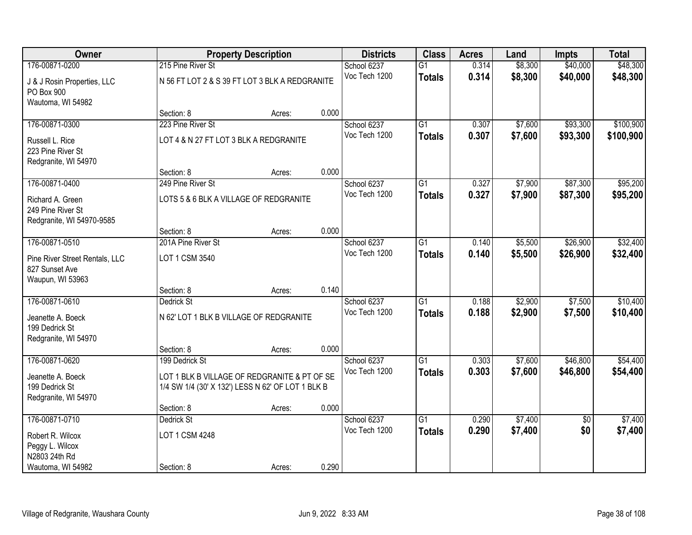| Owner                                                                |                                                   | <b>Property Description</b> |       | <b>Districts</b> | <b>Class</b>    | <b>Acres</b> | Land    | <b>Impts</b>    | <b>Total</b> |
|----------------------------------------------------------------------|---------------------------------------------------|-----------------------------|-------|------------------|-----------------|--------------|---------|-----------------|--------------|
| 176-00871-0200                                                       | 215 Pine River St                                 |                             |       | School 6237      | $\overline{G1}$ | 0.314        | \$8,300 | \$40,000        | \$48,300     |
| J & J Rosin Properties, LLC<br>PO Box 900                            | N 56 FT LOT 2 & S 39 FT LOT 3 BLK A REDGRANITE    |                             |       | Voc Tech 1200    | <b>Totals</b>   | 0.314        | \$8,300 | \$40,000        | \$48,300     |
| Wautoma, WI 54982                                                    |                                                   |                             |       |                  |                 |              |         |                 |              |
|                                                                      | Section: 8                                        | Acres:                      | 0.000 |                  |                 |              |         |                 |              |
| 176-00871-0300                                                       | 223 Pine River St                                 |                             |       | School 6237      | $\overline{G1}$ | 0.307        | \$7,600 | \$93,300        | \$100,900    |
| Russell L. Rice<br>223 Pine River St<br>Redgranite, WI 54970         | LOT 4 & N 27 FT LOT 3 BLK A REDGRANITE            |                             |       | Voc Tech 1200    | <b>Totals</b>   | 0.307        | \$7,600 | \$93,300        | \$100,900    |
|                                                                      | Section: 8                                        | Acres:                      | 0.000 |                  |                 |              |         |                 |              |
| 176-00871-0400                                                       | 249 Pine River St                                 |                             |       | School 6237      | G1              | 0.327        | \$7,900 | \$87,300        | \$95,200     |
| Richard A. Green<br>249 Pine River St                                | LOTS 5 & 6 BLK A VILLAGE OF REDGRANITE            |                             |       | Voc Tech 1200    | <b>Totals</b>   | 0.327        | \$7,900 | \$87,300        | \$95,200     |
| Redgranite, WI 54970-9585                                            |                                                   |                             |       |                  |                 |              |         |                 |              |
| 176-00871-0510                                                       | Section: 8<br>201A Pine River St                  | Acres:                      | 0.000 | School 6237      | G1              | 0.140        | \$5,500 | \$26,900        | \$32,400     |
|                                                                      |                                                   |                             |       | Voc Tech 1200    | <b>Totals</b>   | 0.140        | \$5,500 | \$26,900        | \$32,400     |
| Pine River Street Rentals, LLC<br>827 Sunset Ave<br>Waupun, WI 53963 | LOT 1 CSM 3540                                    |                             |       |                  |                 |              |         |                 |              |
|                                                                      | Section: 8                                        | Acres:                      | 0.140 |                  |                 |              |         |                 |              |
| 176-00871-0610                                                       | Dedrick St                                        |                             |       | School 6237      | $\overline{G1}$ | 0.188        | \$2,900 | \$7,500         | \$10,400     |
| Jeanette A. Boeck                                                    | N 62' LOT 1 BLK B VILLAGE OF REDGRANITE           |                             |       | Voc Tech 1200    | <b>Totals</b>   | 0.188        | \$2,900 | \$7,500         | \$10,400     |
| 199 Dedrick St                                                       |                                                   |                             |       |                  |                 |              |         |                 |              |
| Redgranite, WI 54970                                                 |                                                   |                             |       |                  |                 |              |         |                 |              |
|                                                                      | Section: 8                                        | Acres:                      | 0.000 |                  |                 |              |         |                 |              |
| 176-00871-0620                                                       | 199 Dedrick St                                    |                             |       | School 6237      | $\overline{G1}$ | 0.303        | \$7,600 | \$46,800        | \$54,400     |
| Jeanette A. Boeck                                                    | LOT 1 BLK B VILLAGE OF REDGRANITE & PT OF SE      |                             |       | Voc Tech 1200    | <b>Totals</b>   | 0.303        | \$7,600 | \$46,800        | \$54,400     |
| 199 Dedrick St                                                       | 1/4 SW 1/4 (30' X 132') LESS N 62' OF LOT 1 BLK B |                             |       |                  |                 |              |         |                 |              |
| Redgranite, WI 54970                                                 |                                                   |                             |       |                  |                 |              |         |                 |              |
|                                                                      | Section: 8                                        | Acres:                      | 0.000 |                  |                 |              |         |                 |              |
| 176-00871-0710                                                       | Dedrick St                                        |                             |       | School 6237      | $\overline{G1}$ | 0.290        | \$7,400 | $\overline{50}$ | \$7,400      |
| Robert R. Wilcox                                                     | LOT 1 CSM 4248                                    |                             |       | Voc Tech 1200    | <b>Totals</b>   | 0.290        | \$7,400 | \$0             | \$7,400      |
| Peggy L. Wilcox                                                      |                                                   |                             |       |                  |                 |              |         |                 |              |
| N2803 24th Rd                                                        |                                                   |                             |       |                  |                 |              |         |                 |              |
| Wautoma, WI 54982                                                    | Section: 8                                        | Acres:                      | 0.290 |                  |                 |              |         |                 |              |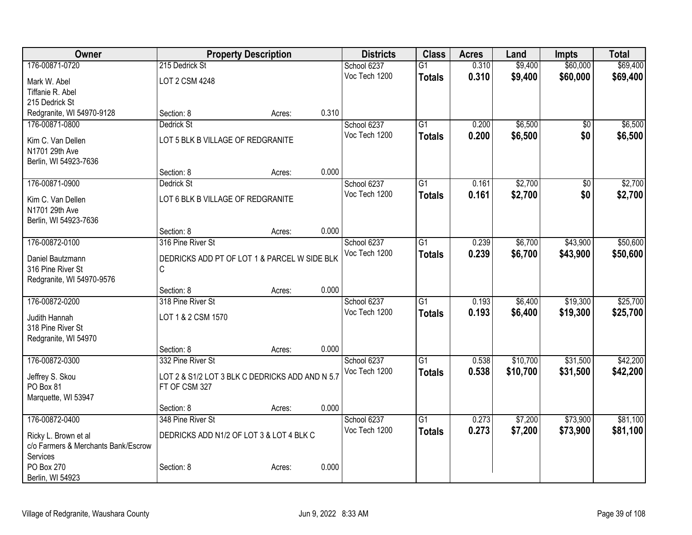| <b>Owner</b>                        | <b>Property Description</b>                     |        |       | <b>Districts</b> | <b>Class</b>    | <b>Acres</b> | Land     | <b>Impts</b>    | <b>Total</b> |
|-------------------------------------|-------------------------------------------------|--------|-------|------------------|-----------------|--------------|----------|-----------------|--------------|
| 176-00871-0720                      | 215 Dedrick St                                  |        |       | School 6237      | $\overline{G1}$ | 0.310        | \$9,400  | \$60,000        | \$69,400     |
| Mark W. Abel                        | LOT 2 CSM 4248                                  |        |       | Voc Tech 1200    | <b>Totals</b>   | 0.310        | \$9,400  | \$60,000        | \$69,400     |
| Tiffanie R. Abel                    |                                                 |        |       |                  |                 |              |          |                 |              |
| 215 Dedrick St                      |                                                 |        |       |                  |                 |              |          |                 |              |
| Redgranite, WI 54970-9128           | Section: 8                                      | Acres: | 0.310 |                  |                 |              |          |                 |              |
| 176-00871-0800                      | Dedrick St                                      |        |       | School 6237      | G1              | 0.200        | \$6,500  | \$0             | \$6,500      |
| Kim C. Van Dellen                   | LOT 5 BLK B VILLAGE OF REDGRANITE               |        |       | Voc Tech 1200    | <b>Totals</b>   | 0.200        | \$6,500  | \$0             | \$6,500      |
| N1701 29th Ave                      |                                                 |        |       |                  |                 |              |          |                 |              |
| Berlin, WI 54923-7636               |                                                 |        |       |                  |                 |              |          |                 |              |
|                                     | Section: 8                                      | Acres: | 0.000 |                  |                 |              |          |                 |              |
| 176-00871-0900                      | Dedrick St                                      |        |       | School 6237      | $\overline{G1}$ | 0.161        | \$2,700  | $\overline{50}$ | \$2,700      |
| Kim C. Van Dellen                   | LOT 6 BLK B VILLAGE OF REDGRANITE               |        |       | Voc Tech 1200    | <b>Totals</b>   | 0.161        | \$2,700  | \$0             | \$2,700      |
| N1701 29th Ave                      |                                                 |        |       |                  |                 |              |          |                 |              |
| Berlin, WI 54923-7636               |                                                 |        |       |                  |                 |              |          |                 |              |
|                                     | Section: 8                                      | Acres: | 0.000 |                  |                 |              |          |                 |              |
| 176-00872-0100                      | 316 Pine River St                               |        |       | School 6237      | $\overline{G1}$ | 0.239        | \$6,700  | \$43,900        | \$50,600     |
| Daniel Bautzmann                    | DEDRICKS ADD PT OF LOT 1 & PARCEL W SIDE BLK    |        |       | Voc Tech 1200    | <b>Totals</b>   | 0.239        | \$6,700  | \$43,900        | \$50,600     |
| 316 Pine River St                   | C                                               |        |       |                  |                 |              |          |                 |              |
| Redgranite, WI 54970-9576           |                                                 |        |       |                  |                 |              |          |                 |              |
|                                     | Section: 8                                      | Acres: | 0.000 |                  |                 |              |          |                 |              |
| 176-00872-0200                      | 318 Pine River St                               |        |       | School 6237      | $\overline{G1}$ | 0.193        | \$6,400  | \$19,300        | \$25,700     |
| Judith Hannah                       | LOT 1 & 2 CSM 1570                              |        |       | Voc Tech 1200    | <b>Totals</b>   | 0.193        | \$6,400  | \$19,300        | \$25,700     |
| 318 Pine River St                   |                                                 |        |       |                  |                 |              |          |                 |              |
| Redgranite, WI 54970                |                                                 |        |       |                  |                 |              |          |                 |              |
|                                     | Section: 8                                      | Acres: | 0.000 |                  |                 |              |          |                 |              |
| 176-00872-0300                      | 332 Pine River St                               |        |       | School 6237      | $\overline{G1}$ | 0.538        | \$10,700 | \$31,500        | \$42,200     |
| Jeffrey S. Skou                     | LOT 2 & S1/2 LOT 3 BLK C DEDRICKS ADD AND N 5.7 |        |       | Voc Tech 1200    | <b>Totals</b>   | 0.538        | \$10,700 | \$31,500        | \$42,200     |
| PO Box 81                           | FT OF CSM 327                                   |        |       |                  |                 |              |          |                 |              |
| Marquette, WI 53947                 |                                                 |        |       |                  |                 |              |          |                 |              |
|                                     | Section: 8                                      | Acres: | 0.000 |                  |                 |              |          |                 |              |
| 176-00872-0400                      | 348 Pine River St                               |        |       | School 6237      | $\overline{G1}$ | 0.273        | \$7,200  | \$73,900        | \$81,100     |
| Ricky L. Brown et al                | DEDRICKS ADD N1/2 OF LOT 3 & LOT 4 BLK C        |        |       | Voc Tech 1200    | <b>Totals</b>   | 0.273        | \$7,200  | \$73,900        | \$81,100     |
| c/o Farmers & Merchants Bank/Escrow |                                                 |        |       |                  |                 |              |          |                 |              |
| Services                            |                                                 |        |       |                  |                 |              |          |                 |              |
| PO Box 270                          | Section: 8                                      | Acres: | 0.000 |                  |                 |              |          |                 |              |
| Berlin, WI 54923                    |                                                 |        |       |                  |                 |              |          |                 |              |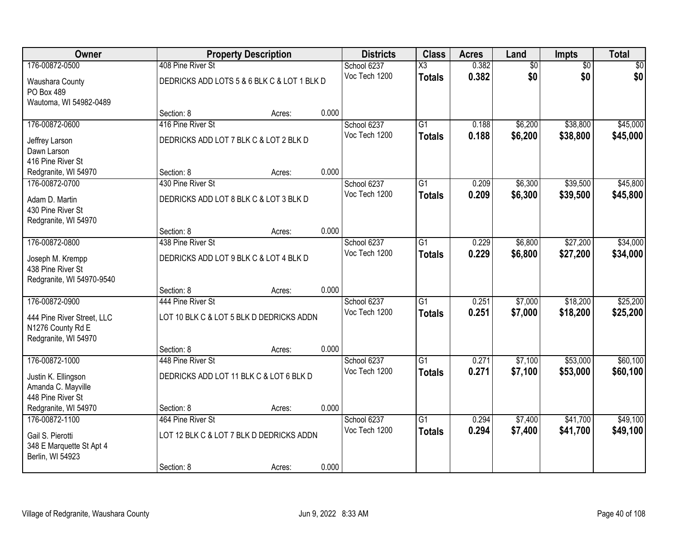| Owner                      |                                             | <b>Property Description</b> |       | <b>Districts</b> | <b>Class</b>           | <b>Acres</b> | Land            | <b>Impts</b>    | <b>Total</b>    |
|----------------------------|---------------------------------------------|-----------------------------|-------|------------------|------------------------|--------------|-----------------|-----------------|-----------------|
| 176-00872-0500             | 408 Pine River St                           |                             |       | School 6237      | $\overline{\text{X3}}$ | 0.382        | $\overline{60}$ | $\overline{50}$ | $\overline{50}$ |
| Waushara County            | DEDRICKS ADD LOTS 5 & 6 BLK C & LOT 1 BLK D |                             |       | Voc Tech 1200    | <b>Totals</b>          | 0.382        | \$0             | \$0             | \$0             |
| PO Box 489                 |                                             |                             |       |                  |                        |              |                 |                 |                 |
| Wautoma, WI 54982-0489     |                                             |                             |       |                  |                        |              |                 |                 |                 |
|                            | Section: 8                                  | Acres:                      | 0.000 |                  |                        |              |                 |                 |                 |
| 176-00872-0600             | 416 Pine River St                           |                             |       | School 6237      | $\overline{G1}$        | 0.188        | \$6,200         | \$38,800        | \$45,000        |
| Jeffrey Larson             | DEDRICKS ADD LOT 7 BLK C & LOT 2 BLK D      |                             |       | Voc Tech 1200    | <b>Totals</b>          | 0.188        | \$6,200         | \$38,800        | \$45,000        |
| Dawn Larson                |                                             |                             |       |                  |                        |              |                 |                 |                 |
| 416 Pine River St          |                                             |                             |       |                  |                        |              |                 |                 |                 |
| Redgranite, WI 54970       | Section: 8                                  | Acres:                      | 0.000 |                  |                        |              |                 |                 |                 |
| 176-00872-0700             | 430 Pine River St                           |                             |       | School 6237      | $\overline{G1}$        | 0.209        | \$6,300         | \$39,500        | \$45,800        |
| Adam D. Martin             | DEDRICKS ADD LOT 8 BLK C & LOT 3 BLK D      |                             |       | Voc Tech 1200    | <b>Totals</b>          | 0.209        | \$6,300         | \$39,500        | \$45,800        |
| 430 Pine River St          |                                             |                             |       |                  |                        |              |                 |                 |                 |
| Redgranite, WI 54970       |                                             |                             |       |                  |                        |              |                 |                 |                 |
|                            | Section: 8                                  | Acres:                      | 0.000 |                  |                        |              |                 |                 |                 |
| 176-00872-0800             | 438 Pine River St                           |                             |       | School 6237      | $\overline{G1}$        | 0.229        | \$6,800         | \$27,200        | \$34,000        |
| Joseph M. Krempp           | DEDRICKS ADD LOT 9 BLK C & LOT 4 BLK D      |                             |       | Voc Tech 1200    | <b>Totals</b>          | 0.229        | \$6,800         | \$27,200        | \$34,000        |
| 438 Pine River St          |                                             |                             |       |                  |                        |              |                 |                 |                 |
| Redgranite, WI 54970-9540  |                                             |                             |       |                  |                        |              |                 |                 |                 |
|                            | Section: 8                                  | Acres:                      | 0.000 |                  |                        |              |                 |                 |                 |
| 176-00872-0900             | 444 Pine River St                           |                             |       | School 6237      | $\overline{G1}$        | 0.251        | \$7,000         | \$18,200        | \$25,200        |
| 444 Pine River Street, LLC | LOT 10 BLK C & LOT 5 BLK D DEDRICKS ADDN    |                             |       | Voc Tech 1200    | <b>Totals</b>          | 0.251        | \$7,000         | \$18,200        | \$25,200        |
| N1276 County Rd E          |                                             |                             |       |                  |                        |              |                 |                 |                 |
| Redgranite, WI 54970       |                                             |                             |       |                  |                        |              |                 |                 |                 |
|                            | Section: 8                                  | Acres:                      | 0.000 |                  |                        |              |                 |                 |                 |
| 176-00872-1000             | 448 Pine River St                           |                             |       | School 6237      | $\overline{G1}$        | 0.271        | \$7,100         | \$53,000        | \$60,100        |
| Justin K. Ellingson        | DEDRICKS ADD LOT 11 BLK C & LOT 6 BLK D     |                             |       | Voc Tech 1200    | <b>Totals</b>          | 0.271        | \$7,100         | \$53,000        | \$60,100        |
| Amanda C. Mayville         |                                             |                             |       |                  |                        |              |                 |                 |                 |
| 448 Pine River St          |                                             |                             |       |                  |                        |              |                 |                 |                 |
| Redgranite, WI 54970       | Section: 8                                  | Acres:                      | 0.000 |                  |                        |              |                 |                 |                 |
| 176-00872-1100             | 464 Pine River St                           |                             |       | School 6237      | $\overline{G1}$        | 0.294        | \$7,400         | \$41,700        | \$49,100        |
| Gail S. Pierotti           | LOT 12 BLK C & LOT 7 BLK D DEDRICKS ADDN    |                             |       | Voc Tech 1200    | <b>Totals</b>          | 0.294        | \$7,400         | \$41,700        | \$49,100        |
| 348 E Marquette St Apt 4   |                                             |                             |       |                  |                        |              |                 |                 |                 |
| Berlin, WI 54923           |                                             |                             |       |                  |                        |              |                 |                 |                 |
|                            | Section: 8                                  | Acres:                      | 0.000 |                  |                        |              |                 |                 |                 |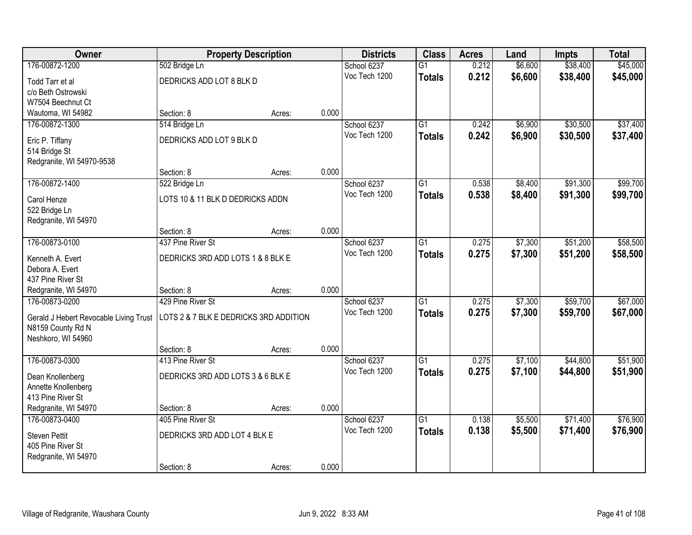| Owner                                  |                                        | <b>Property Description</b> |       | <b>Districts</b> | <b>Class</b>    | <b>Acres</b> | Land    | <b>Impts</b> | <b>Total</b> |
|----------------------------------------|----------------------------------------|-----------------------------|-------|------------------|-----------------|--------------|---------|--------------|--------------|
| 176-00872-1200                         | 502 Bridge Ln                          |                             |       | School 6237      | $\overline{G1}$ | 0.212        | \$6,600 | \$38,400     | \$45,000     |
| Todd Tarr et al                        | DEDRICKS ADD LOT 8 BLK D               |                             |       | Voc Tech 1200    | <b>Totals</b>   | 0.212        | \$6,600 | \$38,400     | \$45,000     |
| c/o Beth Ostrowski                     |                                        |                             |       |                  |                 |              |         |              |              |
| W7504 Beechnut Ct                      |                                        |                             |       |                  |                 |              |         |              |              |
| Wautoma, WI 54982                      | Section: 8                             | Acres:                      | 0.000 |                  |                 |              |         |              |              |
| 176-00872-1300                         | 514 Bridge Ln                          |                             |       | School 6237      | $\overline{G1}$ | 0.242        | \$6,900 | \$30,500     | \$37,400     |
| Eric P. Tiffany                        | DEDRICKS ADD LOT 9 BLK D               |                             |       | Voc Tech 1200    | <b>Totals</b>   | 0.242        | \$6,900 | \$30,500     | \$37,400     |
| 514 Bridge St                          |                                        |                             |       |                  |                 |              |         |              |              |
| Redgranite, WI 54970-9538              |                                        |                             |       |                  |                 |              |         |              |              |
|                                        | Section: 8                             | Acres:                      | 0.000 |                  |                 |              |         |              |              |
| 176-00872-1400                         | 522 Bridge Ln                          |                             |       | School 6237      | $\overline{G1}$ | 0.538        | \$8,400 | \$91,300     | \$99,700     |
| Carol Henze                            | LOTS 10 & 11 BLK D DEDRICKS ADDN       |                             |       | Voc Tech 1200    | <b>Totals</b>   | 0.538        | \$8,400 | \$91,300     | \$99,700     |
| 522 Bridge Ln                          |                                        |                             |       |                  |                 |              |         |              |              |
| Redgranite, WI 54970                   |                                        |                             |       |                  |                 |              |         |              |              |
|                                        | Section: 8                             | Acres:                      | 0.000 |                  |                 |              |         |              |              |
| 176-00873-0100                         | 437 Pine River St                      |                             |       | School 6237      | $\overline{G1}$ | 0.275        | \$7,300 | \$51,200     | \$58,500     |
| Kenneth A. Evert                       | DEDRICKS 3RD ADD LOTS 1 & 8 BLK E      |                             |       | Voc Tech 1200    | <b>Totals</b>   | 0.275        | \$7,300 | \$51,200     | \$58,500     |
| Debora A. Evert                        |                                        |                             |       |                  |                 |              |         |              |              |
| 437 Pine River St                      |                                        |                             |       |                  |                 |              |         |              |              |
| Redgranite, WI 54970                   | Section: 8                             | Acres:                      | 0.000 |                  |                 |              |         |              |              |
| 176-00873-0200                         | 429 Pine River St                      |                             |       | School 6237      | $\overline{G1}$ | 0.275        | \$7,300 | \$59,700     | \$67,000     |
| Gerald J Hebert Revocable Living Trust | LOTS 2 & 7 BLK E DEDRICKS 3RD ADDITION |                             |       | Voc Tech 1200    | <b>Totals</b>   | 0.275        | \$7,300 | \$59,700     | \$67,000     |
| N8159 County Rd N                      |                                        |                             |       |                  |                 |              |         |              |              |
| Neshkoro, WI 54960                     |                                        |                             |       |                  |                 |              |         |              |              |
|                                        | Section: 8                             | Acres:                      | 0.000 |                  |                 |              |         |              |              |
| 176-00873-0300                         | 413 Pine River St                      |                             |       | School 6237      | $\overline{G1}$ | 0.275        | \$7,100 | \$44,800     | \$51,900     |
| Dean Knollenberg                       | DEDRICKS 3RD ADD LOTS 3 & 6 BLK E      |                             |       | Voc Tech 1200    | <b>Totals</b>   | 0.275        | \$7,100 | \$44,800     | \$51,900     |
| Annette Knollenberg                    |                                        |                             |       |                  |                 |              |         |              |              |
| 413 Pine River St                      |                                        |                             |       |                  |                 |              |         |              |              |
| Redgranite, WI 54970                   | Section: 8                             | Acres:                      | 0.000 |                  |                 |              |         |              |              |
| 176-00873-0400                         | 405 Pine River St                      |                             |       | School 6237      | $\overline{G1}$ | 0.138        | \$5,500 | \$71,400     | \$76,900     |
| <b>Steven Pettit</b>                   | DEDRICKS 3RD ADD LOT 4 BLK E           |                             |       | Voc Tech 1200    | <b>Totals</b>   | 0.138        | \$5,500 | \$71,400     | \$76,900     |
| 405 Pine River St                      |                                        |                             |       |                  |                 |              |         |              |              |
| Redgranite, WI 54970                   |                                        |                             |       |                  |                 |              |         |              |              |
|                                        | Section: 8                             | Acres:                      | 0.000 |                  |                 |              |         |              |              |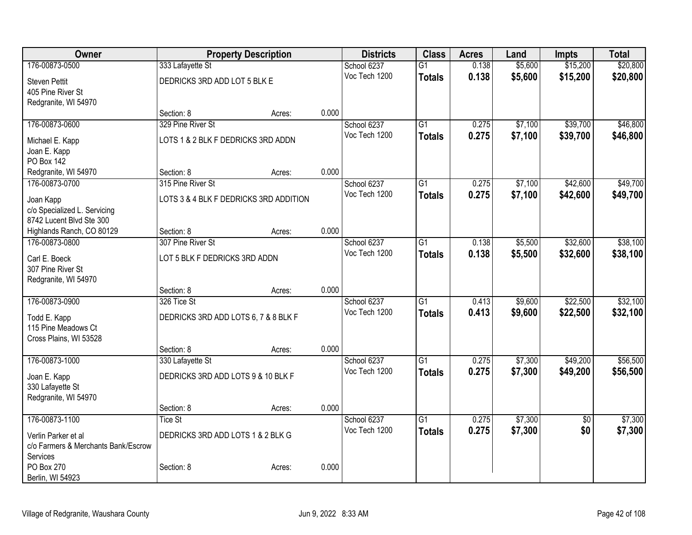| <b>Owner</b>                                  | <b>Property Description</b>            |        | <b>Districts</b> | <b>Class</b>                 | <b>Acres</b>    | Land           | <b>Impts</b> | <b>Total</b>    |          |
|-----------------------------------------------|----------------------------------------|--------|------------------|------------------------------|-----------------|----------------|--------------|-----------------|----------|
| 176-00873-0500                                | 333 Lafayette St                       |        |                  | School 6237                  | $\overline{G1}$ | 0.138          | \$5,600      | \$15,200        | \$20,800 |
| <b>Steven Pettit</b>                          | DEDRICKS 3RD ADD LOT 5 BLK E           |        |                  | Voc Tech 1200                | <b>Totals</b>   | 0.138          | \$5,600      | \$15,200        | \$20,800 |
| 405 Pine River St                             |                                        |        |                  |                              |                 |                |              |                 |          |
| Redgranite, WI 54970                          |                                        |        |                  |                              |                 |                |              |                 |          |
|                                               | Section: 8                             | Acres: | 0.000            |                              |                 |                |              |                 |          |
| 176-00873-0600                                | 329 Pine River St                      |        |                  | School 6237                  | $\overline{G1}$ | 0.275          | \$7,100      | \$39,700        | \$46,800 |
| Michael E. Kapp                               | LOTS 1 & 2 BLK F DEDRICKS 3RD ADDN     |        |                  | Voc Tech 1200                | <b>Totals</b>   | 0.275          | \$7,100      | \$39,700        | \$46,800 |
| Joan E. Kapp                                  |                                        |        |                  |                              |                 |                |              |                 |          |
| <b>PO Box 142</b>                             |                                        |        |                  |                              |                 |                |              |                 |          |
| Redgranite, WI 54970                          | Section: 8                             | Acres: | 0.000            |                              |                 |                |              |                 |          |
| 176-00873-0700                                | 315 Pine River St                      |        |                  | School 6237                  | $\overline{G1}$ | 0.275          | \$7,100      | \$42,600        | \$49,700 |
| Joan Kapp                                     | LOTS 3 & 4 BLK F DEDRICKS 3RD ADDITION |        |                  | Voc Tech 1200                | <b>Totals</b>   | 0.275          | \$7,100      | \$42,600        | \$49,700 |
| c/o Specialized L. Servicing                  |                                        |        |                  |                              |                 |                |              |                 |          |
| 8742 Lucent Blvd Ste 300                      |                                        |        |                  |                              |                 |                |              |                 |          |
| Highlands Ranch, CO 80129                     | Section: 8                             | Acres: | 0.000            |                              |                 |                |              |                 |          |
| 176-00873-0800                                | 307 Pine River St                      |        |                  | School 6237<br>Voc Tech 1200 | $\overline{G1}$ | 0.138<br>0.138 | \$5,500      | \$32,600        | \$38,100 |
| Carl E. Boeck                                 | LOT 5 BLK F DEDRICKS 3RD ADDN          |        |                  |                              | <b>Totals</b>   |                | \$5,500      | \$32,600        | \$38,100 |
| 307 Pine River St                             |                                        |        |                  |                              |                 |                |              |                 |          |
| Redgranite, WI 54970                          | Section: 8                             |        | 0.000            |                              |                 |                |              |                 |          |
| 176-00873-0900                                | 326 Tice St                            | Acres: |                  | School 6237                  | $\overline{G1}$ | 0.413          | \$9,600      | \$22,500        | \$32,100 |
|                                               |                                        |        |                  | Voc Tech 1200                | <b>Totals</b>   | 0.413          | \$9,600      | \$22,500        | \$32,100 |
| Todd E. Kapp                                  | DEDRICKS 3RD ADD LOTS 6, 7 & 8 BLK F   |        |                  |                              |                 |                |              |                 |          |
| 115 Pine Meadows Ct<br>Cross Plains, WI 53528 |                                        |        |                  |                              |                 |                |              |                 |          |
|                                               | Section: 8                             | Acres: | 0.000            |                              |                 |                |              |                 |          |
| 176-00873-1000                                | 330 Lafayette St                       |        |                  | School 6237                  | $\overline{G1}$ | 0.275          | \$7,300      | \$49,200        | \$56,500 |
|                                               |                                        |        |                  | Voc Tech 1200                | <b>Totals</b>   | 0.275          | \$7,300      | \$49,200        | \$56,500 |
| Joan E. Kapp<br>330 Lafayette St              | DEDRICKS 3RD ADD LOTS 9 & 10 BLK F     |        |                  |                              |                 |                |              |                 |          |
| Redgranite, WI 54970                          |                                        |        |                  |                              |                 |                |              |                 |          |
|                                               | Section: 8                             | Acres: | 0.000            |                              |                 |                |              |                 |          |
| 176-00873-1100                                | <b>Tice St</b>                         |        |                  | School 6237                  | $\overline{G1}$ | 0.275          | \$7,300      | $\overline{50}$ | \$7,300  |
| Verlin Parker et al                           | DEDRICKS 3RD ADD LOTS 1 & 2 BLK G      |        |                  | Voc Tech 1200                | <b>Totals</b>   | 0.275          | \$7,300      | \$0             | \$7,300  |
| c/o Farmers & Merchants Bank/Escrow           |                                        |        |                  |                              |                 |                |              |                 |          |
| Services                                      |                                        |        |                  |                              |                 |                |              |                 |          |
| PO Box 270                                    | Section: 8                             | Acres: | 0.000            |                              |                 |                |              |                 |          |
| Berlin, WI 54923                              |                                        |        |                  |                              |                 |                |              |                 |          |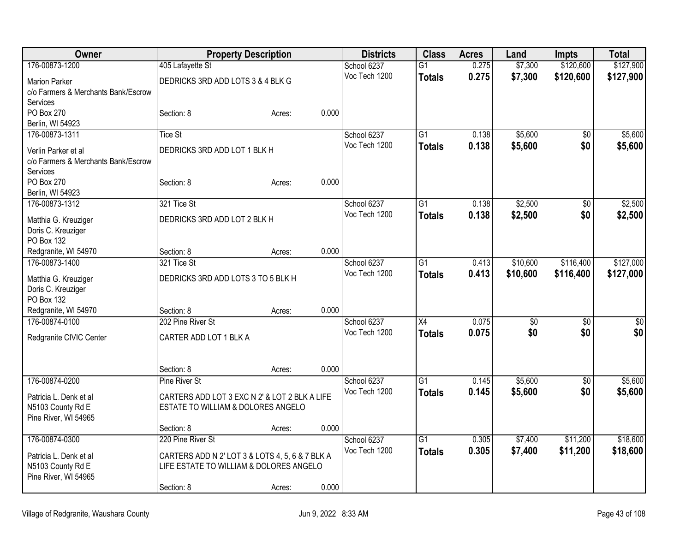| Owner                                       |                                                                                            | <b>Property Description</b> |       | <b>Districts</b> | <b>Class</b>    | <b>Acres</b> | Land            | <b>Impts</b>    | <b>Total</b> |
|---------------------------------------------|--------------------------------------------------------------------------------------------|-----------------------------|-------|------------------|-----------------|--------------|-----------------|-----------------|--------------|
| 176-00873-1200                              | 405 Lafayette St                                                                           |                             |       | School 6237      | $\overline{G1}$ | 0.275        | \$7,300         | \$120,600       | \$127,900    |
| <b>Marion Parker</b>                        | DEDRICKS 3RD ADD LOTS 3 & 4 BLK G                                                          |                             |       | Voc Tech 1200    | <b>Totals</b>   | 0.275        | \$7,300         | \$120,600       | \$127,900    |
| c/o Farmers & Merchants Bank/Escrow         |                                                                                            |                             |       |                  |                 |              |                 |                 |              |
| Services                                    |                                                                                            |                             |       |                  |                 |              |                 |                 |              |
| PO Box 270                                  | Section: 8                                                                                 | Acres:                      | 0.000 |                  |                 |              |                 |                 |              |
| Berlin, WI 54923                            |                                                                                            |                             |       |                  |                 |              |                 |                 |              |
| 176-00873-1311                              | <b>Tice St</b>                                                                             |                             |       | School 6237      | $\overline{G1}$ | 0.138        | \$5,600         | $\overline{50}$ | \$5,600      |
| Verlin Parker et al                         | DEDRICKS 3RD ADD LOT 1 BLK H                                                               |                             |       | Voc Tech 1200    | <b>Totals</b>   | 0.138        | \$5,600         | \$0             | \$5,600      |
| c/o Farmers & Merchants Bank/Escrow         |                                                                                            |                             |       |                  |                 |              |                 |                 |              |
| Services                                    |                                                                                            |                             |       |                  |                 |              |                 |                 |              |
| PO Box 270                                  | Section: 8                                                                                 | Acres:                      | 0.000 |                  |                 |              |                 |                 |              |
| Berlin, WI 54923                            |                                                                                            |                             |       |                  |                 |              |                 |                 |              |
| 176-00873-1312                              | 321 Tice St                                                                                |                             |       | School 6237      | $\overline{G1}$ | 0.138        | \$2,500         | $\overline{30}$ | \$2,500      |
| Matthia G. Kreuziger                        | DEDRICKS 3RD ADD LOT 2 BLK H                                                               |                             |       | Voc Tech 1200    | <b>Totals</b>   | 0.138        | \$2,500         | \$0             | \$2,500      |
| Doris C. Kreuziger                          |                                                                                            |                             |       |                  |                 |              |                 |                 |              |
| PO Box 132                                  |                                                                                            |                             |       |                  |                 |              |                 |                 |              |
| Redgranite, WI 54970                        | Section: 8                                                                                 | Acres:                      | 0.000 |                  |                 |              |                 |                 |              |
| 176-00873-1400                              | 321 Tice St                                                                                |                             |       | School 6237      | $\overline{G1}$ | 0.413        | \$10,600        | \$116,400       | \$127,000    |
| Matthia G. Kreuziger                        | DEDRICKS 3RD ADD LOTS 3 TO 5 BLK H                                                         |                             |       | Voc Tech 1200    | <b>Totals</b>   | 0.413        | \$10,600        | \$116,400       | \$127,000    |
| Doris C. Kreuziger                          |                                                                                            |                             |       |                  |                 |              |                 |                 |              |
| PO Box 132                                  |                                                                                            |                             |       |                  |                 |              |                 |                 |              |
| Redgranite, WI 54970                        | Section: 8                                                                                 | Acres:                      | 0.000 |                  |                 |              |                 |                 |              |
| 176-00874-0100                              | 202 Pine River St                                                                          |                             |       | School 6237      | X4              | 0.075        | $\overline{50}$ | $\overline{50}$ | $\sqrt{50}$  |
| Redgranite CIVIC Center                     | CARTER ADD LOT 1 BLK A                                                                     |                             |       | Voc Tech 1200    | <b>Totals</b>   | 0.075        | \$0             | \$0             | \$0          |
|                                             |                                                                                            |                             |       |                  |                 |              |                 |                 |              |
|                                             |                                                                                            |                             |       |                  |                 |              |                 |                 |              |
|                                             | Section: 8                                                                                 | Acres:                      | 0.000 |                  |                 |              |                 |                 |              |
| 176-00874-0200                              | <b>Pine River St</b>                                                                       |                             |       | School 6237      | $\overline{G1}$ | 0.145        | \$5,600         | $\overline{50}$ | \$5,600      |
| Patricia L. Denk et al                      | CARTERS ADD LOT 3 EXC N 2' & LOT 2 BLK A LIFE                                              |                             |       | Voc Tech 1200    | <b>Totals</b>   | 0.145        | \$5,600         | \$0             | \$5,600      |
| N5103 County Rd E                           | ESTATE TO WILLIAM & DOLORES ANGELO                                                         |                             |       |                  |                 |              |                 |                 |              |
| Pine River, WI 54965                        |                                                                                            |                             |       |                  |                 |              |                 |                 |              |
|                                             | Section: 8                                                                                 | Acres:                      | 0.000 |                  |                 |              |                 |                 |              |
| 176-00874-0300                              | 220 Pine River St                                                                          |                             |       | School 6237      | $\overline{G1}$ | 0.305        | \$7,400         | \$11,200        | \$18,600     |
|                                             |                                                                                            |                             |       | Voc Tech 1200    | <b>Totals</b>   | 0.305        | \$7,400         | \$11,200        | \$18,600     |
| Patricia L. Denk et al<br>N5103 County Rd E | CARTERS ADD N 2' LOT 3 & LOTS 4, 5, 6 & 7 BLK A<br>LIFE ESTATE TO WILLIAM & DOLORES ANGELO |                             |       |                  |                 |              |                 |                 |              |
| Pine River, WI 54965                        |                                                                                            |                             |       |                  |                 |              |                 |                 |              |
|                                             | Section: 8                                                                                 | Acres:                      | 0.000 |                  |                 |              |                 |                 |              |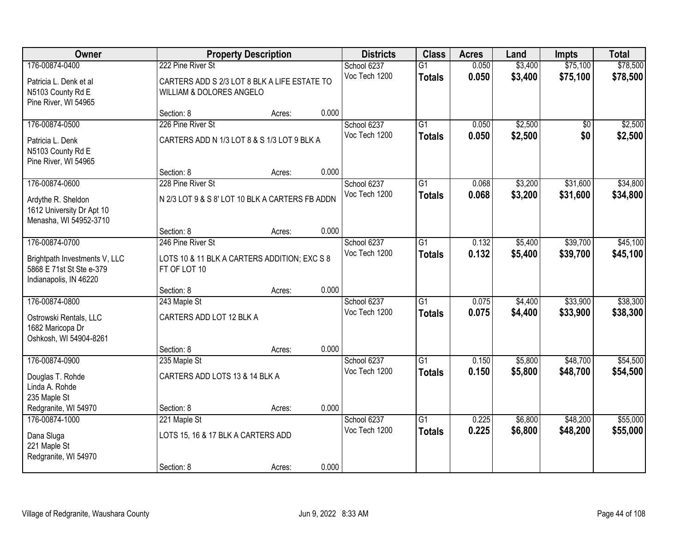| Owner                                                                               |                                                                          | <b>Property Description</b> |       | <b>Districts</b> | <b>Class</b>    | <b>Acres</b> | Land    | <b>Impts</b> | <b>Total</b> |
|-------------------------------------------------------------------------------------|--------------------------------------------------------------------------|-----------------------------|-------|------------------|-----------------|--------------|---------|--------------|--------------|
| 176-00874-0400                                                                      | 222 Pine River St                                                        |                             |       | School 6237      | G1              | 0.050        | \$3,400 | \$75,100     | \$78,500     |
| Patricia L. Denk et al<br>N5103 County Rd E<br>Pine River, WI 54965                 | CARTERS ADD S 2/3 LOT 8 BLK A LIFE ESTATE TO<br>WILLIAM & DOLORES ANGELO |                             |       | Voc Tech 1200    | <b>Totals</b>   | 0.050        | \$3,400 | \$75,100     | \$78,500     |
|                                                                                     | Section: 8                                                               | Acres:                      | 0.000 |                  |                 |              |         |              |              |
| 176-00874-0500                                                                      | 226 Pine River St                                                        |                             |       | School 6237      | $\overline{G1}$ | 0.050        | \$2,500 | \$0          | \$2,500      |
| Patricia L. Denk<br>N5103 County Rd E<br>Pine River, WI 54965                       | CARTERS ADD N 1/3 LOT 8 & S 1/3 LOT 9 BLK A                              |                             |       | Voc Tech 1200    | <b>Totals</b>   | 0.050        | \$2,500 | \$0          | \$2,500      |
|                                                                                     | Section: 8                                                               | Acres:                      | 0.000 |                  |                 |              |         |              |              |
| 176-00874-0600                                                                      | 228 Pine River St                                                        |                             |       | School 6237      | G1              | 0.068        | \$3,200 | \$31,600     | \$34,800     |
| Ardythe R. Sheldon<br>1612 University Dr Apt 10<br>Menasha, WI 54952-3710           | N 2/3 LOT 9 & S 8' LOT 10 BLK A CARTERS FB ADDN                          |                             |       | Voc Tech 1200    | <b>Totals</b>   | 0.068        | \$3,200 | \$31,600     | \$34,800     |
|                                                                                     | Section: 8                                                               | Acres:                      | 0.000 |                  |                 |              |         |              |              |
| 176-00874-0700                                                                      | 246 Pine River St                                                        |                             |       | School 6237      | $\overline{G1}$ | 0.132        | \$5,400 | \$39,700     | \$45,100     |
| Brightpath Investments V, LLC<br>5868 E 71st St Ste e-379<br>Indianapolis, IN 46220 | LOTS 10 & 11 BLK A CARTERS ADDITION; EXC S 8<br>FT OF LOT 10             |                             |       | Voc Tech 1200    | <b>Totals</b>   | 0.132        | \$5,400 | \$39,700     | \$45,100     |
|                                                                                     | Section: 8                                                               | Acres:                      | 0.000 |                  |                 |              |         |              |              |
| 176-00874-0800                                                                      | 243 Maple St                                                             |                             |       | School 6237      | $\overline{G1}$ | 0.075        | \$4,400 | \$33,900     | \$38,300     |
| Ostrowski Rentals, LLC<br>1682 Maricopa Dr<br>Oshkosh, WI 54904-8261                | CARTERS ADD LOT 12 BLK A                                                 |                             |       | Voc Tech 1200    | <b>Totals</b>   | 0.075        | \$4,400 | \$33,900     | \$38,300     |
|                                                                                     | Section: 8                                                               | Acres:                      | 0.000 |                  |                 |              |         |              |              |
| 176-00874-0900                                                                      | 235 Maple St                                                             |                             |       | School 6237      | $\overline{G1}$ | 0.150        | \$5,800 | \$48,700     | \$54,500     |
| Douglas T. Rohde<br>Linda A. Rohde<br>235 Maple St                                  | CARTERS ADD LOTS 13 & 14 BLK A                                           |                             |       | Voc Tech 1200    | <b>Totals</b>   | 0.150        | \$5,800 | \$48,700     | \$54,500     |
| Redgranite, WI 54970                                                                | Section: 8                                                               | Acres:                      | 0.000 |                  |                 |              |         |              |              |
| 176-00874-1000                                                                      | 221 Maple St                                                             |                             |       | School 6237      | $\overline{G1}$ | 0.225        | \$6,800 | \$48,200     | \$55,000     |
| Dana Sluga<br>221 Maple St<br>Redgranite, WI 54970                                  | LOTS 15, 16 & 17 BLK A CARTERS ADD                                       |                             |       | Voc Tech 1200    | <b>Totals</b>   | 0.225        | \$6,800 | \$48,200     | \$55,000     |
|                                                                                     | Section: 8                                                               | Acres:                      | 0.000 |                  |                 |              |         |              |              |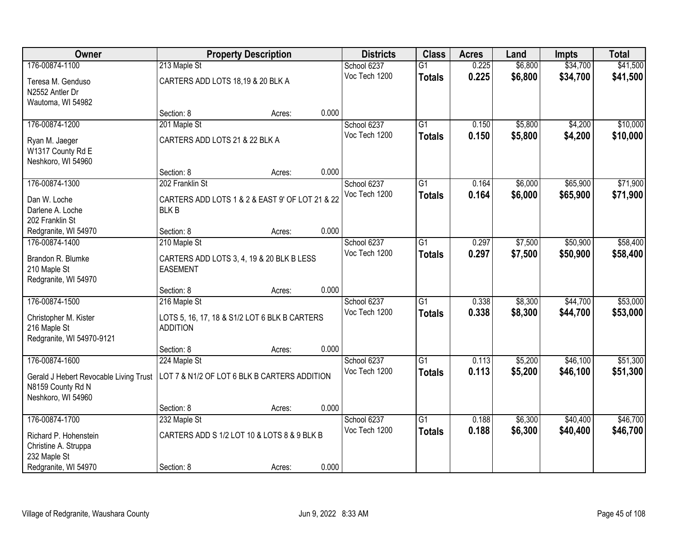| Owner                                  |                                                 | <b>Property Description</b> |       | <b>Districts</b> | <b>Class</b>    | <b>Acres</b> | Land    | <b>Impts</b> | <b>Total</b> |
|----------------------------------------|-------------------------------------------------|-----------------------------|-------|------------------|-----------------|--------------|---------|--------------|--------------|
| 176-00874-1100                         | 213 Maple St                                    |                             |       | School 6237      | G1              | 0.225        | \$6,800 | \$34,700     | \$41,500     |
| Teresa M. Genduso                      | CARTERS ADD LOTS 18,19 & 20 BLK A               |                             |       | Voc Tech 1200    | <b>Totals</b>   | 0.225        | \$6,800 | \$34,700     | \$41,500     |
| N2552 Antler Dr                        |                                                 |                             |       |                  |                 |              |         |              |              |
| Wautoma, WI 54982                      |                                                 |                             |       |                  |                 |              |         |              |              |
|                                        | Section: 8                                      | Acres:                      | 0.000 |                  |                 |              |         |              |              |
| 176-00874-1200                         | 201 Maple St                                    |                             |       | School 6237      | $\overline{G1}$ | 0.150        | \$5,800 | \$4,200      | \$10,000     |
| Ryan M. Jaeger                         | CARTERS ADD LOTS 21 & 22 BLK A                  |                             |       | Voc Tech 1200    | <b>Totals</b>   | 0.150        | \$5,800 | \$4,200      | \$10,000     |
| W1317 County Rd E                      |                                                 |                             |       |                  |                 |              |         |              |              |
| Neshkoro, WI 54960                     |                                                 |                             |       |                  |                 |              |         |              |              |
|                                        | Section: 8                                      | Acres:                      | 0.000 |                  |                 |              |         |              |              |
| 176-00874-1300                         | 202 Franklin St                                 |                             |       | School 6237      | $\overline{G1}$ | 0.164        | \$6,000 | \$65,900     | \$71,900     |
| Dan W. Loche                           | CARTERS ADD LOTS 1 & 2 & EAST 9' OF LOT 21 & 22 |                             |       | Voc Tech 1200    | <b>Totals</b>   | 0.164        | \$6,000 | \$65,900     | \$71,900     |
| Darlene A. Loche                       | <b>BLKB</b>                                     |                             |       |                  |                 |              |         |              |              |
| 202 Franklin St                        |                                                 |                             |       |                  |                 |              |         |              |              |
| Redgranite, WI 54970                   | Section: 8                                      | Acres:                      | 0.000 |                  |                 |              |         |              |              |
| 176-00874-1400                         | 210 Maple St                                    |                             |       | School 6237      | $\overline{G1}$ | 0.297        | \$7,500 | \$50,900     | \$58,400     |
| Brandon R. Blumke                      | CARTERS ADD LOTS 3, 4, 19 & 20 BLK B LESS       |                             |       | Voc Tech 1200    | <b>Totals</b>   | 0.297        | \$7,500 | \$50,900     | \$58,400     |
| 210 Maple St                           | <b>EASEMENT</b>                                 |                             |       |                  |                 |              |         |              |              |
| Redgranite, WI 54970                   |                                                 |                             |       |                  |                 |              |         |              |              |
|                                        | Section: 8                                      | Acres:                      | 0.000 |                  |                 |              |         |              |              |
| 176-00874-1500                         | 216 Maple St                                    |                             |       | School 6237      | $\overline{G1}$ | 0.338        | \$8,300 | \$44,700     | \$53,000     |
| Christopher M. Kister                  | LOTS 5, 16, 17, 18 & S1/2 LOT 6 BLK B CARTERS   |                             |       | Voc Tech 1200    | <b>Totals</b>   | 0.338        | \$8,300 | \$44,700     | \$53,000     |
| 216 Maple St                           | <b>ADDITION</b>                                 |                             |       |                  |                 |              |         |              |              |
| Redgranite, WI 54970-9121              |                                                 |                             |       |                  |                 |              |         |              |              |
|                                        | Section: 8                                      | Acres:                      | 0.000 |                  |                 |              |         |              |              |
| 176-00874-1600                         | 224 Maple St                                    |                             |       | School 6237      | $\overline{G1}$ | 0.113        | \$5,200 | \$46,100     | \$51,300     |
| Gerald J Hebert Revocable Living Trust | LOT 7 & N1/2 OF LOT 6 BLK B CARTERS ADDITION    |                             |       | Voc Tech 1200    | <b>Totals</b>   | 0.113        | \$5,200 | \$46,100     | \$51,300     |
| N8159 County Rd N                      |                                                 |                             |       |                  |                 |              |         |              |              |
| Neshkoro, WI 54960                     |                                                 |                             |       |                  |                 |              |         |              |              |
|                                        | Section: 8                                      | Acres:                      | 0.000 |                  |                 |              |         |              |              |
| 176-00874-1700                         | 232 Maple St                                    |                             |       | School 6237      | $\overline{G1}$ | 0.188        | \$6,300 | \$40,400     | \$46,700     |
| Richard P. Hohenstein                  | CARTERS ADD S 1/2 LOT 10 & LOTS 8 & 9 BLK B     |                             |       | Voc Tech 1200    | <b>Totals</b>   | 0.188        | \$6,300 | \$40,400     | \$46,700     |
| Christine A. Struppa                   |                                                 |                             |       |                  |                 |              |         |              |              |
| 232 Maple St                           |                                                 |                             |       |                  |                 |              |         |              |              |
| Redgranite, WI 54970                   | Section: 8                                      | Acres:                      | 0.000 |                  |                 |              |         |              |              |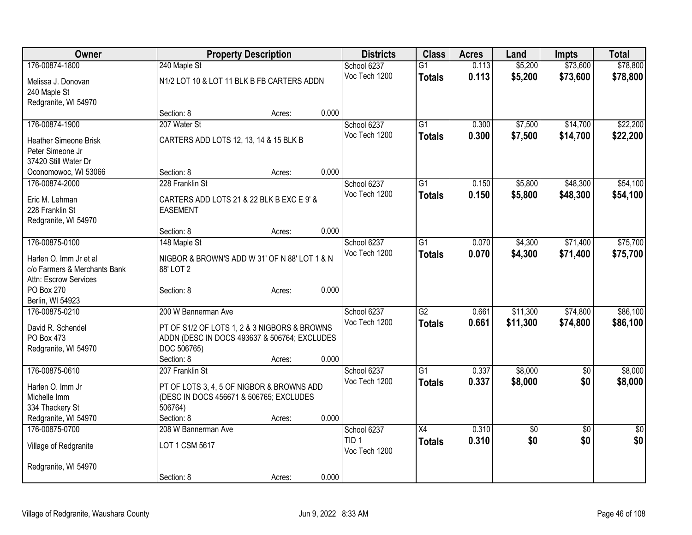| Owner                        |                                               | <b>Property Description</b> |       | <b>Districts</b> | <b>Class</b>    | <b>Acres</b> | Land            | <b>Impts</b>    | <b>Total</b>    |
|------------------------------|-----------------------------------------------|-----------------------------|-------|------------------|-----------------|--------------|-----------------|-----------------|-----------------|
| 176-00874-1800               | 240 Maple St                                  |                             |       | School 6237      | $\overline{G1}$ | 0.113        | \$5,200         | \$73,600        | \$78,800        |
| Melissa J. Donovan           | N1/2 LOT 10 & LOT 11 BLK B FB CARTERS ADDN    |                             |       | Voc Tech 1200    | <b>Totals</b>   | 0.113        | \$5,200         | \$73,600        | \$78,800        |
| 240 Maple St                 |                                               |                             |       |                  |                 |              |                 |                 |                 |
| Redgranite, WI 54970         |                                               |                             |       |                  |                 |              |                 |                 |                 |
|                              | Section: 8                                    | Acres:                      | 0.000 |                  |                 |              |                 |                 |                 |
| 176-00874-1900               | 207 Water St                                  |                             |       | School 6237      | G1              | 0.300        | \$7,500         | \$14,700        | \$22,200        |
| <b>Heather Simeone Brisk</b> | CARTERS ADD LOTS 12, 13, 14 & 15 BLK B        |                             |       | Voc Tech 1200    | <b>Totals</b>   | 0.300        | \$7,500         | \$14,700        | \$22,200        |
| Peter Simeone Jr             |                                               |                             |       |                  |                 |              |                 |                 |                 |
| 37420 Still Water Dr         |                                               |                             |       |                  |                 |              |                 |                 |                 |
| Oconomowoc, WI 53066         | Section: 8                                    | Acres:                      | 0.000 |                  |                 |              |                 |                 |                 |
| 176-00874-2000               | 228 Franklin St                               |                             |       | School 6237      | $\overline{G1}$ | 0.150        | \$5,800         | \$48,300        | \$54,100        |
| Eric M. Lehman               | CARTERS ADD LOTS 21 & 22 BLK B EXC E 9' &     |                             |       | Voc Tech 1200    | <b>Totals</b>   | 0.150        | \$5,800         | \$48,300        | \$54,100        |
| 228 Franklin St              | <b>EASEMENT</b>                               |                             |       |                  |                 |              |                 |                 |                 |
| Redgranite, WI 54970         |                                               |                             |       |                  |                 |              |                 |                 |                 |
|                              | Section: 8                                    | Acres:                      | 0.000 |                  |                 |              |                 |                 |                 |
| 176-00875-0100               | 148 Maple St                                  |                             |       | School 6237      | $\overline{G1}$ | 0.070        | \$4,300         | \$71,400        | \$75,700        |
| Harlen O. Imm Jr et al       | NIGBOR & BROWN'S ADD W 31' OF N 88' LOT 1 & N |                             |       | Voc Tech 1200    | <b>Totals</b>   | 0.070        | \$4,300         | \$71,400        | \$75,700        |
| c/o Farmers & Merchants Bank | 88' LOT 2                                     |                             |       |                  |                 |              |                 |                 |                 |
| Attn: Escrow Services        |                                               |                             |       |                  |                 |              |                 |                 |                 |
| PO Box 270                   | Section: 8                                    | Acres:                      | 0.000 |                  |                 |              |                 |                 |                 |
| Berlin, WI 54923             |                                               |                             |       |                  |                 |              |                 |                 |                 |
| 176-00875-0210               | 200 W Bannerman Ave                           |                             |       | School 6237      | G2              | 0.661        | \$11,300        | \$74,800        | \$86,100        |
| David R. Schendel            | PT OF S1/2 OF LOTS 1, 2 & 3 NIGBORS & BROWNS  |                             |       | Voc Tech 1200    | <b>Totals</b>   | 0.661        | \$11,300        | \$74,800        | \$86,100        |
| PO Box 473                   | ADDN (DESC IN DOCS 493637 & 506764; EXCLUDES  |                             |       |                  |                 |              |                 |                 |                 |
| Redgranite, WI 54970         | DOC 506765)                                   |                             |       |                  |                 |              |                 |                 |                 |
|                              | Section: 8                                    | Acres:                      | 0.000 |                  |                 |              |                 |                 |                 |
| 176-00875-0610               | 207 Franklin St                               |                             |       | School 6237      | $\overline{G1}$ | 0.337        | \$8,000         | $\overline{50}$ | \$8,000         |
| Harlen O. Imm Jr             | PT OF LOTS 3, 4, 5 OF NIGBOR & BROWNS ADD     |                             |       | Voc Tech 1200    | <b>Totals</b>   | 0.337        | \$8,000         | \$0             | \$8,000         |
| Michelle Imm                 | (DESC IN DOCS 456671 & 506765; EXCLUDES       |                             |       |                  |                 |              |                 |                 |                 |
| 334 Thackery St              | 506764)                                       |                             |       |                  |                 |              |                 |                 |                 |
| Redgranite, WI 54970         | Section: 8                                    | Acres:                      | 0.000 |                  |                 |              |                 |                 |                 |
| 176-00875-0700               | 208 W Bannerman Ave                           |                             |       | School 6237      | $\overline{X4}$ | 0.310        | $\overline{50}$ | $\overline{30}$ | $\overline{50}$ |
| Village of Redgranite        | LOT 1 CSM 5617                                |                             |       | TID <sub>1</sub> | <b>Totals</b>   | 0.310        | \$0             | \$0             | \$0             |
|                              |                                               |                             |       | Voc Tech 1200    |                 |              |                 |                 |                 |
| Redgranite, WI 54970         |                                               |                             |       |                  |                 |              |                 |                 |                 |
|                              | Section: 8                                    | Acres:                      | 0.000 |                  |                 |              |                 |                 |                 |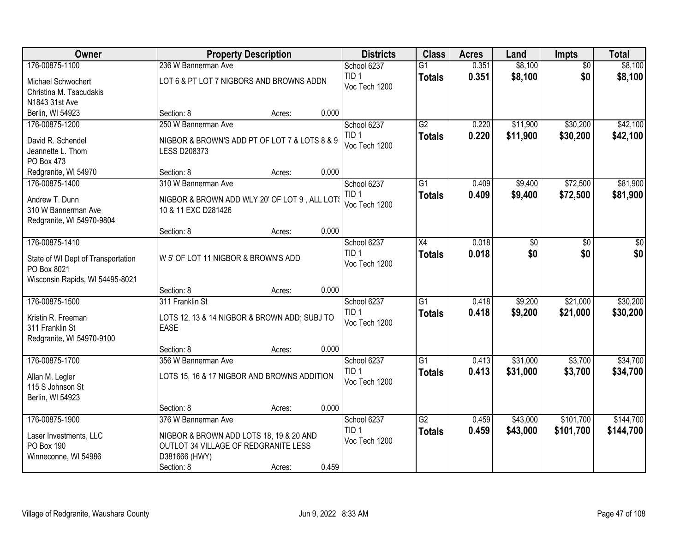| Owner                              | <b>Property Description</b>                   |        |       | <b>Districts</b>                  | <b>Class</b>    | <b>Acres</b> | Land     | <b>Impts</b>    | <b>Total</b> |
|------------------------------------|-----------------------------------------------|--------|-------|-----------------------------------|-----------------|--------------|----------|-----------------|--------------|
| 176-00875-1100                     | 236 W Bannerman Ave                           |        |       | School 6237                       | $\overline{G1}$ | 0.351        | \$8,100  | $\overline{50}$ | \$8,100      |
| Michael Schwochert                 | LOT 6 & PT LOT 7 NIGBORS AND BROWNS ADDN      |        |       | TID <sub>1</sub><br>Voc Tech 1200 | <b>Totals</b>   | 0.351        | \$8,100  | \$0             | \$8,100      |
| Christina M. Tsacudakis            |                                               |        |       |                                   |                 |              |          |                 |              |
| N1843 31st Ave                     | Section: 8                                    |        | 0.000 |                                   |                 |              |          |                 |              |
| Berlin, WI 54923<br>176-00875-1200 | 250 W Bannerman Ave                           | Acres: |       | School 6237                       | G2              | 0.220        | \$11,900 | \$30,200        | \$42,100     |
|                                    |                                               |        |       | TID <sub>1</sub>                  |                 | 0.220        | \$11,900 | \$30,200        | \$42,100     |
| David R. Schendel                  | NIGBOR & BROWN'S ADD PT OF LOT 7 & LOTS 8 & 9 |        |       | Voc Tech 1200                     | <b>Totals</b>   |              |          |                 |              |
| Jeannette L. Thom                  | <b>LESS D208373</b>                           |        |       |                                   |                 |              |          |                 |              |
| PO Box 473                         |                                               |        |       |                                   |                 |              |          |                 |              |
| Redgranite, WI 54970               | Section: 8                                    | Acres: | 0.000 |                                   |                 |              |          |                 |              |
| 176-00875-1400                     | 310 W Bannerman Ave                           |        |       | School 6237<br>TID <sub>1</sub>   | G1              | 0.409        | \$9,400  | \$72,500        | \$81,900     |
| Andrew T. Dunn                     | NIGBOR & BROWN ADD WLY 20' OF LOT 9, ALL LOTS |        |       | Voc Tech 1200                     | <b>Totals</b>   | 0.409        | \$9,400  | \$72,500        | \$81,900     |
| 310 W Bannerman Ave                | 10 & 11 EXC D281426                           |        |       |                                   |                 |              |          |                 |              |
| Redgranite, WI 54970-9804          |                                               |        |       |                                   |                 |              |          |                 |              |
|                                    | Section: 8                                    | Acres: | 0.000 |                                   |                 |              |          |                 |              |
| 176-00875-1410                     |                                               |        |       | School 6237                       | X4              | 0.018        | \$0      | \$0             | \$0          |
| State of WI Dept of Transportation | W 5' OF LOT 11 NIGBOR & BROWN'S ADD           |        |       | TID <sub>1</sub><br>Voc Tech 1200 | <b>Totals</b>   | 0.018        | \$0      | \$0             | \$0          |
| PO Box 8021                        |                                               |        |       |                                   |                 |              |          |                 |              |
| Wisconsin Rapids, WI 54495-8021    |                                               |        |       |                                   |                 |              |          |                 |              |
|                                    | Section: 8                                    | Acres: | 0.000 |                                   |                 |              |          |                 |              |
| 176-00875-1500                     | 311 Franklin St                               |        |       | School 6237                       | $\overline{G1}$ | 0.418        | \$9,200  | \$21,000        | \$30,200     |
| Kristin R. Freeman                 | LOTS 12, 13 & 14 NIGBOR & BROWN ADD; SUBJ TO  |        |       | TID <sub>1</sub>                  | <b>Totals</b>   | 0.418        | \$9,200  | \$21,000        | \$30,200     |
| 311 Franklin St                    | <b>EASE</b>                                   |        |       | Voc Tech 1200                     |                 |              |          |                 |              |
| Redgranite, WI 54970-9100          |                                               |        |       |                                   |                 |              |          |                 |              |
|                                    | Section: 8                                    | Acres: | 0.000 |                                   |                 |              |          |                 |              |
| 176-00875-1700                     | 356 W Bannerman Ave                           |        |       | School 6237                       | $\overline{G1}$ | 0.413        | \$31,000 | \$3,700         | \$34,700     |
| Allan M. Legler                    | LOTS 15, 16 & 17 NIGBOR AND BROWNS ADDITION   |        |       | TID <sub>1</sub>                  | Totals          | 0.413        | \$31,000 | \$3,700         | \$34,700     |
| 115 S Johnson St                   |                                               |        |       | Voc Tech 1200                     |                 |              |          |                 |              |
| Berlin, WI 54923                   |                                               |        |       |                                   |                 |              |          |                 |              |
|                                    | Section: 8                                    | Acres: | 0.000 |                                   |                 |              |          |                 |              |
| 176-00875-1900                     | 376 W Bannerman Ave                           |        |       | School 6237                       | $\overline{G2}$ | 0.459        | \$43,000 | \$101,700       | \$144,700    |
| Laser Investments, LLC             | NIGBOR & BROWN ADD LOTS 18, 19 & 20 AND       |        |       | TID <sub>1</sub>                  | <b>Totals</b>   | 0.459        | \$43,000 | \$101,700       | \$144,700    |
| PO Box 190                         | OUTLOT 34 VILLAGE OF REDGRANITE LESS          |        |       | Voc Tech 1200                     |                 |              |          |                 |              |
| Winneconne, WI 54986               | D381666 (HWY)                                 |        |       |                                   |                 |              |          |                 |              |
|                                    | Section: 8                                    | Acres: | 0.459 |                                   |                 |              |          |                 |              |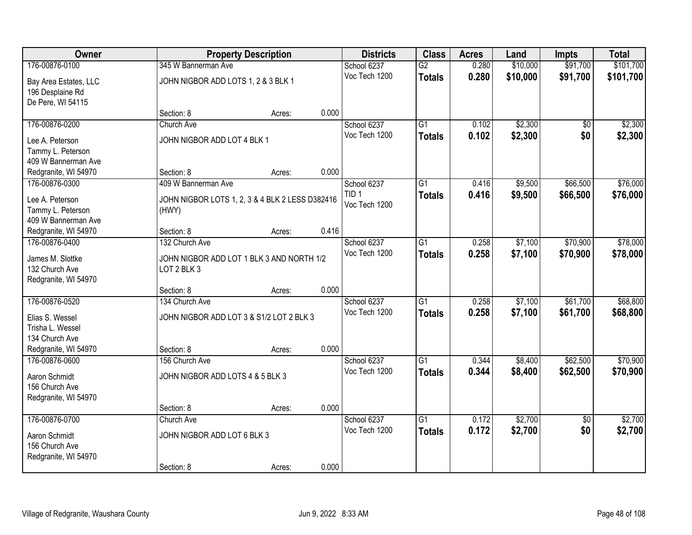| Owner                                                                         |                                                                                 | <b>Property Description</b> |       | <b>Districts</b>                                 | <b>Class</b>                     | <b>Acres</b>   | Land               | <b>Impts</b>         | <b>Total</b>         |
|-------------------------------------------------------------------------------|---------------------------------------------------------------------------------|-----------------------------|-------|--------------------------------------------------|----------------------------------|----------------|--------------------|----------------------|----------------------|
| 176-00876-0100                                                                | 345 W Bannerman Ave                                                             |                             |       | School 6237                                      | $\overline{G2}$                  | 0.280          | \$10,000           | \$91,700             | \$101,700            |
| Bay Area Estates, LLC<br>196 Desplaine Rd<br>De Pere, WI 54115                | JOHN NIGBOR ADD LOTS 1, 2 & 3 BLK 1                                             |                             |       | Voc Tech 1200                                    | <b>Totals</b>                    | 0.280          | \$10,000           | \$91,700             | \$101,700            |
|                                                                               | Section: 8                                                                      | Acres:                      | 0.000 |                                                  |                                  |                |                    |                      |                      |
| 176-00876-0200                                                                | Church Ave                                                                      |                             |       | School 6237                                      | $\overline{G1}$                  | 0.102          | \$2,300            | \$0                  | \$2,300              |
| Lee A. Peterson<br>Tammy L. Peterson<br>409 W Bannerman Ave                   | JOHN NIGBOR ADD LOT 4 BLK 1                                                     |                             |       | Voc Tech 1200                                    | <b>Totals</b>                    | 0.102          | \$2,300            | \$0                  | \$2,300              |
| Redgranite, WI 54970                                                          | Section: 8                                                                      | Acres:                      | 0.000 |                                                  |                                  |                |                    |                      |                      |
| 176-00876-0300<br>Lee A. Peterson<br>Tammy L. Peterson<br>409 W Bannerman Ave | 409 W Bannerman Ave<br>JOHN NIGBOR LOTS 1, 2, 3 & 4 BLK 2 LESS D382416<br>(HWY) |                             |       | School 6237<br>TID <sub>1</sub><br>Voc Tech 1200 | G1<br><b>Totals</b>              | 0.416<br>0.416 | \$9,500<br>\$9,500 | \$66,500<br>\$66,500 | \$76,000<br>\$76,000 |
| Redgranite, WI 54970                                                          | Section: 8                                                                      | Acres:                      | 0.416 |                                                  |                                  |                |                    |                      |                      |
| 176-00876-0400                                                                | 132 Church Ave                                                                  |                             |       | School 6237                                      | $\overline{G1}$                  | 0.258          | \$7,100            | \$70,900             | \$78,000             |
| James M. Slottke<br>132 Church Ave<br>Redgranite, WI 54970                    | JOHN NIGBOR ADD LOT 1 BLK 3 AND NORTH 1/2<br>LOT 2 BLK 3                        |                             |       | Voc Tech 1200                                    | <b>Totals</b>                    | 0.258          | \$7,100            | \$70,900             | \$78,000             |
|                                                                               | Section: 8                                                                      | Acres:                      | 0.000 |                                                  |                                  |                |                    |                      |                      |
| 176-00876-0520<br>Elias S. Wessel<br>Trisha L. Wessel<br>134 Church Ave       | 134 Church Ave<br>JOHN NIGBOR ADD LOT 3 & S1/2 LOT 2 BLK 3                      |                             |       | School 6237<br>Voc Tech 1200                     | $\overline{G1}$<br><b>Totals</b> | 0.258<br>0.258 | \$7,100<br>\$7,100 | \$61,700<br>\$61,700 | \$68,800<br>\$68,800 |
| Redgranite, WI 54970                                                          | Section: 8                                                                      | Acres:                      | 0.000 |                                                  |                                  |                |                    |                      |                      |
| 176-00876-0600                                                                | 156 Church Ave                                                                  |                             |       | School 6237                                      | $\overline{G1}$                  | 0.344          | \$8,400            | \$62,500             | \$70,900             |
| Aaron Schmidt<br>156 Church Ave<br>Redgranite, WI 54970                       | JOHN NIGBOR ADD LOTS 4 & 5 BLK 3                                                |                             |       | Voc Tech 1200                                    | <b>Totals</b>                    | 0.344          | \$8,400            | \$62,500             | \$70,900             |
|                                                                               | Section: 8                                                                      | Acres:                      | 0.000 |                                                  |                                  |                |                    |                      |                      |
| 176-00876-0700                                                                | Church Ave                                                                      |                             |       | School 6237                                      | $\overline{G1}$                  | 0.172          | \$2,700            | $\overline{50}$      | \$2,700              |
| Aaron Schmidt<br>156 Church Ave<br>Redgranite, WI 54970                       | JOHN NIGBOR ADD LOT 6 BLK 3                                                     |                             |       | Voc Tech 1200                                    | <b>Totals</b>                    | 0.172          | \$2,700            | \$0                  | \$2,700              |
|                                                                               | Section: 8                                                                      | Acres:                      | 0.000 |                                                  |                                  |                |                    |                      |                      |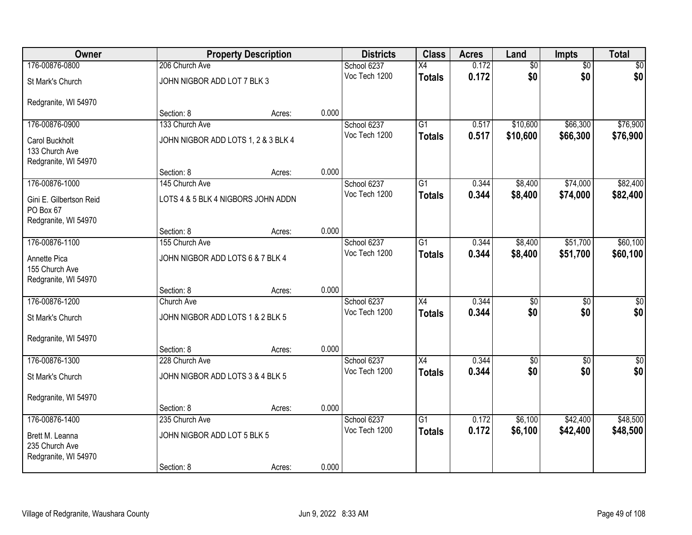| Owner                                                        |                                     | <b>Property Description</b> |       | <b>Districts</b> | <b>Class</b>    | <b>Acres</b> | Land            | <b>Impts</b>    | <b>Total</b>    |
|--------------------------------------------------------------|-------------------------------------|-----------------------------|-------|------------------|-----------------|--------------|-----------------|-----------------|-----------------|
| 176-00876-0800                                               | 206 Church Ave                      |                             |       | School 6237      | $\overline{X4}$ | 0.172        | $\overline{50}$ | $\overline{50}$ | $\sqrt{30}$     |
| St Mark's Church                                             | JOHN NIGBOR ADD LOT 7 BLK 3         |                             |       | Voc Tech 1200    | <b>Totals</b>   | 0.172        | \$0             | \$0             | \$0             |
| Redgranite, WI 54970                                         |                                     |                             |       |                  |                 |              |                 |                 |                 |
|                                                              | Section: 8                          | Acres:                      | 0.000 |                  |                 |              |                 |                 |                 |
| 176-00876-0900                                               | 133 Church Ave                      |                             |       | School 6237      | G1              | 0.517        | \$10,600        | \$66,300        | \$76,900        |
| Carol Buckholt<br>133 Church Ave<br>Redgranite, WI 54970     | JOHN NIGBOR ADD LOTS 1, 2 & 3 BLK 4 |                             |       | Voc Tech 1200    | <b>Totals</b>   | 0.517        | \$10,600        | \$66,300        | \$76,900        |
|                                                              | Section: 8                          | Acres:                      | 0.000 |                  |                 |              |                 |                 |                 |
| 176-00876-1000                                               | 145 Church Ave                      |                             |       | School 6237      | $\overline{G1}$ | 0.344        | \$8,400         | \$74,000        | \$82,400        |
| Gini E. Gilbertson Reid<br>PO Box 67<br>Redgranite, WI 54970 | LOTS 4 & 5 BLK 4 NIGBORS JOHN ADDN  |                             |       | Voc Tech 1200    | <b>Totals</b>   | 0.344        | \$8,400         | \$74,000        | \$82,400        |
|                                                              | Section: 8                          | Acres:                      | 0.000 |                  |                 |              |                 |                 |                 |
| 176-00876-1100                                               | 155 Church Ave                      |                             |       | School 6237      | $\overline{G1}$ | 0.344        | \$8,400         | \$51,700        | \$60,100        |
|                                                              |                                     |                             |       | Voc Tech 1200    | <b>Totals</b>   | 0.344        | \$8,400         | \$51,700        | \$60,100        |
| Annette Pica<br>155 Church Ave                               | JOHN NIGBOR ADD LOTS 6 & 7 BLK 4    |                             |       |                  |                 |              |                 |                 |                 |
| Redgranite, WI 54970                                         |                                     |                             |       |                  |                 |              |                 |                 |                 |
|                                                              | Section: 8                          | Acres:                      | 0.000 |                  |                 |              |                 |                 |                 |
| 176-00876-1200                                               | Church Ave                          |                             |       | School 6237      | $\overline{X4}$ | 0.344        | $\overline{50}$ | $\overline{30}$ | $\overline{30}$ |
| St Mark's Church                                             | JOHN NIGBOR ADD LOTS 1 & 2 BLK 5    |                             |       | Voc Tech 1200    | <b>Totals</b>   | 0.344        | \$0             | \$0             | \$0             |
|                                                              |                                     |                             |       |                  |                 |              |                 |                 |                 |
| Redgranite, WI 54970                                         |                                     |                             |       |                  |                 |              |                 |                 |                 |
|                                                              | Section: 8                          | Acres:                      | 0.000 |                  |                 |              |                 |                 |                 |
| 176-00876-1300                                               | 228 Church Ave                      |                             |       | School 6237      | X4              | 0.344        | $\overline{50}$ | \$0             | $\frac{1}{2}$   |
| St Mark's Church                                             | JOHN NIGBOR ADD LOTS 3 & 4 BLK 5    |                             |       | Voc Tech 1200    | <b>Totals</b>   | 0.344        | \$0             | \$0             | \$0             |
|                                                              |                                     |                             |       |                  |                 |              |                 |                 |                 |
| Redgranite, WI 54970                                         |                                     |                             |       |                  |                 |              |                 |                 |                 |
|                                                              | Section: 8                          | Acres:                      | 0.000 |                  |                 |              |                 |                 |                 |
| 176-00876-1400                                               | 235 Church Ave                      |                             |       | School 6237      | $\overline{G1}$ | 0.172        | \$6,100         | \$42,400        | \$48,500        |
| Brett M. Leanna                                              | JOHN NIGBOR ADD LOT 5 BLK 5         |                             |       | Voc Tech 1200    | <b>Totals</b>   | 0.172        | \$6,100         | \$42,400        | \$48,500        |
| 235 Church Ave                                               |                                     |                             |       |                  |                 |              |                 |                 |                 |
| Redgranite, WI 54970                                         |                                     |                             |       |                  |                 |              |                 |                 |                 |
|                                                              | Section: 8                          | Acres:                      | 0.000 |                  |                 |              |                 |                 |                 |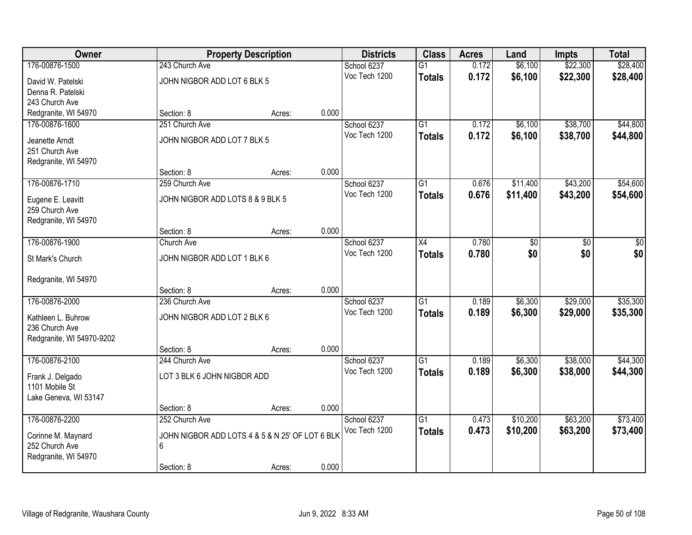| Owner                                |                                                      | <b>Property Description</b> |       | <b>Districts</b> | <b>Class</b>    | <b>Acres</b> | Land     | <b>Impts</b> | <b>Total</b> |
|--------------------------------------|------------------------------------------------------|-----------------------------|-------|------------------|-----------------|--------------|----------|--------------|--------------|
| 176-00876-1500                       | 243 Church Ave                                       |                             |       | School 6237      | G1              | 0.172        | \$6,100  | \$22,300     | \$28,400     |
| David W. Patelski                    | JOHN NIGBOR ADD LOT 6 BLK 5                          |                             |       | Voc Tech 1200    | <b>Totals</b>   | 0.172        | \$6,100  | \$22,300     | \$28,400     |
| Denna R. Patelski                    |                                                      |                             |       |                  |                 |              |          |              |              |
| 243 Church Ave                       |                                                      |                             |       |                  |                 |              |          |              |              |
| Redgranite, WI 54970                 | Section: 8                                           | Acres:                      | 0.000 |                  |                 |              |          |              |              |
| 176-00876-1600                       | 251 Church Ave                                       |                             |       | School 6237      | $\overline{G1}$ | 0.172        | \$6,100  | \$38,700     | \$44,800     |
| Jeanette Arndt                       | JOHN NIGBOR ADD LOT 7 BLK 5                          |                             |       | Voc Tech 1200    | <b>Totals</b>   | 0.172        | \$6,100  | \$38,700     | \$44,800     |
| 251 Church Ave                       |                                                      |                             |       |                  |                 |              |          |              |              |
| Redgranite, WI 54970                 |                                                      |                             |       |                  |                 |              |          |              |              |
|                                      | Section: 8                                           | Acres:                      | 0.000 |                  |                 |              |          |              |              |
| 176-00876-1710                       | 259 Church Ave                                       |                             |       | School 6237      | $\overline{G1}$ | 0.676        | \$11,400 | \$43,200     | \$54,600     |
| Eugene E. Leavitt                    | JOHN NIGBOR ADD LOTS 8 & 9 BLK 5                     |                             |       | Voc Tech 1200    | <b>Totals</b>   | 0.676        | \$11,400 | \$43,200     | \$54,600     |
| 259 Church Ave                       |                                                      |                             |       |                  |                 |              |          |              |              |
| Redgranite, WI 54970                 |                                                      |                             |       |                  |                 |              |          |              |              |
|                                      | Section: 8                                           | Acres:                      | 0.000 |                  |                 |              |          |              |              |
| 176-00876-1900                       | Church Ave                                           |                             |       | School 6237      | X4              | 0.780        | \$0      | \$0          | \$0          |
| St Mark's Church                     | JOHN NIGBOR ADD LOT 1 BLK 6                          |                             |       | Voc Tech 1200    | <b>Totals</b>   | 0.780        | \$0      | \$0          | \$0          |
| Redgranite, WI 54970                 |                                                      |                             |       |                  |                 |              |          |              |              |
|                                      | Section: 8                                           | Acres:                      | 0.000 |                  |                 |              |          |              |              |
| 176-00876-2000                       | 236 Church Ave                                       |                             |       | School 6237      | $\overline{G1}$ | 0.189        | \$6,300  | \$29,000     | \$35,300     |
|                                      |                                                      |                             |       | Voc Tech 1200    | <b>Totals</b>   | 0.189        | \$6,300  | \$29,000     | \$35,300     |
| Kathleen L. Buhrow<br>236 Church Ave | JOHN NIGBOR ADD LOT 2 BLK 6                          |                             |       |                  |                 |              |          |              |              |
| Redgranite, WI 54970-9202            |                                                      |                             |       |                  |                 |              |          |              |              |
|                                      | Section: 8                                           | Acres:                      | 0.000 |                  |                 |              |          |              |              |
| 176-00876-2100                       | 244 Church Ave                                       |                             |       | School 6237      | $\overline{G1}$ | 0.189        | \$6,300  | \$38,000     | \$44,300     |
|                                      |                                                      |                             |       | Voc Tech 1200    | <b>Totals</b>   | 0.189        | \$6,300  | \$38,000     | \$44,300     |
| Frank J. Delgado<br>1101 Mobile St   | LOT 3 BLK 6 JOHN NIGBOR ADD                          |                             |       |                  |                 |              |          |              |              |
| Lake Geneva, WI 53147                |                                                      |                             |       |                  |                 |              |          |              |              |
|                                      | Section: 8                                           | Acres:                      | 0.000 |                  |                 |              |          |              |              |
| 176-00876-2200                       | 252 Church Ave                                       |                             |       | School 6237      | $\overline{G1}$ | 0.473        | \$10,200 | \$63,200     | \$73,400     |
|                                      |                                                      |                             |       | Voc Tech 1200    | <b>Totals</b>   | 0.473        | \$10,200 | \$63,200     | \$73,400     |
| Corinne M. Maynard<br>252 Church Ave | JOHN NIGBOR ADD LOTS 4 & 5 & N 25' OF LOT 6 BLK<br>6 |                             |       |                  |                 |              |          |              |              |
| Redgranite, WI 54970                 |                                                      |                             |       |                  |                 |              |          |              |              |
|                                      | Section: 8                                           | Acres:                      | 0.000 |                  |                 |              |          |              |              |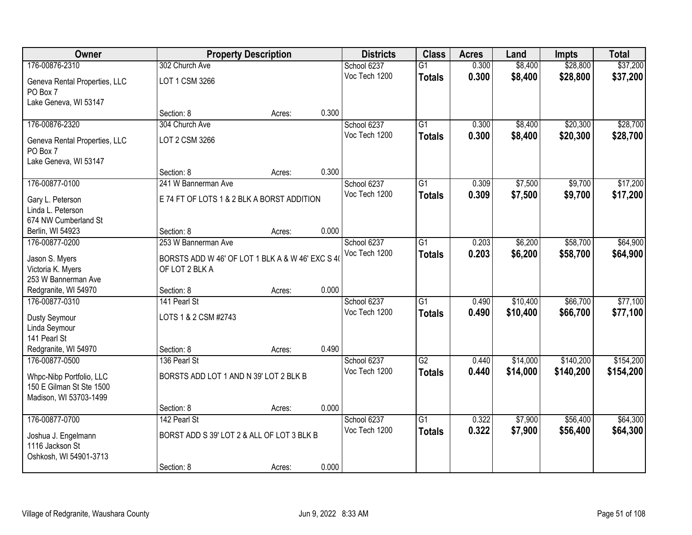| Owner                                              | <b>Property Description</b>                      |        |       | <b>Districts</b> | <b>Class</b>    | <b>Acres</b> | Land     | <b>Impts</b> | <b>Total</b> |
|----------------------------------------------------|--------------------------------------------------|--------|-------|------------------|-----------------|--------------|----------|--------------|--------------|
| 176-00876-2310                                     | 302 Church Ave                                   |        |       | School 6237      | $\overline{G1}$ | 0.300        | \$8,400  | \$28,800     | \$37,200     |
| Geneva Rental Properties, LLC<br>PO Box 7          | LOT 1 CSM 3266                                   |        |       | Voc Tech 1200    | <b>Totals</b>   | 0.300        | \$8,400  | \$28,800     | \$37,200     |
| Lake Geneva, WI 53147                              | Section: 8                                       |        | 0.300 |                  |                 |              |          |              |              |
| 176-00876-2320                                     | 304 Church Ave                                   | Acres: |       | School 6237      | $\overline{G1}$ | 0.300        | \$8,400  | \$20,300     | \$28,700     |
|                                                    |                                                  |        |       | Voc Tech 1200    |                 | 0.300        | \$8,400  | \$20,300     | \$28,700     |
| Geneva Rental Properties, LLC<br>PO Box 7          | LOT 2 CSM 3266                                   |        |       |                  | Totals          |              |          |              |              |
| Lake Geneva, WI 53147                              |                                                  |        |       |                  |                 |              |          |              |              |
|                                                    | Section: 8                                       | Acres: | 0.300 |                  |                 |              |          |              |              |
| 176-00877-0100                                     | 241 W Bannerman Ave                              |        |       | School 6237      | $\overline{G1}$ | 0.309        | \$7,500  | \$9,700      | \$17,200     |
| Gary L. Peterson                                   | E 74 FT OF LOTS 1 & 2 BLK A BORST ADDITION       |        |       | Voc Tech 1200    | <b>Totals</b>   | 0.309        | \$7,500  | \$9,700      | \$17,200     |
| Linda L. Peterson                                  |                                                  |        |       |                  |                 |              |          |              |              |
| 674 NW Cumberland St                               |                                                  |        |       |                  |                 |              |          |              |              |
| Berlin, WI 54923                                   | Section: 8                                       | Acres: | 0.000 |                  |                 |              |          |              |              |
| 176-00877-0200                                     | 253 W Bannerman Ave                              |        |       | School 6237      | G1              | 0.203        | \$6,200  | \$58,700     | \$64,900     |
| Jason S. Myers                                     | BORSTS ADD W 46' OF LOT 1 BLK A & W 46' EXC S 40 |        |       | Voc Tech 1200    | <b>Totals</b>   | 0.203        | \$6,200  | \$58,700     | \$64,900     |
| Victoria K. Myers                                  | OF LOT 2 BLK A                                   |        |       |                  |                 |              |          |              |              |
| 253 W Bannerman Ave                                |                                                  |        |       |                  |                 |              |          |              |              |
| Redgranite, WI 54970                               | Section: 8                                       | Acres: | 0.000 |                  |                 |              |          |              |              |
| 176-00877-0310                                     | 141 Pearl St                                     |        |       | School 6237      | $\overline{G1}$ | 0.490        | \$10,400 | \$66,700     | \$77,100     |
|                                                    |                                                  |        |       | Voc Tech 1200    | <b>Totals</b>   | 0.490        | \$10,400 | \$66,700     | \$77,100     |
| Dusty Seymour<br>Linda Seymour                     | LOTS 1 & 2 CSM #2743                             |        |       |                  |                 |              |          |              |              |
| 141 Pearl St                                       |                                                  |        |       |                  |                 |              |          |              |              |
| Redgranite, WI 54970                               | Section: 8                                       | Acres: | 0.490 |                  |                 |              |          |              |              |
| 176-00877-0500                                     | 136 Pearl St                                     |        |       | School 6237      | $\overline{G2}$ | 0.440        | \$14,000 | \$140,200    | \$154,200    |
|                                                    |                                                  |        |       | Voc Tech 1200    | <b>Totals</b>   | 0.440        | \$14,000 | \$140,200    | \$154,200    |
| Whpc-Nibp Portfolio, LLC                           | BORSTS ADD LOT 1 AND N 39' LOT 2 BLK B           |        |       |                  |                 |              |          |              |              |
| 150 E Gilman St Ste 1500<br>Madison, WI 53703-1499 |                                                  |        |       |                  |                 |              |          |              |              |
|                                                    | Section: 8                                       | Acres: | 0.000 |                  |                 |              |          |              |              |
| 176-00877-0700                                     | 142 Pearl St                                     |        |       | School 6237      | $\overline{G1}$ | 0.322        | \$7,900  | \$56,400     | \$64,300     |
|                                                    |                                                  |        |       | Voc Tech 1200    | <b>Totals</b>   | 0.322        | \$7,900  | \$56,400     | \$64,300     |
| Joshua J. Engelmann                                | BORST ADD S 39' LOT 2 & ALL OF LOT 3 BLK B       |        |       |                  |                 |              |          |              |              |
| 1116 Jackson St                                    |                                                  |        |       |                  |                 |              |          |              |              |
| Oshkosh, WI 54901-3713                             |                                                  |        |       |                  |                 |              |          |              |              |
|                                                    | Section: 8                                       | Acres: | 0.000 |                  |                 |              |          |              |              |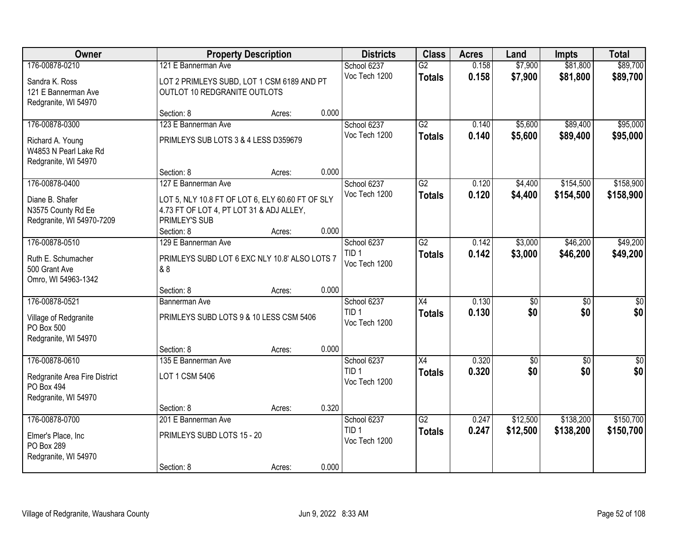| Owner                                                                               |                                                                                                                             | <b>Property Description</b> |       | <b>Districts</b>                                 | <b>Class</b>                     | <b>Acres</b>   | Land                   | <b>Impts</b>           | <b>Total</b>           |
|-------------------------------------------------------------------------------------|-----------------------------------------------------------------------------------------------------------------------------|-----------------------------|-------|--------------------------------------------------|----------------------------------|----------------|------------------------|------------------------|------------------------|
| 176-00878-0210<br>Sandra K. Ross<br>121 E Bannerman Ave<br>Redgranite, WI 54970     | 121 E Bannerman Ave<br>LOT 2 PRIMLEYS SUBD, LOT 1 CSM 6189 AND PT<br><b>OUTLOT 10 REDGRANITE OUTLOTS</b>                    |                             |       | School 6237<br>Voc Tech 1200                     | $\overline{G2}$<br><b>Totals</b> | 0.158<br>0.158 | \$7,900<br>\$7,900     | \$81,800<br>\$81,800   | \$89,700<br>\$89,700   |
|                                                                                     | Section: 8                                                                                                                  | Acres:                      | 0.000 |                                                  |                                  |                |                        |                        |                        |
| 176-00878-0300<br>Richard A. Young<br>W4853 N Pearl Lake Rd<br>Redgranite, WI 54970 | 123 E Bannerman Ave<br>PRIMLEYS SUB LOTS 3 & 4 LESS D359679                                                                 |                             |       | School 6237<br>Voc Tech 1200                     | $\overline{G2}$<br><b>Totals</b> | 0.140<br>0.140 | \$5,600<br>\$5,600     | \$89,400<br>\$89,400   | \$95,000<br>\$95,000   |
| 176-00878-0400                                                                      | Section: 8<br>127 E Bannerman Ave                                                                                           | Acres:                      | 0.000 | School 6237                                      | $\overline{G2}$                  | 0.120          | \$4,400                | \$154,500              | \$158,900              |
| Diane B. Shafer<br>N3575 County Rd Ee<br>Redgranite, WI 54970-7209                  | LOT 5, NLY 10.8 FT OF LOT 6, ELY 60.60 FT OF SLY<br>4.73 FT OF LOT 4, PT LOT 31 & ADJ ALLEY,<br>PRIMLEY'S SUB<br>Section: 8 | Acres:                      | 0.000 | Voc Tech 1200                                    | <b>Totals</b>                    | 0.120          | \$4,400                | \$154,500              | \$158,900              |
| 176-00878-0510                                                                      | 129 E Bannerman Ave                                                                                                         |                             |       | School 6237                                      | $\overline{G2}$                  | 0.142          | \$3,000                | \$46,200               | \$49,200               |
| Ruth E. Schumacher<br>500 Grant Ave<br>Omro, WI 54963-1342                          | PRIMLEYS SUBD LOT 6 EXC NLY 10.8' ALSO LOTS 7<br>& 8                                                                        |                             |       | TID <sub>1</sub><br>Voc Tech 1200                | <b>Totals</b>                    | 0.142          | \$3,000                | \$46,200               | \$49,200               |
|                                                                                     | Section: 8                                                                                                                  | Acres:                      | 0.000 |                                                  |                                  |                |                        |                        |                        |
| 176-00878-0521<br>Village of Redgranite<br>PO Box 500<br>Redgranite, WI 54970       | <b>Bannerman Ave</b><br>PRIMLEYS SUBD LOTS 9 & 10 LESS CSM 5406<br>Section: 8                                               | Acres:                      | 0.000 | School 6237<br>TID <sub>1</sub><br>Voc Tech 1200 | $\overline{X4}$<br><b>Totals</b> | 0.130<br>0.130 | $\overline{50}$<br>\$0 | $\overline{30}$<br>\$0 | $\overline{30}$<br>\$0 |
| 176-00878-0610                                                                      | 135 E Bannerman Ave                                                                                                         |                             |       | School 6237                                      | $\overline{X4}$                  | 0.320          | $\overline{50}$        | $\overline{50}$        | $\overline{\$0}$       |
| Redgranite Area Fire District<br>PO Box 494<br>Redgranite, WI 54970                 | LOT 1 CSM 5406                                                                                                              |                             |       | TID <sub>1</sub><br>Voc Tech 1200                | <b>Totals</b>                    | 0.320          | \$0                    | \$0                    | \$0                    |
|                                                                                     | Section: 8                                                                                                                  | Acres:                      | 0.320 |                                                  |                                  |                |                        |                        |                        |
| 176-00878-0700<br>Elmer's Place, Inc<br>PO Box 289<br>Redgranite, WI 54970          | 201 E Bannerman Ave<br>PRIMLEYS SUBD LOTS 15 - 20<br>Section: 8                                                             | Acres:                      | 0.000 | School 6237<br>TID <sub>1</sub><br>Voc Tech 1200 | $\overline{G2}$<br><b>Totals</b> | 0.247<br>0.247 | \$12,500<br>\$12,500   | \$138,200<br>\$138,200 | \$150,700<br>\$150,700 |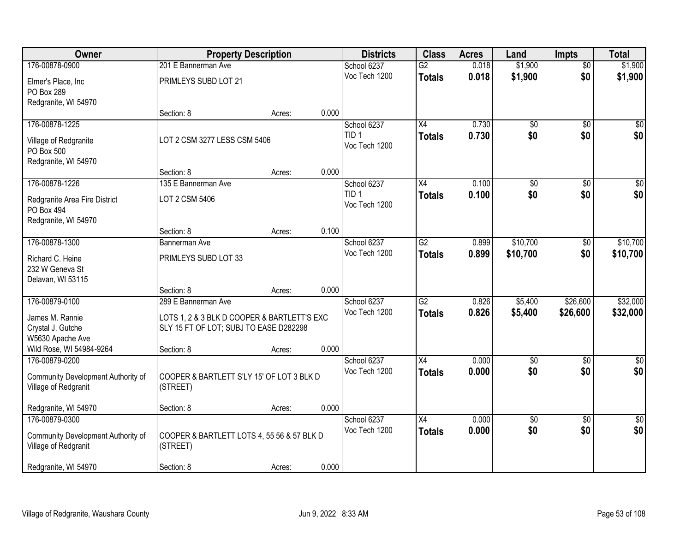| Owner                              | <b>Property Description</b>                 |        |       | <b>Districts</b> | <b>Class</b>    | <b>Acres</b> | Land            | <b>Impts</b>    | <b>Total</b>     |
|------------------------------------|---------------------------------------------|--------|-------|------------------|-----------------|--------------|-----------------|-----------------|------------------|
| 176-00878-0900                     | 201 E Bannerman Ave                         |        |       | School 6237      | $\overline{G2}$ | 0.018        | \$1,900         | $\overline{50}$ | \$1,900          |
| Elmer's Place, Inc                 | PRIMLEYS SUBD LOT 21                        |        |       | Voc Tech 1200    | <b>Totals</b>   | 0.018        | \$1,900         | \$0             | \$1,900          |
| PO Box 289                         |                                             |        |       |                  |                 |              |                 |                 |                  |
| Redgranite, WI 54970               |                                             |        |       |                  |                 |              |                 |                 |                  |
|                                    | Section: 8                                  | Acres: | 0.000 |                  |                 |              |                 |                 |                  |
| 176-00878-1225                     |                                             |        |       | School 6237      | $\overline{X4}$ | 0.730        | \$0             | $\overline{50}$ | \$0              |
| Village of Redgranite              | LOT 2 CSM 3277 LESS CSM 5406                |        |       | TID <sub>1</sub> | <b>Totals</b>   | 0.730        | \$0             | \$0             | \$0              |
| PO Box 500                         |                                             |        |       | Voc Tech 1200    |                 |              |                 |                 |                  |
| Redgranite, WI 54970               |                                             |        |       |                  |                 |              |                 |                 |                  |
|                                    | Section: 8                                  | Acres: | 0.000 |                  |                 |              |                 |                 |                  |
| 176-00878-1226                     | 135 E Bannerman Ave                         |        |       | School 6237      | X4              | 0.100        | \$0             | \$0             | $\overline{50}$  |
| Redgranite Area Fire District      | LOT 2 CSM 5406                              |        |       | TID <sub>1</sub> | <b>Totals</b>   | 0.100        | \$0             | \$0             | \$0              |
| PO Box 494                         |                                             |        |       | Voc Tech 1200    |                 |              |                 |                 |                  |
| Redgranite, WI 54970               |                                             |        |       |                  |                 |              |                 |                 |                  |
|                                    | Section: 8                                  | Acres: | 0.100 |                  |                 |              |                 |                 |                  |
| 176-00878-1300                     | Bannerman Ave                               |        |       | School 6237      | $\overline{G2}$ | 0.899        | \$10,700        | $\sqrt[6]{3}$   | \$10,700         |
| Richard C. Heine                   | PRIMLEYS SUBD LOT 33                        |        |       | Voc Tech 1200    | <b>Totals</b>   | 0.899        | \$10,700        | \$0             | \$10,700         |
| 232 W Geneva St                    |                                             |        |       |                  |                 |              |                 |                 |                  |
| Delavan, WI 53115                  |                                             |        |       |                  |                 |              |                 |                 |                  |
|                                    | Section: 8                                  | Acres: | 0.000 |                  |                 |              |                 |                 |                  |
| 176-00879-0100                     | 289 E Bannerman Ave                         |        |       | School 6237      | $\overline{G2}$ | 0.826        | \$5,400         | \$26,600        | \$32,000         |
| James M. Rannie                    | LOTS 1, 2 & 3 BLK D COOPER & BARTLETT'S EXC |        |       | Voc Tech 1200    | <b>Totals</b>   | 0.826        | \$5,400         | \$26,600        | \$32,000         |
| Crystal J. Gutche                  | SLY 15 FT OF LOT; SUBJ TO EASE D282298      |        |       |                  |                 |              |                 |                 |                  |
| W5630 Apache Ave                   |                                             |        |       |                  |                 |              |                 |                 |                  |
| Wild Rose, WI 54984-9264           | Section: 8                                  | Acres: | 0.000 |                  |                 |              |                 |                 |                  |
| 176-00879-0200                     |                                             |        |       | School 6237      | X4              | 0.000        | $\overline{50}$ | \$0             | $\overline{\$0}$ |
| Community Development Authority of | COOPER & BARTLETT S'LY 15' OF LOT 3 BLK D   |        |       | Voc Tech 1200    | <b>Totals</b>   | 0.000        | \$0             | \$0             | \$0              |
| Village of Redgranit               | (STREET)                                    |        |       |                  |                 |              |                 |                 |                  |
|                                    |                                             |        |       |                  |                 |              |                 |                 |                  |
| Redgranite, WI 54970               | Section: 8                                  | Acres: | 0.000 |                  |                 |              |                 |                 |                  |
| 176-00879-0300                     |                                             |        |       | School 6237      | $\overline{X4}$ | 0.000        | $\overline{50}$ | $\overline{30}$ | $\sqrt{30}$      |
| Community Development Authority of | COOPER & BARTLETT LOTS 4, 55 56 & 57 BLK D  |        |       | Voc Tech 1200    | <b>Totals</b>   | 0.000        | \$0             | \$0             | \$0              |
| Village of Redgranit               | (STREET)                                    |        |       |                  |                 |              |                 |                 |                  |
|                                    |                                             |        |       |                  |                 |              |                 |                 |                  |
| Redgranite, WI 54970               | Section: 8                                  | Acres: | 0.000 |                  |                 |              |                 |                 |                  |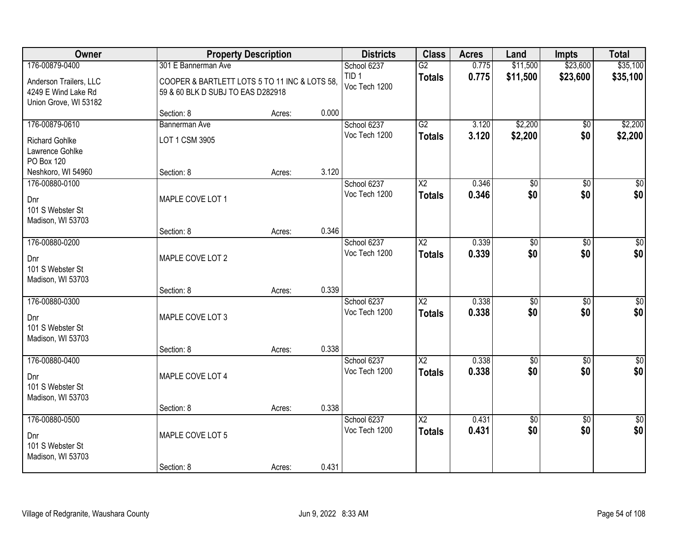| Owner                                                                  |                                                                                    | <b>Property Description</b> |       | <b>Districts</b>                  | <b>Class</b>                     | <b>Acres</b>   | Land                   | <b>Impts</b>           | <b>Total</b>           |
|------------------------------------------------------------------------|------------------------------------------------------------------------------------|-----------------------------|-------|-----------------------------------|----------------------------------|----------------|------------------------|------------------------|------------------------|
| 176-00879-0400                                                         | 301 E Bannerman Ave                                                                |                             |       | School 6237                       | $\overline{G2}$                  | 0.775          | \$11,500               | \$23,600               | \$35,100               |
| Anderson Trailers, LLC<br>4249 E Wind Lake Rd<br>Union Grove, WI 53182 | COOPER & BARTLETT LOTS 5 TO 11 INC & LOTS 58,<br>59 & 60 BLK D SUBJ TO EAS D282918 |                             |       | TID <sub>1</sub><br>Voc Tech 1200 | <b>Totals</b>                    | 0.775          | \$11,500               | \$23,600               | \$35,100               |
|                                                                        | Section: 8                                                                         | Acres:                      | 0.000 |                                   |                                  |                |                        |                        |                        |
| 176-00879-0610                                                         | Bannerman Ave                                                                      |                             |       | School 6237                       | G2                               | 3.120          | \$2,200                | $\overline{50}$        | \$2,200                |
| <b>Richard Gohlke</b><br>Lawrence Gohlke<br>PO Box 120                 | LOT 1 CSM 3905                                                                     |                             |       | Voc Tech 1200                     | <b>Totals</b>                    | 3.120          | \$2,200                | \$0                    | \$2,200                |
| Neshkoro, WI 54960                                                     | Section: 8                                                                         | Acres:                      | 3.120 |                                   |                                  |                |                        |                        |                        |
| 176-00880-0100                                                         |                                                                                    |                             |       | School 6237                       | X <sub>2</sub>                   | 0.346          | $\overline{60}$        | $\overline{50}$        | $\overline{50}$        |
| Dnr<br>101 S Webster St                                                | MAPLE COVE LOT 1                                                                   |                             |       | Voc Tech 1200                     | <b>Totals</b>                    | 0.346          | \$0                    | \$0                    | \$0                    |
| Madison, WI 53703                                                      | Section: 8                                                                         | Acres:                      | 0.346 |                                   |                                  |                |                        |                        |                        |
| 176-00880-0200                                                         |                                                                                    |                             |       | School 6237                       | $\overline{\text{X2}}$           | 0.339          | $\overline{50}$        | $\overline{50}$        | $\overline{30}$        |
| Dnr<br>101 S Webster St<br>Madison, WI 53703                           | MAPLE COVE LOT 2                                                                   |                             |       | Voc Tech 1200                     | <b>Totals</b>                    | 0.339          | \$0                    | \$0                    | \$0                    |
|                                                                        | Section: 8                                                                         | Acres:                      | 0.339 |                                   |                                  |                |                        |                        |                        |
| 176-00880-0300<br>Dnr<br>101 S Webster St<br>Madison, WI 53703         | MAPLE COVE LOT 3                                                                   |                             |       | School 6237<br>Voc Tech 1200      | $\overline{X2}$<br><b>Totals</b> | 0.338<br>0.338 | $\overline{60}$<br>\$0 | \$0<br>\$0             | $\overline{50}$<br>\$0 |
|                                                                        | Section: 8                                                                         | Acres:                      | 0.338 |                                   |                                  |                |                        |                        |                        |
| 176-00880-0400<br>Dnr<br>101 S Webster St<br>Madison, WI 53703         | MAPLE COVE LOT 4                                                                   |                             |       | School 6237<br>Voc Tech 1200      | $\overline{X2}$<br><b>Totals</b> | 0.338<br>0.338 | $\overline{50}$<br>\$0 | $\overline{50}$<br>\$0 | $\sqrt{50}$<br>\$0     |
|                                                                        | Section: 8                                                                         | Acres:                      | 0.338 |                                   |                                  |                |                        |                        |                        |
| 176-00880-0500<br>Dnr<br>101 S Webster St<br>Madison, WI 53703         | MAPLE COVE LOT 5                                                                   |                             |       | School 6237<br>Voc Tech 1200      | $\overline{X2}$<br><b>Totals</b> | 0.431<br>0.431 | $\overline{60}$<br>\$0 | $\overline{50}$<br>\$0 | $\sqrt{50}$<br>\$0     |
|                                                                        | Section: 8                                                                         | Acres:                      | 0.431 |                                   |                                  |                |                        |                        |                        |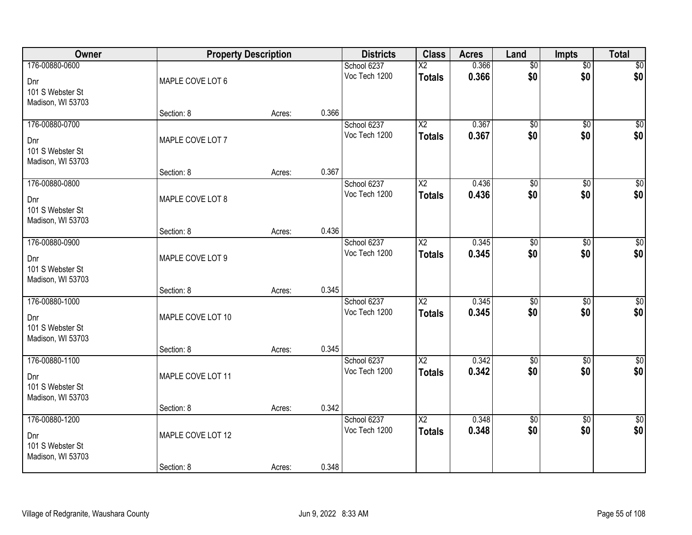| Owner                   | <b>Property Description</b> |        |       | <b>Districts</b>             | <b>Class</b>           | <b>Acres</b> | Land            | <b>Impts</b>    | <b>Total</b>     |
|-------------------------|-----------------------------|--------|-------|------------------------------|------------------------|--------------|-----------------|-----------------|------------------|
| 176-00880-0600          |                             |        |       | School 6237                  | $\overline{X2}$        | 0.366        | $\overline{60}$ | $\overline{60}$ | $\sqrt{50}$      |
| Dnr                     | MAPLE COVE LOT 6            |        |       | Voc Tech 1200                | <b>Totals</b>          | 0.366        | \$0             | \$0             | \$0              |
| 101 S Webster St        |                             |        |       |                              |                        |              |                 |                 |                  |
| Madison, WI 53703       |                             |        |       |                              |                        |              |                 |                 |                  |
|                         | Section: 8                  | Acres: | 0.366 |                              |                        |              |                 |                 |                  |
| 176-00880-0700          |                             |        |       | School 6237                  | $\overline{X2}$        | 0.367        | $\overline{50}$ | $\overline{50}$ | $\sqrt{50}$      |
| Dnr                     | MAPLE COVE LOT 7            |        |       | Voc Tech 1200                | <b>Totals</b>          | 0.367        | \$0             | \$0             | \$0              |
| 101 S Webster St        |                             |        |       |                              |                        |              |                 |                 |                  |
| Madison, WI 53703       |                             |        |       |                              |                        |              |                 |                 |                  |
|                         | Section: 8                  | Acres: | 0.367 |                              |                        |              |                 |                 |                  |
| 176-00880-0800          |                             |        |       | School 6237<br>Voc Tech 1200 | $\overline{X2}$        | 0.436        | \$0<br>\$0      | \$0             | $\overline{\$0}$ |
| Dnr                     | MAPLE COVE LOT 8            |        |       |                              | <b>Totals</b>          | 0.436        |                 | \$0             | \$0              |
| 101 S Webster St        |                             |        |       |                              |                        |              |                 |                 |                  |
| Madison, WI 53703       |                             |        |       |                              |                        |              |                 |                 |                  |
| 176-00880-0900          | Section: 8                  | Acres: | 0.436 | School 6237                  | $\overline{\text{X2}}$ | 0.345        | $\overline{60}$ | \$0             | $\sqrt{50}$      |
|                         |                             |        |       | Voc Tech 1200                | <b>Totals</b>          | 0.345        | \$0             | \$0             | \$0              |
| Dnr                     | MAPLE COVE LOT 9            |        |       |                              |                        |              |                 |                 |                  |
| 101 S Webster St        |                             |        |       |                              |                        |              |                 |                 |                  |
| Madison, WI 53703       | Section: 8                  | Acres: | 0.345 |                              |                        |              |                 |                 |                  |
| 176-00880-1000          |                             |        |       | School 6237                  | $\overline{X2}$        | 0.345        | $\overline{50}$ | $\overline{50}$ | $\overline{50}$  |
|                         |                             |        |       | Voc Tech 1200                | <b>Totals</b>          | 0.345        | \$0             | \$0             | \$0              |
| Dnr<br>101 S Webster St | MAPLE COVE LOT 10           |        |       |                              |                        |              |                 |                 |                  |
| Madison, WI 53703       |                             |        |       |                              |                        |              |                 |                 |                  |
|                         | Section: 8                  | Acres: | 0.345 |                              |                        |              |                 |                 |                  |
| 176-00880-1100          |                             |        |       | School 6237                  | $\overline{X2}$        | 0.342        | $\overline{50}$ | \$0             | $\overline{50}$  |
| Dnr                     | MAPLE COVE LOT 11           |        |       | Voc Tech 1200                | <b>Totals</b>          | 0.342        | \$0             | \$0             | \$0              |
| 101 S Webster St        |                             |        |       |                              |                        |              |                 |                 |                  |
| Madison, WI 53703       |                             |        |       |                              |                        |              |                 |                 |                  |
|                         | Section: 8                  | Acres: | 0.342 |                              |                        |              |                 |                 |                  |
| 176-00880-1200          |                             |        |       | School 6237                  | $\overline{X2}$        | 0.348        | $\overline{60}$ | $\overline{50}$ | $\overline{50}$  |
| Dnr                     | MAPLE COVE LOT 12           |        |       | Voc Tech 1200                | <b>Totals</b>          | 0.348        | \$0             | \$0             | \$0              |
| 101 S Webster St        |                             |        |       |                              |                        |              |                 |                 |                  |
| Madison, WI 53703       |                             |        |       |                              |                        |              |                 |                 |                  |
|                         | Section: 8                  | Acres: | 0.348 |                              |                        |              |                 |                 |                  |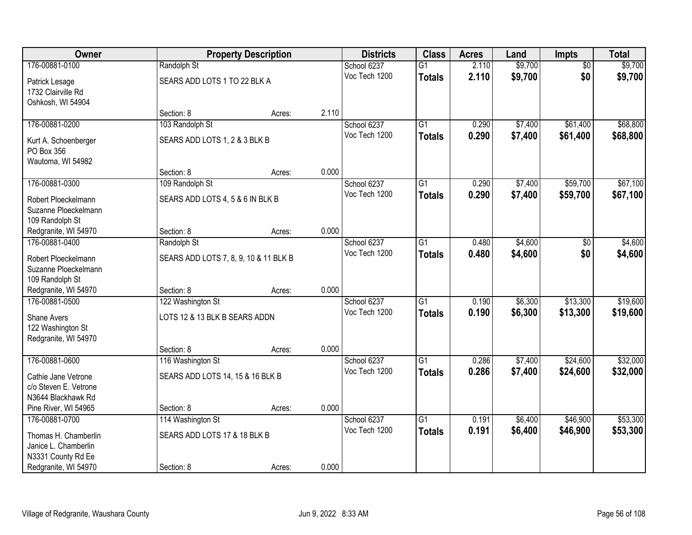| Owner                                   |                                       | <b>Property Description</b> |       | <b>Districts</b> | <b>Class</b>    | <b>Acres</b> | Land    | <b>Impts</b>    | <b>Total</b> |
|-----------------------------------------|---------------------------------------|-----------------------------|-------|------------------|-----------------|--------------|---------|-----------------|--------------|
| 176-00881-0100                          | Randolph St                           |                             |       | School 6237      | $\overline{G1}$ | 2.110        | \$9,700 | $\overline{50}$ | \$9,700      |
| Patrick Lesage<br>1732 Clairville Rd    | SEARS ADD LOTS 1 TO 22 BLK A          |                             |       | Voc Tech 1200    | <b>Totals</b>   | 2.110        | \$9,700 | \$0             | \$9,700      |
| Oshkosh, WI 54904                       |                                       |                             |       |                  |                 |              |         |                 |              |
|                                         | Section: 8                            | Acres:                      | 2.110 |                  |                 |              |         |                 |              |
| 176-00881-0200                          | 103 Randolph St                       |                             |       | School 6237      | $\overline{G1}$ | 0.290        | \$7,400 | \$61,400        | \$68,800     |
| Kurt A. Schoenberger                    | SEARS ADD LOTS 1, 2 & 3 BLK B         |                             |       | Voc Tech 1200    | <b>Totals</b>   | 0.290        | \$7,400 | \$61,400        | \$68,800     |
| PO Box 356                              |                                       |                             |       |                  |                 |              |         |                 |              |
| Wautoma, WI 54982                       |                                       |                             |       |                  |                 |              |         |                 |              |
|                                         | Section: 8                            | Acres:                      | 0.000 |                  |                 |              |         |                 |              |
| 176-00881-0300                          | 109 Randolph St                       |                             |       | School 6237      | $\overline{G1}$ | 0.290        | \$7,400 | \$59,700        | \$67,100     |
| Robert Ploeckelmann                     | SEARS ADD LOTS 4, 5 & 6 IN BLK B      |                             |       | Voc Tech 1200    | <b>Totals</b>   | 0.290        | \$7,400 | \$59,700        | \$67,100     |
| Suzanne Ploeckelmann                    |                                       |                             |       |                  |                 |              |         |                 |              |
| 109 Randolph St                         |                                       |                             |       |                  |                 |              |         |                 |              |
| Redgranite, WI 54970<br>176-00881-0400  | Section: 8<br>Randolph St             | Acres:                      | 0.000 | School 6237      | $\overline{G1}$ | 0.480        | \$4,600 |                 | \$4,600      |
|                                         |                                       |                             |       | Voc Tech 1200    | <b>Totals</b>   | 0.480        | \$4,600 | \$0<br>\$0      | \$4,600      |
| Robert Ploeckelmann                     | SEARS ADD LOTS 7, 8, 9, 10 & 11 BLK B |                             |       |                  |                 |              |         |                 |              |
| Suzanne Ploeckelmann                    |                                       |                             |       |                  |                 |              |         |                 |              |
| 109 Randolph St<br>Redgranite, WI 54970 | Section: 8                            | Acres:                      | 0.000 |                  |                 |              |         |                 |              |
| 176-00881-0500                          | 122 Washington St                     |                             |       | School 6237      | $\overline{G1}$ | 0.190        | \$6,300 | \$13,300        | \$19,600     |
|                                         |                                       |                             |       | Voc Tech 1200    | <b>Totals</b>   | 0.190        | \$6,300 | \$13,300        | \$19,600     |
| Shane Avers<br>122 Washington St        | LOTS 12 & 13 BLK B SEARS ADDN         |                             |       |                  |                 |              |         |                 |              |
| Redgranite, WI 54970                    |                                       |                             |       |                  |                 |              |         |                 |              |
|                                         | Section: 8                            | Acres:                      | 0.000 |                  |                 |              |         |                 |              |
| 176-00881-0600                          | 116 Washington St                     |                             |       | School 6237      | $\overline{G1}$ | 0.286        | \$7,400 | \$24,600        | \$32,000     |
| Cathie Jane Vetrone                     | SEARS ADD LOTS 14, 15 & 16 BLK B      |                             |       | Voc Tech 1200    | <b>Totals</b>   | 0.286        | \$7,400 | \$24,600        | \$32,000     |
| c/o Steven E. Vetrone                   |                                       |                             |       |                  |                 |              |         |                 |              |
| N3644 Blackhawk Rd                      |                                       |                             |       |                  |                 |              |         |                 |              |
| Pine River, WI 54965                    | Section: 8                            | Acres:                      | 0.000 |                  |                 |              |         |                 |              |
| 176-00881-0700                          | 114 Washington St                     |                             |       | School 6237      | $\overline{G1}$ | 0.191        | \$6,400 | \$46,900        | \$53,300     |
| Thomas H. Chamberlin                    | SEARS ADD LOTS 17 & 18 BLK B          |                             |       | Voc Tech 1200    | <b>Totals</b>   | 0.191        | \$6,400 | \$46,900        | \$53,300     |
| Janice L. Chamberlin                    |                                       |                             |       |                  |                 |              |         |                 |              |
| N3331 County Rd Ee                      |                                       |                             |       |                  |                 |              |         |                 |              |
| Redgranite, WI 54970                    | Section: 8                            | Acres:                      | 0.000 |                  |                 |              |         |                 |              |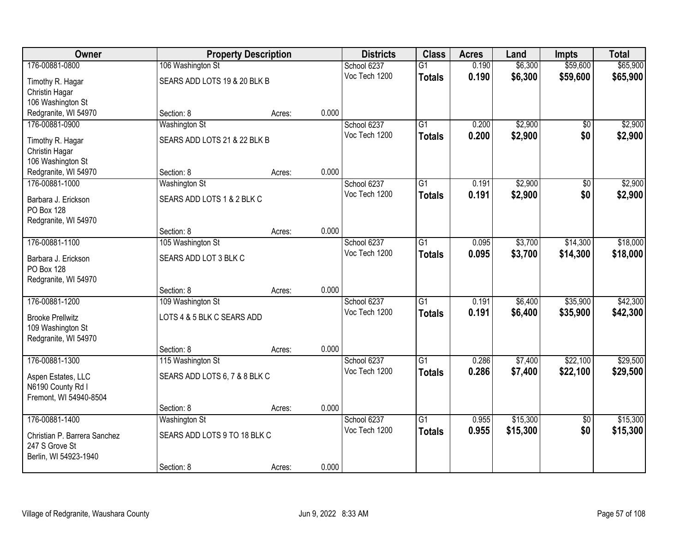| Owner                                       |                                 | <b>Property Description</b> |       | <b>Districts</b>             | <b>Class</b>    | <b>Acres</b> | Land     | <b>Impts</b>    | <b>Total</b> |
|---------------------------------------------|---------------------------------|-----------------------------|-------|------------------------------|-----------------|--------------|----------|-----------------|--------------|
| 176-00881-0800                              | 106 Washington St               |                             |       | School 6237                  | $\overline{G1}$ | 0.190        | \$6,300  | \$59,600        | \$65,900     |
| Timothy R. Hagar                            | SEARS ADD LOTS 19 & 20 BLK B    |                             |       | Voc Tech 1200                | <b>Totals</b>   | 0.190        | \$6,300  | \$59,600        | \$65,900     |
| Christin Hagar                              |                                 |                             |       |                              |                 |              |          |                 |              |
| 106 Washington St                           |                                 |                             |       |                              |                 |              |          |                 |              |
| Redgranite, WI 54970                        | Section: 8                      | Acres:                      | 0.000 |                              |                 |              |          |                 |              |
| 176-00881-0900                              | <b>Washington St</b>            |                             |       | School 6237                  | $\overline{G1}$ | 0.200        | \$2,900  | $\overline{30}$ | \$2,900      |
| Timothy R. Hagar                            | SEARS ADD LOTS 21 & 22 BLK B    |                             |       | Voc Tech 1200                | <b>Totals</b>   | 0.200        | \$2,900  | \$0             | \$2,900      |
| Christin Hagar                              |                                 |                             |       |                              |                 |              |          |                 |              |
| 106 Washington St                           |                                 |                             |       |                              |                 |              |          |                 |              |
| Redgranite, WI 54970                        | Section: 8                      | Acres:                      | 0.000 |                              |                 |              |          |                 |              |
| 176-00881-1000                              | <b>Washington St</b>            |                             |       | School 6237<br>Voc Tech 1200 | $\overline{G1}$ | 0.191        | \$2,900  | \$0             | \$2,900      |
| Barbara J. Erickson                         | SEARS ADD LOTS 1 & 2 BLK C      |                             |       |                              | <b>Totals</b>   | 0.191        | \$2,900  | \$0             | \$2,900      |
| <b>PO Box 128</b>                           |                                 |                             |       |                              |                 |              |          |                 |              |
| Redgranite, WI 54970                        |                                 |                             |       |                              |                 |              |          |                 |              |
| 176-00881-1100                              | Section: 8                      | Acres:                      | 0.000 |                              | $\overline{G1}$ | 0.095        | \$3,700  | \$14,300        | \$18,000     |
|                                             | 105 Washington St               |                             |       | School 6237<br>Voc Tech 1200 |                 | 0.095        | \$3,700  | \$14,300        | \$18,000     |
| Barbara J. Erickson                         | SEARS ADD LOT 3 BLK C           |                             |       |                              | <b>Totals</b>   |              |          |                 |              |
| PO Box 128                                  |                                 |                             |       |                              |                 |              |          |                 |              |
| Redgranite, WI 54970                        |                                 |                             | 0.000 |                              |                 |              |          |                 |              |
| 176-00881-1200                              | Section: 8<br>109 Washington St | Acres:                      |       | School 6237                  | $\overline{G1}$ | 0.191        | \$6,400  | \$35,900        | \$42,300     |
|                                             |                                 |                             |       | Voc Tech 1200                | <b>Totals</b>   | 0.191        | \$6,400  | \$35,900        | \$42,300     |
| <b>Brooke Prellwitz</b>                     | LOTS 4 & 5 BLK C SEARS ADD      |                             |       |                              |                 |              |          |                 |              |
| 109 Washington St                           |                                 |                             |       |                              |                 |              |          |                 |              |
| Redgranite, WI 54970                        | Section: 8                      |                             | 0.000 |                              |                 |              |          |                 |              |
| 176-00881-1300                              | 115 Washington St               | Acres:                      |       | School 6237                  | $\overline{G1}$ | 0.286        | \$7,400  | \$22,100        | \$29,500     |
|                                             |                                 |                             |       | Voc Tech 1200                | <b>Totals</b>   | 0.286        | \$7,400  | \$22,100        | \$29,500     |
| Aspen Estates, LLC                          | SEARS ADD LOTS 6, 7 & 8 BLK C   |                             |       |                              |                 |              |          |                 |              |
| N6190 County Rd I<br>Fremont, WI 54940-8504 |                                 |                             |       |                              |                 |              |          |                 |              |
|                                             | Section: 8                      | Acres:                      | 0.000 |                              |                 |              |          |                 |              |
| 176-00881-1400                              | Washington St                   |                             |       | School 6237                  | $\overline{G1}$ | 0.955        | \$15,300 | $\overline{30}$ | \$15,300     |
|                                             |                                 |                             |       | Voc Tech 1200                | <b>Totals</b>   | 0.955        | \$15,300 | \$0             | \$15,300     |
| Christian P. Barrera Sanchez                | SEARS ADD LOTS 9 TO 18 BLK C    |                             |       |                              |                 |              |          |                 |              |
| 247 S Grove St<br>Berlin, WI 54923-1940     |                                 |                             |       |                              |                 |              |          |                 |              |
|                                             | Section: 8                      | Acres:                      | 0.000 |                              |                 |              |          |                 |              |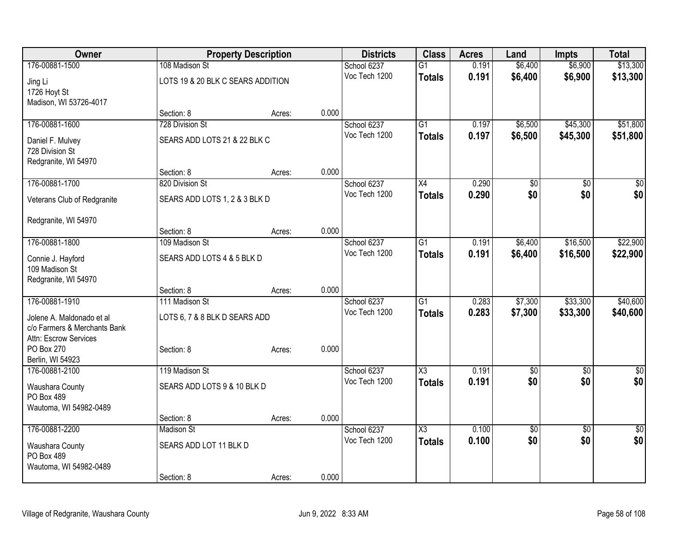| Owner                                                 |                                   | <b>Property Description</b> |       | <b>Districts</b>             | <b>Class</b>              | <b>Acres</b>   | Land               | <b>Impts</b>         | <b>Total</b>         |
|-------------------------------------------------------|-----------------------------------|-----------------------------|-------|------------------------------|---------------------------|----------------|--------------------|----------------------|----------------------|
| 176-00881-1500                                        | 108 Madison St                    |                             |       | School 6237                  | $\overline{G1}$           | 0.191          | \$6,400            | \$6,900              | \$13,300             |
| Jing Li                                               | LOTS 19 & 20 BLK C SEARS ADDITION |                             |       | Voc Tech 1200                | <b>Totals</b>             | 0.191          | \$6,400            | \$6,900              | \$13,300             |
| 1726 Hoyt St                                          |                                   |                             |       |                              |                           |                |                    |                      |                      |
| Madison, WI 53726-4017                                |                                   |                             |       |                              |                           |                |                    |                      |                      |
|                                                       | Section: 8                        | Acres:                      | 0.000 |                              |                           |                |                    |                      |                      |
| 176-00881-1600                                        | 728 Division St                   |                             |       | School 6237<br>Voc Tech 1200 | G1<br><b>Totals</b>       | 0.197<br>0.197 | \$6,500<br>\$6,500 | \$45,300<br>\$45,300 | \$51,800<br>\$51,800 |
| Daniel F. Mulvey                                      | SEARS ADD LOTS 21 & 22 BLK C      |                             |       |                              |                           |                |                    |                      |                      |
| 728 Division St                                       |                                   |                             |       |                              |                           |                |                    |                      |                      |
| Redgranite, WI 54970                                  | Section: 8                        | Acres:                      | 0.000 |                              |                           |                |                    |                      |                      |
| 176-00881-1700                                        | 820 Division St                   |                             |       | School 6237                  | $\overline{X4}$           | 0.290          | $\overline{50}$    | \$0                  | $\sqrt{50}$          |
|                                                       | SEARS ADD LOTS 1, 2 & 3 BLK D     |                             |       | Voc Tech 1200                | <b>Totals</b>             | 0.290          | \$0                | \$0                  | \$0                  |
| Veterans Club of Redgranite                           |                                   |                             |       |                              |                           |                |                    |                      |                      |
| Redgranite, WI 54970                                  |                                   |                             |       |                              |                           |                |                    |                      |                      |
|                                                       | Section: 8                        | Acres:                      | 0.000 |                              |                           |                |                    |                      |                      |
| 176-00881-1800                                        | 109 Madison St                    |                             |       | School 6237                  | $\overline{G1}$           | 0.191          | \$6,400            | \$16,500             | \$22,900             |
| Connie J. Hayford                                     | SEARS ADD LOTS 4 & 5 BLK D        |                             |       | Voc Tech 1200                | <b>Totals</b>             | 0.191          | \$6,400            | \$16,500             | \$22,900             |
| 109 Madison St                                        |                                   |                             |       |                              |                           |                |                    |                      |                      |
| Redgranite, WI 54970                                  |                                   |                             |       |                              |                           |                |                    |                      |                      |
|                                                       | Section: 8                        | Acres:                      | 0.000 |                              |                           |                |                    |                      |                      |
| 176-00881-1910                                        | 111 Madison St                    |                             |       | School 6237<br>Voc Tech 1200 | $\overline{G1}$<br>Totals | 0.283<br>0.283 | \$7,300<br>\$7,300 | \$33,300<br>\$33,300 | \$40,600<br>\$40,600 |
| Jolene A. Maldonado et al                             | LOTS 6, 7 & 8 BLK D SEARS ADD     |                             |       |                              |                           |                |                    |                      |                      |
| c/o Farmers & Merchants Bank<br>Attn: Escrow Services |                                   |                             |       |                              |                           |                |                    |                      |                      |
| PO Box 270                                            | Section: 8                        | Acres:                      | 0.000 |                              |                           |                |                    |                      |                      |
| Berlin, WI 54923                                      |                                   |                             |       |                              |                           |                |                    |                      |                      |
| 176-00881-2100                                        | 119 Madison St                    |                             |       | School 6237                  | $\overline{\chi_3}$       | 0.191          | $\overline{50}$    | $\overline{60}$      | \$0                  |
| Waushara County                                       | SEARS ADD LOTS 9 & 10 BLK D       |                             |       | Voc Tech 1200                | <b>Totals</b>             | 0.191          | \$0                | \$0                  | \$0                  |
| PO Box 489                                            |                                   |                             |       |                              |                           |                |                    |                      |                      |
| Wautoma, WI 54982-0489                                |                                   |                             |       |                              |                           |                |                    |                      |                      |
|                                                       | Section: 8                        | Acres:                      | 0.000 |                              |                           |                |                    |                      |                      |
| 176-00881-2200                                        | <b>Madison St</b>                 |                             |       | School 6237                  | $\overline{\chi_3}$       | 0.100          | $\overline{50}$    | $\overline{30}$      | $\sqrt{50}$          |
| Waushara County                                       | SEARS ADD LOT 11 BLK D            |                             |       | Voc Tech 1200                | <b>Totals</b>             | 0.100          | \$0                | \$0                  | \$0                  |
| PO Box 489                                            |                                   |                             |       |                              |                           |                |                    |                      |                      |
| Wautoma, WI 54982-0489                                |                                   |                             | 0.000 |                              |                           |                |                    |                      |                      |
|                                                       | Section: 8                        | Acres:                      |       |                              |                           |                |                    |                      |                      |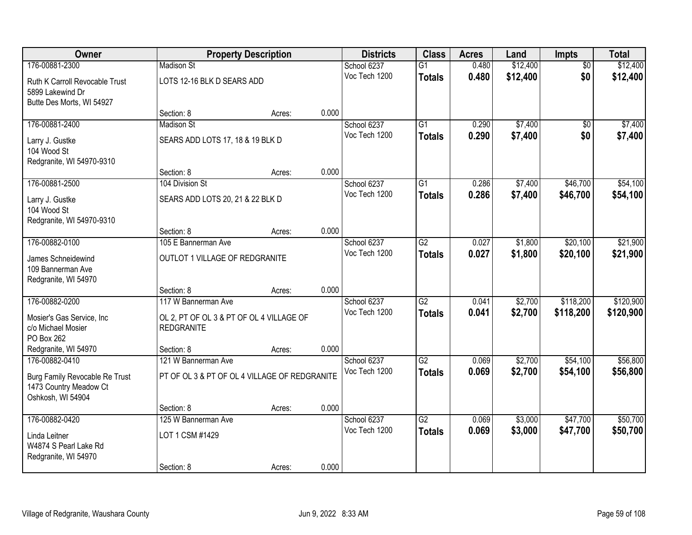| Owner                                                                           |                                                                                      | <b>Property Description</b> |       | <b>Districts</b>             | <b>Class</b>                     | <b>Acres</b>   | Land               | <b>Impts</b>           | <b>Total</b>           |
|---------------------------------------------------------------------------------|--------------------------------------------------------------------------------------|-----------------------------|-------|------------------------------|----------------------------------|----------------|--------------------|------------------------|------------------------|
| 176-00881-2300                                                                  | <b>Madison St</b>                                                                    |                             |       | School 6237                  | $\overline{G1}$                  | 0.480          | \$12,400           | $\overline{50}$        | \$12,400               |
| Ruth K Carroll Revocable Trust<br>5899 Lakewind Dr<br>Butte Des Morts, WI 54927 | LOTS 12-16 BLK D SEARS ADD                                                           |                             |       | Voc Tech 1200                | <b>Totals</b>                    | 0.480          | \$12,400           | \$0                    | \$12,400               |
|                                                                                 | Section: 8                                                                           | Acres:                      | 0.000 |                              |                                  |                |                    |                        |                        |
| 176-00881-2400                                                                  | <b>Madison St</b>                                                                    |                             |       | School 6237                  | $\overline{G1}$                  | 0.290          | \$7,400            | $\overline{50}$        | \$7,400                |
| Larry J. Gustke<br>104 Wood St<br>Redgranite, WI 54970-9310                     | SEARS ADD LOTS 17, 18 & 19 BLK D                                                     |                             |       | Voc Tech 1200                | <b>Totals</b>                    | 0.290          | \$7,400            | \$0                    | \$7,400                |
|                                                                                 | Section: 8                                                                           | Acres:                      | 0.000 |                              |                                  |                |                    |                        |                        |
| 176-00881-2500                                                                  | 104 Division St                                                                      |                             |       | School 6237                  | $\overline{G1}$                  | 0.286          | \$7,400            | \$46,700               | \$54,100               |
| Larry J. Gustke<br>104 Wood St<br>Redgranite, WI 54970-9310                     | SEARS ADD LOTS 20, 21 & 22 BLK D                                                     |                             |       | Voc Tech 1200                | <b>Totals</b>                    | 0.286          | \$7,400            | \$46,700               | \$54,100               |
|                                                                                 | Section: 8                                                                           | Acres:                      | 0.000 |                              |                                  |                |                    |                        |                        |
| 176-00882-0100                                                                  | 105 E Bannerman Ave                                                                  |                             |       | School 6237                  | $\overline{G2}$                  | 0.027          | \$1,800            | \$20,100               | \$21,900               |
| James Schneidewind<br>109 Bannerman Ave<br>Redgranite, WI 54970                 | OUTLOT 1 VILLAGE OF REDGRANITE                                                       |                             |       | Voc Tech 1200                | <b>Totals</b>                    | 0.027          | \$1,800            | \$20,100               | \$21,900               |
|                                                                                 | Section: 8                                                                           | Acres:                      | 0.000 |                              |                                  |                |                    |                        |                        |
| 176-00882-0200<br>Mosier's Gas Service, Inc<br>c/o Michael Mosier               | 117 W Bannerman Ave<br>OL 2, PT OF OL 3 & PT OF OL 4 VILLAGE OF<br><b>REDGRANITE</b> |                             |       | School 6237<br>Voc Tech 1200 | $\overline{G2}$<br><b>Totals</b> | 0.041<br>0.041 | \$2,700<br>\$2,700 | \$118,200<br>\$118,200 | \$120,900<br>\$120,900 |
| PO Box 262                                                                      |                                                                                      |                             |       |                              |                                  |                |                    |                        |                        |
| Redgranite, WI 54970                                                            | Section: 8                                                                           | Acres:                      | 0.000 |                              |                                  |                |                    |                        |                        |
| 176-00882-0410                                                                  | 121 W Bannerman Ave                                                                  |                             |       | School 6237                  | $\overline{G2}$                  | 0.069          | \$2,700            | \$54,100               | \$56,800               |
| Burg Family Revocable Re Trust<br>1473 Country Meadow Ct<br>Oshkosh, WI 54904   | PT OF OL 3 & PT OF OL 4 VILLAGE OF REDGRANITE                                        |                             |       | Voc Tech 1200                | <b>Totals</b>                    | 0.069          | \$2,700            | \$54,100               | \$56,800               |
|                                                                                 | Section: 8                                                                           | Acres:                      | 0.000 |                              |                                  |                |                    |                        |                        |
| 176-00882-0420                                                                  | 125 W Bannerman Ave                                                                  |                             |       | School 6237                  | $\overline{G2}$                  | 0.069          | \$3,000            | \$47,700               | \$50,700               |
| Linda Leitner<br>W4874 S Pearl Lake Rd<br>Redgranite, WI 54970                  | LOT 1 CSM #1429                                                                      |                             |       | Voc Tech 1200                | <b>Totals</b>                    | 0.069          | \$3,000            | \$47,700               | \$50,700               |
|                                                                                 | Section: 8                                                                           | Acres:                      | 0.000 |                              |                                  |                |                    |                        |                        |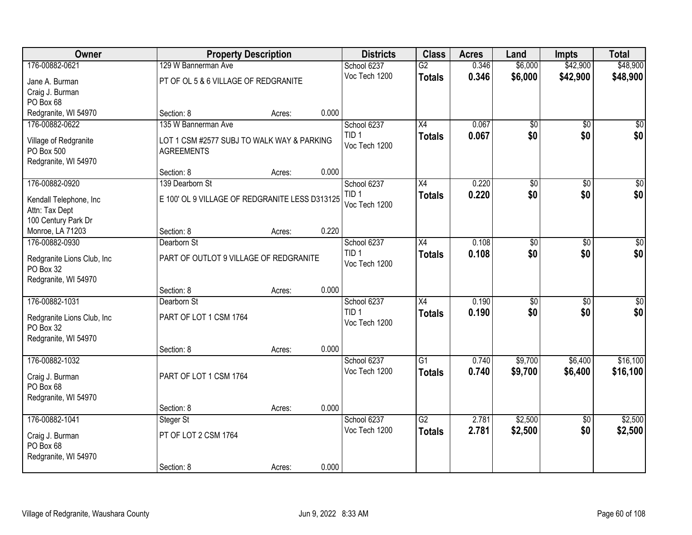| Owner                      |                                                | <b>Property Description</b> |       | <b>Districts</b> | <b>Class</b>    | <b>Acres</b> | Land            | <b>Impts</b>    | <b>Total</b>    |
|----------------------------|------------------------------------------------|-----------------------------|-------|------------------|-----------------|--------------|-----------------|-----------------|-----------------|
| 176-00882-0621             | 129 W Bannerman Ave                            |                             |       | School 6237      | $\overline{G2}$ | 0.346        | \$6,000         | \$42,900        | \$48,900        |
| Jane A. Burman             | PT OF OL 5 & 6 VILLAGE OF REDGRANITE           |                             |       | Voc Tech 1200    | <b>Totals</b>   | 0.346        | \$6,000         | \$42,900        | \$48,900        |
| Craig J. Burman            |                                                |                             |       |                  |                 |              |                 |                 |                 |
| PO Box 68                  |                                                |                             |       |                  |                 |              |                 |                 |                 |
| Redgranite, WI 54970       | Section: 8                                     | Acres:                      | 0.000 |                  |                 |              |                 |                 |                 |
| 176-00882-0622             | 135 W Bannerman Ave                            |                             |       | School 6237      | $\overline{X4}$ | 0.067        | $\overline{50}$ | $\overline{50}$ | \$0             |
| Village of Redgranite      | LOT 1 CSM #2577 SUBJ TO WALK WAY & PARKING     |                             |       | TID <sub>1</sub> | Totals          | 0.067        | \$0             | \$0             | \$0             |
| PO Box 500                 | <b>AGREEMENTS</b>                              |                             |       | Voc Tech 1200    |                 |              |                 |                 |                 |
| Redgranite, WI 54970       |                                                |                             |       |                  |                 |              |                 |                 |                 |
|                            | Section: 8                                     | Acres:                      | 0.000 |                  |                 |              |                 |                 |                 |
| 176-00882-0920             | 139 Dearborn St                                |                             |       | School 6237      | X4              | 0.220        | \$0             | \$0             | $\overline{50}$ |
| Kendall Telephone, Inc     | E 100' OL 9 VILLAGE OF REDGRANITE LESS D313125 |                             |       | TID <sub>1</sub> | Totals          | 0.220        | \$0             | \$0             | \$0             |
| Attn: Tax Dept             |                                                |                             |       | Voc Tech 1200    |                 |              |                 |                 |                 |
| 100 Century Park Dr        |                                                |                             |       |                  |                 |              |                 |                 |                 |
| Monroe, LA 71203           | Section: 8                                     | Acres:                      | 0.220 |                  |                 |              |                 |                 |                 |
| 176-00882-0930             | Dearborn St                                    |                             |       | School 6237      | X4              | 0.108        | \$0             | $\sqrt{6}$      | $\sqrt{50}$     |
| Redgranite Lions Club, Inc | PART OF OUTLOT 9 VILLAGE OF REDGRANITE         |                             |       | TID <sub>1</sub> | Totals          | 0.108        | \$0             | \$0             | \$0             |
| PO Box 32                  |                                                |                             |       | Voc Tech 1200    |                 |              |                 |                 |                 |
| Redgranite, WI 54970       |                                                |                             |       |                  |                 |              |                 |                 |                 |
|                            | Section: 8                                     | Acres:                      | 0.000 |                  |                 |              |                 |                 |                 |
| 176-00882-1031             | Dearborn St                                    |                             |       | School 6237      | $\overline{X4}$ | 0.190        | $\overline{50}$ | $\overline{50}$ | $\overline{50}$ |
| Redgranite Lions Club, Inc | PART OF LOT 1 CSM 1764                         |                             |       | TID <sub>1</sub> | <b>Totals</b>   | 0.190        | \$0             | \$0             | \$0             |
| PO Box 32                  |                                                |                             |       | Voc Tech 1200    |                 |              |                 |                 |                 |
| Redgranite, WI 54970       |                                                |                             |       |                  |                 |              |                 |                 |                 |
|                            | Section: 8                                     | Acres:                      | 0.000 |                  |                 |              |                 |                 |                 |
| 176-00882-1032             |                                                |                             |       | School 6237      | $\overline{G1}$ | 0.740        | \$9,700         | \$6,400         | \$16,100        |
| Craig J. Burman            | PART OF LOT 1 CSM 1764                         |                             |       | Voc Tech 1200    | <b>Totals</b>   | 0.740        | \$9,700         | \$6,400         | \$16,100        |
| PO Box 68                  |                                                |                             |       |                  |                 |              |                 |                 |                 |
| Redgranite, WI 54970       |                                                |                             |       |                  |                 |              |                 |                 |                 |
|                            | Section: 8                                     | Acres:                      | 0.000 |                  |                 |              |                 |                 |                 |
| 176-00882-1041             | Steger St                                      |                             |       | School 6237      | $\overline{G2}$ | 2.781        | \$2,500         | $\overline{50}$ | \$2,500         |
| Craig J. Burman            | PT OF LOT 2 CSM 1764                           |                             |       | Voc Tech 1200    | <b>Totals</b>   | 2.781        | \$2,500         | \$0             | \$2,500         |
| PO Box 68                  |                                                |                             |       |                  |                 |              |                 |                 |                 |
| Redgranite, WI 54970       |                                                |                             |       |                  |                 |              |                 |                 |                 |
|                            | Section: 8                                     | Acres:                      | 0.000 |                  |                 |              |                 |                 |                 |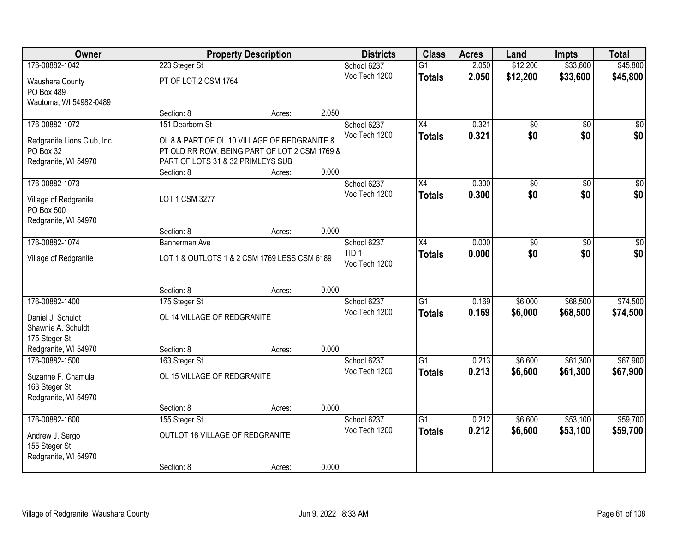| Owner                      |                                               | <b>Property Description</b> |       | <b>Districts</b> | <b>Class</b>    | <b>Acres</b> | Land            | <b>Impts</b>    | <b>Total</b>    |
|----------------------------|-----------------------------------------------|-----------------------------|-------|------------------|-----------------|--------------|-----------------|-----------------|-----------------|
| 176-00882-1042             | 223 Steger St                                 |                             |       | School 6237      | $\overline{G1}$ | 2.050        | \$12,200        | \$33,600        | \$45,800        |
| Waushara County            | PT OF LOT 2 CSM 1764                          |                             |       | Voc Tech 1200    | <b>Totals</b>   | 2.050        | \$12,200        | \$33,600        | \$45,800        |
| PO Box 489                 |                                               |                             |       |                  |                 |              |                 |                 |                 |
| Wautoma, WI 54982-0489     |                                               |                             |       |                  |                 |              |                 |                 |                 |
|                            | Section: 8                                    | Acres:                      | 2.050 |                  |                 |              |                 |                 |                 |
| 176-00882-1072             | 151 Dearborn St                               |                             |       | School 6237      | $\overline{X4}$ | 0.321        | $\overline{50}$ | $\overline{50}$ | \$0             |
| Redgranite Lions Club, Inc | OL 8 & PART OF OL 10 VILLAGE OF REDGRANITE &  |                             |       | Voc Tech 1200    | <b>Totals</b>   | 0.321        | \$0             | \$0             | \$0             |
| PO Box 32                  | PT OLD RR ROW, BEING PART OF LOT 2 CSM 1769 8 |                             |       |                  |                 |              |                 |                 |                 |
| Redgranite, WI 54970       | PART OF LOTS 31 & 32 PRIMLEYS SUB             |                             |       |                  |                 |              |                 |                 |                 |
|                            | Section: 8                                    | Acres:                      | 0.000 |                  |                 |              |                 |                 |                 |
| 176-00882-1073             |                                               |                             |       | School 6237      | X4              | 0.300        | \$0             | \$0             | $\overline{50}$ |
| Village of Redgranite      | LOT 1 CSM 3277                                |                             |       | Voc Tech 1200    | <b>Totals</b>   | 0.300        | \$0             | \$0             | \$0             |
| PO Box 500                 |                                               |                             |       |                  |                 |              |                 |                 |                 |
| Redgranite, WI 54970       |                                               |                             |       |                  |                 |              |                 |                 |                 |
|                            | Section: 8                                    | Acres:                      | 0.000 |                  |                 |              |                 |                 |                 |
| 176-00882-1074             | Bannerman Ave                                 |                             |       | School 6237      | X4              | 0.000        | \$0             | $\sqrt[6]{3}$   | $\sqrt{50}$     |
| Village of Redgranite      | LOT 1 & OUTLOTS 1 & 2 CSM 1769 LESS CSM 6189  |                             |       | TID <sub>1</sub> | <b>Totals</b>   | 0.000        | \$0             | \$0             | \$0             |
|                            |                                               |                             |       | Voc Tech 1200    |                 |              |                 |                 |                 |
|                            |                                               |                             |       |                  |                 |              |                 |                 |                 |
|                            | Section: 8                                    | Acres:                      | 0.000 |                  |                 |              |                 |                 |                 |
| 176-00882-1400             | 175 Steger St                                 |                             |       | School 6237      | $\overline{G1}$ | 0.169        | \$6,000         | \$68,500        | \$74,500        |
| Daniel J. Schuldt          | OL 14 VILLAGE OF REDGRANITE                   |                             |       | Voc Tech 1200    | <b>Totals</b>   | 0.169        | \$6,000         | \$68,500        | \$74,500        |
| Shawnie A. Schuldt         |                                               |                             |       |                  |                 |              |                 |                 |                 |
| 175 Steger St              |                                               |                             |       |                  |                 |              |                 |                 |                 |
| Redgranite, WI 54970       | Section: 8                                    | Acres:                      | 0.000 |                  |                 |              |                 |                 |                 |
| 176-00882-1500             | 163 Steger St                                 |                             |       | School 6237      | $\overline{G1}$ | 0.213        | \$6,600         | \$61,300        | \$67,900        |
| Suzanne F. Chamula         | OL 15 VILLAGE OF REDGRANITE                   |                             |       | Voc Tech 1200    | <b>Totals</b>   | 0.213        | \$6,600         | \$61,300        | \$67,900        |
| 163 Steger St              |                                               |                             |       |                  |                 |              |                 |                 |                 |
| Redgranite, WI 54970       |                                               |                             |       |                  |                 |              |                 |                 |                 |
|                            | Section: 8                                    | Acres:                      | 0.000 |                  |                 |              |                 |                 |                 |
| 176-00882-1600             | 155 Steger St                                 |                             |       | School 6237      | $\overline{G1}$ | 0.212        | \$6,600         | \$53,100        | \$59,700        |
| Andrew J. Sergo            | OUTLOT 16 VILLAGE OF REDGRANITE               |                             |       | Voc Tech 1200    | <b>Totals</b>   | 0.212        | \$6,600         | \$53,100        | \$59,700        |
| 155 Steger St              |                                               |                             |       |                  |                 |              |                 |                 |                 |
| Redgranite, WI 54970       |                                               |                             |       |                  |                 |              |                 |                 |                 |
|                            | Section: 8                                    | Acres:                      | 0.000 |                  |                 |              |                 |                 |                 |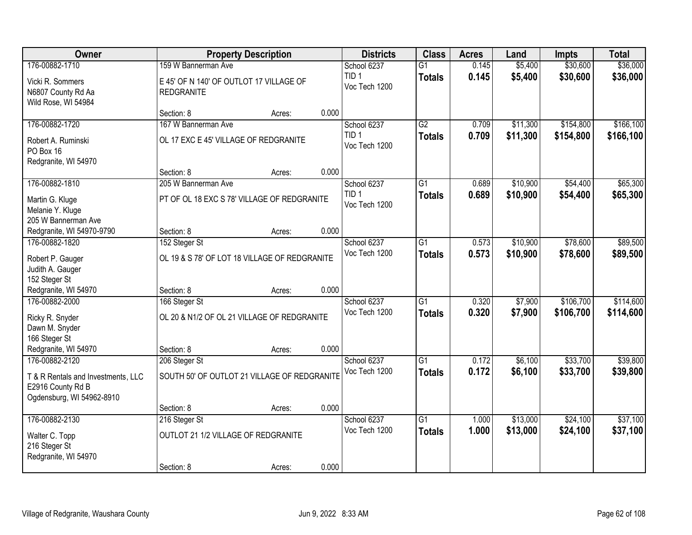| Owner                                                         |                                                              | <b>Property Description</b> |       | <b>Districts</b>                  | <b>Class</b>    | <b>Acres</b>   | Land                 | Impts                | <b>Total</b> |
|---------------------------------------------------------------|--------------------------------------------------------------|-----------------------------|-------|-----------------------------------|-----------------|----------------|----------------------|----------------------|--------------|
| 176-00882-1710                                                | 159 W Bannerman Ave                                          |                             |       | School 6237                       | $\overline{G1}$ | 0.145          | \$5,400              | \$30,600             | \$36,000     |
| Vicki R. Sommers<br>N6807 County Rd Aa<br>Wild Rose, WI 54984 | E 45' OF N 140' OF OUTLOT 17 VILLAGE OF<br><b>REDGRANITE</b> |                             |       | TID <sub>1</sub><br>Voc Tech 1200 | <b>Totals</b>   | 0.145          | \$5,400              | \$30,600             | \$36,000     |
|                                                               | Section: 8                                                   | Acres:                      | 0.000 |                                   |                 |                |                      |                      |              |
| 176-00882-1720                                                | 167 W Bannerman Ave                                          |                             |       | School 6237                       | $\overline{G2}$ | 0.709          | \$11,300             | \$154,800            | \$166,100    |
| Robert A. Ruminski<br>PO Box 16<br>Redgranite, WI 54970       | OL 17 EXC E 45' VILLAGE OF REDGRANITE                        |                             |       | TID <sub>1</sub><br>Voc Tech 1200 | <b>Totals</b>   | 0.709          | \$11,300             | \$154,800            | \$166,100    |
|                                                               | Section: 8                                                   | Acres:                      | 0.000 |                                   |                 |                |                      |                      |              |
| 176-00882-1810                                                | 205 W Bannerman Ave                                          |                             |       | School 6237                       | $\overline{G1}$ | 0.689          | \$10,900             | \$54,400             | \$65,300     |
| Martin G. Kluge<br>Melanie Y. Kluge<br>205 W Bannerman Ave    | PT OF OL 18 EXC S 78' VILLAGE OF REDGRANITE                  |                             |       | TID <sub>1</sub><br>Voc Tech 1200 | <b>Totals</b>   | 0.689          | \$10,900             | \$54,400             | \$65,300     |
| Redgranite, WI 54970-9790                                     | Section: 8                                                   | Acres:                      | 0.000 |                                   |                 |                |                      |                      |              |
| 176-00882-1820                                                | 152 Steger St                                                |                             |       | School 6237                       | $\overline{G1}$ | 0.573          | \$10,900             | \$78,600             | \$89,500     |
| Robert P. Gauger<br>Judith A. Gauger<br>152 Steger St         | OL 19 & S 78' OF LOT 18 VILLAGE OF REDGRANITE                |                             |       | Voc Tech 1200                     | <b>Totals</b>   | 0.573          | \$10,900             | \$78,600             | \$89,500     |
| Redgranite, WI 54970                                          | Section: 8                                                   | Acres:                      | 0.000 |                                   |                 |                |                      |                      |              |
| 176-00882-2000                                                | 166 Steger St                                                |                             |       | School 6237                       | $\overline{G1}$ | 0.320          | \$7,900              | \$106,700            | \$114,600    |
| Ricky R. Snyder                                               | OL 20 & N1/2 OF OL 21 VILLAGE OF REDGRANITE                  |                             |       | Voc Tech 1200                     | <b>Totals</b>   | 0.320          | \$7,900              | \$106,700            | \$114,600    |
| Dawn M. Snyder                                                |                                                              |                             |       |                                   |                 |                |                      |                      |              |
| 166 Steger St                                                 |                                                              |                             |       |                                   |                 |                |                      |                      |              |
| Redgranite, WI 54970                                          | Section: 8                                                   | Acres:                      | 0.000 |                                   |                 |                |                      |                      |              |
| 176-00882-2120                                                | 206 Steger St                                                |                             |       | School 6237<br>Voc Tech 1200      | $\overline{G1}$ | 0.172<br>0.172 | \$6,100              | \$33,700             | \$39,800     |
| T & R Rentals and Investments, LLC<br>E2916 County Rd B       | SOUTH 50' OF OUTLOT 21 VILLAGE OF REDGRANITE                 |                             |       |                                   | <b>Totals</b>   |                | \$6,100              | \$33,700             | \$39,800     |
| Ogdensburg, WI 54962-8910                                     |                                                              |                             |       |                                   |                 |                |                      |                      |              |
|                                                               | Section: 8                                                   | Acres:                      | 0.000 |                                   |                 |                |                      |                      |              |
| 176-00882-2130                                                | 216 Steger St                                                |                             |       | School 6237<br>Voc Tech 1200      | $\overline{G1}$ | 1.000<br>1.000 | \$13,000<br>\$13,000 | \$24,100<br>\$24,100 | \$37,100     |
| Walter C. Topp<br>216 Steger St                               | OUTLOT 21 1/2 VILLAGE OF REDGRANITE                          |                             |       |                                   | <b>Totals</b>   |                |                      |                      | \$37,100     |
| Redgranite, WI 54970                                          | Section: 8                                                   | Acres:                      | 0.000 |                                   |                 |                |                      |                      |              |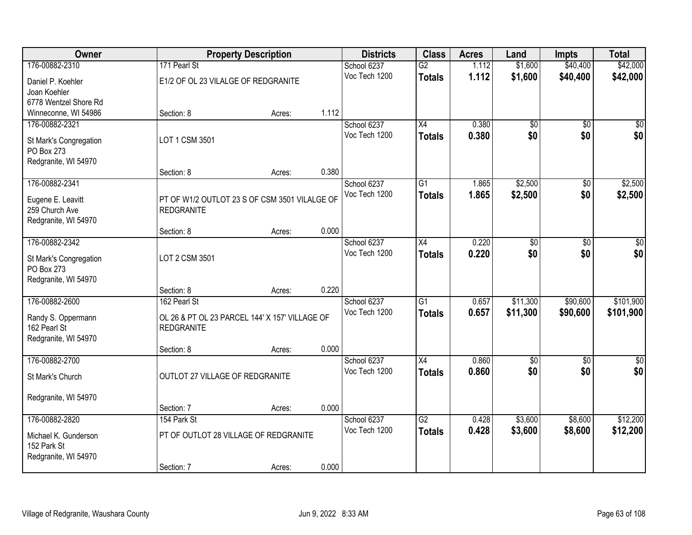| Owner                               |                                                | <b>Property Description</b> |       | <b>Districts</b>             | <b>Class</b>    | <b>Acres</b>   | Land                   | <b>Impts</b>    | <b>Total</b>   |
|-------------------------------------|------------------------------------------------|-----------------------------|-------|------------------------------|-----------------|----------------|------------------------|-----------------|----------------|
| 176-00882-2310                      | 171 Pearl St                                   |                             |       | School 6237                  | $\overline{G2}$ | 1.112          | \$1,600                | \$40,400        | \$42,000       |
| Daniel P. Koehler                   | E1/2 OF OL 23 VILALGE OF REDGRANITE            |                             |       | Voc Tech 1200                | <b>Totals</b>   | 1.112          | \$1,600                | \$40,400        | \$42,000       |
| Joan Koehler                        |                                                |                             |       |                              |                 |                |                        |                 |                |
| 6778 Wentzel Shore Rd               |                                                |                             |       |                              |                 |                |                        |                 |                |
| Winneconne, WI 54986                | Section: 8                                     | Acres:                      | 1.112 |                              |                 |                |                        |                 |                |
| 176-00882-2321                      |                                                |                             |       | School 6237                  | $\overline{X4}$ | 0.380          | \$0                    | $\overline{50}$ | $\frac{1}{20}$ |
| St Mark's Congregation              | LOT 1 CSM 3501                                 |                             |       | Voc Tech 1200                | <b>Totals</b>   | 0.380          | \$0                    | \$0             | \$0            |
| PO Box 273                          |                                                |                             |       |                              |                 |                |                        |                 |                |
| Redgranite, WI 54970                |                                                |                             |       |                              |                 |                |                        |                 |                |
|                                     | Section: 8                                     | Acres:                      | 0.380 |                              |                 |                |                        |                 |                |
| 176-00882-2341                      |                                                |                             |       | School 6237                  | $\overline{G1}$ | 1.865          | \$2,500                | \$0             | \$2,500        |
| Eugene E. Leavitt                   | PT OF W1/2 OUTLOT 23 S OF CSM 3501 VILALGE OF  |                             |       | Voc Tech 1200                | <b>Totals</b>   | 1.865          | \$2,500                | \$0             | \$2,500        |
| 259 Church Ave                      | <b>REDGRANITE</b>                              |                             |       |                              |                 |                |                        |                 |                |
| Redgranite, WI 54970                |                                                |                             |       |                              |                 |                |                        |                 |                |
|                                     | Section: 8                                     | Acres:                      | 0.000 |                              |                 |                |                        |                 |                |
| 176-00882-2342                      |                                                |                             |       | School 6237<br>Voc Tech 1200 | $\overline{X4}$ | 0.220<br>0.220 | $\overline{30}$<br>\$0 | \$0<br>\$0      | \$0<br>\$0     |
| St Mark's Congregation              | LOT 2 CSM 3501                                 |                             |       |                              | <b>Totals</b>   |                |                        |                 |                |
| PO Box 273                          |                                                |                             |       |                              |                 |                |                        |                 |                |
| Redgranite, WI 54970                |                                                |                             |       |                              |                 |                |                        |                 |                |
| 176-00882-2600                      | Section: 8<br>162 Pearl St                     | Acres:                      | 0.220 | School 6237                  | $\overline{G1}$ | 0.657          | \$11,300               | \$90,600        | \$101,900      |
|                                     |                                                |                             |       | Voc Tech 1200                | <b>Totals</b>   | 0.657          | \$11,300               | \$90,600        | \$101,900      |
| Randy S. Oppermann                  | OL 26 & PT OL 23 PARCEL 144' X 157' VILLAGE OF |                             |       |                              |                 |                |                        |                 |                |
| 162 Pearl St                        | <b>REDGRANITE</b>                              |                             |       |                              |                 |                |                        |                 |                |
| Redgranite, WI 54970                |                                                |                             | 0.000 |                              |                 |                |                        |                 |                |
| 176-00882-2700                      | Section: 8                                     | Acres:                      |       | School 6237                  | $\overline{X4}$ | 0.860          | $\overline{60}$        | $\overline{50}$ | $\sqrt{50}$    |
|                                     |                                                |                             |       | Voc Tech 1200                | <b>Totals</b>   | 0.860          | \$0                    | \$0             | \$0            |
| St Mark's Church                    | OUTLOT 27 VILLAGE OF REDGRANITE                |                             |       |                              |                 |                |                        |                 |                |
|                                     |                                                |                             |       |                              |                 |                |                        |                 |                |
| Redgranite, WI 54970                | Section: 7                                     | Acres:                      | 0.000 |                              |                 |                |                        |                 |                |
| 176-00882-2820                      | 154 Park St                                    |                             |       | School 6237                  | $\overline{G2}$ | 0.428          | \$3,600                | \$8,600         | \$12,200       |
|                                     |                                                |                             |       | Voc Tech 1200                | <b>Totals</b>   | 0.428          | \$3,600                | \$8,600         | \$12,200       |
| Michael K. Gunderson                | PT OF OUTLOT 28 VILLAGE OF REDGRANITE          |                             |       |                              |                 |                |                        |                 |                |
| 152 Park St<br>Redgranite, WI 54970 |                                                |                             |       |                              |                 |                |                        |                 |                |
|                                     | Section: 7                                     | Acres:                      | 0.000 |                              |                 |                |                        |                 |                |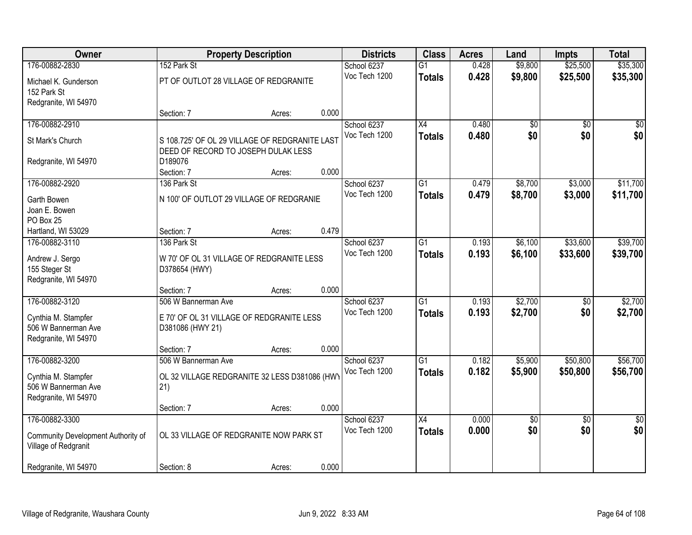| Owner                              |                                                | <b>Property Description</b> |       | <b>Districts</b> | <b>Class</b>    | <b>Acres</b> | Land        | <b>Impts</b>    | <b>Total</b>    |
|------------------------------------|------------------------------------------------|-----------------------------|-------|------------------|-----------------|--------------|-------------|-----------------|-----------------|
| 176-00882-2830                     | 152 Park St                                    |                             |       | School 6237      | $\overline{G1}$ | 0.428        | \$9,800     | \$25,500        | \$35,300        |
| Michael K. Gunderson               | PT OF OUTLOT 28 VILLAGE OF REDGRANITE          |                             |       | Voc Tech 1200    | <b>Totals</b>   | 0.428        | \$9,800     | \$25,500        | \$35,300        |
| 152 Park St                        |                                                |                             |       |                  |                 |              |             |                 |                 |
| Redgranite, WI 54970               |                                                |                             |       |                  |                 |              |             |                 |                 |
|                                    | Section: 7                                     | Acres:                      | 0.000 |                  |                 |              |             |                 |                 |
| 176-00882-2910                     |                                                |                             |       | School 6237      | $\overline{X4}$ | 0.480        | \$0         | $\overline{50}$ | \$0             |
| St Mark's Church                   | S 108.725' OF OL 29 VILLAGE OF REDGRANITE LAST |                             |       | Voc Tech 1200    | <b>Totals</b>   | 0.480        | \$0         | \$0             | \$0             |
|                                    | DEED OF RECORD TO JOSEPH DULAK LESS            |                             |       |                  |                 |              |             |                 |                 |
| Redgranite, WI 54970               | D189076                                        |                             |       |                  |                 |              |             |                 |                 |
|                                    | Section: 7                                     | Acres:                      | 0.000 |                  |                 |              |             |                 |                 |
| 176-00882-2920                     | 136 Park St                                    |                             |       | School 6237      | G1              | 0.479        | \$8,700     | \$3,000         | \$11,700        |
| Garth Bowen                        | N 100' OF OUTLOT 29 VILLAGE OF REDGRANIE       |                             |       | Voc Tech 1200    | <b>Totals</b>   | 0.479        | \$8,700     | \$3,000         | \$11,700        |
| Joan E. Bowen                      |                                                |                             |       |                  |                 |              |             |                 |                 |
| PO Box 25                          |                                                |                             |       |                  |                 |              |             |                 |                 |
| Hartland, WI 53029                 | Section: 7                                     | Acres:                      | 0.479 |                  |                 |              |             |                 |                 |
| 176-00882-3110                     | 136 Park St                                    |                             |       | School 6237      | $\overline{G1}$ | 0.193        | \$6,100     | \$33,600        | \$39,700        |
| Andrew J. Sergo                    | W 70' OF OL 31 VILLAGE OF REDGRANITE LESS      |                             |       | Voc Tech 1200    | <b>Totals</b>   | 0.193        | \$6,100     | \$33,600        | \$39,700        |
| 155 Steger St                      | D378654 (HWY)                                  |                             |       |                  |                 |              |             |                 |                 |
| Redgranite, WI 54970               |                                                |                             |       |                  |                 |              |             |                 |                 |
|                                    | Section: 7                                     | Acres:                      | 0.000 |                  |                 |              |             |                 |                 |
| 176-00882-3120                     | 506 W Bannerman Ave                            |                             |       | School 6237      | $\overline{G1}$ | 0.193        | \$2,700     | \$0             | \$2,700         |
| Cynthia M. Stampfer                | E 70' OF OL 31 VILLAGE OF REDGRANITE LESS      |                             |       | Voc Tech 1200    | <b>Totals</b>   | 0.193        | \$2,700     | \$0             | \$2,700         |
| 506 W Bannerman Ave                | D381086 (HWY 21)                               |                             |       |                  |                 |              |             |                 |                 |
| Redgranite, WI 54970               |                                                |                             |       |                  |                 |              |             |                 |                 |
|                                    | Section: 7                                     | Acres:                      | 0.000 |                  |                 |              |             |                 |                 |
| 176-00882-3200                     | 506 W Bannerman Ave                            |                             |       | School 6237      | $\overline{G1}$ | 0.182        | \$5,900     | \$50,800        | \$56,700        |
| Cynthia M. Stampfer                | OL 32 VILLAGE REDGRANITE 32 LESS D381086 (HW)  |                             |       | Voc Tech 1200    | <b>Totals</b>   | 0.182        | \$5,900     | \$50,800        | \$56,700        |
| 506 W Bannerman Ave                | 21)                                            |                             |       |                  |                 |              |             |                 |                 |
| Redgranite, WI 54970               |                                                |                             |       |                  |                 |              |             |                 |                 |
|                                    | Section: 7                                     | Acres:                      | 0.000 |                  |                 |              |             |                 |                 |
| 176-00882-3300                     |                                                |                             |       | School 6237      | $\overline{X4}$ | 0.000        | $\sqrt{$0}$ | $\overline{30}$ | $\overline{50}$ |
| Community Development Authority of | OL 33 VILLAGE OF REDGRANITE NOW PARK ST        |                             |       | Voc Tech 1200    | <b>Totals</b>   | 0.000        | \$0         | \$0             | \$0             |
| Village of Redgranit               |                                                |                             |       |                  |                 |              |             |                 |                 |
|                                    |                                                |                             |       |                  |                 |              |             |                 |                 |
| Redgranite, WI 54970               | Section: 8                                     | Acres:                      | 0.000 |                  |                 |              |             |                 |                 |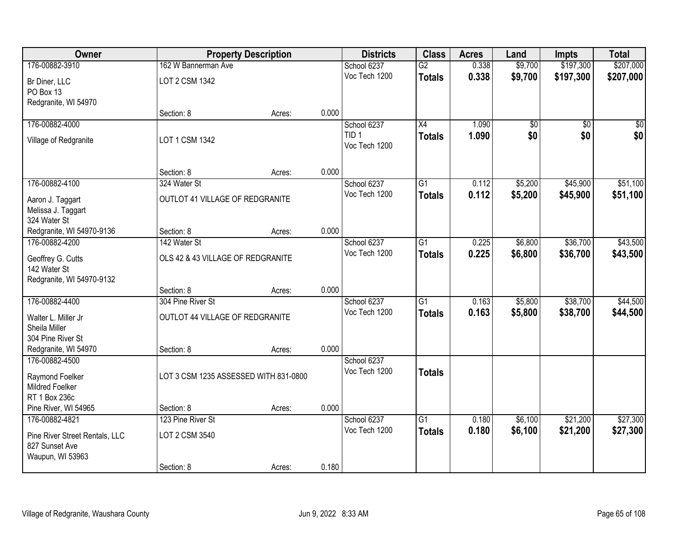| Owner                                     |                                       | <b>Property Description</b> |       | <b>Districts</b>                  | <b>Class</b>    | <b>Acres</b> | Land            | <b>Impts</b>    | <b>Total</b>    |
|-------------------------------------------|---------------------------------------|-----------------------------|-------|-----------------------------------|-----------------|--------------|-----------------|-----------------|-----------------|
| 176-00882-3910                            | 162 W Bannerman Ave                   |                             |       | School 6237                       | $\overline{G2}$ | 0.338        | \$9,700         | \$197,300       | \$207,000       |
| Br Diner, LLC                             | LOT 2 CSM 1342                        |                             |       | Voc Tech 1200                     | <b>Totals</b>   | 0.338        | \$9,700         | \$197,300       | \$207,000       |
| PO Box 13                                 |                                       |                             |       |                                   |                 |              |                 |                 |                 |
| Redgranite, WI 54970                      |                                       |                             |       |                                   |                 |              |                 |                 |                 |
|                                           | Section: 8                            | Acres:                      | 0.000 |                                   |                 |              |                 |                 |                 |
| 176-00882-4000                            |                                       |                             |       | School 6237                       | $\overline{X4}$ | 1.090        | $\overline{50}$ | $\overline{30}$ | $\overline{30}$ |
| Village of Redgranite                     | LOT 1 CSM 1342                        |                             |       | TID <sub>1</sub><br>Voc Tech 1200 | <b>Totals</b>   | 1.090        | \$0             | \$0             | \$0             |
|                                           |                                       |                             |       |                                   |                 |              |                 |                 |                 |
|                                           |                                       |                             |       |                                   |                 |              |                 |                 |                 |
| 176-00882-4100                            | Section: 8<br>324 Water St            | Acres:                      | 0.000 | School 6237                       | $\overline{G1}$ | 0.112        | \$5,200         | \$45,900        | \$51,100        |
|                                           |                                       |                             |       | Voc Tech 1200                     | <b>Totals</b>   | 0.112        | \$5,200         | \$45,900        | \$51,100        |
| Aaron J. Taggart                          | OUTLOT 41 VILLAGE OF REDGRANITE       |                             |       |                                   |                 |              |                 |                 |                 |
| Melissa J. Taggart                        |                                       |                             |       |                                   |                 |              |                 |                 |                 |
| 324 Water St<br>Redgranite, WI 54970-9136 | Section: 8                            | Acres:                      | 0.000 |                                   |                 |              |                 |                 |                 |
| 176-00882-4200                            | 142 Water St                          |                             |       | School 6237                       | G1              | 0.225        | \$6,800         | \$36,700        | \$43,500        |
|                                           |                                       |                             |       | Voc Tech 1200                     | <b>Totals</b>   | 0.225        | \$6,800         | \$36,700        | \$43,500        |
| Geoffrey G. Cutts                         | OLS 42 & 43 VILLAGE OF REDGRANITE     |                             |       |                                   |                 |              |                 |                 |                 |
| 142 Water St<br>Redgranite, WI 54970-9132 |                                       |                             |       |                                   |                 |              |                 |                 |                 |
|                                           | Section: 8                            | Acres:                      | 0.000 |                                   |                 |              |                 |                 |                 |
| 176-00882-4400                            | 304 Pine River St                     |                             |       | School 6237                       | $\overline{G1}$ | 0.163        | \$5,800         | \$38,700        | \$44,500        |
|                                           |                                       |                             |       | Voc Tech 1200                     | <b>Totals</b>   | 0.163        | \$5,800         | \$38,700        | \$44,500        |
| Walter L. Miller Jr<br>Sheila Miller      | OUTLOT 44 VILLAGE OF REDGRANITE       |                             |       |                                   |                 |              |                 |                 |                 |
| 304 Pine River St                         |                                       |                             |       |                                   |                 |              |                 |                 |                 |
| Redgranite, WI 54970                      | Section: 8                            | Acres:                      | 0.000 |                                   |                 |              |                 |                 |                 |
| 176-00882-4500                            |                                       |                             |       | School 6237                       |                 |              |                 |                 |                 |
| Raymond Foelker                           | LOT 3 CSM 1235 ASSESSED WITH 831-0800 |                             |       | Voc Tech 1200                     | <b>Totals</b>   |              |                 |                 |                 |
| Mildred Foelker                           |                                       |                             |       |                                   |                 |              |                 |                 |                 |
| RT 1 Box 236c                             |                                       |                             |       |                                   |                 |              |                 |                 |                 |
| Pine River, WI 54965                      | Section: 8                            | Acres:                      | 0.000 |                                   |                 |              |                 |                 |                 |
| 176-00882-4821                            | 123 Pine River St                     |                             |       | School 6237                       | $\overline{G1}$ | 0.180        | \$6,100         | \$21,200        | \$27,300        |
| Pine River Street Rentals, LLC            | LOT 2 CSM 3540                        |                             |       | Voc Tech 1200                     | <b>Totals</b>   | 0.180        | \$6,100         | \$21,200        | \$27,300        |
| 827 Sunset Ave                            |                                       |                             |       |                                   |                 |              |                 |                 |                 |
| Waupun, WI 53963                          |                                       |                             |       |                                   |                 |              |                 |                 |                 |
|                                           | Section: 8                            | Acres:                      | 0.180 |                                   |                 |              |                 |                 |                 |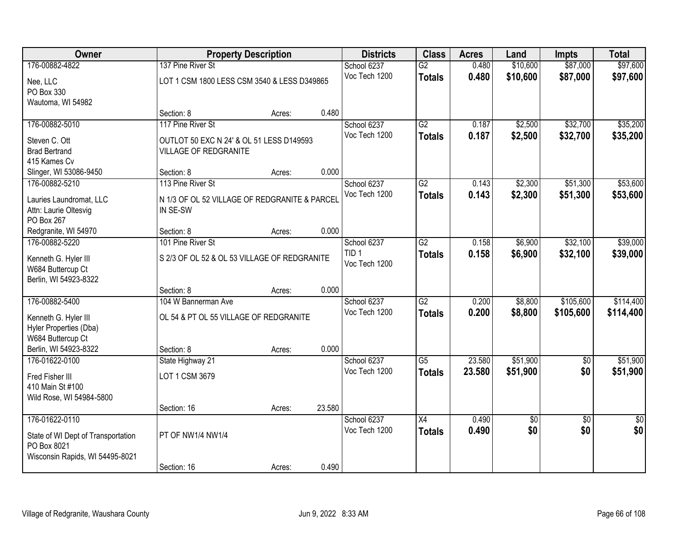| Owner                              |                                               | <b>Property Description</b> |        | <b>Districts</b> | <b>Class</b>    | <b>Acres</b> | Land       | <b>Impts</b>    | <b>Total</b>    |
|------------------------------------|-----------------------------------------------|-----------------------------|--------|------------------|-----------------|--------------|------------|-----------------|-----------------|
| 176-00882-4822                     | 137 Pine River St                             |                             |        | School 6237      | $\overline{G2}$ | 0.480        | \$10,600   | \$87,000        | \$97,600        |
| Nee, LLC                           | LOT 1 CSM 1800 LESS CSM 3540 & LESS D349865   |                             |        | Voc Tech 1200    | <b>Totals</b>   | 0.480        | \$10,600   | \$87,000        | \$97,600        |
| PO Box 330                         |                                               |                             |        |                  |                 |              |            |                 |                 |
| Wautoma, WI 54982                  |                                               |                             |        |                  |                 |              |            |                 |                 |
|                                    | Section: 8                                    | Acres:                      | 0.480  |                  |                 |              |            |                 |                 |
| 176-00882-5010                     | 117 Pine River St                             |                             |        | School 6237      | G2              | 0.187        | \$2,500    | \$32,700        | \$35,200        |
| Steven C. Ott                      | OUTLOT 50 EXC N 24' & OL 51 LESS D149593      |                             |        | Voc Tech 1200    | <b>Totals</b>   | 0.187        | \$2,500    | \$32,700        | \$35,200        |
| <b>Brad Bertrand</b>               | <b>VILLAGE OF REDGRANITE</b>                  |                             |        |                  |                 |              |            |                 |                 |
| 415 Kames Cv                       |                                               |                             |        |                  |                 |              |            |                 |                 |
| Slinger, WI 53086-9450             | Section: 8                                    | Acres:                      | 0.000  |                  |                 |              |            |                 |                 |
| 176-00882-5210                     | 113 Pine River St                             |                             |        | School 6237      | G2              | 0.143        | \$2,300    | \$51,300        | \$53,600        |
| Lauries Laundromat, LLC            | N 1/3 OF OL 52 VILLAGE OF REDGRANITE & PARCEL |                             |        | Voc Tech 1200    | <b>Totals</b>   | 0.143        | \$2,300    | \$51,300        | \$53,600        |
| Attn: Laurie Oltesvig              | IN SE-SW                                      |                             |        |                  |                 |              |            |                 |                 |
| PO Box 267                         |                                               |                             |        |                  |                 |              |            |                 |                 |
| Redgranite, WI 54970               | Section: 8                                    | Acres:                      | 0.000  |                  |                 |              |            |                 |                 |
| 176-00882-5220                     | 101 Pine River St                             |                             |        | School 6237      | $\overline{G2}$ | 0.158        | \$6,900    | \$32,100        | \$39,000        |
| Kenneth G. Hyler III               | S 2/3 OF OL 52 & OL 53 VILLAGE OF REDGRANITE  |                             |        | TID <sub>1</sub> | <b>Totals</b>   | 0.158        | \$6,900    | \$32,100        | \$39,000        |
| W684 Buttercup Ct                  |                                               |                             |        | Voc Tech 1200    |                 |              |            |                 |                 |
| Berlin, WI 54923-8322              |                                               |                             |        |                  |                 |              |            |                 |                 |
|                                    | Section: 8                                    | Acres:                      | 0.000  |                  |                 |              |            |                 |                 |
| 176-00882-5400                     | 104 W Bannerman Ave                           |                             |        | School 6237      | $\overline{G2}$ | 0.200        | \$8,800    | \$105,600       | \$114,400       |
| Kenneth G. Hyler III               | OL 54 & PT OL 55 VILLAGE OF REDGRANITE        |                             |        | Voc Tech 1200    | <b>Totals</b>   | 0.200        | \$8,800    | \$105,600       | \$114,400       |
| Hyler Properties (Dba)             |                                               |                             |        |                  |                 |              |            |                 |                 |
| W684 Buttercup Ct                  |                                               |                             |        |                  |                 |              |            |                 |                 |
| Berlin, WI 54923-8322              | Section: 8                                    | Acres:                      | 0.000  |                  |                 |              |            |                 |                 |
| 176-01622-0100                     | State Highway 21                              |                             |        | School 6237      | $\overline{G5}$ | 23.580       | \$51,900   | $\overline{60}$ | \$51,900        |
| Fred Fisher III                    | LOT 1 CSM 3679                                |                             |        | Voc Tech 1200    | <b>Totals</b>   | 23.580       | \$51,900   | \$0             | \$51,900        |
| 410 Main St #100                   |                                               |                             |        |                  |                 |              |            |                 |                 |
| Wild Rose, WI 54984-5800           |                                               |                             |        |                  |                 |              |            |                 |                 |
|                                    | Section: 16                                   | Acres:                      | 23.580 |                  |                 |              |            |                 |                 |
| 176-01622-0110                     |                                               |                             |        | School 6237      | $\overline{X4}$ | 0.490        | $\sqrt{6}$ | $\overline{30}$ | $\overline{50}$ |
| State of WI Dept of Transportation | PT OF NW1/4 NW1/4                             |                             |        | Voc Tech 1200    | <b>Totals</b>   | 0.490        | \$0        | \$0             | \$0             |
| PO Box 8021                        |                                               |                             |        |                  |                 |              |            |                 |                 |
| Wisconsin Rapids, WI 54495-8021    |                                               |                             |        |                  |                 |              |            |                 |                 |
|                                    | Section: 16                                   | Acres:                      | 0.490  |                  |                 |              |            |                 |                 |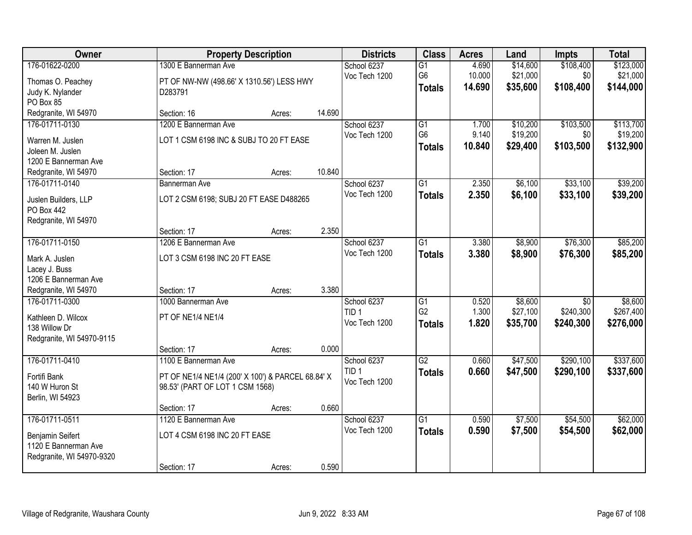| <b>Owner</b>                                                                            |                                                                                      | <b>Property Description</b> |        | <b>Districts</b>                                 | <b>Class</b>                                       | <b>Acres</b>              | Land                             | Impts                                     | <b>Total</b>                       |
|-----------------------------------------------------------------------------------------|--------------------------------------------------------------------------------------|-----------------------------|--------|--------------------------------------------------|----------------------------------------------------|---------------------------|----------------------------------|-------------------------------------------|------------------------------------|
| 176-01622-0200<br>Thomas O. Peachey<br>Judy K. Nylander                                 | 1300 E Bannerman Ave<br>PT OF NW-NW (498.66' X 1310.56') LESS HWY<br>D283791         |                             |        | School 6237<br>Voc Tech 1200                     | $\overline{G1}$<br>G <sub>6</sub><br><b>Totals</b> | 4.690<br>10.000<br>14.690 | \$14,600<br>\$21,000<br>\$35,600 | \$108,400<br>\$0<br>\$108,400             | \$123,000<br>\$21,000<br>\$144,000 |
| PO Box 85<br>Redgranite, WI 54970                                                       | Section: 16                                                                          | Acres:                      | 14.690 |                                                  |                                                    |                           |                                  |                                           |                                    |
| 176-01711-0130<br>Warren M. Juslen<br>Joleen M. Juslen<br>1200 E Bannerman Ave          | 1200 E Bannerman Ave<br>LOT 1 CSM 6198 INC & SUBJ TO 20 FT EASE                      |                             |        | School 6237<br>Voc Tech 1200                     | $\overline{G1}$<br>G <sub>6</sub><br><b>Totals</b> | 1.700<br>9.140<br>10.840  | \$10,200<br>\$19,200<br>\$29,400 | \$103,500<br>\$0<br>\$103,500             | \$113,700<br>\$19,200<br>\$132,900 |
| Redgranite, WI 54970<br>176-01711-0140                                                  | Section: 17<br>Bannerman Ave                                                         | Acres:                      | 10.840 | School 6237                                      | $\overline{G1}$                                    | 2.350                     | \$6,100                          | \$33,100                                  | \$39,200                           |
| Juslen Builders, LLP<br><b>PO Box 442</b><br>Redgranite, WI 54970                       | LOT 2 CSM 6198; SUBJ 20 FT EASE D488265                                              |                             |        | Voc Tech 1200                                    | <b>Totals</b>                                      | 2.350                     | \$6,100                          | \$33,100                                  | \$39,200                           |
|                                                                                         | Section: 17                                                                          | Acres:                      | 2.350  |                                                  |                                                    |                           |                                  |                                           |                                    |
| 176-01711-0150<br>Mark A. Juslen<br>Lacey J. Buss<br>1206 E Bannerman Ave               | 1206 E Bannerman Ave<br>LOT 3 CSM 6198 INC 20 FT EASE                                |                             |        | School 6237<br>Voc Tech 1200                     | G1<br><b>Totals</b>                                | 3.380<br>3.380            | \$8,900<br>\$8,900               | \$76,300<br>\$76,300                      | \$85,200<br>\$85,200               |
| Redgranite, WI 54970                                                                    | Section: 17                                                                          | Acres:                      | 3.380  |                                                  |                                                    |                           |                                  |                                           |                                    |
| 176-01711-0300<br>Kathleen D. Wilcox<br>138 Willow Dr<br>Redgranite, WI 54970-9115      | 1000 Bannerman Ave<br>PT OF NE1/4 NE1/4                                              |                             |        | School 6237<br>TID <sub>1</sub><br>Voc Tech 1200 | $\overline{G1}$<br>G <sub>2</sub><br><b>Totals</b> | 0.520<br>1.300<br>1.820   | \$8,600<br>\$27,100<br>\$35,700  | $\overline{30}$<br>\$240,300<br>\$240,300 | \$8,600<br>\$267,400<br>\$276,000  |
| 176-01711-0410                                                                          | Section: 17<br>1100 E Bannerman Ave                                                  | Acres:                      | 0.000  | School 6237                                      | $\overline{G2}$                                    | 0.660                     | \$47,500                         | \$290,100                                 | \$337,600                          |
| Fortifi Bank<br>140 W Huron St<br>Berlin, WI 54923                                      | PT OF NE1/4 NE1/4 (200' X 100') & PARCEL 68.84' X<br>98.53' (PART OF LOT 1 CSM 1568) |                             |        | TID <sub>1</sub><br>Voc Tech 1200                | <b>Totals</b>                                      | 0.660                     | \$47,500                         | \$290,100                                 | \$337,600                          |
|                                                                                         | Section: 17                                                                          | Acres:                      | 0.660  |                                                  |                                                    |                           |                                  |                                           |                                    |
| 176-01711-0511<br>Benjamin Seifert<br>1120 E Bannerman Ave<br>Redgranite, WI 54970-9320 | 1120 E Bannerman Ave<br>LOT 4 CSM 6198 INC 20 FT EASE<br>Section: 17                 | Acres:                      | 0.590  | School 6237<br>Voc Tech 1200                     | $\overline{G1}$<br><b>Totals</b>                   | 0.590<br>0.590            | \$7,500<br>\$7,500               | \$54,500<br>\$54,500                      | \$62,000<br>\$62,000               |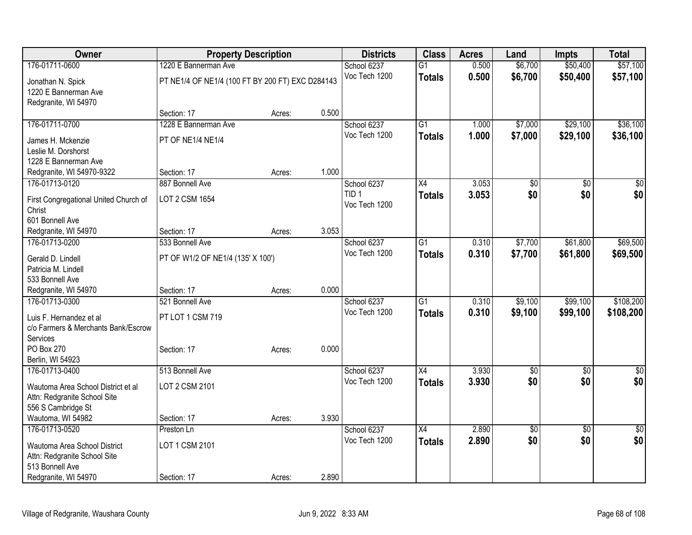| Owner                                 | <b>Property Description</b>                      |        |       | <b>Districts</b> | <b>Class</b>    | <b>Acres</b> | Land            | <b>Impts</b>    | <b>Total</b> |
|---------------------------------------|--------------------------------------------------|--------|-------|------------------|-----------------|--------------|-----------------|-----------------|--------------|
| 176-01711-0600                        | 1220 E Bannerman Ave                             |        |       | School 6237      | $\overline{G1}$ | 0.500        | \$6,700         | \$50,400        | \$57,100     |
| Jonathan N. Spick                     | PT NE1/4 OF NE1/4 (100 FT BY 200 FT) EXC D284143 |        |       | Voc Tech 1200    | <b>Totals</b>   | 0.500        | \$6,700         | \$50,400        | \$57,100     |
| 1220 E Bannerman Ave                  |                                                  |        |       |                  |                 |              |                 |                 |              |
| Redgranite, WI 54970                  |                                                  |        |       |                  |                 |              |                 |                 |              |
|                                       | Section: 17                                      | Acres: | 0.500 |                  |                 |              |                 |                 |              |
| 176-01711-0700                        | 1228 E Bannerman Ave                             |        |       | School 6237      | G1              | 1.000        | \$7,000         | \$29,100        | \$36,100     |
| James H. Mckenzie                     | PT OF NE1/4 NE1/4                                |        |       | Voc Tech 1200    | <b>Totals</b>   | 1.000        | \$7,000         | \$29,100        | \$36,100     |
| Leslie M. Dorshorst                   |                                                  |        |       |                  |                 |              |                 |                 |              |
| 1228 E Bannerman Ave                  |                                                  |        |       |                  |                 |              |                 |                 |              |
| Redgranite, WI 54970-9322             | Section: 17                                      | Acres: | 1.000 |                  |                 |              |                 |                 |              |
| 176-01713-0120                        | 887 Bonnell Ave                                  |        |       | School 6237      | $\overline{X4}$ | 3.053        | $\overline{50}$ | \$0             | $\sqrt{50}$  |
| First Congregational United Church of | LOT 2 CSM 1654                                   |        |       | TID <sub>1</sub> | <b>Totals</b>   | 3.053        | \$0             | \$0             | \$0          |
| Christ                                |                                                  |        |       | Voc Tech 1200    |                 |              |                 |                 |              |
| 601 Bonnell Ave                       |                                                  |        |       |                  |                 |              |                 |                 |              |
| Redgranite, WI 54970                  | Section: 17                                      | Acres: | 3.053 |                  |                 |              |                 |                 |              |
| 176-01713-0200                        | 533 Bonnell Ave                                  |        |       | School 6237      | $\overline{G1}$ | 0.310        | \$7,700         | \$61,800        | \$69,500     |
| Gerald D. Lindell                     | PT OF W1/2 OF NE1/4 (135' X 100')                |        |       | Voc Tech 1200    | <b>Totals</b>   | 0.310        | \$7,700         | \$61,800        | \$69,500     |
| Patricia M. Lindell                   |                                                  |        |       |                  |                 |              |                 |                 |              |
| 533 Bonnell Ave                       |                                                  |        |       |                  |                 |              |                 |                 |              |
| Redgranite, WI 54970                  | Section: 17                                      | Acres: | 0.000 |                  |                 |              |                 |                 |              |
| 176-01713-0300                        | 521 Bonnell Ave                                  |        |       | School 6237      | $\overline{G1}$ | 0.310        | \$9,100         | \$99,100        | \$108,200    |
| Luis F. Hernandez et al               | PT LOT 1 CSM 719                                 |        |       | Voc Tech 1200    | <b>Totals</b>   | 0.310        | \$9,100         | \$99,100        | \$108,200    |
| c/o Farmers & Merchants Bank/Escrow   |                                                  |        |       |                  |                 |              |                 |                 |              |
| Services                              |                                                  |        |       |                  |                 |              |                 |                 |              |
| PO Box 270                            | Section: 17                                      | Acres: | 0.000 |                  |                 |              |                 |                 |              |
| Berlin, WI 54923                      |                                                  |        |       |                  |                 |              |                 |                 |              |
| 176-01713-0400                        | 513 Bonnell Ave                                  |        |       | School 6237      | $\overline{X4}$ | 3.930        | $\sqrt{$0}$     | $\sqrt{6}$      | $\sqrt{30}$  |
| Wautoma Area School District et al    | LOT 2 CSM 2101                                   |        |       | Voc Tech 1200    | <b>Totals</b>   | 3.930        | \$0             | \$0             | \$0          |
| Attn: Redgranite School Site          |                                                  |        |       |                  |                 |              |                 |                 |              |
| 556 S Cambridge St                    |                                                  |        |       |                  |                 |              |                 |                 |              |
| Wautoma, WI 54982                     | Section: 17                                      | Acres: | 3.930 |                  |                 |              |                 |                 |              |
| 176-01713-0520                        | Preston Ln                                       |        |       | School 6237      | X4              | 2.890        | $\overline{50}$ | $\overline{30}$ | $\sqrt{$0]}$ |
| Wautoma Area School District          | LOT 1 CSM 2101                                   |        |       | Voc Tech 1200    | <b>Totals</b>   | 2.890        | \$0             | \$0             | \$0          |
| Attn: Redgranite School Site          |                                                  |        |       |                  |                 |              |                 |                 |              |
| 513 Bonnell Ave                       |                                                  |        |       |                  |                 |              |                 |                 |              |
| Redgranite, WI 54970                  | Section: 17                                      | Acres: | 2.890 |                  |                 |              |                 |                 |              |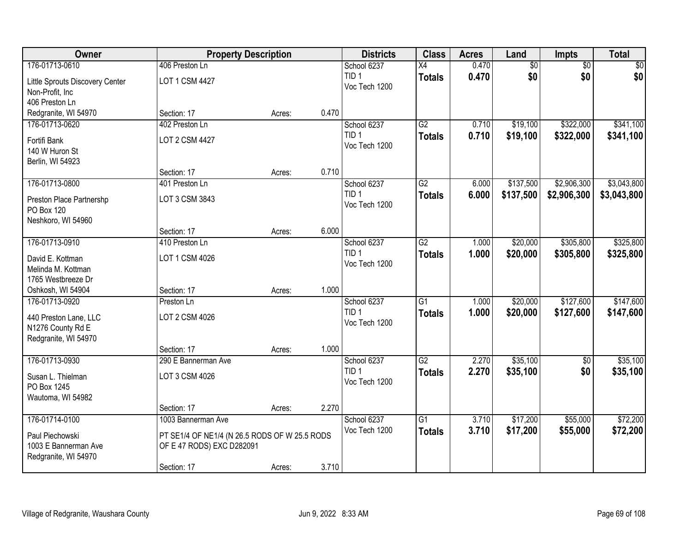| Owner                           | <b>Property Description</b>                   |        |       | <b>Districts</b> | <b>Class</b>    | <b>Acres</b> | Land            | <b>Impts</b>    | <b>Total</b> |
|---------------------------------|-----------------------------------------------|--------|-------|------------------|-----------------|--------------|-----------------|-----------------|--------------|
| 176-01713-0610                  | 406 Preston Ln                                |        |       | School 6237      | $\overline{X4}$ | 0.470        | $\overline{60}$ | $\overline{50}$ | \$0          |
| Little Sprouts Discovery Center | LOT 1 CSM 4427                                |        |       | TID <sub>1</sub> | <b>Totals</b>   | 0.470        | \$0             | \$0             | \$0          |
| Non-Profit, Inc.                |                                               |        |       | Voc Tech 1200    |                 |              |                 |                 |              |
| 406 Preston Ln                  |                                               |        |       |                  |                 |              |                 |                 |              |
| Redgranite, WI 54970            | Section: 17                                   | Acres: | 0.470 |                  |                 |              |                 |                 |              |
| 176-01713-0620                  | 402 Preston Ln                                |        |       | School 6237      | G2              | 0.710        | \$19,100        | \$322,000       | \$341,100    |
| Fortifi Bank                    | LOT 2 CSM 4427                                |        |       | TID <sub>1</sub> | <b>Totals</b>   | 0.710        | \$19,100        | \$322,000       | \$341,100    |
| 140 W Huron St                  |                                               |        |       | Voc Tech 1200    |                 |              |                 |                 |              |
| Berlin, WI 54923                |                                               |        |       |                  |                 |              |                 |                 |              |
|                                 | Section: 17                                   | Acres: | 0.710 |                  |                 |              |                 |                 |              |
| 176-01713-0800                  | 401 Preston Ln                                |        |       | School 6237      | $\overline{G2}$ | 6.000        | \$137,500       | \$2,906,300     | \$3,043,800  |
| Preston Place Partnershp        | LOT 3 CSM 3843                                |        |       | TID <sub>1</sub> | <b>Totals</b>   | 6.000        | \$137,500       | \$2,906,300     | \$3,043,800  |
| PO Box 120                      |                                               |        |       | Voc Tech 1200    |                 |              |                 |                 |              |
| Neshkoro, WI 54960              |                                               |        |       |                  |                 |              |                 |                 |              |
|                                 | Section: 17                                   | Acres: | 6.000 |                  |                 |              |                 |                 |              |
| 176-01713-0910                  | 410 Preston Ln                                |        |       | School 6237      | $\overline{G2}$ | 1.000        | \$20,000        | \$305,800       | \$325,800    |
| David E. Kottman                | LOT 1 CSM 4026                                |        |       | TID <sub>1</sub> | <b>Totals</b>   | 1.000        | \$20,000        | \$305,800       | \$325,800    |
| Melinda M. Kottman              |                                               |        |       | Voc Tech 1200    |                 |              |                 |                 |              |
| 1765 Westbreeze Dr              |                                               |        |       |                  |                 |              |                 |                 |              |
| Oshkosh, WI 54904               | Section: 17                                   | Acres: | 1.000 |                  |                 |              |                 |                 |              |
| 176-01713-0920                  | Preston Ln                                    |        |       | School 6237      | $\overline{G1}$ | 1.000        | \$20,000        | \$127,600       | \$147,600    |
| 440 Preston Lane, LLC           | LOT 2 CSM 4026                                |        |       | TID <sub>1</sub> | <b>Totals</b>   | 1.000        | \$20,000        | \$127,600       | \$147,600    |
| N1276 County Rd E               |                                               |        |       | Voc Tech 1200    |                 |              |                 |                 |              |
| Redgranite, WI 54970            |                                               |        |       |                  |                 |              |                 |                 |              |
|                                 | Section: 17                                   | Acres: | 1.000 |                  |                 |              |                 |                 |              |
| 176-01713-0930                  | 290 E Bannerman Ave                           |        |       | School 6237      | $\overline{G2}$ | 2.270        | \$35,100        | $\overline{50}$ | \$35,100     |
| Susan L. Thielman               | LOT 3 CSM 4026                                |        |       | TID <sub>1</sub> | <b>Totals</b>   | 2.270        | \$35,100        | \$0             | \$35,100     |
| PO Box 1245                     |                                               |        |       | Voc Tech 1200    |                 |              |                 |                 |              |
| Wautoma, WI 54982               |                                               |        |       |                  |                 |              |                 |                 |              |
|                                 | Section: 17                                   | Acres: | 2.270 |                  |                 |              |                 |                 |              |
| 176-01714-0100                  | 1003 Bannerman Ave                            |        |       | School 6237      | $\overline{G1}$ | 3.710        | \$17,200        | \$55,000        | \$72,200     |
| Paul Piechowski                 | PT SE1/4 OF NE1/4 (N 26.5 RODS OF W 25.5 RODS |        |       | Voc Tech 1200    | <b>Totals</b>   | 3.710        | \$17,200        | \$55,000        | \$72,200     |
| 1003 E Bannerman Ave            | OF E 47 RODS) EXC D282091                     |        |       |                  |                 |              |                 |                 |              |
| Redgranite, WI 54970            |                                               |        |       |                  |                 |              |                 |                 |              |
|                                 | Section: 17                                   | Acres: | 3.710 |                  |                 |              |                 |                 |              |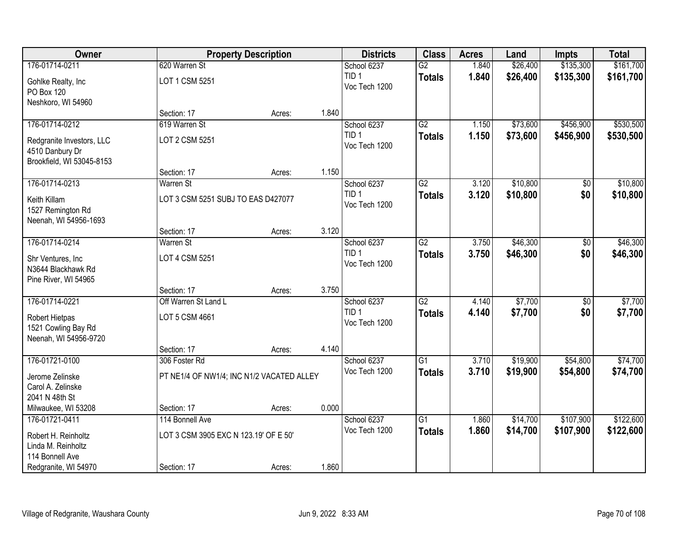| Owner                                      |                                           | <b>Property Description</b> |       | <b>Districts</b>                  | <b>Class</b>    | <b>Acres</b>   | Land     | <b>Impts</b> | <b>Total</b> |
|--------------------------------------------|-------------------------------------------|-----------------------------|-------|-----------------------------------|-----------------|----------------|----------|--------------|--------------|
| 176-01714-0211                             | 620 Warren St                             |                             |       | School 6237                       | $\overline{G2}$ | 1.840          | \$26,400 | \$135,300    | \$161,700    |
| Gohlke Realty, Inc                         | LOT 1 CSM 5251                            |                             |       | TID <sub>1</sub><br>Voc Tech 1200 | <b>Totals</b>   | 1.840          | \$26,400 | \$135,300    | \$161,700    |
| PO Box 120                                 |                                           |                             |       |                                   |                 |                |          |              |              |
| Neshkoro, WI 54960                         |                                           |                             |       |                                   |                 |                |          |              |              |
|                                            | Section: 17                               | Acres:                      | 1.840 |                                   |                 |                |          |              |              |
| 176-01714-0212                             | 619 Warren St                             |                             |       | School 6237<br>TID <sub>1</sub>   | $\overline{G2}$ | 1.150          | \$73,600 | \$456,900    | \$530,500    |
| Redgranite Investors, LLC                  | LOT 2 CSM 5251                            |                             |       | Voc Tech 1200                     | <b>Totals</b>   | 1.150          | \$73,600 | \$456,900    | \$530,500    |
| 4510 Danbury Dr                            |                                           |                             |       |                                   |                 |                |          |              |              |
| Brookfield, WI 53045-8153                  |                                           |                             |       |                                   |                 |                |          |              |              |
| 176-01714-0213                             | Section: 17                               | Acres:                      | 1.150 |                                   | $\overline{G2}$ |                | \$10,800 |              | \$10,800     |
|                                            | <b>Warren St</b>                          |                             |       | School 6237<br>TID <sub>1</sub>   |                 | 3.120<br>3.120 | \$10,800 | \$0<br>\$0   | \$10,800     |
| Keith Killam                               | LOT 3 CSM 5251 SUBJ TO EAS D427077        |                             |       | Voc Tech 1200                     | <b>Totals</b>   |                |          |              |              |
| 1527 Remington Rd                          |                                           |                             |       |                                   |                 |                |          |              |              |
| Neenah, WI 54956-1693                      | Section: 17                               |                             | 3.120 |                                   |                 |                |          |              |              |
| 176-01714-0214                             | <b>Warren St</b>                          | Acres:                      |       | School 6237                       | $\overline{G2}$ | 3.750          | \$46,300 | \$0          | \$46,300     |
|                                            |                                           |                             |       | TID <sub>1</sub>                  | <b>Totals</b>   | 3.750          | \$46,300 | \$0          | \$46,300     |
| Shr Ventures, Inc.                         | LOT 4 CSM 5251                            |                             |       | Voc Tech 1200                     |                 |                |          |              |              |
| N3644 Blackhawk Rd<br>Pine River, WI 54965 |                                           |                             |       |                                   |                 |                |          |              |              |
|                                            | Section: 17                               | Acres:                      | 3.750 |                                   |                 |                |          |              |              |
| 176-01714-0221                             | Off Warren St Land L                      |                             |       | School 6237                       | $\overline{G2}$ | 4.140          | \$7,700  | \$0          | \$7,700      |
|                                            |                                           |                             |       | TID <sub>1</sub>                  | <b>Totals</b>   | 4.140          | \$7,700  | \$0          | \$7,700      |
| Robert Hietpas<br>1521 Cowling Bay Rd      | LOT 5 CSM 4661                            |                             |       | Voc Tech 1200                     |                 |                |          |              |              |
| Neenah, WI 54956-9720                      |                                           |                             |       |                                   |                 |                |          |              |              |
|                                            | Section: 17                               | Acres:                      | 4.140 |                                   |                 |                |          |              |              |
| 176-01721-0100                             | 306 Foster Rd                             |                             |       | School 6237                       | $\overline{G1}$ | 3.710          | \$19,900 | \$54,800     | \$74,700     |
| Jerome Zelinske                            | PT NE1/4 OF NW1/4; INC N1/2 VACATED ALLEY |                             |       | Voc Tech 1200                     | <b>Totals</b>   | 3.710          | \$19,900 | \$54,800     | \$74,700     |
| Carol A. Zelinske                          |                                           |                             |       |                                   |                 |                |          |              |              |
| 2041 N 48th St                             |                                           |                             |       |                                   |                 |                |          |              |              |
| Milwaukee, WI 53208                        | Section: 17                               | Acres:                      | 0.000 |                                   |                 |                |          |              |              |
| 176-01721-0411                             | 114 Bonnell Ave                           |                             |       | School 6237                       | $\overline{G1}$ | 1.860          | \$14,700 | \$107,900    | \$122,600    |
| Robert H. Reinholtz                        | LOT 3 CSM 3905 EXC N 123.19' OF E 50'     |                             |       | Voc Tech 1200                     | <b>Totals</b>   | 1.860          | \$14,700 | \$107,900    | \$122,600    |
| Linda M. Reinholtz                         |                                           |                             |       |                                   |                 |                |          |              |              |
| 114 Bonnell Ave                            |                                           |                             |       |                                   |                 |                |          |              |              |
| Redgranite, WI 54970                       | Section: 17                               | Acres:                      | 1.860 |                                   |                 |                |          |              |              |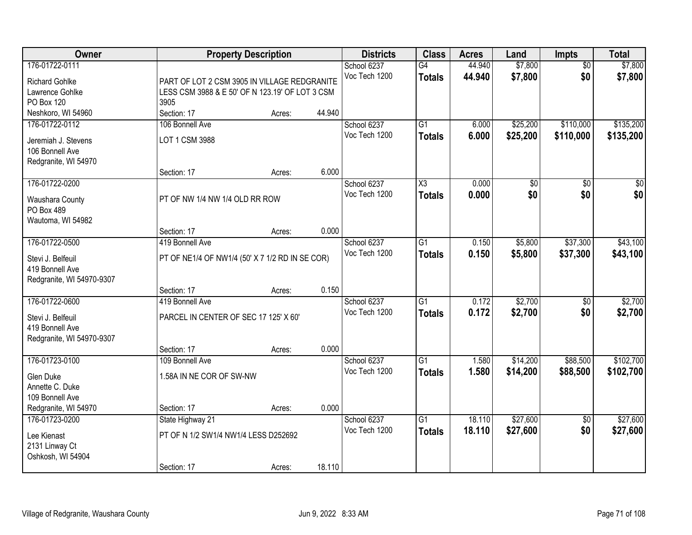| Owner                     |                                                 | <b>Property Description</b> |        | <b>Districts</b> | <b>Class</b>        | <b>Acres</b> | Land            | <b>Impts</b>    | <b>Total</b> |
|---------------------------|-------------------------------------------------|-----------------------------|--------|------------------|---------------------|--------------|-----------------|-----------------|--------------|
| 176-01722-0111            |                                                 |                             |        | School 6237      | $\overline{G4}$     | 44.940       | \$7,800         | $\overline{50}$ | \$7,800      |
| <b>Richard Gohlke</b>     | PART OF LOT 2 CSM 3905 IN VILLAGE REDGRANITE    |                             |        | Voc Tech 1200    | <b>Totals</b>       | 44.940       | \$7,800         | \$0             | \$7,800      |
| Lawrence Gohlke           | LESS CSM 3988 & E 50' OF N 123.19' OF LOT 3 CSM |                             |        |                  |                     |              |                 |                 |              |
| <b>PO Box 120</b>         | 3905                                            |                             |        |                  |                     |              |                 |                 |              |
| Neshkoro, WI 54960        | Section: 17                                     | Acres:                      | 44.940 |                  |                     |              |                 |                 |              |
| 176-01722-0112            | 106 Bonnell Ave                                 |                             |        | School 6237      | $\overline{G1}$     | 6.000        | \$25,200        | \$110,000       | \$135,200    |
| Jeremiah J. Stevens       | LOT 1 CSM 3988                                  |                             |        | Voc Tech 1200    | <b>Totals</b>       | 6.000        | \$25,200        | \$110,000       | \$135,200    |
| 106 Bonnell Ave           |                                                 |                             |        |                  |                     |              |                 |                 |              |
| Redgranite, WI 54970      |                                                 |                             |        |                  |                     |              |                 |                 |              |
|                           | Section: 17                                     | Acres:                      | 6.000  |                  |                     |              |                 |                 |              |
| 176-01722-0200            |                                                 |                             |        | School 6237      | $\overline{\chi_3}$ | 0.000        | $\overline{50}$ | \$0             | $\sqrt{50}$  |
| Waushara County           | PT OF NW 1/4 NW 1/4 OLD RR ROW                  |                             |        | Voc Tech 1200    | <b>Totals</b>       | 0.000        | \$0             | \$0             | \$0          |
| PO Box 489                |                                                 |                             |        |                  |                     |              |                 |                 |              |
| Wautoma, WI 54982         |                                                 |                             |        |                  |                     |              |                 |                 |              |
|                           | Section: 17                                     | Acres:                      | 0.000  |                  |                     |              |                 |                 |              |
| 176-01722-0500            | 419 Bonnell Ave                                 |                             |        | School 6237      | G1                  | 0.150        | \$5,800         | \$37,300        | \$43,100     |
| Stevi J. Belfeuil         | PT OF NE1/4 OF NW1/4 (50' X 7 1/2 RD IN SE COR) |                             |        | Voc Tech 1200    | <b>Totals</b>       | 0.150        | \$5,800         | \$37,300        | \$43,100     |
| 419 Bonnell Ave           |                                                 |                             |        |                  |                     |              |                 |                 |              |
| Redgranite, WI 54970-9307 |                                                 |                             |        |                  |                     |              |                 |                 |              |
|                           | Section: 17                                     | Acres:                      | 0.150  |                  |                     |              |                 |                 |              |
| 176-01722-0600            | 419 Bonnell Ave                                 |                             |        | School 6237      | $\overline{G1}$     | 0.172        | \$2,700         | $\overline{50}$ | \$2,700      |
| Stevi J. Belfeuil         | PARCEL IN CENTER OF SEC 17 125' X 60'           |                             |        | Voc Tech 1200    | <b>Totals</b>       | 0.172        | \$2,700         | \$0             | \$2,700      |
| 419 Bonnell Ave           |                                                 |                             |        |                  |                     |              |                 |                 |              |
| Redgranite, WI 54970-9307 |                                                 |                             |        |                  |                     |              |                 |                 |              |
|                           | Section: 17                                     | Acres:                      | 0.000  |                  |                     |              |                 |                 |              |
| 176-01723-0100            | 109 Bonnell Ave                                 |                             |        | School 6237      | $\overline{G1}$     | 1.580        | \$14,200        | \$88,500        | \$102,700    |
| <b>Glen Duke</b>          | 1.58A IN NE COR OF SW-NW                        |                             |        | Voc Tech 1200    | <b>Totals</b>       | 1.580        | \$14,200        | \$88,500        | \$102,700    |
| Annette C. Duke           |                                                 |                             |        |                  |                     |              |                 |                 |              |
| 109 Bonnell Ave           |                                                 |                             |        |                  |                     |              |                 |                 |              |
| Redgranite, WI 54970      | Section: 17                                     | Acres:                      | 0.000  |                  |                     |              |                 |                 |              |
| 176-01723-0200            | State Highway 21                                |                             |        | School 6237      | $\overline{G1}$     | 18.110       | \$27,600        | $\overline{50}$ | \$27,600     |
| Lee Kienast               | PT OF N 1/2 SW1/4 NW1/4 LESS D252692            |                             |        | Voc Tech 1200    | <b>Totals</b>       | 18.110       | \$27,600        | \$0             | \$27,600     |
| 2131 Linway Ct            |                                                 |                             |        |                  |                     |              |                 |                 |              |
| Oshkosh, WI 54904         |                                                 |                             |        |                  |                     |              |                 |                 |              |
|                           | Section: 17                                     | Acres:                      | 18.110 |                  |                     |              |                 |                 |              |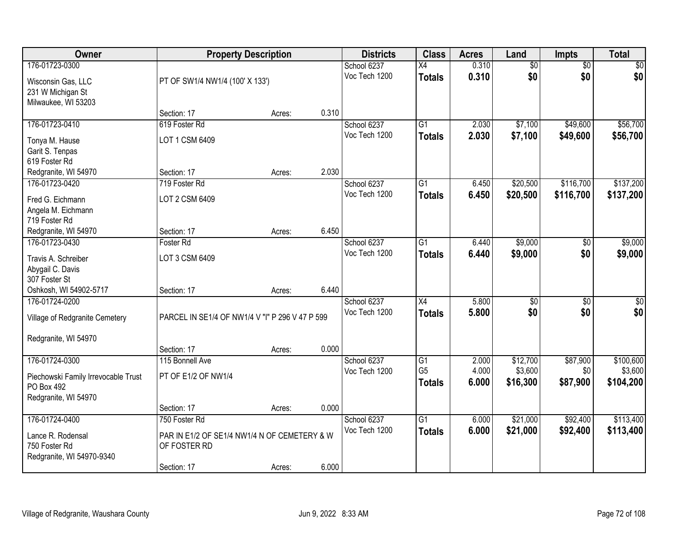| Owner                               | <b>Property Description</b>                     |        |       | <b>Districts</b> | <b>Class</b>                      | <b>Acres</b>   | Land                | <b>Impts</b>    | <b>Total</b>         |
|-------------------------------------|-------------------------------------------------|--------|-------|------------------|-----------------------------------|----------------|---------------------|-----------------|----------------------|
| 176-01723-0300                      |                                                 |        |       | School 6237      | X4                                | 0.310          | $\overline{50}$     | $\overline{50}$ | $\overline{30}$      |
| Wisconsin Gas, LLC                  | PT OF SW1/4 NW1/4 (100' X 133')                 |        |       | Voc Tech 1200    | <b>Totals</b>                     | 0.310          | \$0                 | \$0             | \$0                  |
| 231 W Michigan St                   |                                                 |        |       |                  |                                   |                |                     |                 |                      |
| Milwaukee, WI 53203                 |                                                 |        |       |                  |                                   |                |                     |                 |                      |
|                                     | Section: 17                                     | Acres: | 0.310 |                  |                                   |                |                     |                 |                      |
| 176-01723-0410                      | 619 Foster Rd                                   |        |       | School 6237      | $\overline{G1}$                   | 2.030          | \$7,100             | \$49,600        | \$56,700             |
| Tonya M. Hause                      | LOT 1 CSM 6409                                  |        |       | Voc Tech 1200    | <b>Totals</b>                     | 2.030          | \$7,100             | \$49,600        | \$56,700             |
| Garit S. Tenpas                     |                                                 |        |       |                  |                                   |                |                     |                 |                      |
| 619 Foster Rd                       |                                                 |        |       |                  |                                   |                |                     |                 |                      |
| Redgranite, WI 54970                | Section: 17                                     | Acres: | 2.030 |                  |                                   |                |                     |                 |                      |
| 176-01723-0420                      | 719 Foster Rd                                   |        |       | School 6237      | $\overline{G1}$                   | 6.450          | \$20,500            | \$116,700       | \$137,200            |
| Fred G. Eichmann                    | LOT 2 CSM 6409                                  |        |       | Voc Tech 1200    | <b>Totals</b>                     | 6.450          | \$20,500            | \$116,700       | \$137,200            |
| Angela M. Eichmann                  |                                                 |        |       |                  |                                   |                |                     |                 |                      |
| 719 Foster Rd                       |                                                 |        |       |                  |                                   |                |                     |                 |                      |
| Redgranite, WI 54970                | Section: 17                                     | Acres: | 6.450 |                  |                                   |                |                     |                 |                      |
| 176-01723-0430                      | Foster Rd                                       |        |       | School 6237      | G1                                | 6.440          | \$9,000             | \$0             | \$9,000              |
| Travis A. Schreiber                 | LOT 3 CSM 6409                                  |        |       | Voc Tech 1200    | <b>Totals</b>                     | 6.440          | \$9,000             | \$0             | \$9,000              |
| Abygail C. Davis                    |                                                 |        |       |                  |                                   |                |                     |                 |                      |
| 307 Foster St                       |                                                 |        |       |                  |                                   |                |                     |                 |                      |
| Oshkosh, WI 54902-5717              | Section: 17                                     | Acres: | 6.440 |                  |                                   |                |                     |                 |                      |
| 176-01724-0200                      |                                                 |        |       | School 6237      | $\overline{X4}$                   | 5.800          | $\overline{30}$     | $\overline{30}$ | $\overline{30}$      |
| Village of Redgranite Cemetery      | PARCEL IN SE1/4 OF NW1/4 V "I" P 296 V 47 P 599 |        |       | Voc Tech 1200    | <b>Totals</b>                     | 5.800          | \$0                 | \$0             | \$0                  |
|                                     |                                                 |        |       |                  |                                   |                |                     |                 |                      |
| Redgranite, WI 54970                |                                                 |        |       |                  |                                   |                |                     |                 |                      |
|                                     | Section: 17                                     | Acres: | 0.000 |                  |                                   |                |                     |                 |                      |
| 176-01724-0300                      | 115 Bonnell Ave                                 |        |       | School 6237      | $\overline{G1}$<br>G <sub>5</sub> | 2.000<br>4.000 | \$12,700<br>\$3,600 | \$87,900        | \$100,600            |
| Piechowski Family Irrevocable Trust | PT OF E1/2 OF NW1/4                             |        |       | Voc Tech 1200    |                                   | 6.000          | \$16,300            | \$0<br>\$87,900 | \$3,600<br>\$104,200 |
| PO Box 492                          |                                                 |        |       |                  | <b>Totals</b>                     |                |                     |                 |                      |
| Redgranite, WI 54970                |                                                 |        |       |                  |                                   |                |                     |                 |                      |
|                                     | Section: 17                                     | Acres: | 0.000 |                  |                                   |                |                     |                 |                      |
| 176-01724-0400                      | 750 Foster Rd                                   |        |       | School 6237      | $\overline{G1}$                   | 6.000          | \$21,000            | \$92,400        | \$113,400            |
| Lance R. Rodensal                   | PAR IN E1/2 OF SE1/4 NW1/4 N OF CEMETERY & W    |        |       | Voc Tech 1200    | <b>Totals</b>                     | 6.000          | \$21,000            | \$92,400        | \$113,400            |
| 750 Foster Rd                       | OF FOSTER RD                                    |        |       |                  |                                   |                |                     |                 |                      |
| Redgranite, WI 54970-9340           |                                                 |        |       |                  |                                   |                |                     |                 |                      |
|                                     | Section: 17                                     | Acres: | 6.000 |                  |                                   |                |                     |                 |                      |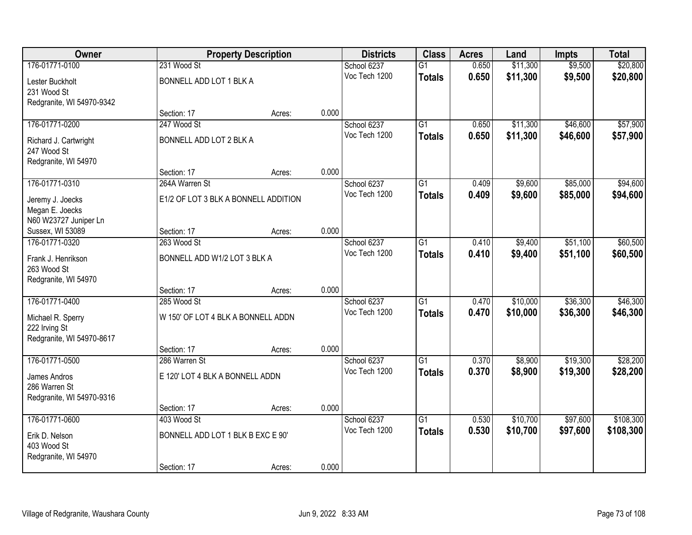| Owner                     |                                      | <b>Property Description</b> |       | <b>Districts</b> | <b>Class</b>    | <b>Acres</b> | Land     | <b>Impts</b> | <b>Total</b> |
|---------------------------|--------------------------------------|-----------------------------|-------|------------------|-----------------|--------------|----------|--------------|--------------|
| 176-01771-0100            | 231 Wood St                          |                             |       | School 6237      | $\overline{G1}$ | 0.650        | \$11,300 | \$9,500      | \$20,800     |
| Lester Buckholt           | BONNELL ADD LOT 1 BLK A              |                             |       | Voc Tech 1200    | <b>Totals</b>   | 0.650        | \$11,300 | \$9,500      | \$20,800     |
| 231 Wood St               |                                      |                             |       |                  |                 |              |          |              |              |
| Redgranite, WI 54970-9342 |                                      |                             |       |                  |                 |              |          |              |              |
|                           | Section: 17                          | Acres:                      | 0.000 |                  |                 |              |          |              |              |
| 176-01771-0200            | 247 Wood St                          |                             |       | School 6237      | $\overline{G1}$ | 0.650        | \$11,300 | \$46,600     | \$57,900     |
| Richard J. Cartwright     | BONNELL ADD LOT 2 BLK A              |                             |       | Voc Tech 1200    | <b>Totals</b>   | 0.650        | \$11,300 | \$46,600     | \$57,900     |
| 247 Wood St               |                                      |                             |       |                  |                 |              |          |              |              |
| Redgranite, WI 54970      |                                      |                             |       |                  |                 |              |          |              |              |
|                           | Section: 17                          | Acres:                      | 0.000 |                  |                 |              |          |              |              |
| 176-01771-0310            | 264A Warren St                       |                             |       | School 6237      | $\overline{G1}$ | 0.409        | \$9,600  | \$85,000     | \$94,600     |
| Jeremy J. Joecks          | E1/2 OF LOT 3 BLK A BONNELL ADDITION |                             |       | Voc Tech 1200    | <b>Totals</b>   | 0.409        | \$9,600  | \$85,000     | \$94,600     |
| Megan E. Joecks           |                                      |                             |       |                  |                 |              |          |              |              |
| N60 W23727 Juniper Ln     |                                      |                             |       |                  |                 |              |          |              |              |
| Sussex, WI 53089          | Section: 17                          | Acres:                      | 0.000 |                  |                 |              |          |              |              |
| 176-01771-0320            | 263 Wood St                          |                             |       | School 6237      | $\overline{G1}$ | 0.410        | \$9,400  | \$51,100     | \$60,500     |
| Frank J. Henrikson        | BONNELL ADD W1/2 LOT 3 BLK A         |                             |       | Voc Tech 1200    | <b>Totals</b>   | 0.410        | \$9,400  | \$51,100     | \$60,500     |
| 263 Wood St               |                                      |                             |       |                  |                 |              |          |              |              |
| Redgranite, WI 54970      |                                      |                             |       |                  |                 |              |          |              |              |
|                           | Section: 17                          | Acres:                      | 0.000 |                  |                 |              |          |              |              |
| 176-01771-0400            | 285 Wood St                          |                             |       | School 6237      | $\overline{G1}$ | 0.470        | \$10,000 | \$36,300     | \$46,300     |
| Michael R. Sperry         | W 150' OF LOT 4 BLK A BONNELL ADDN   |                             |       | Voc Tech 1200    | <b>Totals</b>   | 0.470        | \$10,000 | \$36,300     | \$46,300     |
| 222 Irving St             |                                      |                             |       |                  |                 |              |          |              |              |
| Redgranite, WI 54970-8617 |                                      |                             |       |                  |                 |              |          |              |              |
|                           | Section: 17                          | Acres:                      | 0.000 |                  |                 |              |          |              |              |
| 176-01771-0500            | 286 Warren St                        |                             |       | School 6237      | $\overline{G1}$ | 0.370        | \$8,900  | \$19,300     | \$28,200     |
| James Andros              | E 120' LOT 4 BLK A BONNELL ADDN      |                             |       | Voc Tech 1200    | <b>Totals</b>   | 0.370        | \$8,900  | \$19,300     | \$28,200     |
| 286 Warren St             |                                      |                             |       |                  |                 |              |          |              |              |
| Redgranite, WI 54970-9316 |                                      |                             |       |                  |                 |              |          |              |              |
|                           | Section: 17                          | Acres:                      | 0.000 |                  |                 |              |          |              |              |
| 176-01771-0600            | 403 Wood St                          |                             |       | School 6237      | $\overline{G1}$ | 0.530        | \$10,700 | \$97,600     | \$108,300    |
| Erik D. Nelson            | BONNELL ADD LOT 1 BLK B EXC E 90'    |                             |       | Voc Tech 1200    | <b>Totals</b>   | 0.530        | \$10,700 | \$97,600     | \$108,300    |
| 403 Wood St               |                                      |                             |       |                  |                 |              |          |              |              |
| Redgranite, WI 54970      |                                      |                             |       |                  |                 |              |          |              |              |
|                           | Section: 17                          | Acres:                      | 0.000 |                  |                 |              |          |              |              |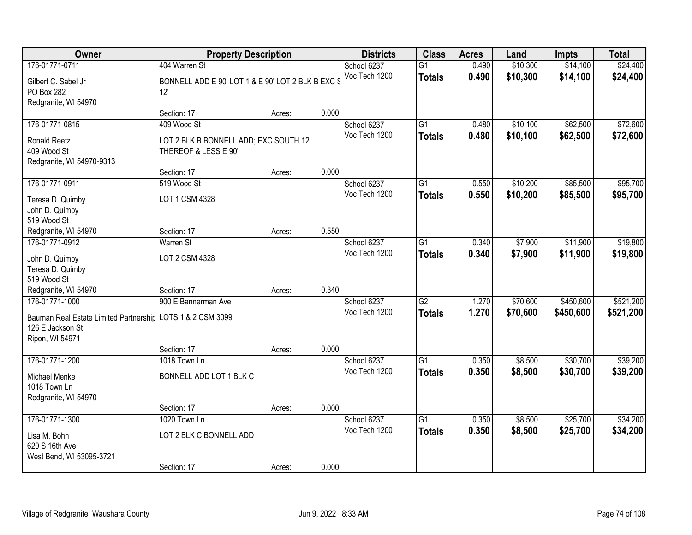| Owner                                                           | <b>Property Description</b>                                    |        |       | <b>Districts</b>             | <b>Class</b>                     | <b>Acres</b>   | Land                 | Impts                | <b>Total</b>         |
|-----------------------------------------------------------------|----------------------------------------------------------------|--------|-------|------------------------------|----------------------------------|----------------|----------------------|----------------------|----------------------|
| 176-01771-0711                                                  | 404 Warren St                                                  |        |       | School 6237                  | $\overline{G1}$                  | 0.490          | \$10,300             | \$14,100             | \$24,400             |
| Gilbert C. Sabel Jr<br>PO Box 282<br>Redgranite, WI 54970       | BONNELL ADD E 90' LOT 1 & E 90' LOT 2 BLK B EXC S<br>12'       |        |       | Voc Tech 1200                | <b>Totals</b>                    | 0.490          | \$10,300             | \$14,100             | \$24,400             |
|                                                                 | Section: 17                                                    | Acres: | 0.000 |                              |                                  |                |                      |                      |                      |
| 176-01771-0815                                                  | 409 Wood St                                                    |        |       | School 6237<br>Voc Tech 1200 | $\overline{G1}$<br><b>Totals</b> | 0.480<br>0.480 | \$10,100<br>\$10,100 | \$62,500<br>\$62,500 | \$72,600<br>\$72,600 |
| <b>Ronald Reetz</b><br>409 Wood St<br>Redgranite, WI 54970-9313 | LOT 2 BLK B BONNELL ADD; EXC SOUTH 12'<br>THEREOF & LESS E 90' |        |       |                              |                                  |                |                      |                      |                      |
|                                                                 | Section: 17                                                    | Acres: | 0.000 |                              |                                  |                |                      |                      |                      |
| 176-01771-0911                                                  | 519 Wood St                                                    |        |       | School 6237                  | $\overline{G1}$                  | 0.550          | \$10,200             | \$85,500             | \$95,700             |
| Teresa D. Quimby<br>John D. Quimby<br>519 Wood St               | LOT 1 CSM 4328                                                 |        |       | Voc Tech 1200                | <b>Totals</b>                    | 0.550          | \$10,200             | \$85,500             | \$95,700             |
| Redgranite, WI 54970                                            | Section: 17                                                    | Acres: | 0.550 |                              |                                  |                |                      |                      |                      |
| 176-01771-0912                                                  | Warren St                                                      |        |       | School 6237                  | $\overline{G1}$                  | 0.340          | \$7,900              | \$11,900             | \$19,800             |
| John D. Quimby<br>Teresa D. Quimby                              | LOT 2 CSM 4328                                                 |        |       | Voc Tech 1200                | <b>Totals</b>                    | 0.340          | \$7,900              | \$11,900             | \$19,800             |
| 519 Wood St                                                     |                                                                |        |       |                              |                                  |                |                      |                      |                      |
| Redgranite, WI 54970                                            | Section: 17                                                    | Acres: | 0.340 |                              |                                  |                |                      |                      |                      |
| 176-01771-1000                                                  | 900 E Bannerman Ave                                            |        |       | School 6237                  | $\overline{G2}$                  | 1.270          | \$70,600             | \$450,600            | \$521,200            |
| Bauman Real Estate Limited Partnershir                          | LOTS 1 & 2 CSM 3099                                            |        |       | Voc Tech 1200                | <b>Totals</b>                    | 1.270          | \$70,600             | \$450,600            | \$521,200            |
| 126 E Jackson St                                                |                                                                |        |       |                              |                                  |                |                      |                      |                      |
| Ripon, WI 54971                                                 |                                                                |        |       |                              |                                  |                |                      |                      |                      |
|                                                                 | Section: 17                                                    | Acres: | 0.000 |                              |                                  |                |                      |                      |                      |
| 176-01771-1200                                                  | 1018 Town Ln                                                   |        |       | School 6237                  | $\overline{G1}$                  | 0.350          | \$8,500              | \$30,700             | \$39,200             |
| Michael Menke<br>1018 Town Ln                                   | BONNELL ADD LOT 1 BLK C                                        |        |       | Voc Tech 1200                | <b>Totals</b>                    | 0.350          | \$8,500              | \$30,700             | \$39,200             |
| Redgranite, WI 54970                                            | Section: 17                                                    | Acres: | 0.000 |                              |                                  |                |                      |                      |                      |
| 176-01771-1300                                                  | 1020 Town Ln                                                   |        |       | School 6237                  | $\overline{G1}$                  | 0.350          | \$8,500              | \$25,700             | \$34,200             |
|                                                                 |                                                                |        |       | Voc Tech 1200                | <b>Totals</b>                    | 0.350          | \$8,500              | \$25,700             | \$34,200             |
| Lisa M. Bohn<br>620 S 16th Ave<br>West Bend, WI 53095-3721      | LOT 2 BLK C BONNELL ADD                                        |        |       |                              |                                  |                |                      |                      |                      |
|                                                                 | Section: 17                                                    | Acres: | 0.000 |                              |                                  |                |                      |                      |                      |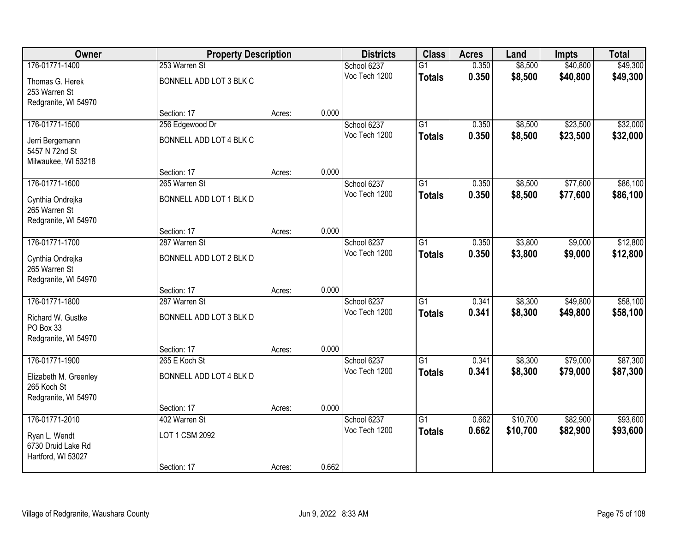| Owner                                 | <b>Property Description</b> |        |       | <b>Districts</b>             | <b>Class</b>    | <b>Acres</b> | Land     | <b>Impts</b> | <b>Total</b> |
|---------------------------------------|-----------------------------|--------|-------|------------------------------|-----------------|--------------|----------|--------------|--------------|
| 176-01771-1400                        | 253 Warren St               |        |       | School 6237                  | $\overline{G1}$ | 0.350        | \$8,500  | \$40,800     | \$49,300     |
| Thomas G. Herek                       | BONNELL ADD LOT 3 BLK C     |        |       | Voc Tech 1200                | <b>Totals</b>   | 0.350        | \$8,500  | \$40,800     | \$49,300     |
| 253 Warren St                         |                             |        |       |                              |                 |              |          |              |              |
| Redgranite, WI 54970                  |                             |        |       |                              |                 |              |          |              |              |
|                                       | Section: 17                 | Acres: | 0.000 |                              |                 |              |          |              |              |
| 176-01771-1500                        | 256 Edgewood Dr             |        |       | School 6237                  | $\overline{G1}$ | 0.350        | \$8,500  | \$23,500     | \$32,000     |
| Jerri Bergemann                       | BONNELL ADD LOT 4 BLK C     |        |       | Voc Tech 1200                | <b>Totals</b>   | 0.350        | \$8,500  | \$23,500     | \$32,000     |
| 5457 N 72nd St                        |                             |        |       |                              |                 |              |          |              |              |
| Milwaukee, WI 53218                   |                             |        |       |                              |                 |              |          |              |              |
|                                       | Section: 17                 | Acres: | 0.000 |                              |                 |              |          |              |              |
| 176-01771-1600                        | 265 Warren St               |        |       | School 6237<br>Voc Tech 1200 | G1              | 0.350        | \$8,500  | \$77,600     | \$86,100     |
| Cynthia Ondrejka                      | BONNELL ADD LOT 1 BLK D     |        |       |                              | <b>Totals</b>   | 0.350        | \$8,500  | \$77,600     | \$86,100     |
| 265 Warren St                         |                             |        |       |                              |                 |              |          |              |              |
| Redgranite, WI 54970                  | Section: 17                 |        | 0.000 |                              |                 |              |          |              |              |
| 176-01771-1700                        | 287 Warren St               | Acres: |       | School 6237                  | $\overline{G1}$ | 0.350        | \$3,800  | \$9,000      | \$12,800     |
|                                       |                             |        |       | Voc Tech 1200                | <b>Totals</b>   | 0.350        | \$3,800  | \$9,000      | \$12,800     |
| Cynthia Ondrejka                      | BONNELL ADD LOT 2 BLK D     |        |       |                              |                 |              |          |              |              |
| 265 Warren St<br>Redgranite, WI 54970 |                             |        |       |                              |                 |              |          |              |              |
|                                       | Section: 17                 | Acres: | 0.000 |                              |                 |              |          |              |              |
| 176-01771-1800                        | 287 Warren St               |        |       | School 6237                  | $\overline{G1}$ | 0.341        | \$8,300  | \$49,800     | \$58,100     |
|                                       |                             |        |       | Voc Tech 1200                | <b>Totals</b>   | 0.341        | \$8,300  | \$49,800     | \$58,100     |
| Richard W. Gustke<br>PO Box 33        | BONNELL ADD LOT 3 BLK D     |        |       |                              |                 |              |          |              |              |
| Redgranite, WI 54970                  |                             |        |       |                              |                 |              |          |              |              |
|                                       | Section: 17                 | Acres: | 0.000 |                              |                 |              |          |              |              |
| 176-01771-1900                        | 265 E Koch St               |        |       | School 6237                  | $\overline{G1}$ | 0.341        | \$8,300  | \$79,000     | \$87,300     |
| Elizabeth M. Greenley                 | BONNELL ADD LOT 4 BLK D     |        |       | Voc Tech 1200                | <b>Totals</b>   | 0.341        | \$8,300  | \$79,000     | \$87,300     |
| 265 Koch St                           |                             |        |       |                              |                 |              |          |              |              |
| Redgranite, WI 54970                  |                             |        |       |                              |                 |              |          |              |              |
|                                       | Section: 17                 | Acres: | 0.000 |                              |                 |              |          |              |              |
| 176-01771-2010                        | 402 Warren St               |        |       | School 6237                  | $\overline{G1}$ | 0.662        | \$10,700 | \$82,900     | \$93,600     |
| Ryan L. Wendt                         | LOT 1 CSM 2092              |        |       | Voc Tech 1200                | <b>Totals</b>   | 0.662        | \$10,700 | \$82,900     | \$93,600     |
| 6730 Druid Lake Rd                    |                             |        |       |                              |                 |              |          |              |              |
| Hartford, WI 53027                    |                             |        |       |                              |                 |              |          |              |              |
|                                       | Section: 17                 | Acres: | 0.662 |                              |                 |              |          |              |              |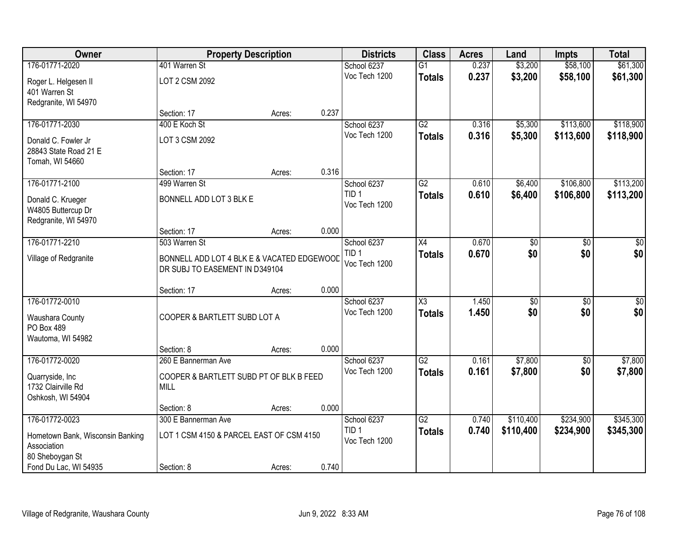| <b>Owner</b>                                                    |                                                                              | <b>Property Description</b> |       | <b>Districts</b>                  | <b>Class</b>                     | <b>Acres</b>   | Land               | <b>Impts</b>      | <b>Total</b>       |
|-----------------------------------------------------------------|------------------------------------------------------------------------------|-----------------------------|-------|-----------------------------------|----------------------------------|----------------|--------------------|-------------------|--------------------|
| 176-01771-2020                                                  | 401 Warren St                                                                |                             |       | School 6237                       | $\overline{G1}$                  | 0.237          | \$3,200            | \$58,100          | \$61,300           |
| Roger L. Helgesen II<br>401 Warren St<br>Redgranite, WI 54970   | LOT 2 CSM 2092                                                               |                             |       | Voc Tech 1200                     | <b>Totals</b>                    | 0.237          | \$3,200            | \$58,100          | \$61,300           |
|                                                                 | Section: 17                                                                  | Acres:                      | 0.237 |                                   |                                  |                |                    |                   |                    |
| 176-01771-2030                                                  | 400 E Koch St                                                                |                             |       | School 6237                       | $\overline{G2}$                  | 0.316          | \$5,300            | \$113,600         | \$118,900          |
| Donald C. Fowler Jr<br>28843 State Road 21 E<br>Tomah, WI 54660 | LOT 3 CSM 2092                                                               |                             |       | Voc Tech 1200                     | <b>Totals</b>                    | 0.316          | \$5,300            | \$113,600         | \$118,900          |
|                                                                 | Section: 17                                                                  | Acres:                      | 0.316 |                                   |                                  |                |                    |                   |                    |
| 176-01771-2100                                                  | 499 Warren St                                                                |                             |       | School 6237                       | $\overline{G2}$                  | 0.610          | \$6,400            | \$106,800         | \$113,200          |
| Donald C. Krueger<br>W4805 Buttercup Dr<br>Redgranite, WI 54970 | BONNELL ADD LOT 3 BLK E                                                      |                             |       | TID <sub>1</sub><br>Voc Tech 1200 | <b>Totals</b>                    | 0.610          | \$6,400            | \$106,800         | \$113,200          |
|                                                                 | Section: 17                                                                  | Acres:                      | 0.000 |                                   |                                  |                |                    |                   |                    |
| 176-01771-2210                                                  | 503 Warren St                                                                |                             |       | School 6237                       | $\overline{X4}$                  | 0.670          | $\overline{30}$    | \$0               | \$0                |
| Village of Redgranite                                           | BONNELL ADD LOT 4 BLK E & VACATED EDGEWOOD<br>DR SUBJ TO EASEMENT IN D349104 |                             |       | TID <sub>1</sub><br>Voc Tech 1200 | <b>Totals</b>                    | 0.670          | \$0                | \$0               | \$0                |
|                                                                 | Section: 17                                                                  | Acres:                      | 0.000 |                                   |                                  |                |                    |                   |                    |
| 176-01772-0010                                                  |                                                                              |                             |       | School 6237                       | $\overline{\chi_3}$              | 1.450          | $\overline{50}$    | $\overline{50}$   | \$0                |
| Waushara County                                                 | COOPER & BARTLETT SUBD LOT A                                                 |                             |       | Voc Tech 1200                     | <b>Totals</b>                    | 1.450          | \$0                | \$0               | \$0                |
| PO Box 489                                                      |                                                                              |                             |       |                                   |                                  |                |                    |                   |                    |
| Wautoma, WI 54982                                               |                                                                              |                             |       |                                   |                                  |                |                    |                   |                    |
|                                                                 | Section: 8                                                                   | Acres:                      | 0.000 |                                   |                                  |                |                    |                   |                    |
| 176-01772-0020                                                  | 260 E Bannerman Ave                                                          |                             |       | School 6237<br>Voc Tech 1200      | $\overline{G2}$<br><b>Totals</b> | 0.161<br>0.161 | \$7,800<br>\$7,800 | $\sqrt{6}$<br>\$0 | \$7,800<br>\$7,800 |
| Quarryside, Inc                                                 | COOPER & BARTLETT SUBD PT OF BLK B FEED                                      |                             |       |                                   |                                  |                |                    |                   |                    |
| 1732 Clairville Rd                                              | <b>MILL</b>                                                                  |                             |       |                                   |                                  |                |                    |                   |                    |
| Oshkosh, WI 54904                                               | Section: 8                                                                   | Acres:                      | 0.000 |                                   |                                  |                |                    |                   |                    |
| 176-01772-0023                                                  | 300 E Bannerman Ave                                                          |                             |       | School 6237                       | $\overline{G2}$                  | 0.740          | \$110,400          | \$234,900         | \$345,300          |
| Hometown Bank, Wisconsin Banking<br>Association                 | LOT 1 CSM 4150 & PARCEL EAST OF CSM 4150                                     |                             |       | TID <sub>1</sub><br>Voc Tech 1200 | <b>Totals</b>                    | 0.740          | \$110,400          | \$234,900         | \$345,300          |
| 80 Sheboygan St<br>Fond Du Lac, WI 54935                        | Section: 8                                                                   | Acres:                      | 0.740 |                                   |                                  |                |                    |                   |                    |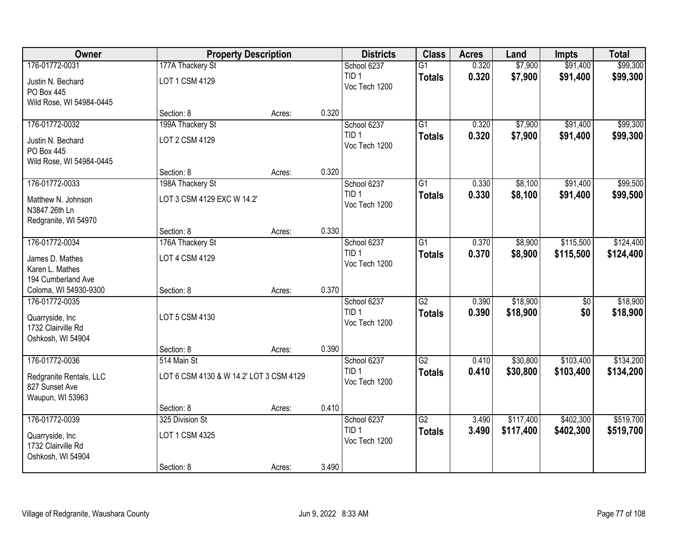| Owner                                 |                                         | <b>Property Description</b> |       | <b>Districts</b>                  | <b>Class</b>    | <b>Acres</b> | Land      | <b>Impts</b> | <b>Total</b> |
|---------------------------------------|-----------------------------------------|-----------------------------|-------|-----------------------------------|-----------------|--------------|-----------|--------------|--------------|
| 176-01772-0031                        | 177A Thackery St                        |                             |       | School 6237                       | $\overline{G1}$ | 0.320        | \$7,900   | \$91,400     | \$99,300     |
| Justin N. Bechard<br>PO Box 445       | LOT 1 CSM 4129                          |                             |       | TID <sub>1</sub><br>Voc Tech 1200 | <b>Totals</b>   | 0.320        | \$7,900   | \$91,400     | \$99,300     |
| Wild Rose, WI 54984-0445              |                                         |                             |       |                                   |                 |              |           |              |              |
|                                       | Section: 8                              | Acres:                      | 0.320 |                                   |                 |              |           |              |              |
| 176-01772-0032                        | 199A Thackery St                        |                             |       | School 6237                       | $\overline{G1}$ | 0.320        | \$7,900   | \$91,400     | \$99,300     |
| Justin N. Bechard<br>PO Box 445       | LOT 2 CSM 4129                          |                             |       | TID <sub>1</sub><br>Voc Tech 1200 | <b>Totals</b>   | 0.320        | \$7,900   | \$91,400     | \$99,300     |
| Wild Rose, WI 54984-0445              |                                         |                             |       |                                   |                 |              |           |              |              |
|                                       | Section: 8                              | Acres:                      | 0.320 |                                   |                 |              |           |              |              |
| 176-01772-0033                        | 198A Thackery St                        |                             |       | School 6237                       | $\overline{G1}$ | 0.330        | \$8,100   | \$91,400     | \$99,500     |
| Matthew N. Johnson<br>N3847 26th Ln   | LOT 3 CSM 4129 EXC W 14.2'              |                             |       | TID <sub>1</sub><br>Voc Tech 1200 | <b>Totals</b>   | 0.330        | \$8,100   | \$91,400     | \$99,500     |
| Redgranite, WI 54970                  | Section: 8                              | Acres:                      | 0.330 |                                   |                 |              |           |              |              |
| 176-01772-0034                        | 176A Thackery St                        |                             |       | School 6237                       | $\overline{G1}$ | 0.370        | \$8,900   | \$115,500    | \$124,400    |
|                                       |                                         |                             |       | TID <sub>1</sub>                  | <b>Totals</b>   | 0.370        | \$8,900   | \$115,500    | \$124,400    |
| James D. Mathes                       | LOT 4 CSM 4129                          |                             |       | Voc Tech 1200                     |                 |              |           |              |              |
| Karen L. Mathes<br>194 Cumberland Ave |                                         |                             |       |                                   |                 |              |           |              |              |
| Coloma, WI 54930-9300                 | Section: 8                              | Acres:                      | 0.370 |                                   |                 |              |           |              |              |
| 176-01772-0035                        |                                         |                             |       | School 6237                       | $\overline{G2}$ | 0.390        | \$18,900  | \$0          | \$18,900     |
|                                       |                                         |                             |       | TID <sub>1</sub>                  | <b>Totals</b>   | 0.390        | \$18,900  | \$0          | \$18,900     |
| Quarryside, Inc<br>1732 Clairville Rd | LOT 5 CSM 4130                          |                             |       | Voc Tech 1200                     |                 |              |           |              |              |
| Oshkosh, WI 54904                     |                                         |                             |       |                                   |                 |              |           |              |              |
|                                       | Section: 8                              | Acres:                      | 0.390 |                                   |                 |              |           |              |              |
| 176-01772-0036                        | 514 Main St                             |                             |       | School 6237                       | $\overline{G2}$ | 0.410        | \$30,800  | \$103,400    | \$134,200    |
| Redgranite Rentals, LLC               | LOT 6 CSM 4130 & W 14.2' LOT 3 CSM 4129 |                             |       | TID <sub>1</sub><br>Voc Tech 1200 | <b>Totals</b>   | 0.410        | \$30,800  | \$103,400    | \$134,200    |
| 827 Sunset Ave<br>Waupun, WI 53963    |                                         |                             |       |                                   |                 |              |           |              |              |
|                                       | Section: 8                              | Acres:                      | 0.410 |                                   |                 |              |           |              |              |
| 176-01772-0039                        | 325 Division St                         |                             |       | School 6237                       | $\overline{G2}$ | 3.490        | \$117,400 | \$402,300    | \$519,700    |
|                                       | LOT 1 CSM 4325                          |                             |       | TID <sub>1</sub>                  | <b>Totals</b>   | 3.490        | \$117,400 | \$402,300    | \$519,700    |
| Quarryside, Inc<br>1732 Clairville Rd |                                         |                             |       | Voc Tech 1200                     |                 |              |           |              |              |
| Oshkosh, WI 54904                     |                                         |                             |       |                                   |                 |              |           |              |              |
|                                       | Section: 8                              | Acres:                      | 3.490 |                                   |                 |              |           |              |              |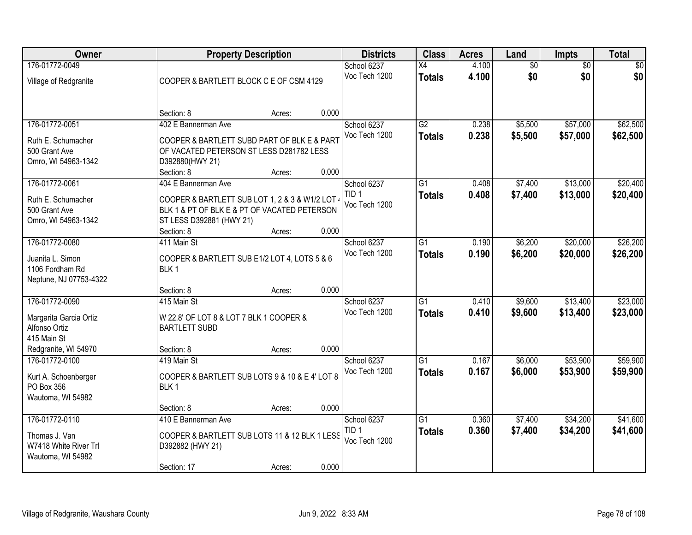| <b>Owner</b>           |                                                 | <b>Property Description</b> | <b>Districts</b> | <b>Class</b>    | <b>Acres</b> | Land            | <b>Impts</b>    | <b>Total</b> |
|------------------------|-------------------------------------------------|-----------------------------|------------------|-----------------|--------------|-----------------|-----------------|--------------|
| 176-01772-0049         |                                                 |                             | School 6237      | X4              | 4.100        | $\overline{60}$ | $\overline{50}$ | \$0          |
| Village of Redgranite  | COOPER & BARTLETT BLOCK C E OF CSM 4129         |                             | Voc Tech 1200    | <b>Totals</b>   | 4.100        | \$0             | \$0             | \$0          |
|                        |                                                 |                             |                  |                 |              |                 |                 |              |
|                        | Section: 8                                      |                             | 0.000            |                 |              |                 |                 |              |
| 176-01772-0051         | 402 E Bannerman Ave                             | Acres:                      | School 6237      | $\overline{G2}$ | 0.238        | \$5,500         | \$57,000        | \$62,500     |
|                        |                                                 |                             | Voc Tech 1200    | <b>Totals</b>   | 0.238        | \$5,500         | \$57,000        | \$62,500     |
| Ruth E. Schumacher     | COOPER & BARTLETT SUBD PART OF BLK E & PART     |                             |                  |                 |              |                 |                 |              |
| 500 Grant Ave          | OF VACATED PETERSON ST LESS D281782 LESS        |                             |                  |                 |              |                 |                 |              |
| Omro, WI 54963-1342    | D392880(HWY 21)                                 |                             |                  |                 |              |                 |                 |              |
|                        | Section: 8                                      | Acres:                      | 0.000            |                 |              |                 |                 |              |
| 176-01772-0061         | 404 E Bannerman Ave                             |                             | School 6237      | G1              | 0.408        | \$7,400         | \$13,000        | \$20,400     |
| Ruth E. Schumacher     | COOPER & BARTLETT SUB LOT 1, 2 & 3 & W1/2 LOT ( |                             | TID <sub>1</sub> | <b>Totals</b>   | 0.408        | \$7,400         | \$13,000        | \$20,400     |
| 500 Grant Ave          | BLK 1 & PT OF BLK E & PT OF VACATED PETERSON    |                             | Voc Tech 1200    |                 |              |                 |                 |              |
| Omro, WI 54963-1342    | ST LESS D392881 (HWY 21)                        |                             |                  |                 |              |                 |                 |              |
|                        | Section: 8                                      | Acres:                      | 0.000            |                 |              |                 |                 |              |
| 176-01772-0080         | 411 Main St                                     |                             | School 6237      | G1              | 0.190        | \$6,200         | \$20,000        | \$26,200     |
|                        |                                                 |                             | Voc Tech 1200    | <b>Totals</b>   | 0.190        | \$6,200         | \$20,000        | \$26,200     |
| Juanita L. Simon       | COOPER & BARTLETT SUB E1/2 LOT 4, LOTS 5 & 6    |                             |                  |                 |              |                 |                 |              |
| 1106 Fordham Rd        | BLK <sub>1</sub>                                |                             |                  |                 |              |                 |                 |              |
| Neptune, NJ 07753-4322 |                                                 |                             |                  |                 |              |                 |                 |              |
|                        | Section: 8                                      | Acres:                      | 0.000            |                 |              |                 |                 |              |
| 176-01772-0090         | 415 Main St                                     |                             | School 6237      | $\overline{G1}$ | 0.410        | \$9,600         | \$13,400        | \$23,000     |
| Margarita Garcia Ortiz | W 22.8' OF LOT 8 & LOT 7 BLK 1 COOPER &         |                             | Voc Tech 1200    | <b>Totals</b>   | 0.410        | \$9,600         | \$13,400        | \$23,000     |
| Alfonso Ortiz          | <b>BARTLETT SUBD</b>                            |                             |                  |                 |              |                 |                 |              |
| 415 Main St            |                                                 |                             |                  |                 |              |                 |                 |              |
| Redgranite, WI 54970   | Section: 8                                      | Acres:                      | 0.000            |                 |              |                 |                 |              |
| 176-01772-0100         | 419 Main St                                     |                             | School 6237      | G1              | 0.167        | \$6,000         | \$53,900        | \$59,900     |
| Kurt A. Schoenberger   | COOPER & BARTLETT SUB LOTS 9 & 10 & E 4' LOT 8  |                             | Voc Tech 1200    | <b>Totals</b>   | 0.167        | \$6,000         | \$53,900        | \$59,900     |
| PO Box 356             | BLK <sub>1</sub>                                |                             |                  |                 |              |                 |                 |              |
| Wautoma, WI 54982      |                                                 |                             |                  |                 |              |                 |                 |              |
|                        | Section: 8                                      | Acres:                      | 0.000            |                 |              |                 |                 |              |
| 176-01772-0110         | 410 E Bannerman Ave                             |                             | School 6237      | $\overline{G1}$ | 0.360        | \$7,400         | \$34,200        | \$41,600     |
|                        |                                                 |                             | TID <sub>1</sub> | <b>Totals</b>   | 0.360        | \$7,400         | \$34,200        | \$41,600     |
| Thomas J. Van          | COOPER & BARTLETT SUB LOTS 11 & 12 BLK 1 LESS   |                             | Voc Tech 1200    |                 |              |                 |                 |              |
| W7418 White River Trl  | D392882 (HWY 21)                                |                             |                  |                 |              |                 |                 |              |
| Wautoma, WI 54982      |                                                 |                             |                  |                 |              |                 |                 |              |
|                        | Section: 17                                     | Acres:                      | 0.000            |                 |              |                 |                 |              |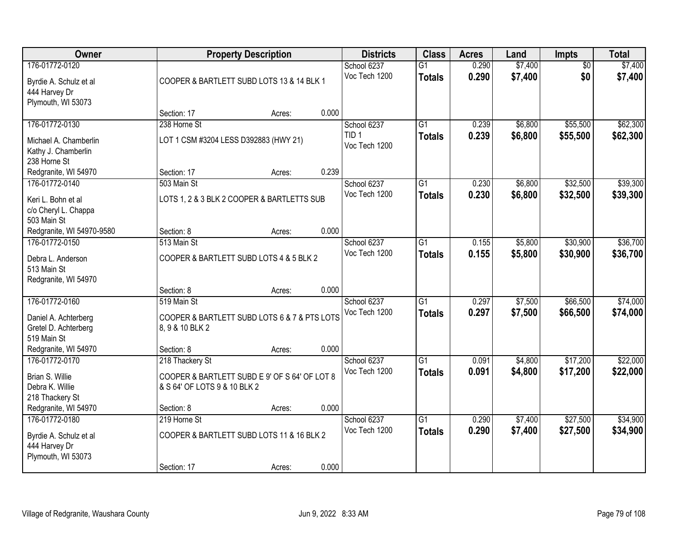| Owner                                                          |                                       | <b>Property Description</b>                   |       | <b>Districts</b>                  | <b>Class</b>                     | <b>Acres</b>   | Land               | <b>Impts</b>         | <b>Total</b>         |
|----------------------------------------------------------------|---------------------------------------|-----------------------------------------------|-------|-----------------------------------|----------------------------------|----------------|--------------------|----------------------|----------------------|
| 176-01772-0120                                                 |                                       |                                               |       | School 6237                       | $\overline{G1}$                  | 0.290          | \$7,400            | $\overline{50}$      | \$7,400              |
| Byrdie A. Schulz et al<br>444 Harvey Dr<br>Plymouth, WI 53073  |                                       | COOPER & BARTLETT SUBD LOTS 13 & 14 BLK 1     |       | Voc Tech 1200                     | <b>Totals</b>                    | 0.290          | \$7,400            | \$0                  | \$7,400              |
|                                                                | Section: 17                           | Acres:                                        | 0.000 |                                   |                                  |                |                    |                      |                      |
| 176-01772-0130                                                 | 238 Horne St                          |                                               |       | School 6237                       | $\overline{G1}$                  | 0.239          | \$6,800            | \$55,500             | \$62,300             |
| Michael A. Chamberlin<br>Kathy J. Chamberlin<br>238 Horne St   | LOT 1 CSM #3204 LESS D392883 (HWY 21) |                                               |       | TID <sub>1</sub><br>Voc Tech 1200 | <b>Totals</b>                    | 0.239          | \$6,800            | \$55,500             | \$62,300             |
| Redgranite, WI 54970                                           | Section: 17                           | Acres:                                        | 0.239 |                                   |                                  |                |                    |                      |                      |
| 176-01772-0140                                                 | 503 Main St                           |                                               |       | School 6237                       | $\overline{G1}$                  | 0.230          | \$6,800            | \$32,500             | \$39,300             |
| Keri L. Bohn et al<br>c/o Cheryl L. Chappa<br>503 Main St      |                                       | LOTS 1, 2 & 3 BLK 2 COOPER & BARTLETTS SUB    |       | Voc Tech 1200                     | <b>Totals</b>                    | 0.230          | \$6,800            | \$32,500             | \$39,300             |
| Redgranite, WI 54970-9580                                      | Section: 8                            | Acres:                                        | 0.000 |                                   |                                  |                |                    |                      |                      |
| 176-01772-0150                                                 | 513 Main St                           |                                               |       | School 6237                       | $\overline{G1}$                  | 0.155          | \$5,800            | \$30,900             | \$36,700             |
| Debra L. Anderson<br>513 Main St<br>Redgranite, WI 54970       |                                       | COOPER & BARTLETT SUBD LOTS 4 & 5 BLK 2       |       | Voc Tech 1200                     | <b>Totals</b>                    | 0.155          | \$5,800            | \$30,900             | \$36,700             |
|                                                                | Section: 8                            | Acres:                                        | 0.000 |                                   |                                  |                |                    |                      |                      |
| 176-01772-0160<br>Daniel A. Achterberg<br>Gretel D. Achterberg | 519 Main St<br>8, 9 & 10 BLK 2        | COOPER & BARTLETT SUBD LOTS 6 & 7 & PTS LOTS  |       | School 6237<br>Voc Tech 1200      | $\overline{G1}$<br><b>Totals</b> | 0.297<br>0.297 | \$7,500<br>\$7,500 | \$66,500<br>\$66,500 | \$74,000<br>\$74,000 |
| 519 Main St                                                    |                                       |                                               |       |                                   |                                  |                |                    |                      |                      |
| Redgranite, WI 54970                                           | Section: 8                            | Acres:                                        | 0.000 |                                   |                                  |                |                    |                      |                      |
| 176-01772-0170                                                 | 218 Thackery St                       |                                               |       | School 6237                       | $\overline{G1}$                  | 0.091          | \$4,800            | \$17,200             | \$22,000             |
| Brian S. Willie<br>Debra K. Willie<br>218 Thackery St          | & S 64' OF LOTS 9 & 10 BLK 2          | COOPER & BARTLETT SUBD E 9' OF S 64' OF LOT 8 |       | Voc Tech 1200                     | <b>Totals</b>                    | 0.091          | \$4,800            | \$17,200             | \$22,000             |
| Redgranite, WI 54970                                           | Section: 8                            | Acres:                                        | 0.000 |                                   |                                  |                |                    |                      |                      |
| 176-01772-0180                                                 | 219 Horne St                          |                                               |       | School 6237                       | $\overline{G1}$                  | 0.290          | \$7,400            | \$27,500             | \$34,900             |
| Byrdie A. Schulz et al<br>444 Harvey Dr<br>Plymouth, WI 53073  |                                       | COOPER & BARTLETT SUBD LOTS 11 & 16 BLK 2     |       | Voc Tech 1200                     | <b>Totals</b>                    | 0.290          | \$7,400            | \$27,500             | \$34,900             |
|                                                                | Section: 17                           | Acres:                                        | 0.000 |                                   |                                  |                |                    |                      |                      |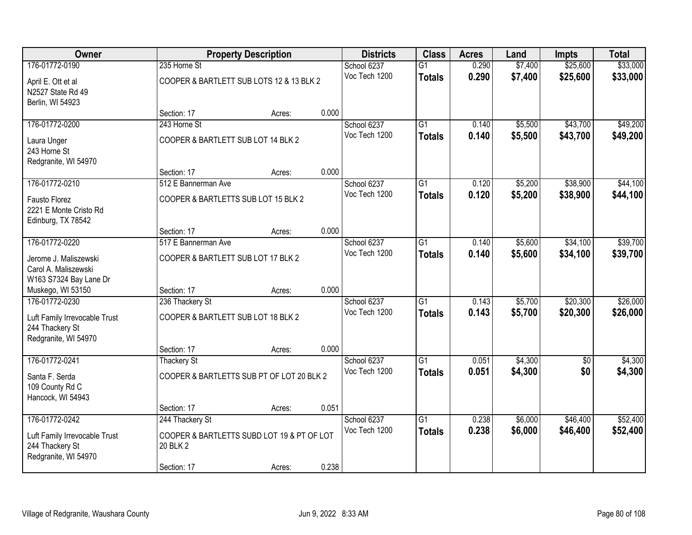| Owner                         |                                            | <b>Property Description</b> |       | <b>Districts</b> | <b>Class</b>    | <b>Acres</b> | Land    | <b>Impts</b>    | <b>Total</b> |
|-------------------------------|--------------------------------------------|-----------------------------|-------|------------------|-----------------|--------------|---------|-----------------|--------------|
| 176-01772-0190                | 235 Horne St                               |                             |       | School 6237      | $\overline{G1}$ | 0.290        | \$7,400 | \$25,600        | \$33,000     |
| April E. Ott et al            | COOPER & BARTLETT SUB LOTS 12 & 13 BLK 2   |                             |       | Voc Tech 1200    | <b>Totals</b>   | 0.290        | \$7,400 | \$25,600        | \$33,000     |
| N2527 State Rd 49             |                                            |                             |       |                  |                 |              |         |                 |              |
| Berlin, WI 54923              |                                            |                             |       |                  |                 |              |         |                 |              |
|                               | Section: 17                                | Acres:                      | 0.000 |                  |                 |              |         |                 |              |
| 176-01772-0200                | 243 Horne St                               |                             |       | School 6237      | $\overline{G1}$ | 0.140        | \$5,500 | \$43,700        | \$49,200     |
| Laura Unger                   | COOPER & BARTLETT SUB LOT 14 BLK 2         |                             |       | Voc Tech 1200    | <b>Totals</b>   | 0.140        | \$5,500 | \$43,700        | \$49,200     |
| 243 Horne St                  |                                            |                             |       |                  |                 |              |         |                 |              |
| Redgranite, WI 54970          |                                            |                             |       |                  |                 |              |         |                 |              |
|                               | Section: 17                                | Acres:                      | 0.000 |                  |                 |              |         |                 |              |
| 176-01772-0210                | 512 E Bannerman Ave                        |                             |       | School 6237      | G1              | 0.120        | \$5,200 | \$38,900        | \$44,100     |
| Fausto Florez                 | COOPER & BARTLETTS SUB LOT 15 BLK 2        |                             |       | Voc Tech 1200    | <b>Totals</b>   | 0.120        | \$5,200 | \$38,900        | \$44,100     |
| 2221 E Monte Cristo Rd        |                                            |                             |       |                  |                 |              |         |                 |              |
| Edinburg, TX 78542            |                                            |                             |       |                  |                 |              |         |                 |              |
|                               | Section: 17                                | Acres:                      | 0.000 |                  |                 |              |         |                 |              |
| 176-01772-0220                | 517 E Bannerman Ave                        |                             |       | School 6237      | $\overline{G1}$ | 0.140        | \$5,600 | \$34,100        | \$39,700     |
| Jerome J. Maliszewski         | COOPER & BARTLETT SUB LOT 17 BLK 2         |                             |       | Voc Tech 1200    | <b>Totals</b>   | 0.140        | \$5,600 | \$34,100        | \$39,700     |
| Carol A. Maliszewski          |                                            |                             |       |                  |                 |              |         |                 |              |
| W163 S7324 Bay Lane Dr        |                                            |                             |       |                  |                 |              |         |                 |              |
| Muskego, WI 53150             | Section: 17                                | Acres:                      | 0.000 |                  |                 |              |         |                 |              |
| 176-01772-0230                | 236 Thackery St                            |                             |       | School 6237      | $\overline{G1}$ | 0.143        | \$5,700 | \$20,300        | \$26,000     |
| Luft Family Irrevocable Trust | COOPER & BARTLETT SUB LOT 18 BLK 2         |                             |       | Voc Tech 1200    | <b>Totals</b>   | 0.143        | \$5,700 | \$20,300        | \$26,000     |
| 244 Thackery St               |                                            |                             |       |                  |                 |              |         |                 |              |
| Redgranite, WI 54970          |                                            |                             |       |                  |                 |              |         |                 |              |
|                               | Section: 17                                | Acres:                      | 0.000 |                  |                 |              |         |                 |              |
| 176-01772-0241                | <b>Thackery St</b>                         |                             |       | School 6237      | $\overline{G1}$ | 0.051        | \$4,300 | $\overline{60}$ | \$4,300      |
| Santa F. Serda                | COOPER & BARTLETTS SUB PT OF LOT 20 BLK 2  |                             |       | Voc Tech 1200    | <b>Totals</b>   | 0.051        | \$4,300 | \$0             | \$4,300      |
| 109 County Rd C               |                                            |                             |       |                  |                 |              |         |                 |              |
| Hancock, WI 54943             |                                            |                             |       |                  |                 |              |         |                 |              |
|                               | Section: 17                                | Acres:                      | 0.051 |                  |                 |              |         |                 |              |
| 176-01772-0242                | 244 Thackery St                            |                             |       | School 6237      | $\overline{G1}$ | 0.238        | \$6,000 | \$46,400        | \$52,400     |
| Luft Family Irrevocable Trust | COOPER & BARTLETTS SUBD LOT 19 & PT OF LOT |                             |       | Voc Tech 1200    | <b>Totals</b>   | 0.238        | \$6,000 | \$46,400        | \$52,400     |
| 244 Thackery St               | 20 BLK 2                                   |                             |       |                  |                 |              |         |                 |              |
| Redgranite, WI 54970          |                                            |                             |       |                  |                 |              |         |                 |              |
|                               | Section: 17                                | Acres:                      | 0.238 |                  |                 |              |         |                 |              |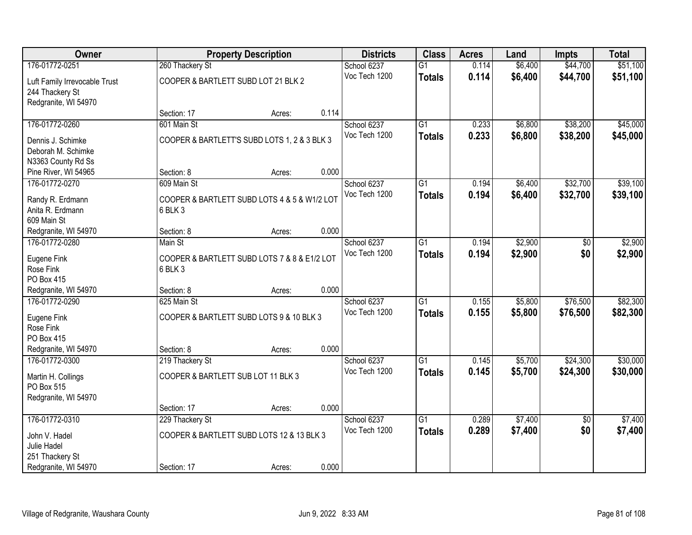| Owner                                                                    |                                                         | <b>Property Description</b> |       | <b>Districts</b>             | <b>Class</b>                     | <b>Acres</b>   | Land               | <b>Impts</b>         | <b>Total</b>         |
|--------------------------------------------------------------------------|---------------------------------------------------------|-----------------------------|-------|------------------------------|----------------------------------|----------------|--------------------|----------------------|----------------------|
| 176-01772-0251                                                           | 260 Thackery St                                         |                             |       | School 6237                  | $\overline{G1}$                  | 0.114          | \$6,400            | \$44,700             | \$51,100             |
| Luft Family Irrevocable Trust<br>244 Thackery St<br>Redgranite, WI 54970 | COOPER & BARTLETT SUBD LOT 21 BLK 2                     |                             |       | Voc Tech 1200                | <b>Totals</b>                    | 0.114          | \$6,400            | \$44,700             | \$51,100             |
|                                                                          | Section: 17                                             | Acres:                      | 0.114 |                              |                                  |                |                    |                      |                      |
| 176-01772-0260                                                           | 601 Main St                                             |                             |       | School 6237                  | $\overline{G1}$                  | 0.233          | \$6,800            | \$38,200             | \$45,000             |
| Dennis J. Schimke<br>Deborah M. Schimke<br>N3363 County Rd Ss            | COOPER & BARTLETT'S SUBD LOTS 1, 2 & 3 BLK 3            |                             |       | Voc Tech 1200                | <b>Totals</b>                    | 0.233          | \$6,800            | \$38,200             | \$45,000             |
| Pine River, WI 54965                                                     | Section: 8                                              | Acres:                      | 0.000 |                              |                                  |                |                    |                      |                      |
| 176-01772-0270                                                           | 609 Main St                                             |                             |       | School 6237                  | $\overline{G1}$                  | 0.194          | \$6,400            | \$32,700             | \$39,100             |
| Randy R. Erdmann<br>Anita R. Erdmann<br>609 Main St                      | COOPER & BARTLETT SUBD LOTS 4 & 5 & W1/2 LOT<br>6 BLK 3 |                             |       | Voc Tech 1200                | <b>Totals</b>                    | 0.194          | \$6,400            | \$32,700             | \$39,100             |
| Redgranite, WI 54970                                                     | Section: 8                                              | Acres:                      | 0.000 |                              |                                  |                |                    |                      |                      |
| 176-01772-0280                                                           | Main St                                                 |                             |       | School 6237                  | G1                               | 0.194          | \$2,900            | $\sqrt[6]{}$         | \$2,900              |
| Eugene Fink<br>Rose Fink<br>PO Box 415                                   | COOPER & BARTLETT SUBD LOTS 7 & 8 & E1/2 LOT<br>6 BLK 3 |                             |       | Voc Tech 1200                | <b>Totals</b>                    | 0.194          | \$2,900            | \$0                  | \$2,900              |
| Redgranite, WI 54970                                                     | Section: 8                                              | Acres:                      | 0.000 |                              |                                  |                |                    |                      |                      |
| 176-01772-0290<br>Eugene Fink<br>Rose Fink                               | 625 Main St<br>COOPER & BARTLETT SUBD LOTS 9 & 10 BLK 3 |                             |       | School 6237<br>Voc Tech 1200 | $\overline{G1}$<br><b>Totals</b> | 0.155<br>0.155 | \$5,800<br>\$5,800 | \$76,500<br>\$76,500 | \$82,300<br>\$82,300 |
| PO Box 415                                                               |                                                         |                             |       |                              |                                  |                |                    |                      |                      |
| Redgranite, WI 54970                                                     | Section: 8                                              | Acres:                      | 0.000 |                              |                                  |                |                    |                      |                      |
| 176-01772-0300                                                           | 219 Thackery St                                         |                             |       | School 6237                  | $\overline{G1}$                  | 0.145          | \$5,700            | \$24,300             | \$30,000             |
| Martin H. Collings<br>PO Box 515<br>Redgranite, WI 54970                 | COOPER & BARTLETT SUB LOT 11 BLK 3                      |                             |       | Voc Tech 1200                | <b>Totals</b>                    | 0.145          | \$5,700            | \$24,300             | \$30,000             |
|                                                                          | Section: 17                                             | Acres:                      | 0.000 |                              |                                  |                |                    |                      |                      |
| 176-01772-0310                                                           | 229 Thackery St                                         |                             |       | School 6237                  | $\overline{G1}$                  | 0.289          | \$7,400            | $\overline{50}$      | \$7,400              |
| John V. Hadel<br>Julie Hadel                                             | COOPER & BARTLETT SUBD LOTS 12 & 13 BLK 3               |                             |       | Voc Tech 1200                | <b>Totals</b>                    | 0.289          | \$7,400            | \$0                  | \$7,400              |
| 251 Thackery St<br>Redgranite, WI 54970                                  | Section: 17                                             | Acres:                      | 0.000 |                              |                                  |                |                    |                      |                      |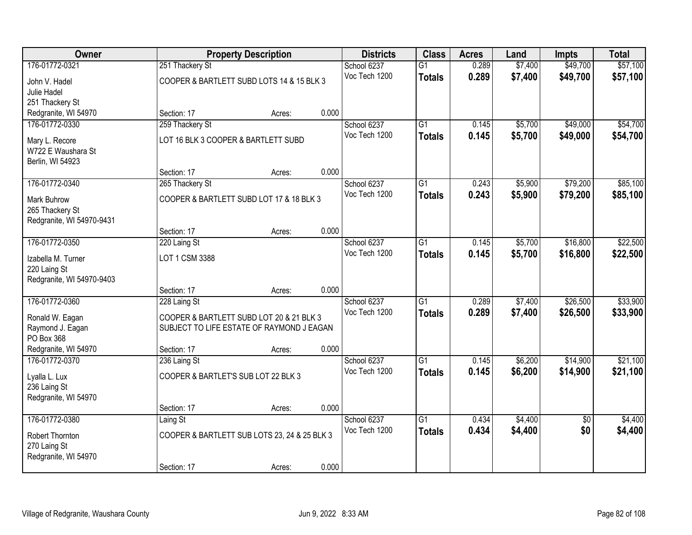| Owner                     |                                              | <b>Property Description</b> |       | <b>Districts</b> | <b>Class</b>    | <b>Acres</b> | Land    | Impts           | <b>Total</b> |
|---------------------------|----------------------------------------------|-----------------------------|-------|------------------|-----------------|--------------|---------|-----------------|--------------|
| 176-01772-0321            | 251 Thackery St                              |                             |       | School 6237      | $\overline{G1}$ | 0.289        | \$7,400 | \$49,700        | \$57,100     |
| John V. Hadel             | COOPER & BARTLETT SUBD LOTS 14 & 15 BLK 3    |                             |       | Voc Tech 1200    | <b>Totals</b>   | 0.289        | \$7,400 | \$49,700        | \$57,100     |
| Julie Hadel               |                                              |                             |       |                  |                 |              |         |                 |              |
| 251 Thackery St           |                                              |                             |       |                  |                 |              |         |                 |              |
| Redgranite, WI 54970      | Section: 17                                  | Acres:                      | 0.000 |                  |                 |              |         |                 |              |
| 176-01772-0330            | 259 Thackery St                              |                             |       | School 6237      | $\overline{G1}$ | 0.145        | \$5,700 | \$49,000        | \$54,700     |
| Mary L. Recore            | LOT 16 BLK 3 COOPER & BARTLETT SUBD          |                             |       | Voc Tech 1200    | <b>Totals</b>   | 0.145        | \$5,700 | \$49,000        | \$54,700     |
| W722 E Waushara St        |                                              |                             |       |                  |                 |              |         |                 |              |
| Berlin, WI 54923          |                                              |                             |       |                  |                 |              |         |                 |              |
|                           | Section: 17                                  | Acres:                      | 0.000 |                  |                 |              |         |                 |              |
| 176-01772-0340            | 265 Thackery St                              |                             |       | School 6237      | $\overline{G1}$ | 0.243        | \$5,900 | \$79,200        | \$85,100     |
| Mark Buhrow               | COOPER & BARTLETT SUBD LOT 17 & 18 BLK 3     |                             |       | Voc Tech 1200    | <b>Totals</b>   | 0.243        | \$5,900 | \$79,200        | \$85,100     |
| 265 Thackery St           |                                              |                             |       |                  |                 |              |         |                 |              |
| Redgranite, WI 54970-9431 |                                              |                             |       |                  |                 |              |         |                 |              |
|                           | Section: 17                                  | Acres:                      | 0.000 |                  |                 |              |         |                 |              |
| 176-01772-0350            | 220 Laing St                                 |                             |       | School 6237      | $\overline{G1}$ | 0.145        | \$5,700 | \$16,800        | \$22,500     |
| Izabella M. Turner        | LOT 1 CSM 3388                               |                             |       | Voc Tech 1200    | <b>Totals</b>   | 0.145        | \$5,700 | \$16,800        | \$22,500     |
| 220 Laing St              |                                              |                             |       |                  |                 |              |         |                 |              |
| Redgranite, WI 54970-9403 |                                              |                             |       |                  |                 |              |         |                 |              |
|                           | Section: 17                                  | Acres:                      | 0.000 |                  |                 |              |         |                 |              |
| 176-01772-0360            | 228 Laing St                                 |                             |       | School 6237      | $\overline{G1}$ | 0.289        | \$7,400 | \$26,500        | \$33,900     |
| Ronald W. Eagan           | COOPER & BARTLETT SUBD LOT 20 & 21 BLK 3     |                             |       | Voc Tech 1200    | <b>Totals</b>   | 0.289        | \$7,400 | \$26,500        | \$33,900     |
| Raymond J. Eagan          | SUBJECT TO LIFE ESTATE OF RAYMOND J EAGAN    |                             |       |                  |                 |              |         |                 |              |
| PO Box 368                |                                              |                             |       |                  |                 |              |         |                 |              |
| Redgranite, WI 54970      | Section: 17                                  | Acres:                      | 0.000 |                  |                 |              |         |                 |              |
| 176-01772-0370            | 236 Laing St                                 |                             |       | School 6237      | $\overline{G1}$ | 0.145        | \$6,200 | \$14,900        | \$21,100     |
| Lyalla L. Lux             | COOPER & BARTLET'S SUB LOT 22 BLK 3          |                             |       | Voc Tech 1200    | <b>Totals</b>   | 0.145        | \$6,200 | \$14,900        | \$21,100     |
| 236 Laing St              |                                              |                             |       |                  |                 |              |         |                 |              |
| Redgranite, WI 54970      |                                              |                             |       |                  |                 |              |         |                 |              |
|                           | Section: 17                                  | Acres:                      | 0.000 |                  |                 |              |         |                 |              |
| 176-01772-0380            | Laing St                                     |                             |       | School 6237      | $\overline{G1}$ | 0.434        | \$4,400 | $\overline{50}$ | \$4,400      |
| Robert Thornton           | COOPER & BARTLETT SUB LOTS 23, 24 & 25 BLK 3 |                             |       | Voc Tech 1200    | <b>Totals</b>   | 0.434        | \$4,400 | \$0             | \$4,400      |
| 270 Laing St              |                                              |                             |       |                  |                 |              |         |                 |              |
| Redgranite, WI 54970      |                                              |                             |       |                  |                 |              |         |                 |              |
|                           | Section: 17                                  | Acres:                      | 0.000 |                  |                 |              |         |                 |              |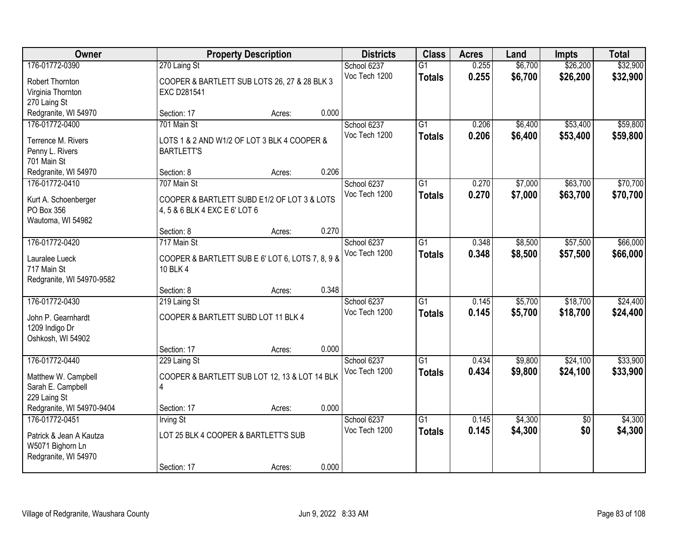| <b>Owner</b>                             |                                                    | <b>Property Description</b> |       | <b>Districts</b> | <b>Class</b>    | <b>Acres</b> | Land    | <b>Impts</b>    | <b>Total</b> |
|------------------------------------------|----------------------------------------------------|-----------------------------|-------|------------------|-----------------|--------------|---------|-----------------|--------------|
| 176-01772-0390                           | 270 Laing St                                       |                             |       | School 6237      | $\overline{G1}$ | 0.255        | \$6,700 | \$26,200        | \$32,900     |
| Robert Thornton                          | COOPER & BARTLETT SUB LOTS 26, 27 & 28 BLK 3       |                             |       | Voc Tech 1200    | <b>Totals</b>   | 0.255        | \$6,700 | \$26,200        | \$32,900     |
| Virginia Thornton                        | <b>EXC D281541</b>                                 |                             |       |                  |                 |              |         |                 |              |
| 270 Laing St                             |                                                    |                             |       |                  |                 |              |         |                 |              |
| Redgranite, WI 54970                     | Section: 17                                        | Acres:                      | 0.000 |                  |                 |              |         |                 |              |
| 176-01772-0400                           | 701 Main St                                        |                             |       | School 6237      | $\overline{G1}$ | 0.206        | \$6,400 | \$53,400        | \$59,800     |
| Terrence M. Rivers                       | LOTS 1 & 2 AND W1/2 OF LOT 3 BLK 4 COOPER &        |                             |       | Voc Tech 1200    | <b>Totals</b>   | 0.206        | \$6,400 | \$53,400        | \$59,800     |
| Penny L. Rivers                          | <b>BARTLETT'S</b>                                  |                             |       |                  |                 |              |         |                 |              |
| 701 Main St                              |                                                    |                             |       |                  |                 |              |         |                 |              |
| Redgranite, WI 54970                     | Section: 8                                         | Acres:                      | 0.206 |                  |                 |              |         |                 |              |
| 176-01772-0410                           | 707 Main St                                        |                             |       | School 6237      | G1              | 0.270        | \$7,000 | \$63,700        | \$70,700     |
| Kurt A. Schoenberger                     | COOPER & BARTLETT SUBD E1/2 OF LOT 3 & LOTS        |                             |       | Voc Tech 1200    | <b>Totals</b>   | 0.270        | \$7,000 | \$63,700        | \$70,700     |
| PO Box 356                               | 4, 5 & 6 BLK 4 EXC E 6' LOT 6                      |                             |       |                  |                 |              |         |                 |              |
| Wautoma, WI 54982                        |                                                    |                             |       |                  |                 |              |         |                 |              |
|                                          | Section: 8                                         | Acres:                      | 0.270 |                  |                 |              |         |                 |              |
| 176-01772-0420                           | 717 Main St                                        |                             |       | School 6237      | G1              | 0.348        | \$8,500 | \$57,500        | \$66,000     |
| Lauralee Lueck                           | COOPER & BARTLETT SUB E 6' LOT 6, LOTS 7, 8, 9 &   |                             |       | Voc Tech 1200    | <b>Totals</b>   | 0.348        | \$8,500 | \$57,500        | \$66,000     |
| 717 Main St                              | 10 BLK 4                                           |                             |       |                  |                 |              |         |                 |              |
| Redgranite, WI 54970-9582                |                                                    |                             |       |                  |                 |              |         |                 |              |
|                                          | Section: 8                                         | Acres:                      | 0.348 |                  |                 |              |         |                 |              |
| 176-01772-0430                           | 219 Laing St                                       |                             |       | School 6237      | $\overline{G1}$ | 0.145        | \$5,700 | \$18,700        | \$24,400     |
| John P. Gearnhardt                       | COOPER & BARTLETT SUBD LOT 11 BLK 4                |                             |       | Voc Tech 1200    | <b>Totals</b>   | 0.145        | \$5,700 | \$18,700        | \$24,400     |
| 1209 Indigo Dr                           |                                                    |                             |       |                  |                 |              |         |                 |              |
| Oshkosh, WI 54902                        |                                                    |                             |       |                  |                 |              |         |                 |              |
|                                          | Section: 17                                        | Acres:                      | 0.000 |                  |                 |              |         |                 |              |
| 176-01772-0440                           | 229 Laing St                                       |                             |       | School 6237      | $\overline{G1}$ | 0.434        | \$9,800 | \$24,100        | \$33,900     |
|                                          |                                                    |                             |       | Voc Tech 1200    | <b>Totals</b>   | 0.434        | \$9,800 | \$24,100        | \$33,900     |
| Matthew W. Campbell<br>Sarah E. Campbell | COOPER & BARTLETT SUB LOT 12, 13 & LOT 14 BLK<br>4 |                             |       |                  |                 |              |         |                 |              |
| 229 Laing St                             |                                                    |                             |       |                  |                 |              |         |                 |              |
| Redgranite, WI 54970-9404                | Section: 17                                        | Acres:                      | 0.000 |                  |                 |              |         |                 |              |
| 176-01772-0451                           | <b>Irving St</b>                                   |                             |       | School 6237      | $\overline{G1}$ | 0.145        | \$4,300 | $\overline{50}$ | \$4,300      |
|                                          |                                                    |                             |       | Voc Tech 1200    | <b>Totals</b>   | 0.145        | \$4,300 | \$0             | \$4,300      |
| Patrick & Jean A Kautza                  | LOT 25 BLK 4 COOPER & BARTLETT'S SUB               |                             |       |                  |                 |              |         |                 |              |
| W5071 Bighorn Ln<br>Redgranite, WI 54970 |                                                    |                             |       |                  |                 |              |         |                 |              |
|                                          | Section: 17                                        | Acres:                      | 0.000 |                  |                 |              |         |                 |              |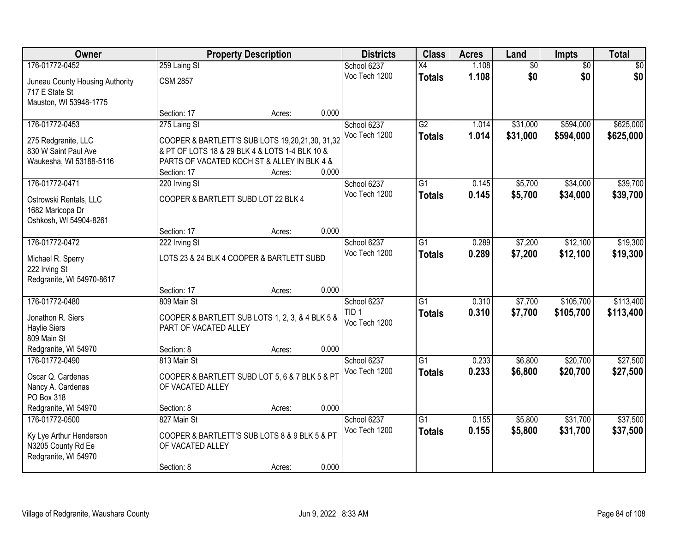| Owner                                                                |                                                                   | <b>Property Description</b> |       | <b>Districts</b>                | <b>Class</b>    | <b>Acres</b> | Land            | <b>Impts</b>    | <b>Total</b> |
|----------------------------------------------------------------------|-------------------------------------------------------------------|-----------------------------|-------|---------------------------------|-----------------|--------------|-----------------|-----------------|--------------|
| 176-01772-0452                                                       | 259 Laing St                                                      |                             |       | School 6237                     | $\overline{X4}$ | 1.108        | $\overline{50}$ | $\overline{50}$ | $\sqrt{50}$  |
| Juneau County Housing Authority<br>717 E State St                    | <b>CSM 2857</b>                                                   |                             |       | Voc Tech 1200                   | <b>Totals</b>   | 1.108        | \$0             | \$0             | \$0          |
| Mauston, WI 53948-1775                                               | Section: 17                                                       | Acres:                      | 0.000 |                                 |                 |              |                 |                 |              |
| 176-01772-0453                                                       | 275 Laing St                                                      |                             |       | School 6237                     | $\overline{G2}$ | 1.014        | \$31,000        | \$594,000       | \$625,000    |
|                                                                      |                                                                   |                             |       | Voc Tech 1200                   | <b>Totals</b>   | 1.014        | \$31,000        | \$594,000       | \$625,000    |
| 275 Redgranite, LLC                                                  | COOPER & BARTLETT'S SUB LOTS 19,20,21,30, 31,32                   |                             |       |                                 |                 |              |                 |                 |              |
| 830 W Saint Paul Ave                                                 | & PT OF LOTS 18 & 29 BLK 4 & LOTS 1-4 BLK 10 &                    |                             |       |                                 |                 |              |                 |                 |              |
| Waukesha, WI 53188-5116                                              | PARTS OF VACATED KOCH ST & ALLEY IN BLK 4 &                       |                             |       |                                 |                 |              |                 |                 |              |
|                                                                      | Section: 17                                                       | Acres:                      | 0.000 |                                 |                 |              |                 |                 |              |
| 176-01772-0471                                                       | 220 Irving St                                                     |                             |       | School 6237                     | G1              | 0.145        | \$5,700         | \$34,000        | \$39,700     |
| Ostrowski Rentals, LLC<br>1682 Maricopa Dr<br>Oshkosh, WI 54904-8261 | COOPER & BARTLETT SUBD LOT 22 BLK 4                               |                             |       | Voc Tech 1200                   | <b>Totals</b>   | 0.145        | \$5,700         | \$34,000        | \$39,700     |
|                                                                      | Section: 17                                                       | Acres:                      | 0.000 |                                 |                 |              |                 |                 |              |
| 176-01772-0472                                                       | 222 Irving St                                                     |                             |       | School 6237                     | G1              | 0.289        | \$7,200         | \$12,100        | \$19,300     |
|                                                                      |                                                                   |                             |       | Voc Tech 1200                   | <b>Totals</b>   | 0.289        | \$7,200         | \$12,100        | \$19,300     |
| Michael R. Sperry                                                    | LOTS 23 & 24 BLK 4 COOPER & BARTLETT SUBD                         |                             |       |                                 |                 |              |                 |                 |              |
| 222 Irving St                                                        |                                                                   |                             |       |                                 |                 |              |                 |                 |              |
| Redgranite, WI 54970-8617                                            |                                                                   |                             | 0.000 |                                 |                 |              |                 |                 |              |
| 176-01772-0480                                                       | Section: 17<br>809 Main St                                        | Acres:                      |       |                                 | $\overline{G1}$ | 0.310        | \$7,700         | \$105,700       | \$113,400    |
|                                                                      |                                                                   |                             |       | School 6237<br>TID <sub>1</sub> |                 |              |                 |                 |              |
| Jonathon R. Siers                                                    | COOPER & BARTLETT SUB LOTS 1, 2, 3, & 4 BLK 5 &                   |                             |       | Voc Tech 1200                   | <b>Totals</b>   | 0.310        | \$7,700         | \$105,700       | \$113,400    |
| <b>Haylie Siers</b>                                                  | PART OF VACATED ALLEY                                             |                             |       |                                 |                 |              |                 |                 |              |
| 809 Main St                                                          |                                                                   |                             |       |                                 |                 |              |                 |                 |              |
| Redgranite, WI 54970                                                 | Section: 8                                                        | Acres:                      | 0.000 |                                 |                 |              |                 |                 |              |
| 176-01772-0490                                                       | 813 Main St                                                       |                             |       | School 6237                     | $\overline{G1}$ | 0.233        | \$6,800         | \$20,700        | \$27,500     |
| Oscar Q. Cardenas                                                    | COOPER & BARTLETT SUBD LOT 5, 6 & 7 BLK 5 & PT                    |                             |       | Voc Tech 1200                   | <b>Totals</b>   | 0.233        | \$6,800         | \$20,700        | \$27,500     |
| Nancy A. Cardenas                                                    | OF VACATED ALLEY                                                  |                             |       |                                 |                 |              |                 |                 |              |
| PO Box 318                                                           |                                                                   |                             |       |                                 |                 |              |                 |                 |              |
| Redgranite, WI 54970                                                 | Section: 8                                                        | Acres:                      | 0.000 |                                 |                 |              |                 |                 |              |
| 176-01772-0500                                                       | 827 Main St                                                       |                             |       | School 6237                     | $\overline{G1}$ | 0.155        | \$5,800         | \$31,700        | \$37,500     |
|                                                                      |                                                                   |                             |       | Voc Tech 1200                   | <b>Totals</b>   | 0.155        | \$5,800         | \$31,700        | \$37,500     |
| Ky Lye Arthur Henderson<br>N3205 County Rd Ee                        | COOPER & BARTLETT'S SUB LOTS 8 & 9 BLK 5 & PT<br>OF VACATED ALLEY |                             |       |                                 |                 |              |                 |                 |              |
| Redgranite, WI 54970                                                 |                                                                   |                             |       |                                 |                 |              |                 |                 |              |
|                                                                      | Section: 8                                                        | Acres:                      | 0.000 |                                 |                 |              |                 |                 |              |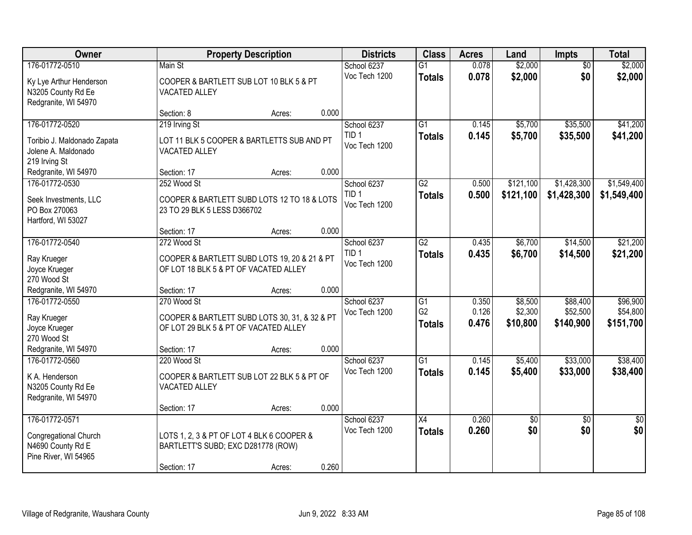| Owner                                                                                   |                                                                                                                      | <b>Property Description</b> |       | <b>Districts</b>                                 | <b>Class</b>                                       | <b>Acres</b>            | Land                           | <b>Impts</b>                      | <b>Total</b>                      |
|-----------------------------------------------------------------------------------------|----------------------------------------------------------------------------------------------------------------------|-----------------------------|-------|--------------------------------------------------|----------------------------------------------------|-------------------------|--------------------------------|-----------------------------------|-----------------------------------|
| 176-01772-0510<br>Ky Lye Arthur Henderson<br>N3205 County Rd Ee<br>Redgranite, WI 54970 | Main St<br>COOPER & BARTLETT SUB LOT 10 BLK 5 & PT<br>VACATED ALLEY                                                  |                             |       | School 6237<br>Voc Tech 1200                     | $\overline{G1}$<br><b>Totals</b>                   | 0.078<br>0.078          | \$2,000<br>\$2,000             | $\overline{50}$<br>\$0            | \$2,000<br>\$2,000                |
|                                                                                         | Section: 8                                                                                                           | Acres:                      | 0.000 |                                                  |                                                    |                         |                                |                                   |                                   |
| 176-01772-0520<br>Toribio J. Maldonado Zapata<br>Jolene A. Maldonado<br>219 Irving St   | 219 Irving St<br>LOT 11 BLK 5 COOPER & BARTLETTS SUB AND PT<br>VACATED ALLEY                                         |                             |       | School 6237<br>TID <sub>1</sub><br>Voc Tech 1200 | $\overline{G1}$<br><b>Totals</b>                   | 0.145<br>0.145          | \$5,700<br>\$5,700             | \$35,500<br>\$35,500              | \$41,200<br>\$41,200              |
| Redgranite, WI 54970<br>176-01772-0530                                                  | Section: 17<br>252 Wood St                                                                                           | Acres:                      | 0.000 | School 6237                                      | $\overline{G2}$                                    | 0.500                   |                                | \$1,428,300                       | \$1,549,400                       |
| Seek Investments, LLC<br>PO Box 270063<br>Hartford, WI 53027                            | COOPER & BARTLETT SUBD LOTS 12 TO 18 & LOTS<br>23 TO 29 BLK 5 LESS D366702                                           |                             |       | TID <sub>1</sub><br>Voc Tech 1200                | <b>Totals</b>                                      | 0.500                   | \$121,100<br>\$121,100         | \$1,428,300                       | \$1,549,400                       |
|                                                                                         | Section: 17                                                                                                          | Acres:                      | 0.000 |                                                  |                                                    |                         |                                |                                   |                                   |
| 176-01772-0540<br>Ray Krueger<br>Joyce Krueger<br>270 Wood St                           | 272 Wood St<br>COOPER & BARTLETT SUBD LOTS 19, 20 & 21 & PT<br>OF LOT 18 BLK 5 & PT OF VACATED ALLEY                 |                             |       | School 6237<br>TID <sub>1</sub><br>Voc Tech 1200 | $\overline{G2}$<br><b>Totals</b>                   | 0.435<br>0.435          | \$6,700<br>\$6,700             | \$14,500<br>\$14,500              | \$21,200<br>\$21,200              |
| Redgranite, WI 54970                                                                    | Section: 17                                                                                                          | Acres:                      | 0.000 |                                                  |                                                    |                         |                                |                                   |                                   |
| 176-01772-0550<br>Ray Krueger<br>Joyce Krueger<br>270 Wood St<br>Redgranite, WI 54970   | 270 Wood St<br>COOPER & BARTLETT SUBD LOTS 30, 31, & 32 & PT<br>OF LOT 29 BLK 5 & PT OF VACATED ALLEY<br>Section: 17 | Acres:                      | 0.000 | School 6237<br>Voc Tech 1200                     | $\overline{G1}$<br>G <sub>2</sub><br><b>Totals</b> | 0.350<br>0.126<br>0.476 | \$8,500<br>\$2,300<br>\$10,800 | \$88,400<br>\$52,500<br>\$140,900 | \$96,900<br>\$54,800<br>\$151,700 |
| 176-01772-0560                                                                          | 220 Wood St                                                                                                          |                             |       | School 6237                                      | $\overline{G1}$                                    | 0.145                   | \$5,400                        | \$33,000                          | \$38,400                          |
| K A. Henderson<br>N3205 County Rd Ee<br>Redgranite, WI 54970                            | COOPER & BARTLETT SUB LOT 22 BLK 5 & PT OF<br>VACATED ALLEY                                                          |                             |       | Voc Tech 1200                                    | <b>Totals</b>                                      | 0.145                   | \$5,400                        | \$33,000                          | \$38,400                          |
|                                                                                         | Section: 17                                                                                                          | Acres:                      | 0.000 |                                                  |                                                    |                         |                                |                                   |                                   |
| 176-01772-0571<br>Congregational Church<br>N4690 County Rd E<br>Pine River, WI 54965    | LOTS 1, 2, 3 & PT OF LOT 4 BLK 6 COOPER &<br>BARTLETT'S SUBD; EXC D281778 (ROW)<br>Section: 17                       | Acres:                      | 0.260 | School 6237<br>Voc Tech 1200                     | $\overline{X4}$<br>Totals                          | 0.260<br>0.260          | $\overline{50}$<br>\$0         | $\overline{50}$<br>\$0            | $\overline{50}$<br>\$0            |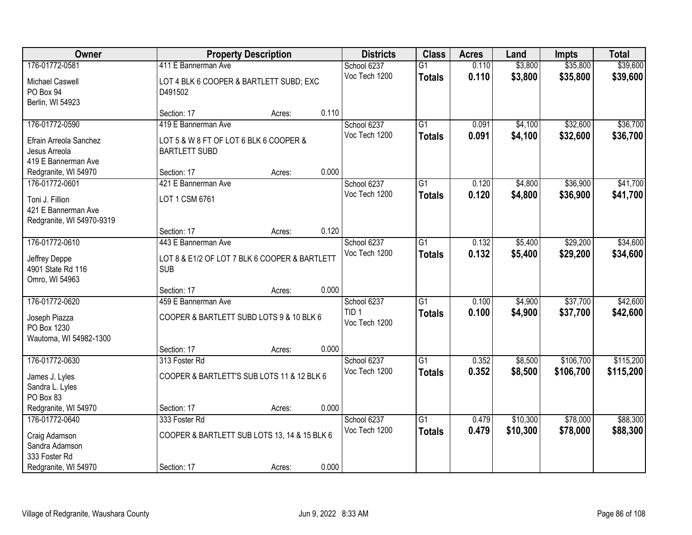| Owner                                                               |                                                                | <b>Property Description</b> |       | <b>Districts</b>                  | <b>Class</b>    | <b>Acres</b> | Land     | Impts     | <b>Total</b> |
|---------------------------------------------------------------------|----------------------------------------------------------------|-----------------------------|-------|-----------------------------------|-----------------|--------------|----------|-----------|--------------|
| 176-01772-0581                                                      | 411 E Bannerman Ave                                            |                             |       | School 6237                       | $\overline{G1}$ | 0.110        | \$3,800  | \$35,800  | \$39,600     |
| Michael Caswell<br>PO Box 94<br>Berlin, WI 54923                    | LOT 4 BLK 6 COOPER & BARTLETT SUBD; EXC<br>D491502             |                             |       | Voc Tech 1200                     | <b>Totals</b>   | 0.110        | \$3,800  | \$35,800  | \$39,600     |
|                                                                     | Section: 17                                                    | Acres:                      | 0.110 |                                   |                 |              |          |           |              |
| 176-01772-0590                                                      | 419 E Bannerman Ave                                            |                             |       | School 6237                       | $\overline{G1}$ | 0.091        | \$4,100  | \$32,600  | \$36,700     |
| Efrain Arreola Sanchez<br>Jesus Arreola<br>419 E Bannerman Ave      | LOT 5 & W 8 FT OF LOT 6 BLK 6 COOPER &<br><b>BARTLETT SUBD</b> |                             |       | Voc Tech 1200                     | <b>Totals</b>   | 0.091        | \$4,100  | \$32,600  | \$36,700     |
| Redgranite, WI 54970                                                | Section: 17                                                    | Acres:                      | 0.000 |                                   |                 |              |          |           |              |
| 176-01772-0601                                                      | 421 E Bannerman Ave                                            |                             |       | School 6237                       | G1              | 0.120        | \$4,800  | \$36,900  | \$41,700     |
| Toni J. Fillion<br>421 E Bannerman Ave<br>Redgranite, WI 54970-9319 | LOT 1 CSM 6761                                                 |                             |       | Voc Tech 1200                     | <b>Totals</b>   | 0.120        | \$4,800  | \$36,900  | \$41,700     |
|                                                                     | Section: 17                                                    | Acres:                      | 0.120 |                                   |                 |              |          |           |              |
| 176-01772-0610                                                      | 443 E Bannerman Ave                                            |                             |       | School 6237                       | $\overline{G1}$ | 0.132        | \$5,400  | \$29,200  | \$34,600     |
| Jeffrey Deppe<br>4901 State Rd 116<br>Omro, WI 54963                | LOT 8 & E1/2 OF LOT 7 BLK 6 COOPER & BARTLETT<br><b>SUB</b>    |                             |       | Voc Tech 1200                     | <b>Totals</b>   | 0.132        | \$5,400  | \$29,200  | \$34,600     |
|                                                                     | Section: 17                                                    | Acres:                      | 0.000 |                                   |                 |              |          |           |              |
| 176-01772-0620                                                      | 459 E Bannerman Ave                                            |                             |       | School 6237                       | $\overline{G1}$ | 0.100        | \$4,900  | \$37,700  | \$42,600     |
| Joseph Piazza<br>PO Box 1230<br>Wautoma, WI 54982-1300              | COOPER & BARTLETT SUBD LOTS 9 & 10 BLK 6                       |                             |       | TID <sub>1</sub><br>Voc Tech 1200 | <b>Totals</b>   | 0.100        | \$4,900  | \$37,700  | \$42,600     |
|                                                                     | Section: 17                                                    | Acres:                      | 0.000 |                                   |                 |              |          |           |              |
| 176-01772-0630                                                      | 313 Foster Rd                                                  |                             |       | School 6237                       | G1              | 0.352        | \$8,500  | \$106,700 | \$115,200    |
| James J. Lyles<br>Sandra L. Lyles<br>PO Box 83                      | COOPER & BARTLETT'S SUB LOTS 11 & 12 BLK 6                     |                             |       | Voc Tech 1200                     | <b>Totals</b>   | 0.352        | \$8,500  | \$106,700 | \$115,200    |
| Redgranite, WI 54970                                                | Section: 17                                                    | Acres:                      | 0.000 |                                   |                 |              |          |           |              |
| 176-01772-0640                                                      | 333 Foster Rd                                                  |                             |       | School 6237                       | $\overline{G1}$ | 0.479        | \$10,300 | \$78,000  | \$88,300     |
| Craig Adamson<br>Sandra Adamson<br>333 Foster Rd                    | COOPER & BARTLETT SUB LOTS 13, 14 & 15 BLK 6                   |                             |       | Voc Tech 1200                     | <b>Totals</b>   | 0.479        | \$10,300 | \$78,000  | \$88,300     |
| Redgranite, WI 54970                                                | Section: 17                                                    | Acres:                      | 0.000 |                                   |                 |              |          |           |              |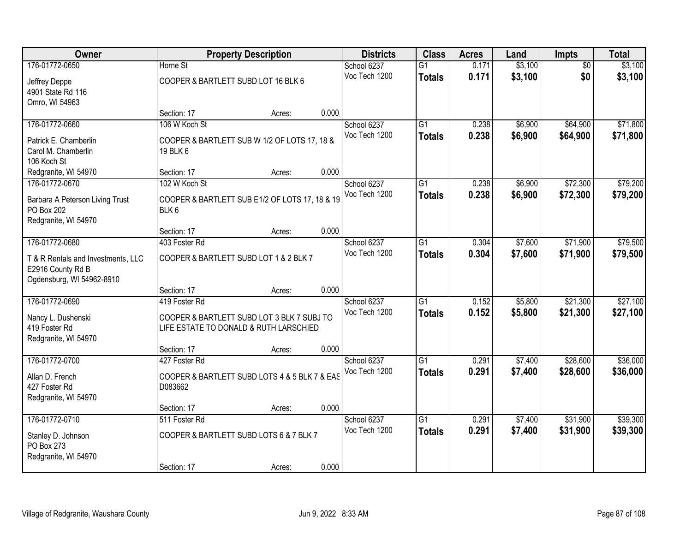| Owner                                                                                |                                                                                                       | <b>Property Description</b> |       | <b>Districts</b>             | <b>Class</b>                     | <b>Acres</b>   | Land               | <b>Impts</b>         | <b>Total</b>         |
|--------------------------------------------------------------------------------------|-------------------------------------------------------------------------------------------------------|-----------------------------|-------|------------------------------|----------------------------------|----------------|--------------------|----------------------|----------------------|
| 176-01772-0650                                                                       | Horne St                                                                                              |                             |       | School 6237                  | $\overline{G1}$                  | 0.171          | \$3,100            | $\overline{50}$      | \$3,100              |
| Jeffrey Deppe<br>4901 State Rd 116<br>Omro, WI 54963                                 | COOPER & BARTLETT SUBD LOT 16 BLK 6                                                                   |                             |       | Voc Tech 1200                | <b>Totals</b>                    | 0.171          | \$3,100            | \$0                  | \$3,100              |
|                                                                                      | Section: 17                                                                                           | Acres:                      | 0.000 |                              |                                  |                |                    |                      |                      |
| 176-01772-0660                                                                       | 106 W Koch St                                                                                         |                             |       | School 6237                  | $\overline{G1}$                  | 0.238          | \$6,900            | \$64,900             | \$71,800             |
| Patrick E. Chamberlin<br>Carol M. Chamberlin<br>106 Koch St                          | COOPER & BARTLETT SUB W 1/2 OF LOTS 17, 18 &<br>19 BLK 6                                              |                             |       | Voc Tech 1200                | <b>Totals</b>                    | 0.238          | \$6,900            | \$64,900             | \$71,800             |
| Redgranite, WI 54970                                                                 | Section: 17                                                                                           | Acres:                      | 0.000 |                              |                                  |                |                    |                      |                      |
| 176-01772-0670                                                                       | 102 W Koch St                                                                                         |                             |       | School 6237                  | $\overline{G1}$                  | 0.238          | \$6,900            | \$72,300             | \$79,200             |
| Barbara A Peterson Living Trust<br>PO Box 202<br>Redgranite, WI 54970                | COOPER & BARTLETT SUB E1/2 OF LOTS 17, 18 & 19<br>BLK6                                                |                             |       | Voc Tech 1200                | <b>Totals</b>                    | 0.238          | \$6,900            | \$72,300             | \$79,200             |
|                                                                                      | Section: 17                                                                                           | Acres:                      | 0.000 |                              |                                  |                |                    |                      |                      |
| 176-01772-0680                                                                       | 403 Foster Rd                                                                                         |                             |       | School 6237                  | $\overline{G1}$                  | 0.304          | \$7,600            | \$71,900             | \$79,500             |
| T & R Rentals and Investments, LLC<br>E2916 County Rd B<br>Ogdensburg, WI 54962-8910 | COOPER & BARTLETT SUBD LOT 1 & 2 BLK 7                                                                |                             |       | Voc Tech 1200                | <b>Totals</b>                    | 0.304          | \$7,600            | \$71,900             | \$79,500             |
|                                                                                      | Section: 17                                                                                           | Acres:                      | 0.000 |                              |                                  |                |                    |                      |                      |
| 176-01772-0690<br>Nancy L. Dushenski<br>419 Foster Rd<br>Redgranite, WI 54970        | 419 Foster Rd<br>COOPER & BARTLETT SUBD LOT 3 BLK 7 SUBJ TO<br>LIFE ESTATE TO DONALD & RUTH LARSCHIED |                             |       | School 6237<br>Voc Tech 1200 | $\overline{G1}$<br><b>Totals</b> | 0.152<br>0.152 | \$5,800<br>\$5,800 | \$21,300<br>\$21,300 | \$27,100<br>\$27,100 |
|                                                                                      | Section: 17                                                                                           | Acres:                      | 0.000 |                              |                                  |                |                    |                      |                      |
| 176-01772-0700                                                                       | 427 Foster Rd                                                                                         |                             |       | School 6237                  | $\overline{G1}$                  | 0.291          | \$7,400            | \$28,600             | \$36,000             |
| Allan D. French<br>427 Foster Rd<br>Redgranite, WI 54970                             | COOPER & BARTLETT SUBD LOTS 4 & 5 BLK 7 & EAS<br>D083662                                              |                             |       | Voc Tech 1200                | <b>Totals</b>                    | 0.291          | \$7,400            | \$28,600             | \$36,000             |
|                                                                                      | Section: 17                                                                                           | Acres:                      | 0.000 |                              |                                  |                |                    |                      |                      |
| 176-01772-0710                                                                       | 511 Foster Rd                                                                                         |                             |       | School 6237                  | $\overline{G1}$                  | 0.291          | \$7,400            | \$31,900             | \$39,300             |
| Stanley D. Johnson<br>PO Box 273<br>Redgranite, WI 54970                             | COOPER & BARTLETT SUBD LOTS 6 & 7 BLK 7                                                               |                             |       | Voc Tech 1200                | <b>Totals</b>                    | 0.291          | \$7,400            | \$31,900             | \$39,300             |
|                                                                                      | Section: 17                                                                                           | Acres:                      | 0.000 |                              |                                  |                |                    |                      |                      |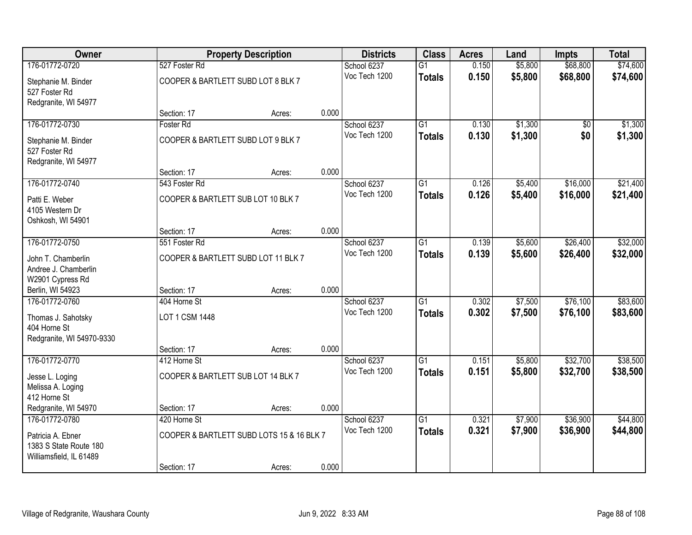| Owner                                                                  |                                                          | <b>Property Description</b> |       | <b>Districts</b> | <b>Class</b>    | <b>Acres</b> | Land    | <b>Impts</b>    | <b>Total</b> |
|------------------------------------------------------------------------|----------------------------------------------------------|-----------------------------|-------|------------------|-----------------|--------------|---------|-----------------|--------------|
| 176-01772-0720                                                         | 527 Foster Rd                                            |                             |       | School 6237      | $\overline{G1}$ | 0.150        | \$5,800 | \$68,800        | \$74,600     |
| Stephanie M. Binder<br>527 Foster Rd<br>Redgranite, WI 54977           | COOPER & BARTLETT SUBD LOT 8 BLK 7                       |                             |       | Voc Tech 1200    | <b>Totals</b>   | 0.150        | \$5,800 | \$68,800        | \$74,600     |
|                                                                        | Section: 17                                              | Acres:                      | 0.000 |                  |                 |              |         |                 |              |
| 176-01772-0730                                                         | Foster Rd                                                |                             |       | School 6237      | $\overline{G1}$ | 0.130        | \$1,300 | $\overline{50}$ | \$1,300      |
| Stephanie M. Binder<br>527 Foster Rd<br>Redgranite, WI 54977           | COOPER & BARTLETT SUBD LOT 9 BLK 7                       |                             |       | Voc Tech 1200    | <b>Totals</b>   | 0.130        | \$1,300 | \$0             | \$1,300      |
|                                                                        | Section: 17                                              | Acres:                      | 0.000 |                  |                 |              |         |                 |              |
| 176-01772-0740                                                         | 543 Foster Rd                                            |                             |       | School 6237      | $\overline{G1}$ | 0.126        | \$5,400 | \$16,000        | \$21,400     |
| Patti E. Weber<br>4105 Western Dr<br>Oshkosh, WI 54901                 | COOPER & BARTLETT SUB LOT 10 BLK 7                       |                             |       | Voc Tech 1200    | <b>Totals</b>   | 0.126        | \$5,400 | \$16,000        | \$21,400     |
|                                                                        | Section: 17                                              | Acres:                      | 0.000 |                  |                 |              |         |                 |              |
| 176-01772-0750                                                         | 551 Foster Rd                                            |                             |       | School 6237      | $\overline{G1}$ | 0.139        | \$5,600 | \$26,400        | \$32,000     |
| John T. Chamberlin<br>Andree J. Chamberlin<br>W2901 Cypress Rd         | COOPER & BARTLETT SUBD LOT 11 BLK 7                      |                             |       | Voc Tech 1200    | <b>Totals</b>   | 0.139        | \$5,600 | \$26,400        | \$32,000     |
| Berlin, WI 54923                                                       | Section: 17                                              | Acres:                      | 0.000 |                  |                 |              |         |                 |              |
| 176-01772-0760                                                         | 404 Horne St                                             |                             |       | School 6237      | $\overline{G1}$ | 0.302        | \$7,500 | \$76,100        | \$83,600     |
| Thomas J. Sahotsky<br>404 Horne St<br>Redgranite, WI 54970-9330        | <b>LOT 1 CSM 1448</b>                                    |                             |       | Voc Tech 1200    | <b>Totals</b>   | 0.302        | \$7,500 | \$76,100        | \$83,600     |
|                                                                        | Section: 17                                              | Acres:                      | 0.000 |                  |                 |              |         |                 |              |
| 176-01772-0770                                                         | 412 Horne St                                             |                             |       | School 6237      | $\overline{G1}$ | 0.151        | \$5,800 | \$32,700        | \$38,500     |
| Jesse L. Loging<br>Melissa A. Loging<br>412 Horne St                   | COOPER & BARTLETT SUB LOT 14 BLK 7                       |                             |       | Voc Tech 1200    | <b>Totals</b>   | 0.151        | \$5,800 | \$32,700        | \$38,500     |
| Redgranite, WI 54970                                                   | Section: 17                                              | Acres:                      | 0.000 |                  |                 |              |         |                 |              |
| 176-01772-0780                                                         | 420 Horne St                                             |                             |       | School 6237      | $\overline{G1}$ | 0.321        | \$7,900 | \$36,900        | \$44,800     |
| Patricia A. Ebner<br>1383 S State Route 180<br>Williamsfield, IL 61489 | COOPER & BARTLETT SUBD LOTS 15 & 16 BLK 7<br>Section: 17 |                             | 0.000 | Voc Tech 1200    | <b>Totals</b>   | 0.321        | \$7,900 | \$36,900        | \$44,800     |
|                                                                        |                                                          | Acres:                      |       |                  |                 |              |         |                 |              |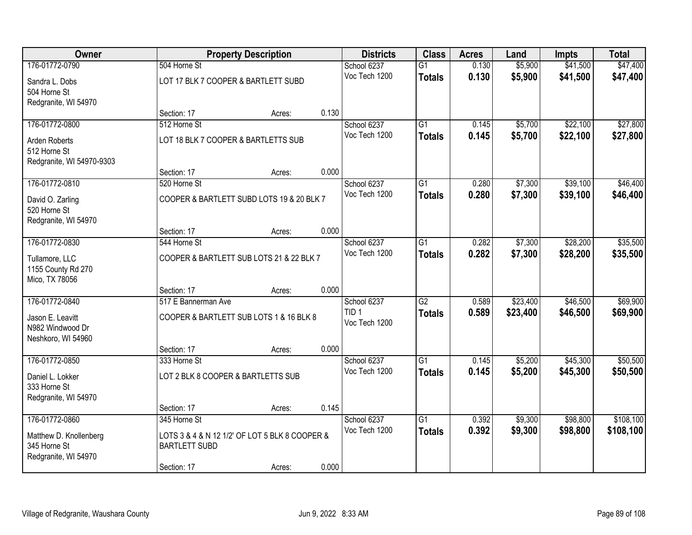| Owner                                |                                                | <b>Property Description</b> |       | <b>Districts</b> | <b>Class</b>    | <b>Acres</b> | Land     | <b>Impts</b> | <b>Total</b> |
|--------------------------------------|------------------------------------------------|-----------------------------|-------|------------------|-----------------|--------------|----------|--------------|--------------|
| 176-01772-0790                       | 504 Horne St                                   |                             |       | School 6237      | $\overline{G1}$ | 0.130        | \$5,900  | \$41,500     | \$47,400     |
| Sandra L. Dobs                       | LOT 17 BLK 7 COOPER & BARTLETT SUBD            |                             |       | Voc Tech 1200    | <b>Totals</b>   | 0.130        | \$5,900  | \$41,500     | \$47,400     |
| 504 Horne St                         |                                                |                             |       |                  |                 |              |          |              |              |
| Redgranite, WI 54970                 |                                                |                             |       |                  |                 |              |          |              |              |
|                                      | Section: 17                                    | Acres:                      | 0.130 |                  |                 |              |          |              |              |
| 176-01772-0800                       | 512 Horne St                                   |                             |       | School 6237      | $\overline{G1}$ | 0.145        | \$5,700  | \$22,100     | \$27,800     |
| Arden Roberts                        | LOT 18 BLK 7 COOPER & BARTLETTS SUB            |                             |       | Voc Tech 1200    | <b>Totals</b>   | 0.145        | \$5,700  | \$22,100     | \$27,800     |
| 512 Horne St                         |                                                |                             |       |                  |                 |              |          |              |              |
| Redgranite, WI 54970-9303            |                                                |                             |       |                  |                 |              |          |              |              |
| 176-01772-0810                       | Section: 17<br>520 Horne St                    | Acres:                      | 0.000 | School 6237      | $\overline{G1}$ | 0.280        | \$7,300  | \$39,100     | \$46,400     |
|                                      |                                                |                             |       | Voc Tech 1200    |                 | 0.280        | \$7,300  | \$39,100     |              |
| David O. Zarling                     | COOPER & BARTLETT SUBD LOTS 19 & 20 BLK 7      |                             |       |                  | <b>Totals</b>   |              |          |              | \$46,400     |
| 520 Horne St                         |                                                |                             |       |                  |                 |              |          |              |              |
| Redgranite, WI 54970                 | Section: 17                                    | Acres:                      | 0.000 |                  |                 |              |          |              |              |
| 176-01772-0830                       | 544 Horne St                                   |                             |       | School 6237      | $\overline{G1}$ | 0.282        | \$7,300  | \$28,200     | \$35,500     |
|                                      |                                                |                             |       | Voc Tech 1200    | <b>Totals</b>   | 0.282        | \$7,300  | \$28,200     | \$35,500     |
| Tullamore, LLC                       | COOPER & BARTLETT SUB LOTS 21 & 22 BLK 7       |                             |       |                  |                 |              |          |              |              |
| 1155 County Rd 270<br>Mico, TX 78056 |                                                |                             |       |                  |                 |              |          |              |              |
|                                      | Section: 17                                    | Acres:                      | 0.000 |                  |                 |              |          |              |              |
| 176-01772-0840                       | 517 E Bannerman Ave                            |                             |       | School 6237      | $\overline{G2}$ | 0.589        | \$23,400 | \$46,500     | \$69,900     |
| Jason E. Leavitt                     | COOPER & BARTLETT SUB LOTS 1 & 16 BLK 8        |                             |       | TID <sub>1</sub> | <b>Totals</b>   | 0.589        | \$23,400 | \$46,500     | \$69,900     |
| N982 Windwood Dr                     |                                                |                             |       | Voc Tech 1200    |                 |              |          |              |              |
| Neshkoro, WI 54960                   |                                                |                             |       |                  |                 |              |          |              |              |
|                                      | Section: 17                                    | Acres:                      | 0.000 |                  |                 |              |          |              |              |
| 176-01772-0850                       | 333 Horne St                                   |                             |       | School 6237      | G1              | 0.145        | \$5,200  | \$45,300     | \$50,500     |
| Daniel L. Lokker                     | LOT 2 BLK 8 COOPER & BARTLETTS SUB             |                             |       | Voc Tech 1200    | <b>Totals</b>   | 0.145        | \$5,200  | \$45,300     | \$50,500     |
| 333 Horne St                         |                                                |                             |       |                  |                 |              |          |              |              |
| Redgranite, WI 54970                 |                                                |                             |       |                  |                 |              |          |              |              |
|                                      | Section: 17                                    | Acres:                      | 0.145 |                  |                 |              |          |              |              |
| 176-01772-0860                       | 345 Horne St                                   |                             |       | School 6237      | $\overline{G1}$ | 0.392        | \$9,300  | \$98,800     | \$108,100    |
| Matthew D. Knollenberg               | LOTS 3 & 4 & N 12 1/2' OF LOT 5 BLK 8 COOPER & |                             |       | Voc Tech 1200    | <b>Totals</b>   | 0.392        | \$9,300  | \$98,800     | \$108,100    |
| 345 Horne St                         | <b>BARTLETT SUBD</b>                           |                             |       |                  |                 |              |          |              |              |
| Redgranite, WI 54970                 |                                                |                             |       |                  |                 |              |          |              |              |
|                                      | Section: 17                                    | Acres:                      | 0.000 |                  |                 |              |          |              |              |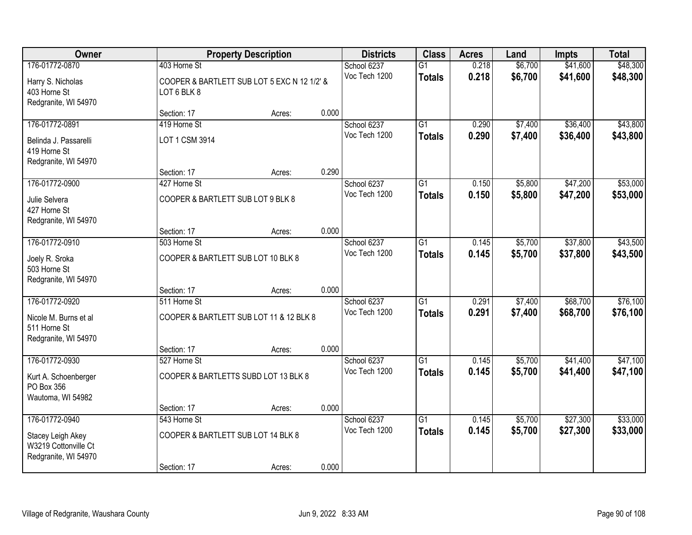| Owner                 |                                             | <b>Property Description</b> |       | <b>Districts</b> | <b>Class</b>    | <b>Acres</b> | Land    | Impts    | <b>Total</b> |
|-----------------------|---------------------------------------------|-----------------------------|-------|------------------|-----------------|--------------|---------|----------|--------------|
| 176-01772-0870        | 403 Horne St                                |                             |       | School 6237      | G1              | 0.218        | \$6,700 | \$41,600 | \$48,300     |
| Harry S. Nicholas     | COOPER & BARTLETT SUB LOT 5 EXC N 12 1/2' & |                             |       | Voc Tech 1200    | <b>Totals</b>   | 0.218        | \$6,700 | \$41,600 | \$48,300     |
| 403 Horne St          | LOT 6 BLK 8                                 |                             |       |                  |                 |              |         |          |              |
| Redgranite, WI 54970  |                                             |                             |       |                  |                 |              |         |          |              |
|                       | Section: 17                                 | Acres:                      | 0.000 |                  |                 |              |         |          |              |
| 176-01772-0891        | 419 Horne St                                |                             |       | School 6237      | $\overline{G1}$ | 0.290        | \$7,400 | \$36,400 | \$43,800     |
| Belinda J. Passarelli | LOT 1 CSM 3914                              |                             |       | Voc Tech 1200    | <b>Totals</b>   | 0.290        | \$7,400 | \$36,400 | \$43,800     |
| 419 Horne St          |                                             |                             |       |                  |                 |              |         |          |              |
| Redgranite, WI 54970  |                                             |                             |       |                  |                 |              |         |          |              |
|                       | Section: 17                                 | Acres:                      | 0.290 |                  |                 |              |         |          |              |
| 176-01772-0900        | 427 Horne St                                |                             |       | School 6237      | $\overline{G1}$ | 0.150        | \$5,800 | \$47,200 | \$53,000     |
| Julie Selvera         | COOPER & BARTLETT SUB LOT 9 BLK 8           |                             |       | Voc Tech 1200    | <b>Totals</b>   | 0.150        | \$5,800 | \$47,200 | \$53,000     |
| 427 Horne St          |                                             |                             |       |                  |                 |              |         |          |              |
| Redgranite, WI 54970  |                                             |                             |       |                  |                 |              |         |          |              |
|                       | Section: 17                                 | Acres:                      | 0.000 |                  |                 |              |         |          |              |
| 176-01772-0910        | 503 Horne St                                |                             |       | School 6237      | $\overline{G1}$ | 0.145        | \$5,700 | \$37,800 | \$43,500     |
| Joely R. Sroka        | COOPER & BARTLETT SUB LOT 10 BLK 8          |                             |       | Voc Tech 1200    | <b>Totals</b>   | 0.145        | \$5,700 | \$37,800 | \$43,500     |
| 503 Horne St          |                                             |                             |       |                  |                 |              |         |          |              |
| Redgranite, WI 54970  |                                             |                             |       |                  |                 |              |         |          |              |
|                       | Section: 17                                 | Acres:                      | 0.000 |                  |                 |              |         |          |              |
| 176-01772-0920        | 511 Horne St                                |                             |       | School 6237      | $\overline{G1}$ | 0.291        | \$7,400 | \$68,700 | \$76,100     |
| Nicole M. Burns et al | COOPER & BARTLETT SUB LOT 11 & 12 BLK 8     |                             |       | Voc Tech 1200    | <b>Totals</b>   | 0.291        | \$7,400 | \$68,700 | \$76,100     |
| 511 Horne St          |                                             |                             |       |                  |                 |              |         |          |              |
| Redgranite, WI 54970  |                                             |                             |       |                  |                 |              |         |          |              |
|                       | Section: 17                                 | Acres:                      | 0.000 |                  |                 |              |         |          |              |
| 176-01772-0930        | 527 Horne St                                |                             |       | School 6237      | $\overline{G1}$ | 0.145        | \$5,700 | \$41,400 | \$47,100     |
| Kurt A. Schoenberger  | COOPER & BARTLETTS SUBD LOT 13 BLK 8        |                             |       | Voc Tech 1200    | <b>Totals</b>   | 0.145        | \$5,700 | \$41,400 | \$47,100     |
| PO Box 356            |                                             |                             |       |                  |                 |              |         |          |              |
| Wautoma, WI 54982     |                                             |                             |       |                  |                 |              |         |          |              |
|                       | Section: 17                                 | Acres:                      | 0.000 |                  |                 |              |         |          |              |
| 176-01772-0940        | 543 Horne St                                |                             |       | School 6237      | $\overline{G1}$ | 0.145        | \$5,700 | \$27,300 | \$33,000     |
| Stacey Leigh Akey     | COOPER & BARTLETT SUB LOT 14 BLK 8          |                             |       | Voc Tech 1200    | <b>Totals</b>   | 0.145        | \$5,700 | \$27,300 | \$33,000     |
| W3219 Cottonville Ct  |                                             |                             |       |                  |                 |              |         |          |              |
| Redgranite, WI 54970  |                                             |                             |       |                  |                 |              |         |          |              |
|                       | Section: 17                                 | Acres:                      | 0.000 |                  |                 |              |         |          |              |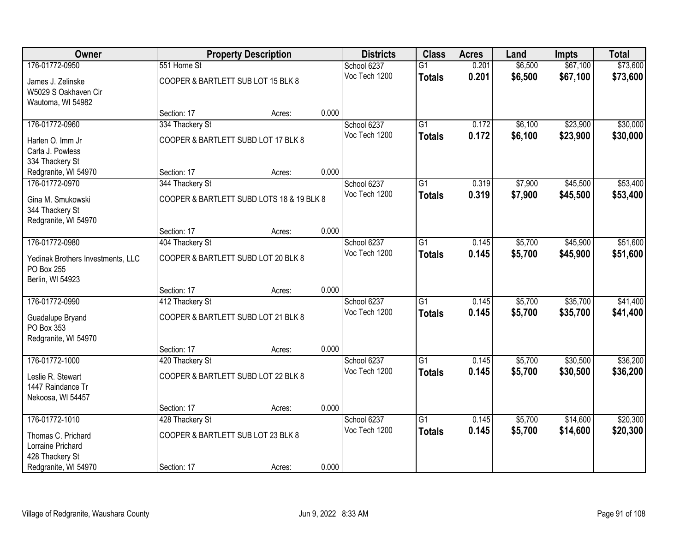| Owner                                   |                                           | <b>Property Description</b> |       | <b>Districts</b>             | <b>Class</b>    | <b>Acres</b>   | Land               | <b>Impts</b>         | <b>Total</b>         |
|-----------------------------------------|-------------------------------------------|-----------------------------|-------|------------------------------|-----------------|----------------|--------------------|----------------------|----------------------|
| 176-01772-0950                          | 551 Horne St                              |                             |       | School 6237                  | $\overline{G1}$ | 0.201          | \$6,500            | \$67,100             | \$73,600             |
| James J. Zelinske                       | COOPER & BARTLETT SUB LOT 15 BLK 8        |                             |       | Voc Tech 1200                | <b>Totals</b>   | 0.201          | \$6,500            | \$67,100             | \$73,600             |
| W5029 S Oakhaven Cir                    |                                           |                             |       |                              |                 |                |                    |                      |                      |
| Wautoma, WI 54982                       |                                           |                             |       |                              |                 |                |                    |                      |                      |
|                                         | Section: 17                               | Acres:                      | 0.000 |                              |                 |                |                    |                      |                      |
| 176-01772-0960                          | 334 Thackery St                           |                             |       | School 6237<br>Voc Tech 1200 | $\overline{G1}$ | 0.172<br>0.172 | \$6,100<br>\$6,100 | \$23,900<br>\$23,900 | \$30,000<br>\$30,000 |
| Harlen O. Imm Jr                        | COOPER & BARTLETT SUBD LOT 17 BLK 8       |                             |       |                              | <b>Totals</b>   |                |                    |                      |                      |
| Carla J. Powless                        |                                           |                             |       |                              |                 |                |                    |                      |                      |
| 334 Thackery St<br>Redgranite, WI 54970 | Section: 17                               | Acres:                      | 0.000 |                              |                 |                |                    |                      |                      |
| 176-01772-0970                          | 344 Thackery St                           |                             |       | School 6237                  | G1              | 0.319          | \$7,900            | \$45,500             | \$53,400             |
|                                         |                                           |                             |       | Voc Tech 1200                | <b>Totals</b>   | 0.319          | \$7,900            | \$45,500             | \$53,400             |
| Gina M. Smukowski                       | COOPER & BARTLETT SUBD LOTS 18 & 19 BLK 8 |                             |       |                              |                 |                |                    |                      |                      |
| 344 Thackery St<br>Redgranite, WI 54970 |                                           |                             |       |                              |                 |                |                    |                      |                      |
|                                         | Section: 17                               | Acres:                      | 0.000 |                              |                 |                |                    |                      |                      |
| 176-01772-0980                          | 404 Thackery St                           |                             |       | School 6237                  | $\overline{G1}$ | 0.145          | \$5,700            | \$45,900             | \$51,600             |
| Yedinak Brothers Investments, LLC       | COOPER & BARTLETT SUBD LOT 20 BLK 8       |                             |       | Voc Tech 1200                | <b>Totals</b>   | 0.145          | \$5,700            | \$45,900             | \$51,600             |
| PO Box 255                              |                                           |                             |       |                              |                 |                |                    |                      |                      |
| Berlin, WI 54923                        |                                           |                             |       |                              |                 |                |                    |                      |                      |
|                                         | Section: 17                               | Acres:                      | 0.000 |                              |                 |                |                    |                      |                      |
| 176-01772-0990                          | 412 Thackery St                           |                             |       | School 6237                  | $\overline{G1}$ | 0.145          | \$5,700            | \$35,700             | \$41,400             |
| Guadalupe Bryand                        | COOPER & BARTLETT SUBD LOT 21 BLK 8       |                             |       | Voc Tech 1200                | <b>Totals</b>   | 0.145          | \$5,700            | \$35,700             | \$41,400             |
| PO Box 353                              |                                           |                             |       |                              |                 |                |                    |                      |                      |
| Redgranite, WI 54970                    |                                           |                             |       |                              |                 |                |                    |                      |                      |
|                                         | Section: 17                               | Acres:                      | 0.000 |                              |                 |                |                    |                      |                      |
| 176-01772-1000                          | 420 Thackery St                           |                             |       | School 6237                  | $\overline{G1}$ | 0.145          | \$5,700            | \$30,500             | \$36,200             |
| Leslie R. Stewart                       | COOPER & BARTLETT SUBD LOT 22 BLK 8       |                             |       | Voc Tech 1200                | <b>Totals</b>   | 0.145          | \$5,700            | \$30,500             | \$36,200             |
| 1447 Raindance Tr                       |                                           |                             |       |                              |                 |                |                    |                      |                      |
| Nekoosa, WI 54457                       |                                           |                             |       |                              |                 |                |                    |                      |                      |
| 176-01772-1010                          | Section: 17<br>428 Thackery St            | Acres:                      | 0.000 | School 6237                  | $\overline{G1}$ | 0.145          | \$5,700            | \$14,600             | \$20,300             |
|                                         |                                           |                             |       | Voc Tech 1200                | <b>Totals</b>   | 0.145          | \$5,700            | \$14,600             | \$20,300             |
| Thomas C. Prichard                      | COOPER & BARTLETT SUB LOT 23 BLK 8        |                             |       |                              |                 |                |                    |                      |                      |
| Lorraine Prichard<br>428 Thackery St    |                                           |                             |       |                              |                 |                |                    |                      |                      |
| Redgranite, WI 54970                    | Section: 17                               | Acres:                      | 0.000 |                              |                 |                |                    |                      |                      |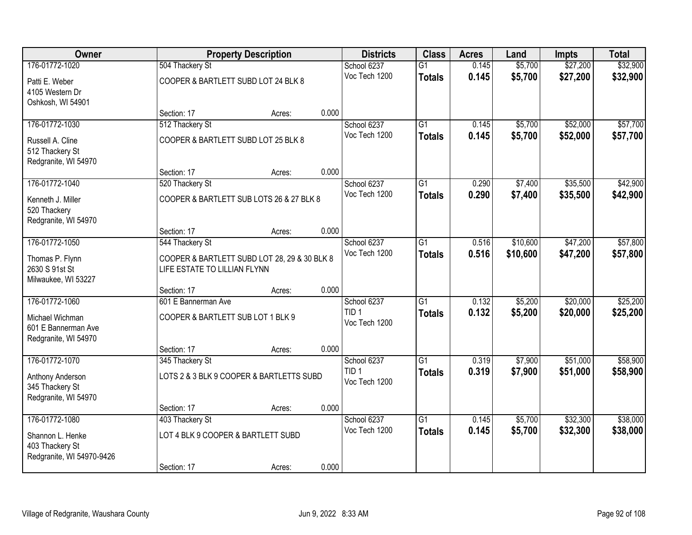| Owner                     |                                     | <b>Property Description</b>                  |       | <b>Districts</b>                  | <b>Class</b>    | <b>Acres</b> | Land     | <b>Impts</b> | <b>Total</b> |
|---------------------------|-------------------------------------|----------------------------------------------|-------|-----------------------------------|-----------------|--------------|----------|--------------|--------------|
| 176-01772-1020            | 504 Thackery St                     |                                              |       | School 6237                       | $\overline{G1}$ | 0.145        | \$5,700  | \$27,200     | \$32,900     |
| Patti E. Weber            | COOPER & BARTLETT SUBD LOT 24 BLK 8 |                                              |       | Voc Tech 1200                     | <b>Totals</b>   | 0.145        | \$5,700  | \$27,200     | \$32,900     |
| 4105 Western Dr           |                                     |                                              |       |                                   |                 |              |          |              |              |
| Oshkosh, WI 54901         |                                     |                                              |       |                                   |                 |              |          |              |              |
|                           | Section: 17                         | Acres:                                       | 0.000 |                                   |                 |              |          |              |              |
| 176-01772-1030            | 512 Thackery St                     |                                              |       | School 6237                       | G1              | 0.145        | \$5,700  | \$52,000     | \$57,700     |
| Russell A. Cline          | COOPER & BARTLETT SUBD LOT 25 BLK 8 |                                              |       | Voc Tech 1200                     | <b>Totals</b>   | 0.145        | \$5,700  | \$52,000     | \$57,700     |
| 512 Thackery St           |                                     |                                              |       |                                   |                 |              |          |              |              |
| Redgranite, WI 54970      |                                     |                                              |       |                                   |                 |              |          |              |              |
|                           | Section: 17                         | Acres:                                       | 0.000 |                                   |                 |              |          |              |              |
| 176-01772-1040            | 520 Thackery St                     |                                              |       | School 6237                       | $\overline{G1}$ | 0.290        | \$7,400  | \$35,500     | \$42,900     |
| Kenneth J. Miller         |                                     | COOPER & BARTLETT SUB LOTS 26 & 27 BLK 8     |       | Voc Tech 1200                     | <b>Totals</b>   | 0.290        | \$7,400  | \$35,500     | \$42,900     |
| 520 Thackery              |                                     |                                              |       |                                   |                 |              |          |              |              |
| Redgranite, WI 54970      |                                     |                                              |       |                                   |                 |              |          |              |              |
|                           | Section: 17                         | Acres:                                       | 0.000 |                                   |                 |              |          |              |              |
| 176-01772-1050            | 544 Thackery St                     |                                              |       | School 6237                       | $\overline{G1}$ | 0.516        | \$10,600 | \$47,200     | \$57,800     |
| Thomas P. Flynn           |                                     | COOPER & BARTLETT SUBD LOT 28, 29 & 30 BLK 8 |       | Voc Tech 1200                     | <b>Totals</b>   | 0.516        | \$10,600 | \$47,200     | \$57,800     |
| 2630 S 91st St            | LIFE ESTATE TO LILLIAN FLYNN        |                                              |       |                                   |                 |              |          |              |              |
| Milwaukee, WI 53227       |                                     |                                              |       |                                   |                 |              |          |              |              |
|                           | Section: 17                         | Acres:                                       | 0.000 |                                   |                 |              |          |              |              |
| 176-01772-1060            | 601 E Bannerman Ave                 |                                              |       | School 6237                       | $\overline{G1}$ | 0.132        | \$5,200  | \$20,000     | \$25,200     |
| Michael Wichman           | COOPER & BARTLETT SUB LOT 1 BLK 9   |                                              |       | TID <sub>1</sub><br>Voc Tech 1200 | <b>Totals</b>   | 0.132        | \$5,200  | \$20,000     | \$25,200     |
| 601 E Bannerman Ave       |                                     |                                              |       |                                   |                 |              |          |              |              |
| Redgranite, WI 54970      |                                     |                                              |       |                                   |                 |              |          |              |              |
|                           | Section: 17                         | Acres:                                       | 0.000 |                                   |                 |              |          |              |              |
| 176-01772-1070            | 345 Thackery St                     |                                              |       | School 6237                       | $\overline{G1}$ | 0.319        | \$7,900  | \$51,000     | \$58,900     |
| Anthony Anderson          |                                     | LOTS 2 & 3 BLK 9 COOPER & BARTLETTS SUBD     |       | TID <sub>1</sub><br>Voc Tech 1200 | <b>Totals</b>   | 0.319        | \$7,900  | \$51,000     | \$58,900     |
| 345 Thackery St           |                                     |                                              |       |                                   |                 |              |          |              |              |
| Redgranite, WI 54970      |                                     |                                              |       |                                   |                 |              |          |              |              |
|                           | Section: 17                         | Acres:                                       | 0.000 |                                   |                 |              |          |              |              |
| 176-01772-1080            | 403 Thackery St                     |                                              |       | School 6237                       | $\overline{G1}$ | 0.145        | \$5,700  | \$32,300     | \$38,000     |
| Shannon L. Henke          | LOT 4 BLK 9 COOPER & BARTLETT SUBD  |                                              |       | Voc Tech 1200                     | <b>Totals</b>   | 0.145        | \$5,700  | \$32,300     | \$38,000     |
| 403 Thackery St           |                                     |                                              |       |                                   |                 |              |          |              |              |
| Redgranite, WI 54970-9426 |                                     |                                              |       |                                   |                 |              |          |              |              |
|                           | Section: 17                         | Acres:                                       | 0.000 |                                   |                 |              |          |              |              |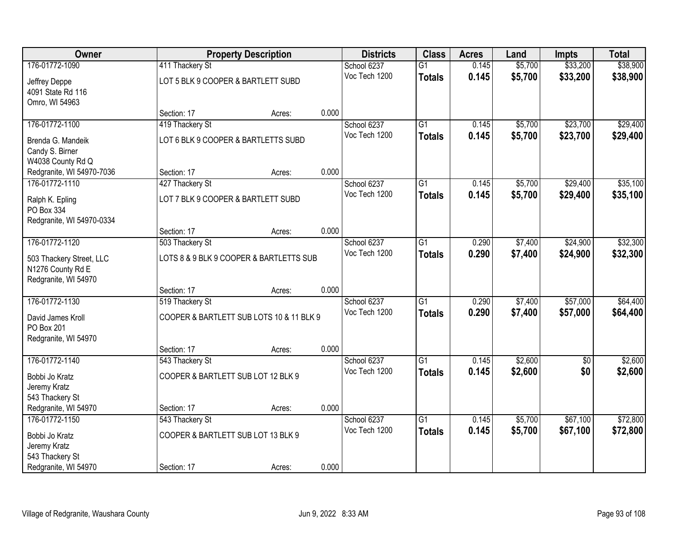| Owner                                                                 |                                     | <b>Property Description</b>              |       | <b>Districts</b> | <b>Class</b>    | <b>Acres</b> | Land    | <b>Impts</b> | <b>Total</b> |
|-----------------------------------------------------------------------|-------------------------------------|------------------------------------------|-------|------------------|-----------------|--------------|---------|--------------|--------------|
| 176-01772-1090                                                        | 411 Thackery St                     |                                          |       | School 6237      | $\overline{G1}$ | 0.145        | \$5,700 | \$33,200     | \$38,900     |
| Jeffrey Deppe<br>4091 State Rd 116<br>Omro, WI 54963                  | LOT 5 BLK 9 COOPER & BARTLETT SUBD  |                                          |       | Voc Tech 1200    | <b>Totals</b>   | 0.145        | \$5,700 | \$33,200     | \$38,900     |
|                                                                       | Section: 17                         | Acres:                                   | 0.000 |                  |                 |              |         |              |              |
| 176-01772-1100                                                        | 419 Thackery St                     |                                          |       | School 6237      | $\overline{G1}$ | 0.145        | \$5,700 | \$23,700     | \$29,400     |
| Brenda G. Mandeik<br>Candy S. Birner<br>W4038 County Rd Q             | LOT 6 BLK 9 COOPER & BARTLETTS SUBD |                                          |       | Voc Tech 1200    | <b>Totals</b>   | 0.145        | \$5,700 | \$23,700     | \$29,400     |
| Redgranite, WI 54970-7036                                             | Section: 17                         | Acres:                                   | 0.000 |                  |                 |              |         |              |              |
| 176-01772-1110                                                        | 427 Thackery St                     |                                          |       | School 6237      | $\overline{G1}$ | 0.145        | \$5,700 | \$29,400     | \$35,100     |
| Ralph K. Epling<br>PO Box 334<br>Redgranite, WI 54970-0334            | LOT 7 BLK 9 COOPER & BARTLETT SUBD  |                                          |       | Voc Tech 1200    | <b>Totals</b>   | 0.145        | \$5,700 | \$29,400     | \$35,100     |
|                                                                       | Section: 17                         | Acres:                                   | 0.000 |                  |                 |              |         |              |              |
| 176-01772-1120                                                        | 503 Thackery St                     |                                          |       | School 6237      | $\overline{G1}$ | 0.290        | \$7,400 | \$24,900     | \$32,300     |
| 503 Thackery Street, LLC<br>N1276 County Rd E<br>Redgranite, WI 54970 |                                     | LOTS 8 & 9 BLK 9 COOPER & BARTLETTS SUB  |       | Voc Tech 1200    | <b>Totals</b>   | 0.290        | \$7,400 | \$24,900     | \$32,300     |
|                                                                       | Section: 17                         | Acres:                                   | 0.000 |                  |                 |              |         |              |              |
| 176-01772-1130                                                        | 519 Thackery St                     |                                          |       | School 6237      | $\overline{G1}$ | 0.290        | \$7,400 | \$57,000     | \$64,400     |
| David James Kroll<br>PO Box 201<br>Redgranite, WI 54970               |                                     | COOPER & BARTLETT SUB LOTS 10 & 11 BLK 9 |       | Voc Tech 1200    | <b>Totals</b>   | 0.290        | \$7,400 | \$57,000     | \$64,400     |
|                                                                       | Section: 17                         | Acres:                                   | 0.000 |                  |                 |              |         |              |              |
| 176-01772-1140                                                        | 543 Thackery St                     |                                          |       | School 6237      | $\overline{G1}$ | 0.145        | \$2,600 | $\sqrt{6}$   | \$2,600      |
| Bobbi Jo Kratz<br>Jeremy Kratz<br>543 Thackery St                     | COOPER & BARTLETT SUB LOT 12 BLK 9  |                                          |       | Voc Tech 1200    | <b>Totals</b>   | 0.145        | \$2,600 | \$0          | \$2,600      |
| Redgranite, WI 54970                                                  | Section: 17                         | Acres:                                   | 0.000 |                  |                 |              |         |              |              |
| 176-01772-1150                                                        | 543 Thackery St                     |                                          |       | School 6237      | $\overline{G1}$ | 0.145        | \$5,700 | \$67,100     | \$72,800     |
| Bobbi Jo Kratz<br>Jeremy Kratz                                        | COOPER & BARTLETT SUB LOT 13 BLK 9  |                                          |       | Voc Tech 1200    | <b>Totals</b>   | 0.145        | \$5,700 | \$67,100     | \$72,800     |
| 543 Thackery St<br>Redgranite, WI 54970                               | Section: 17                         | Acres:                                   | 0.000 |                  |                 |              |         |              |              |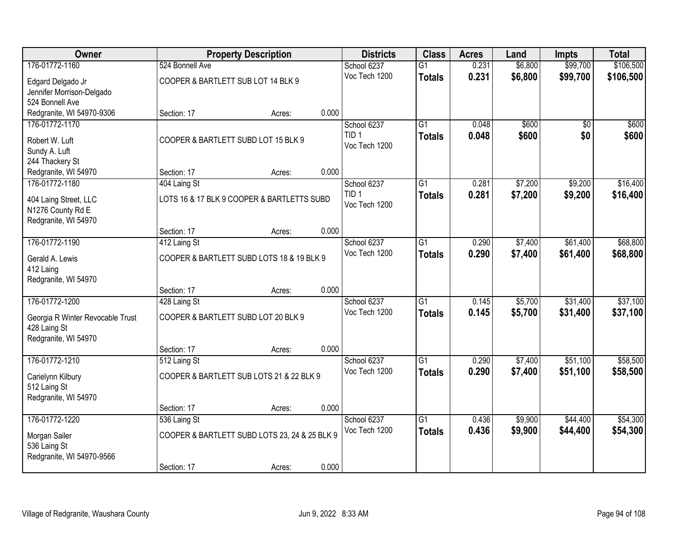| Owner                                     |                                    | <b>Property Description</b>                   |       | <b>Districts</b>                  | <b>Class</b>    | <b>Acres</b>   | Land    | <b>Impts</b>    | <b>Total</b> |
|-------------------------------------------|------------------------------------|-----------------------------------------------|-------|-----------------------------------|-----------------|----------------|---------|-----------------|--------------|
| 176-01772-1160                            | 524 Bonnell Ave                    |                                               |       | School 6237                       | G <sub>1</sub>  | 0.231          | \$6,800 | \$99,700        | \$106,500    |
| Edgard Delgado Jr                         | COOPER & BARTLETT SUB LOT 14 BLK 9 |                                               |       | Voc Tech 1200                     | <b>Totals</b>   | 0.231          | \$6,800 | \$99,700        | \$106,500    |
| Jennifer Morrison-Delgado                 |                                    |                                               |       |                                   |                 |                |         |                 |              |
| 524 Bonnell Ave                           |                                    |                                               |       |                                   |                 |                |         |                 |              |
| Redgranite, WI 54970-9306                 | Section: 17                        | Acres:                                        | 0.000 |                                   |                 |                |         |                 |              |
| 176-01772-1170                            |                                    |                                               |       | School 6237                       | $\overline{G1}$ | 0.048          | \$600   | $\overline{50}$ | \$600        |
| Robert W. Luft                            |                                    | COOPER & BARTLETT SUBD LOT 15 BLK 9           |       | TID <sub>1</sub>                  | <b>Totals</b>   | 0.048          | \$600   | \$0             | \$600        |
| Sundy A. Luft                             |                                    |                                               |       | Voc Tech 1200                     |                 |                |         |                 |              |
| 244 Thackery St                           |                                    |                                               |       |                                   |                 |                |         |                 |              |
| Redgranite, WI 54970                      | Section: 17                        | Acres:                                        | 0.000 |                                   |                 |                |         |                 |              |
| 176-01772-1180                            | 404 Laing St                       |                                               |       | School 6237                       | G1              | 0.281          | \$7,200 | \$9,200         | \$16,400     |
| 404 Laing Street, LLC                     |                                    | LOTS 16 & 17 BLK 9 COOPER & BARTLETTS SUBD    |       | TID <sub>1</sub><br>Voc Tech 1200 | <b>Totals</b>   | 0.281          | \$7,200 | \$9,200         | \$16,400     |
| N1276 County Rd E                         |                                    |                                               |       |                                   |                 |                |         |                 |              |
| Redgranite, WI 54970                      |                                    |                                               |       |                                   |                 |                |         |                 |              |
|                                           | Section: 17                        | Acres:                                        | 0.000 |                                   |                 |                |         |                 |              |
| 176-01772-1190                            | 412 Laing St                       |                                               |       | School 6237<br>Voc Tech 1200      | $\overline{G1}$ | 0.290          | \$7,400 | \$61,400        | \$68,800     |
| Gerald A. Lewis                           |                                    | COOPER & BARTLETT SUBD LOTS 18 & 19 BLK 9     |       |                                   | <b>Totals</b>   | 0.290          | \$7,400 | \$61,400        | \$68,800     |
| 412 Laing                                 |                                    |                                               |       |                                   |                 |                |         |                 |              |
| Redgranite, WI 54970                      |                                    |                                               |       |                                   |                 |                |         |                 |              |
|                                           | Section: 17                        | Acres:                                        | 0.000 |                                   | $\overline{G1}$ |                |         |                 |              |
| 176-01772-1200                            | 428 Laing St                       |                                               |       | School 6237<br>Voc Tech 1200      |                 | 0.145<br>0.145 | \$5,700 | \$31,400        | \$37,100     |
| Georgia R Winter Revocable Trust          |                                    | COOPER & BARTLETT SUBD LOT 20 BLK 9           |       |                                   | <b>Totals</b>   |                | \$5,700 | \$31,400        | \$37,100     |
| 428 Laing St                              |                                    |                                               |       |                                   |                 |                |         |                 |              |
| Redgranite, WI 54970                      |                                    |                                               | 0.000 |                                   |                 |                |         |                 |              |
| 176-01772-1210                            | Section: 17<br>512 Laing St        | Acres:                                        |       | School 6237                       | $\overline{G1}$ | 0.290          | \$7,400 | \$51,100        | \$58,500     |
|                                           |                                    |                                               |       | Voc Tech 1200                     | <b>Totals</b>   | 0.290          | \$7,400 | \$51,100        | \$58,500     |
| Carielynn Kilbury                         |                                    | COOPER & BARTLETT SUB LOTS 21 & 22 BLK 9      |       |                                   |                 |                |         |                 |              |
| 512 Laing St                              |                                    |                                               |       |                                   |                 |                |         |                 |              |
| Redgranite, WI 54970                      | Section: 17                        | Acres:                                        | 0.000 |                                   |                 |                |         |                 |              |
| 176-01772-1220                            | 536 Laing St                       |                                               |       | School 6237                       | $\overline{G1}$ | 0.436          | \$9,900 | \$44,400        | \$54,300     |
|                                           |                                    |                                               |       | Voc Tech 1200                     | <b>Totals</b>   | 0.436          | \$9,900 | \$44,400        | \$54,300     |
| Morgan Sailer                             |                                    | COOPER & BARTLETT SUBD LOTS 23, 24 & 25 BLK 9 |       |                                   |                 |                |         |                 |              |
| 536 Laing St<br>Redgranite, WI 54970-9566 |                                    |                                               |       |                                   |                 |                |         |                 |              |
|                                           | Section: 17                        | Acres:                                        | 0.000 |                                   |                 |                |         |                 |              |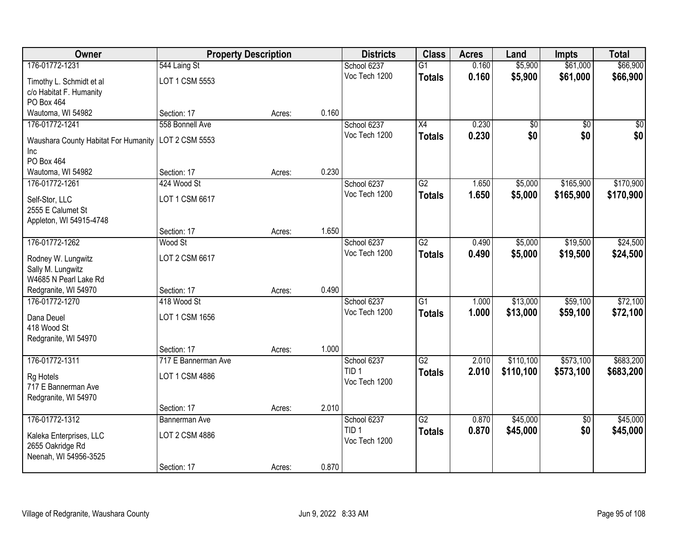| Owner                                |                     | <b>Property Description</b> |       | <b>Districts</b>                  | <b>Class</b>    | <b>Acres</b> | Land      | <b>Impts</b>    | <b>Total</b> |
|--------------------------------------|---------------------|-----------------------------|-------|-----------------------------------|-----------------|--------------|-----------|-----------------|--------------|
| 176-01772-1231                       | 544 Laing St        |                             |       | School 6237                       | $\overline{G1}$ | 0.160        | \$5,900   | \$61,000        | \$66,900     |
| Timothy L. Schmidt et al             | LOT 1 CSM 5553      |                             |       | Voc Tech 1200                     | <b>Totals</b>   | 0.160        | \$5,900   | \$61,000        | \$66,900     |
| c/o Habitat F. Humanity              |                     |                             |       |                                   |                 |              |           |                 |              |
| PO Box 464                           |                     |                             |       |                                   |                 |              |           |                 |              |
| Wautoma, WI 54982                    | Section: 17         | Acres:                      | 0.160 |                                   |                 |              |           |                 |              |
| 176-01772-1241                       | 558 Bonnell Ave     |                             |       | School 6237                       | $\overline{X4}$ | 0.230        | \$0       | $\overline{50}$ | \$0          |
| Waushara County Habitat For Humanity | LOT 2 CSM 5553      |                             |       | Voc Tech 1200                     | <b>Totals</b>   | 0.230        | \$0       | \$0             | \$0          |
| Inc                                  |                     |                             |       |                                   |                 |              |           |                 |              |
| PO Box 464                           |                     |                             |       |                                   |                 |              |           |                 |              |
| Wautoma, WI 54982                    | Section: 17         | Acres:                      | 0.230 |                                   |                 |              |           |                 |              |
| 176-01772-1261                       | 424 Wood St         |                             |       | School 6237                       | $\overline{G2}$ | 1.650        | \$5,000   | \$165,900       | \$170,900    |
| Self-Stor, LLC                       | LOT 1 CSM 6617      |                             |       | Voc Tech 1200                     | <b>Totals</b>   | 1.650        | \$5,000   | \$165,900       | \$170,900    |
| 2555 E Calumet St                    |                     |                             |       |                                   |                 |              |           |                 |              |
| Appleton, WI 54915-4748              |                     |                             |       |                                   |                 |              |           |                 |              |
|                                      | Section: 17         | Acres:                      | 1.650 |                                   |                 |              |           |                 |              |
| 176-01772-1262                       | Wood St             |                             |       | School 6237                       | $\overline{G2}$ | 0.490        | \$5,000   | \$19,500        | \$24,500     |
| Rodney W. Lungwitz                   | LOT 2 CSM 6617      |                             |       | Voc Tech 1200                     | <b>Totals</b>   | 0.490        | \$5,000   | \$19,500        | \$24,500     |
| Sally M. Lungwitz                    |                     |                             |       |                                   |                 |              |           |                 |              |
| W4685 N Pearl Lake Rd                |                     |                             |       |                                   |                 |              |           |                 |              |
| Redgranite, WI 54970                 | Section: 17         | Acres:                      | 0.490 |                                   |                 |              |           |                 |              |
| 176-01772-1270                       | 418 Wood St         |                             |       | School 6237                       | $\overline{G1}$ | 1.000        | \$13,000  | \$59,100        | \$72,100     |
| Dana Deuel                           | LOT 1 CSM 1656      |                             |       | Voc Tech 1200                     | <b>Totals</b>   | 1.000        | \$13,000  | \$59,100        | \$72,100     |
| 418 Wood St                          |                     |                             |       |                                   |                 |              |           |                 |              |
| Redgranite, WI 54970                 |                     |                             |       |                                   |                 |              |           |                 |              |
|                                      | Section: 17         | Acres:                      | 1.000 |                                   |                 |              |           |                 |              |
| 176-01772-1311                       | 717 E Bannerman Ave |                             |       | School 6237                       | $\overline{G2}$ | 2.010        | \$110,100 | \$573,100       | \$683,200    |
| Rg Hotels                            | LOT 1 CSM 4886      |                             |       | TID <sub>1</sub><br>Voc Tech 1200 | <b>Totals</b>   | 2.010        | \$110,100 | \$573,100       | \$683,200    |
| 717 E Bannerman Ave                  |                     |                             |       |                                   |                 |              |           |                 |              |
| Redgranite, WI 54970                 |                     |                             |       |                                   |                 |              |           |                 |              |
|                                      | Section: 17         | Acres:                      | 2.010 |                                   |                 |              |           |                 |              |
| 176-01772-1312                       | Bannerman Ave       |                             |       | School 6237                       | $\overline{G2}$ | 0.870        | \$45,000  | $\overline{50}$ | \$45,000     |
| Kaleka Enterprises, LLC              | LOT 2 CSM 4886      |                             |       | TID <sub>1</sub><br>Voc Tech 1200 | <b>Totals</b>   | 0.870        | \$45,000  | \$0             | \$45,000     |
| 2655 Oakridge Rd                     |                     |                             |       |                                   |                 |              |           |                 |              |
| Neenah, WI 54956-3525                |                     |                             |       |                                   |                 |              |           |                 |              |
|                                      | Section: 17         | Acres:                      | 0.870 |                                   |                 |              |           |                 |              |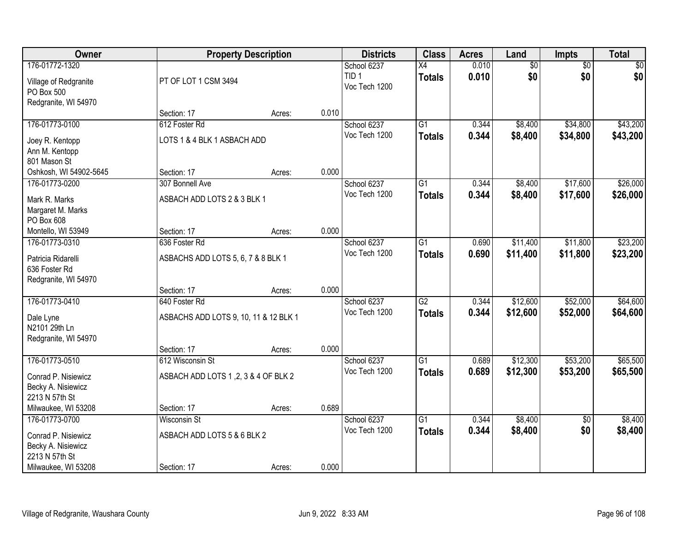| Owner                  |                                       | <b>Property Description</b> |       | <b>Districts</b> | <b>Class</b>    | <b>Acres</b> | Land            | <b>Impts</b>    | <b>Total</b>    |
|------------------------|---------------------------------------|-----------------------------|-------|------------------|-----------------|--------------|-----------------|-----------------|-----------------|
| 176-01772-1320         |                                       |                             |       | School 6237      | $\overline{X4}$ | 0.010        | $\overline{50}$ | $\overline{50}$ | $\overline{30}$ |
| Village of Redgranite  | PT OF LOT 1 CSM 3494                  |                             |       | TID <sub>1</sub> | <b>Totals</b>   | 0.010        | \$0             | \$0             | \$0             |
| PO Box 500             |                                       |                             |       | Voc Tech 1200    |                 |              |                 |                 |                 |
| Redgranite, WI 54970   |                                       |                             |       |                  |                 |              |                 |                 |                 |
|                        | Section: 17                           | Acres:                      | 0.010 |                  |                 |              |                 |                 |                 |
| 176-01773-0100         | 612 Foster Rd                         |                             |       | School 6237      | $\overline{G1}$ | 0.344        | \$8,400         | \$34,800        | \$43,200        |
| Joey R. Kentopp        | LOTS 1 & 4 BLK 1 ASBACH ADD           |                             |       | Voc Tech 1200    | <b>Totals</b>   | 0.344        | \$8,400         | \$34,800        | \$43,200        |
| Ann M. Kentopp         |                                       |                             |       |                  |                 |              |                 |                 |                 |
| 801 Mason St           |                                       |                             |       |                  |                 |              |                 |                 |                 |
| Oshkosh, WI 54902-5645 | Section: 17                           | Acres:                      | 0.000 |                  |                 |              |                 |                 |                 |
| 176-01773-0200         | 307 Bonnell Ave                       |                             |       | School 6237      | $\overline{G1}$ | 0.344        | \$8,400         | \$17,600        | \$26,000        |
| Mark R. Marks          | ASBACH ADD LOTS 2 & 3 BLK 1           |                             |       | Voc Tech 1200    | <b>Totals</b>   | 0.344        | \$8,400         | \$17,600        | \$26,000        |
| Margaret M. Marks      |                                       |                             |       |                  |                 |              |                 |                 |                 |
| PO Box 608             |                                       |                             |       |                  |                 |              |                 |                 |                 |
| Montello, WI 53949     | Section: 17                           | Acres:                      | 0.000 |                  |                 |              |                 |                 |                 |
| 176-01773-0310         | 636 Foster Rd                         |                             |       | School 6237      | G1              | 0.690        | \$11,400        | \$11,800        | \$23,200        |
| Patricia Ridarelli     | ASBACHS ADD LOTS 5, 6, 7 & 8 BLK 1    |                             |       | Voc Tech 1200    | <b>Totals</b>   | 0.690        | \$11,400        | \$11,800        | \$23,200        |
| 636 Foster Rd          |                                       |                             |       |                  |                 |              |                 |                 |                 |
| Redgranite, WI 54970   |                                       |                             |       |                  |                 |              |                 |                 |                 |
|                        | Section: 17                           | Acres:                      | 0.000 |                  |                 |              |                 |                 |                 |
| 176-01773-0410         | 640 Foster Rd                         |                             |       | School 6237      | $\overline{G2}$ | 0.344        | \$12,600        | \$52,000        | \$64,600        |
| Dale Lyne              | ASBACHS ADD LOTS 9, 10, 11 & 12 BLK 1 |                             |       | Voc Tech 1200    | <b>Totals</b>   | 0.344        | \$12,600        | \$52,000        | \$64,600        |
| N2101 29th Ln          |                                       |                             |       |                  |                 |              |                 |                 |                 |
| Redgranite, WI 54970   |                                       |                             |       |                  |                 |              |                 |                 |                 |
|                        | Section: 17                           | Acres:                      | 0.000 |                  |                 |              |                 |                 |                 |
| 176-01773-0510         | 612 Wisconsin St                      |                             |       | School 6237      | $\overline{G1}$ | 0.689        | \$12,300        | \$53,200        | \$65,500        |
| Conrad P. Nisiewicz    | ASBACH ADD LOTS 1,2, 3 & 4 OF BLK 2   |                             |       | Voc Tech 1200    | <b>Totals</b>   | 0.689        | \$12,300        | \$53,200        | \$65,500        |
| Becky A. Nisiewicz     |                                       |                             |       |                  |                 |              |                 |                 |                 |
| 2213 N 57th St         |                                       |                             |       |                  |                 |              |                 |                 |                 |
| Milwaukee, WI 53208    | Section: 17                           | Acres:                      | 0.689 |                  |                 |              |                 |                 |                 |
| 176-01773-0700         | <b>Wisconsin St</b>                   |                             |       | School 6237      | $\overline{G1}$ | 0.344        | \$8,400         | $\overline{50}$ | \$8,400         |
| Conrad P. Nisiewicz    | ASBACH ADD LOTS 5 & 6 BLK 2           |                             |       | Voc Tech 1200    | <b>Totals</b>   | 0.344        | \$8,400         | \$0             | \$8,400         |
| Becky A. Nisiewicz     |                                       |                             |       |                  |                 |              |                 |                 |                 |
| 2213 N 57th St         |                                       |                             |       |                  |                 |              |                 |                 |                 |
| Milwaukee, WI 53208    | Section: 17                           | Acres:                      | 0.000 |                  |                 |              |                 |                 |                 |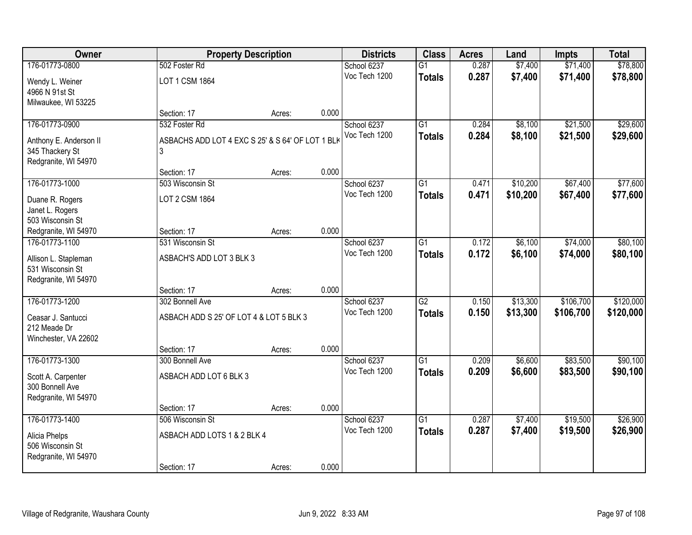| Owner                  | <b>Property Description</b>                      |        |       | <b>Districts</b> | <b>Class</b>    | <b>Acres</b> | Land     | <b>Impts</b> | <b>Total</b> |
|------------------------|--------------------------------------------------|--------|-------|------------------|-----------------|--------------|----------|--------------|--------------|
| 176-01773-0800         | 502 Foster Rd                                    |        |       | School 6237      | $\overline{G1}$ | 0.287        | \$7,400  | \$71,400     | \$78,800     |
| Wendy L. Weiner        | LOT 1 CSM 1864                                   |        |       | Voc Tech 1200    | <b>Totals</b>   | 0.287        | \$7,400  | \$71,400     | \$78,800     |
| 4966 N 91st St         |                                                  |        |       |                  |                 |              |          |              |              |
| Milwaukee, WI 53225    |                                                  |        |       |                  |                 |              |          |              |              |
|                        | Section: 17                                      | Acres: | 0.000 |                  |                 |              |          |              |              |
| 176-01773-0900         | 532 Foster Rd                                    |        |       | School 6237      | $\overline{G1}$ | 0.284        | \$8,100  | \$21,500     | \$29,600     |
| Anthony E. Anderson II | ASBACHS ADD LOT 4 EXC S 25' & S 64' OF LOT 1 BLK |        |       | Voc Tech 1200    | <b>Totals</b>   | 0.284        | \$8,100  | \$21,500     | \$29,600     |
| 345 Thackery St        | 3                                                |        |       |                  |                 |              |          |              |              |
| Redgranite, WI 54970   |                                                  |        |       |                  |                 |              |          |              |              |
|                        | Section: 17                                      | Acres: | 0.000 |                  |                 |              |          |              |              |
| 176-01773-1000         | 503 Wisconsin St                                 |        |       | School 6237      | $\overline{G1}$ | 0.471        | \$10,200 | \$67,400     | \$77,600     |
| Duane R. Rogers        | LOT 2 CSM 1864                                   |        |       | Voc Tech 1200    | <b>Totals</b>   | 0.471        | \$10,200 | \$67,400     | \$77,600     |
| Janet L. Rogers        |                                                  |        |       |                  |                 |              |          |              |              |
| 503 Wisconsin St       |                                                  |        |       |                  |                 |              |          |              |              |
| Redgranite, WI 54970   | Section: 17                                      | Acres: | 0.000 |                  |                 |              |          |              |              |
| 176-01773-1100         | 531 Wisconsin St                                 |        |       | School 6237      | G1              | 0.172        | \$6,100  | \$74,000     | \$80,100     |
| Allison L. Stapleman   | ASBACH'S ADD LOT 3 BLK 3                         |        |       | Voc Tech 1200    | <b>Totals</b>   | 0.172        | \$6,100  | \$74,000     | \$80,100     |
| 531 Wisconsin St       |                                                  |        |       |                  |                 |              |          |              |              |
| Redgranite, WI 54970   |                                                  |        |       |                  |                 |              |          |              |              |
|                        | Section: 17                                      | Acres: | 0.000 |                  |                 |              |          |              |              |
| 176-01773-1200         | 302 Bonnell Ave                                  |        |       | School 6237      | $\overline{G2}$ | 0.150        | \$13,300 | \$106,700    | \$120,000    |
| Ceasar J. Santucci     | ASBACH ADD S 25' OF LOT 4 & LOT 5 BLK 3          |        |       | Voc Tech 1200    | <b>Totals</b>   | 0.150        | \$13,300 | \$106,700    | \$120,000    |
| 212 Meade Dr           |                                                  |        |       |                  |                 |              |          |              |              |
| Winchester, VA 22602   |                                                  |        |       |                  |                 |              |          |              |              |
|                        | Section: 17                                      | Acres: | 0.000 |                  |                 |              |          |              |              |
| 176-01773-1300         | 300 Bonnell Ave                                  |        |       | School 6237      | $\overline{G1}$ | 0.209        | \$6,600  | \$83,500     | \$90,100     |
| Scott A. Carpenter     | ASBACH ADD LOT 6 BLK 3                           |        |       | Voc Tech 1200    | <b>Totals</b>   | 0.209        | \$6,600  | \$83,500     | \$90,100     |
| 300 Bonnell Ave        |                                                  |        |       |                  |                 |              |          |              |              |
| Redgranite, WI 54970   |                                                  |        |       |                  |                 |              |          |              |              |
|                        | Section: 17                                      | Acres: | 0.000 |                  |                 |              |          |              |              |
| 176-01773-1400         | 506 Wisconsin St                                 |        |       | School 6237      | $\overline{G1}$ | 0.287        | \$7,400  | \$19,500     | \$26,900     |
| Alicia Phelps          | ASBACH ADD LOTS 1 & 2 BLK 4                      |        |       | Voc Tech 1200    | <b>Totals</b>   | 0.287        | \$7,400  | \$19,500     | \$26,900     |
| 506 Wisconsin St       |                                                  |        |       |                  |                 |              |          |              |              |
| Redgranite, WI 54970   |                                                  |        |       |                  |                 |              |          |              |              |
|                        | Section: 17                                      | Acres: | 0.000 |                  |                 |              |          |              |              |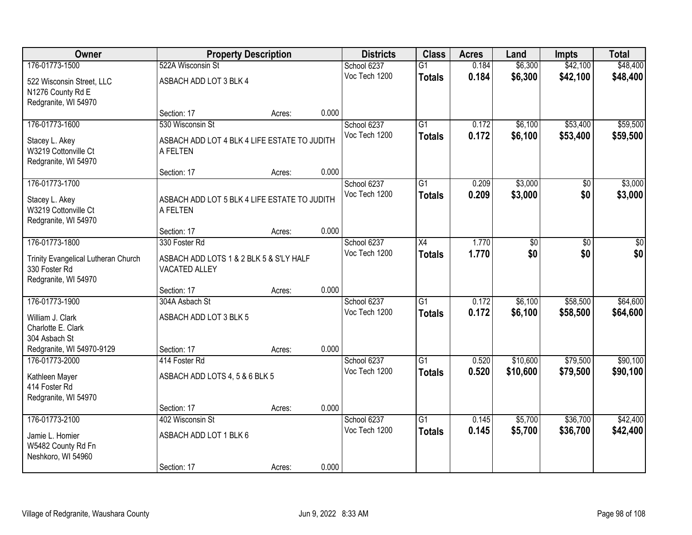| Owner                                       | <b>Property Description</b>                  |        |       | <b>Districts</b>             | <b>Class</b>    | <b>Acres</b>   | Land                 | <b>Impts</b> | <b>Total</b> |
|---------------------------------------------|----------------------------------------------|--------|-------|------------------------------|-----------------|----------------|----------------------|--------------|--------------|
| 176-01773-1500                              | 522A Wisconsin St                            |        |       | School 6237                  | $\overline{G1}$ | 0.184          | \$6,300              | \$42,100     | \$48,400     |
| 522 Wisconsin Street, LLC                   | ASBACH ADD LOT 3 BLK 4                       |        |       | Voc Tech 1200                | <b>Totals</b>   | 0.184          | \$6,300              | \$42,100     | \$48,400     |
| N1276 County Rd E                           |                                              |        |       |                              |                 |                |                      |              |              |
| Redgranite, WI 54970                        |                                              |        |       |                              |                 |                |                      |              |              |
|                                             | Section: 17                                  | Acres: | 0.000 |                              |                 |                |                      |              |              |
| 176-01773-1600                              | 530 Wisconsin St                             |        |       | School 6237                  | $\overline{G1}$ | 0.172          | \$6,100              | \$53,400     | \$59,500     |
| Stacey L. Akey                              | ASBACH ADD LOT 4 BLK 4 LIFE ESTATE TO JUDITH |        |       | Voc Tech 1200                | <b>Totals</b>   | 0.172          | \$6,100              | \$53,400     | \$59,500     |
| W3219 Cottonville Ct                        | A FELTEN                                     |        |       |                              |                 |                |                      |              |              |
| Redgranite, WI 54970                        |                                              |        |       |                              |                 |                |                      |              |              |
|                                             | Section: 17                                  | Acres: | 0.000 |                              |                 |                |                      |              |              |
| 176-01773-1700                              |                                              |        |       | School 6237                  | $\overline{G1}$ | 0.209          | \$3,000              | $\sqrt[6]{}$ | \$3,000      |
| Stacey L. Akey                              | ASBACH ADD LOT 5 BLK 4 LIFE ESTATE TO JUDITH |        |       | Voc Tech 1200                | Totals          | 0.209          | \$3,000              | \$0          | \$3,000      |
| W3219 Cottonville Ct                        | A FELTEN                                     |        |       |                              |                 |                |                      |              |              |
| Redgranite, WI 54970                        |                                              |        |       |                              |                 |                |                      |              |              |
|                                             | Section: 17                                  | Acres: | 0.000 |                              |                 |                |                      |              |              |
| 176-01773-1800                              | 330 Foster Rd                                |        |       | School 6237<br>Voc Tech 1200 | X4              | 1.770          | $\overline{50}$      | \$0          | \$0          |
| Trinity Evangelical Lutheran Church         | ASBACH ADD LOTS 1 & 2 BLK 5 & S'LY HALF      |        |       |                              | <b>Totals</b>   | 1.770          | \$0                  | \$0          | \$0          |
| 330 Foster Rd                               | <b>VACATED ALLEY</b>                         |        |       |                              |                 |                |                      |              |              |
| Redgranite, WI 54970                        |                                              |        |       |                              |                 |                |                      |              |              |
|                                             | Section: 17                                  | Acres: | 0.000 |                              |                 |                |                      |              |              |
| 176-01773-1900                              | 304A Asbach St                               |        |       | School 6237<br>Voc Tech 1200 | $\overline{G1}$ | 0.172          | \$6,100              | \$58,500     | \$64,600     |
| William J. Clark                            | ASBACH ADD LOT 3 BLK 5                       |        |       |                              | <b>Totals</b>   | 0.172          | \$6,100              | \$58,500     | \$64,600     |
| Charlotte E. Clark                          |                                              |        |       |                              |                 |                |                      |              |              |
| 304 Asbach St                               |                                              |        |       |                              |                 |                |                      |              |              |
| Redgranite, WI 54970-9129<br>176-01773-2000 | Section: 17<br>414 Foster Rd                 | Acres: | 0.000 |                              | $\overline{G1}$ |                |                      | \$79,500     | \$90,100     |
|                                             |                                              |        |       | School 6237<br>Voc Tech 1200 |                 | 0.520<br>0.520 | \$10,600<br>\$10,600 | \$79,500     | \$90,100     |
| Kathleen Mayer                              | ASBACH ADD LOTS 4, 5 & 6 BLK 5               |        |       |                              | <b>Totals</b>   |                |                      |              |              |
| 414 Foster Rd                               |                                              |        |       |                              |                 |                |                      |              |              |
| Redgranite, WI 54970                        |                                              |        |       |                              |                 |                |                      |              |              |
| 176-01773-2100                              | Section: 17<br>402 Wisconsin St              | Acres: | 0.000 | School 6237                  | $\overline{G1}$ | 0.145          | \$5,700              | \$36,700     | \$42,400     |
|                                             |                                              |        |       | Voc Tech 1200                | <b>Totals</b>   | 0.145          | \$5,700              | \$36,700     | \$42,400     |
| Jamie L. Homier                             | ASBACH ADD LOT 1 BLK 6                       |        |       |                              |                 |                |                      |              |              |
| W5482 County Rd Fn                          |                                              |        |       |                              |                 |                |                      |              |              |
| Neshkoro, WI 54960                          | Section: 17                                  |        | 0.000 |                              |                 |                |                      |              |              |
|                                             |                                              | Acres: |       |                              |                 |                |                      |              |              |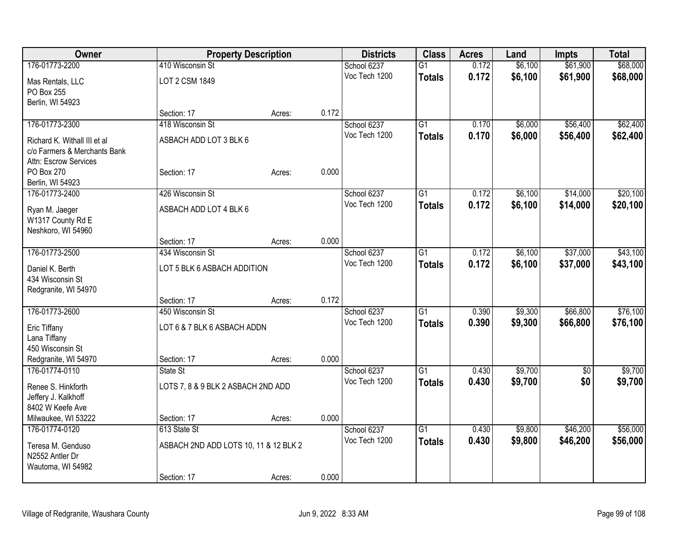| Owner                        |                                       | <b>Property Description</b> |       | <b>Districts</b> | <b>Class</b>    | <b>Acres</b> | Land    | <b>Impts</b> | <b>Total</b> |
|------------------------------|---------------------------------------|-----------------------------|-------|------------------|-----------------|--------------|---------|--------------|--------------|
| 176-01773-2200               | 410 Wisconsin St                      |                             |       | School 6237      | $\overline{G1}$ | 0.172        | \$6,100 | \$61,900     | \$68,000     |
| Mas Rentals, LLC             | LOT 2 CSM 1849                        |                             |       | Voc Tech 1200    | <b>Totals</b>   | 0.172        | \$6,100 | \$61,900     | \$68,000     |
| PO Box 255                   |                                       |                             |       |                  |                 |              |         |              |              |
| Berlin, WI 54923             |                                       |                             |       |                  |                 |              |         |              |              |
|                              | Section: 17                           | Acres:                      | 0.172 |                  |                 |              |         |              |              |
| 176-01773-2300               | 418 Wisconsin St                      |                             |       | School 6237      | $\overline{G1}$ | 0.170        | \$6,000 | \$56,400     | \$62,400     |
| Richard K. Withall III et al | ASBACH ADD LOT 3 BLK 6                |                             |       | Voc Tech 1200    | <b>Totals</b>   | 0.170        | \$6,000 | \$56,400     | \$62,400     |
| c/o Farmers & Merchants Bank |                                       |                             |       |                  |                 |              |         |              |              |
| Attn: Escrow Services        |                                       |                             |       |                  |                 |              |         |              |              |
| PO Box 270                   | Section: 17                           | Acres:                      | 0.000 |                  |                 |              |         |              |              |
| Berlin, WI 54923             |                                       |                             |       |                  |                 |              |         |              |              |
| 176-01773-2400               | 426 Wisconsin St                      |                             |       | School 6237      | G1              | 0.172        | \$6,100 | \$14,000     | \$20,100     |
| Ryan M. Jaeger               | ASBACH ADD LOT 4 BLK 6                |                             |       | Voc Tech 1200    | <b>Totals</b>   | 0.172        | \$6,100 | \$14,000     | \$20,100     |
| W1317 County Rd E            |                                       |                             |       |                  |                 |              |         |              |              |
| Neshkoro, WI 54960           |                                       |                             |       |                  |                 |              |         |              |              |
|                              | Section: 17                           | Acres:                      | 0.000 |                  |                 |              |         |              |              |
| 176-01773-2500               | 434 Wisconsin St                      |                             |       | School 6237      | $\overline{G1}$ | 0.172        | \$6,100 | \$37,000     | \$43,100     |
| Daniel K. Berth              | LOT 5 BLK 6 ASBACH ADDITION           |                             |       | Voc Tech 1200    | <b>Totals</b>   | 0.172        | \$6,100 | \$37,000     | \$43,100     |
| 434 Wisconsin St             |                                       |                             |       |                  |                 |              |         |              |              |
| Redgranite, WI 54970         |                                       |                             |       |                  |                 |              |         |              |              |
|                              | Section: 17                           | Acres:                      | 0.172 |                  |                 |              |         |              |              |
| 176-01773-2600               | 450 Wisconsin St                      |                             |       | School 6237      | $\overline{G1}$ | 0.390        | \$9,300 | \$66,800     | \$76,100     |
| Eric Tiffany                 | LOT 6 & 7 BLK 6 ASBACH ADDN           |                             |       | Voc Tech 1200    | <b>Totals</b>   | 0.390        | \$9,300 | \$66,800     | \$76,100     |
| Lana Tiffany                 |                                       |                             |       |                  |                 |              |         |              |              |
| 450 Wisconsin St             |                                       |                             |       |                  |                 |              |         |              |              |
| Redgranite, WI 54970         | Section: 17                           | Acres:                      | 0.000 |                  |                 |              |         |              |              |
| 176-01774-0110               | State St                              |                             |       | School 6237      | $\overline{G1}$ | 0.430        | \$9,700 | $\sqrt{6}$   | \$9,700      |
| Renee S. Hinkforth           | LOTS 7, 8 & 9 BLK 2 ASBACH 2ND ADD    |                             |       | Voc Tech 1200    | <b>Totals</b>   | 0.430        | \$9,700 | \$0          | \$9,700      |
| Jeffery J. Kalkhoff          |                                       |                             |       |                  |                 |              |         |              |              |
| 8402 W Keefe Ave             |                                       |                             |       |                  |                 |              |         |              |              |
| Milwaukee, WI 53222          | Section: 17                           | Acres:                      | 0.000 |                  |                 |              |         |              |              |
| 176-01774-0120               | 613 State St                          |                             |       | School 6237      | $\overline{G1}$ | 0.430        | \$9,800 | \$46,200     | \$56,000     |
| Teresa M. Genduso            | ASBACH 2ND ADD LOTS 10, 11 & 12 BLK 2 |                             |       | Voc Tech 1200    | <b>Totals</b>   | 0.430        | \$9,800 | \$46,200     | \$56,000     |
| N2552 Antler Dr              |                                       |                             |       |                  |                 |              |         |              |              |
| Wautoma, WI 54982            |                                       |                             |       |                  |                 |              |         |              |              |
|                              | Section: 17                           | Acres:                      | 0.000 |                  |                 |              |         |              |              |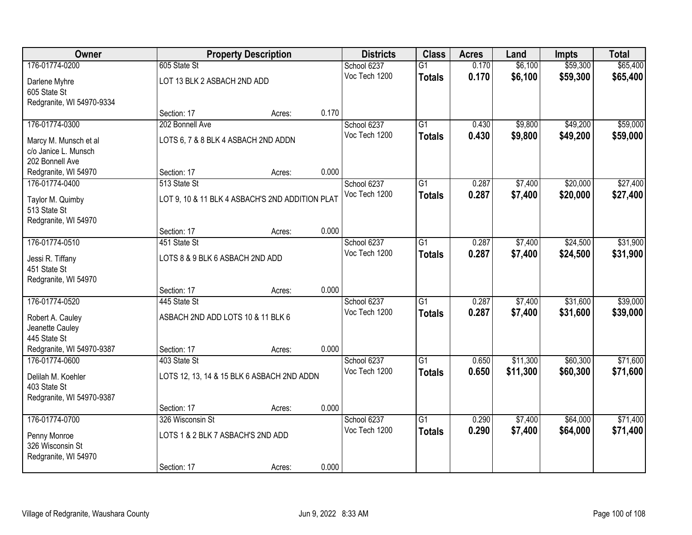| Owner                              |                                     | <b>Property Description</b>                     |       | <b>Districts</b>             | <b>Class</b>    | <b>Acres</b> | Land     | <b>Impts</b> | <b>Total</b> |
|------------------------------------|-------------------------------------|-------------------------------------------------|-------|------------------------------|-----------------|--------------|----------|--------------|--------------|
| 176-01774-0200                     | 605 State St                        |                                                 |       | School 6237                  | $\overline{G1}$ | 0.170        | \$6,100  | \$59,300     | \$65,400     |
| Darlene Myhre                      | LOT 13 BLK 2 ASBACH 2ND ADD         |                                                 |       | Voc Tech 1200                | <b>Totals</b>   | 0.170        | \$6,100  | \$59,300     | \$65,400     |
| 605 State St                       |                                     |                                                 |       |                              |                 |              |          |              |              |
| Redgranite, WI 54970-9334          |                                     |                                                 |       |                              |                 |              |          |              |              |
|                                    | Section: 17                         | Acres:                                          | 0.170 |                              |                 |              |          |              |              |
| 176-01774-0300                     | 202 Bonnell Ave                     |                                                 |       | School 6237                  | G1              | 0.430        | \$9,800  | \$49,200     | \$59,000     |
| Marcy M. Munsch et al              | LOTS 6, 7 & 8 BLK 4 ASBACH 2ND ADDN |                                                 |       | Voc Tech 1200                | <b>Totals</b>   | 0.430        | \$9,800  | \$49,200     | \$59,000     |
| c/o Janice L. Munsch               |                                     |                                                 |       |                              |                 |              |          |              |              |
| 202 Bonnell Ave                    |                                     |                                                 |       |                              |                 |              |          |              |              |
| Redgranite, WI 54970               | Section: 17                         | Acres:                                          | 0.000 |                              |                 |              |          |              |              |
| 176-01774-0400                     | 513 State St                        |                                                 |       | School 6237<br>Voc Tech 1200 | $\overline{G1}$ | 0.287        | \$7,400  | \$20,000     | \$27,400     |
| Taylor M. Quimby                   |                                     | LOT 9, 10 & 11 BLK 4 ASBACH'S 2ND ADDITION PLAT |       |                              | <b>Totals</b>   | 0.287        | \$7,400  | \$20,000     | \$27,400     |
| 513 State St                       |                                     |                                                 |       |                              |                 |              |          |              |              |
| Redgranite, WI 54970               |                                     |                                                 |       |                              |                 |              |          |              |              |
| 176-01774-0510                     | Section: 17<br>451 State St         | Acres:                                          | 0.000 | School 6237                  | $\overline{G1}$ | 0.287        | \$7,400  | \$24,500     | \$31,900     |
|                                    |                                     |                                                 |       | Voc Tech 1200                | <b>Totals</b>   | 0.287        | \$7,400  | \$24,500     | \$31,900     |
| Jessi R. Tiffany                   | LOTS 8 & 9 BLK 6 ASBACH 2ND ADD     |                                                 |       |                              |                 |              |          |              |              |
| 451 State St                       |                                     |                                                 |       |                              |                 |              |          |              |              |
| Redgranite, WI 54970               | Section: 17                         | Acres:                                          | 0.000 |                              |                 |              |          |              |              |
| 176-01774-0520                     | 445 State St                        |                                                 |       | School 6237                  | $\overline{G1}$ | 0.287        | \$7,400  | \$31,600     | \$39,000     |
|                                    |                                     |                                                 |       | Voc Tech 1200                | <b>Totals</b>   | 0.287        | \$7,400  | \$31,600     | \$39,000     |
| Robert A. Cauley                   | ASBACH 2ND ADD LOTS 10 & 11 BLK 6   |                                                 |       |                              |                 |              |          |              |              |
| Jeanette Cauley<br>445 State St    |                                     |                                                 |       |                              |                 |              |          |              |              |
| Redgranite, WI 54970-9387          | Section: 17                         | Acres:                                          | 0.000 |                              |                 |              |          |              |              |
| 176-01774-0600                     | 403 State St                        |                                                 |       | School 6237                  | G1              | 0.650        | \$11,300 | \$60,300     | \$71,600     |
|                                    |                                     |                                                 |       | Voc Tech 1200                | <b>Totals</b>   | 0.650        | \$11,300 | \$60,300     | \$71,600     |
| Delilah M. Koehler<br>403 State St |                                     | LOTS 12, 13, 14 & 15 BLK 6 ASBACH 2ND ADDN      |       |                              |                 |              |          |              |              |
| Redgranite, WI 54970-9387          |                                     |                                                 |       |                              |                 |              |          |              |              |
|                                    | Section: 17                         | Acres:                                          | 0.000 |                              |                 |              |          |              |              |
| 176-01774-0700                     | 326 Wisconsin St                    |                                                 |       | School 6237                  | $\overline{G1}$ | 0.290        | \$7,400  | \$64,000     | \$71,400     |
| Penny Monroe                       | LOTS 1 & 2 BLK 7 ASBACH'S 2ND ADD   |                                                 |       | Voc Tech 1200                | <b>Totals</b>   | 0.290        | \$7,400  | \$64,000     | \$71,400     |
| 326 Wisconsin St                   |                                     |                                                 |       |                              |                 |              |          |              |              |
| Redgranite, WI 54970               |                                     |                                                 |       |                              |                 |              |          |              |              |
|                                    | Section: 17                         | Acres:                                          | 0.000 |                              |                 |              |          |              |              |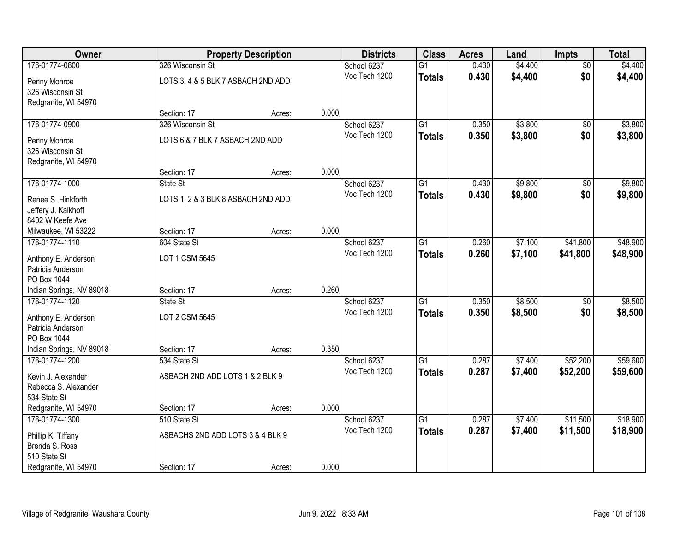| Owner                    |                                    | <b>Property Description</b> |       | <b>Districts</b> | <b>Class</b>    | <b>Acres</b> | Land    | <b>Impts</b>    | <b>Total</b> |
|--------------------------|------------------------------------|-----------------------------|-------|------------------|-----------------|--------------|---------|-----------------|--------------|
| 176-01774-0800           | 326 Wisconsin St                   |                             |       | School 6237      | $\overline{G1}$ | 0.430        | \$4,400 | $\overline{50}$ | \$4,400      |
| Penny Monroe             | LOTS 3, 4 & 5 BLK 7 ASBACH 2ND ADD |                             |       | Voc Tech 1200    | <b>Totals</b>   | 0.430        | \$4,400 | \$0             | \$4,400      |
| 326 Wisconsin St         |                                    |                             |       |                  |                 |              |         |                 |              |
| Redgranite, WI 54970     |                                    |                             |       |                  |                 |              |         |                 |              |
|                          | Section: 17                        | Acres:                      | 0.000 |                  |                 |              |         |                 |              |
| 176-01774-0900           | 326 Wisconsin St                   |                             |       | School 6237      | $\overline{G1}$ | 0.350        | \$3,800 | \$0             | \$3,800      |
| Penny Monroe             | LOTS 6 & 7 BLK 7 ASBACH 2ND ADD    |                             |       | Voc Tech 1200    | <b>Totals</b>   | 0.350        | \$3,800 | \$0             | \$3,800      |
| 326 Wisconsin St         |                                    |                             |       |                  |                 |              |         |                 |              |
| Redgranite, WI 54970     |                                    |                             |       |                  |                 |              |         |                 |              |
|                          | Section: 17                        | Acres:                      | 0.000 |                  |                 |              |         |                 |              |
| 176-01774-1000           | State St                           |                             |       | School 6237      | $\overline{G1}$ | 0.430        | \$9,800 | \$0             | \$9,800      |
| Renee S. Hinkforth       | LOTS 1, 2 & 3 BLK 8 ASBACH 2ND ADD |                             |       | Voc Tech 1200    | <b>Totals</b>   | 0.430        | \$9,800 | \$0             | \$9,800      |
| Jeffery J. Kalkhoff      |                                    |                             |       |                  |                 |              |         |                 |              |
| 8402 W Keefe Ave         |                                    |                             |       |                  |                 |              |         |                 |              |
| Milwaukee, WI 53222      | Section: 17                        | Acres:                      | 0.000 |                  |                 |              |         |                 |              |
| 176-01774-1110           | 604 State St                       |                             |       | School 6237      | G1              | 0.260        | \$7,100 | \$41,800        | \$48,900     |
| Anthony E. Anderson      | LOT 1 CSM 5645                     |                             |       | Voc Tech 1200    | <b>Totals</b>   | 0.260        | \$7,100 | \$41,800        | \$48,900     |
| Patricia Anderson        |                                    |                             |       |                  |                 |              |         |                 |              |
| PO Box 1044              |                                    |                             |       |                  |                 |              |         |                 |              |
| Indian Springs, NV 89018 | Section: 17                        | Acres:                      | 0.260 |                  |                 |              |         |                 |              |
| 176-01774-1120           | State St                           |                             |       | School 6237      | $\overline{G1}$ | 0.350        | \$8,500 | $\overline{50}$ | \$8,500      |
| Anthony E. Anderson      | LOT 2 CSM 5645                     |                             |       | Voc Tech 1200    | <b>Totals</b>   | 0.350        | \$8,500 | \$0             | \$8,500      |
| Patricia Anderson        |                                    |                             |       |                  |                 |              |         |                 |              |
| PO Box 1044              |                                    |                             |       |                  |                 |              |         |                 |              |
| Indian Springs, NV 89018 | Section: 17                        | Acres:                      | 0.350 |                  |                 |              |         |                 |              |
| 176-01774-1200           | 534 State St                       |                             |       | School 6237      | $\overline{G1}$ | 0.287        | \$7,400 | \$52,200        | \$59,600     |
| Kevin J. Alexander       | ASBACH 2ND ADD LOTS 1 & 2 BLK 9    |                             |       | Voc Tech 1200    | <b>Totals</b>   | 0.287        | \$7,400 | \$52,200        | \$59,600     |
| Rebecca S. Alexander     |                                    |                             |       |                  |                 |              |         |                 |              |
| 534 State St             |                                    |                             |       |                  |                 |              |         |                 |              |
| Redgranite, WI 54970     | Section: 17                        | Acres:                      | 0.000 |                  |                 |              |         |                 |              |
| 176-01774-1300           | 510 State St                       |                             |       | School 6237      | $\overline{G1}$ | 0.287        | \$7,400 | \$11,500        | \$18,900     |
| Phillip K. Tiffany       | ASBACHS 2ND ADD LOTS 3 & 4 BLK 9   |                             |       | Voc Tech 1200    | <b>Totals</b>   | 0.287        | \$7,400 | \$11,500        | \$18,900     |
| Brenda S. Ross           |                                    |                             |       |                  |                 |              |         |                 |              |
| 510 State St             |                                    |                             |       |                  |                 |              |         |                 |              |
| Redgranite, WI 54970     | Section: 17                        | Acres:                      | 0.000 |                  |                 |              |         |                 |              |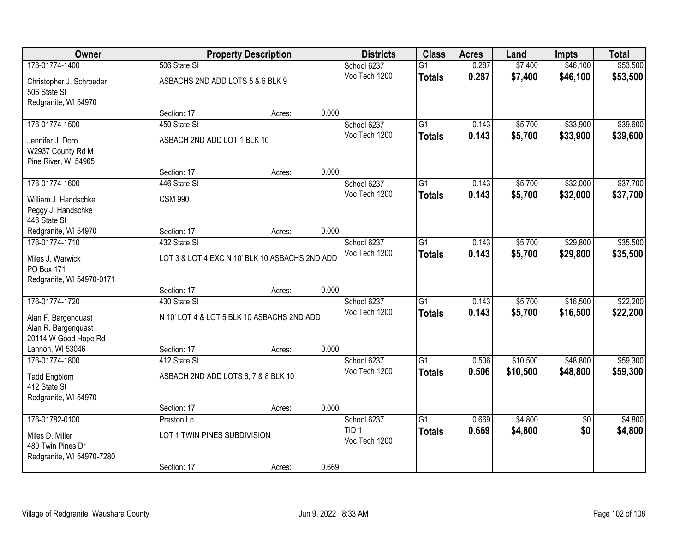| Owner                                       |                                     | <b>Property Description</b>                    |       | <b>Districts</b>             | <b>Class</b>    | <b>Acres</b> | Land     | <b>Impts</b>    | <b>Total</b> |
|---------------------------------------------|-------------------------------------|------------------------------------------------|-------|------------------------------|-----------------|--------------|----------|-----------------|--------------|
| 176-01774-1400                              | 506 State St                        |                                                |       | School 6237                  | $\overline{G1}$ | 0.287        | \$7,400  | \$46,100        | \$53,500     |
| Christopher J. Schroeder                    | ASBACHS 2ND ADD LOTS 5 & 6 BLK 9    |                                                |       | Voc Tech 1200                | <b>Totals</b>   | 0.287        | \$7,400  | \$46,100        | \$53,500     |
| 506 State St                                |                                     |                                                |       |                              |                 |              |          |                 |              |
| Redgranite, WI 54970                        |                                     |                                                |       |                              |                 |              |          |                 |              |
|                                             | Section: 17                         | Acres:                                         | 0.000 |                              |                 |              |          |                 |              |
| 176-01774-1500                              | 450 State St                        |                                                |       | School 6237                  | $\overline{G1}$ | 0.143        | \$5,700  | \$33,900        | \$39,600     |
| Jennifer J. Doro                            | ASBACH 2ND ADD LOT 1 BLK 10         |                                                |       | Voc Tech 1200                | <b>Totals</b>   | 0.143        | \$5,700  | \$33,900        | \$39,600     |
| W2937 County Rd M                           |                                     |                                                |       |                              |                 |              |          |                 |              |
| Pine River, WI 54965                        |                                     |                                                |       |                              |                 |              |          |                 |              |
|                                             | Section: 17                         | Acres:                                         | 0.000 |                              |                 |              |          |                 |              |
| 176-01774-1600                              | 446 State St                        |                                                |       | School 6237<br>Voc Tech 1200 | G1              | 0.143        | \$5,700  | \$32,000        | \$37,700     |
| William J. Handschke                        | <b>CSM 990</b>                      |                                                |       |                              | <b>Totals</b>   | 0.143        | \$5,700  | \$32,000        | \$37,700     |
| Peggy J. Handschke                          |                                     |                                                |       |                              |                 |              |          |                 |              |
| 446 State St                                |                                     |                                                |       |                              |                 |              |          |                 |              |
| Redgranite, WI 54970<br>176-01774-1710      | Section: 17<br>432 State St         | Acres:                                         | 0.000 | School 6237                  | $\overline{G1}$ | 0.143        | \$5,700  | \$29,800        | \$35,500     |
|                                             |                                     |                                                |       | Voc Tech 1200                | <b>Totals</b>   | 0.143        | \$5,700  | \$29,800        | \$35,500     |
| Miles J. Warwick                            |                                     | LOT 3 & LOT 4 EXC N 10' BLK 10 ASBACHS 2ND ADD |       |                              |                 |              |          |                 |              |
| PO Box 171                                  |                                     |                                                |       |                              |                 |              |          |                 |              |
| Redgranite, WI 54970-0171                   | Section: 17                         | Acres:                                         | 0.000 |                              |                 |              |          |                 |              |
| 176-01774-1720                              | 430 State St                        |                                                |       | School 6237                  | $\overline{G1}$ | 0.143        | \$5,700  | \$16,500        | \$22,200     |
|                                             |                                     |                                                |       | Voc Tech 1200                | <b>Totals</b>   | 0.143        | \$5,700  | \$16,500        | \$22,200     |
| Alan F. Bargenquast                         |                                     | N 10' LOT 4 & LOT 5 BLK 10 ASBACHS 2ND ADD     |       |                              |                 |              |          |                 |              |
| Alan R. Bargenquast<br>20114 W Good Hope Rd |                                     |                                                |       |                              |                 |              |          |                 |              |
| Lannon, WI 53046                            | Section: 17                         | Acres:                                         | 0.000 |                              |                 |              |          |                 |              |
| 176-01774-1800                              | 412 State St                        |                                                |       | School 6237                  | $\overline{G1}$ | 0.506        | \$10,500 | \$48,800        | \$59,300     |
|                                             |                                     |                                                |       | Voc Tech 1200                | <b>Totals</b>   | 0.506        | \$10,500 | \$48,800        | \$59,300     |
| <b>Tadd Engblom</b><br>412 State St         | ASBACH 2ND ADD LOTS 6, 7 & 8 BLK 10 |                                                |       |                              |                 |              |          |                 |              |
| Redgranite, WI 54970                        |                                     |                                                |       |                              |                 |              |          |                 |              |
|                                             | Section: 17                         | Acres:                                         | 0.000 |                              |                 |              |          |                 |              |
| 176-01782-0100                              | Preston Ln                          |                                                |       | School 6237                  | $\overline{G1}$ | 0.669        | \$4,800  | $\overline{50}$ | \$4,800      |
| Miles D. Miller                             | LOT 1 TWIN PINES SUBDIVISION        |                                                |       | TID <sub>1</sub>             | <b>Totals</b>   | 0.669        | \$4,800  | \$0             | \$4,800      |
| 480 Twin Pines Dr                           |                                     |                                                |       | Voc Tech 1200                |                 |              |          |                 |              |
| Redgranite, WI 54970-7280                   |                                     |                                                |       |                              |                 |              |          |                 |              |
|                                             | Section: 17                         | Acres:                                         | 0.669 |                              |                 |              |          |                 |              |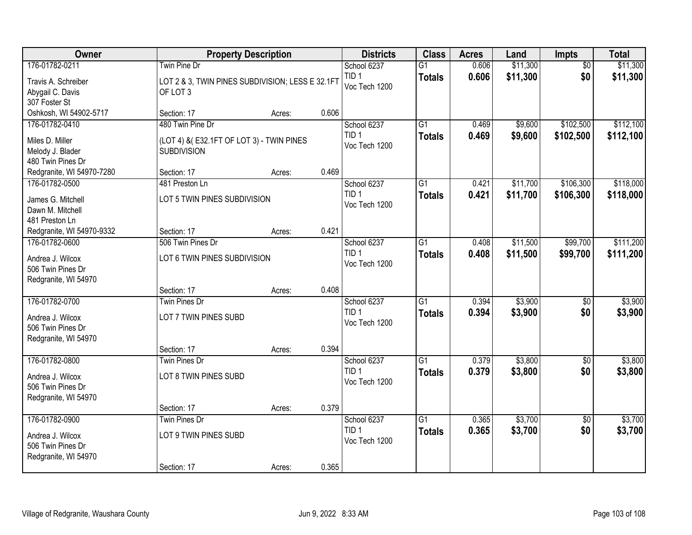| Owner                                                                           |                                                                                     | <b>Property Description</b> |       | <b>Districts</b>                                 | <b>Class</b>                     | <b>Acres</b>   | Land                 | Impts                  | <b>Total</b>           |
|---------------------------------------------------------------------------------|-------------------------------------------------------------------------------------|-----------------------------|-------|--------------------------------------------------|----------------------------------|----------------|----------------------|------------------------|------------------------|
| 176-01782-0211<br>Travis A. Schreiber<br>Abygail C. Davis<br>307 Foster St      | <b>Twin Pine Dr</b><br>LOT 2 & 3, TWIN PINES SUBDIVISION; LESS E 32.1FT<br>OF LOT 3 |                             |       | School 6237<br>TID <sub>1</sub><br>Voc Tech 1200 | $\overline{G1}$<br><b>Totals</b> | 0.606<br>0.606 | \$11,300<br>\$11,300 | $\overline{50}$<br>\$0 | \$11,300<br>\$11,300   |
| Oshkosh, WI 54902-5717                                                          | Section: 17                                                                         | Acres:                      | 0.606 |                                                  |                                  |                |                      |                        |                        |
| 176-01782-0410<br>Miles D. Miller<br>Melody J. Blader<br>480 Twin Pines Dr      | 480 Twin Pine Dr<br>(LOT 4) & (E32.1FT OF LOT 3) - TWIN PINES<br><b>SUBDIVISION</b> |                             |       | School 6237<br>TID <sub>1</sub><br>Voc Tech 1200 | $\overline{G1}$<br><b>Totals</b> | 0.469<br>0.469 | \$9,600<br>\$9,600   | \$102,500<br>\$102,500 | \$112,100<br>\$112,100 |
| Redgranite, WI 54970-7280                                                       | Section: 17                                                                         | Acres:                      | 0.469 |                                                  |                                  |                |                      |                        |                        |
| 176-01782-0500<br>James G. Mitchell<br>Dawn M. Mitchell<br>481 Preston Ln       | 481 Preston Ln<br>LOT 5 TWIN PINES SUBDIVISION                                      |                             |       | School 6237<br>TID <sub>1</sub><br>Voc Tech 1200 | G1<br><b>Totals</b>              | 0.421<br>0.421 | \$11,700<br>\$11,700 | \$106,300<br>\$106,300 | \$118,000<br>\$118,000 |
| Redgranite, WI 54970-9332                                                       | Section: 17                                                                         | Acres:                      | 0.421 |                                                  |                                  |                |                      |                        |                        |
| 176-01782-0600<br>Andrea J. Wilcox<br>506 Twin Pines Dr<br>Redgranite, WI 54970 | 506 Twin Pines Dr<br>LOT 6 TWIN PINES SUBDIVISION                                   |                             |       | School 6237<br>TID <sub>1</sub><br>Voc Tech 1200 | G1<br><b>Totals</b>              | 0.408<br>0.408 | \$11,500<br>\$11,500 | \$99,700<br>\$99,700   | \$111,200<br>\$111,200 |
|                                                                                 | Section: 17                                                                         | Acres:                      | 0.408 |                                                  |                                  |                |                      |                        |                        |
| 176-01782-0700<br>Andrea J. Wilcox<br>506 Twin Pines Dr<br>Redgranite, WI 54970 | <b>Twin Pines Dr</b><br>LOT 7 TWIN PINES SUBD                                       |                             | 0.394 | School 6237<br>TID <sub>1</sub><br>Voc Tech 1200 | $\overline{G1}$<br><b>Totals</b> | 0.394<br>0.394 | \$3,900<br>\$3,900   | $\overline{50}$<br>\$0 | \$3,900<br>\$3,900     |
| 176-01782-0800                                                                  | Section: 17<br>Twin Pines Dr                                                        | Acres:                      |       | School 6237                                      | $\overline{G1}$                  | 0.379          | \$3,800              | $\overline{50}$        | \$3,800                |
| Andrea J. Wilcox<br>506 Twin Pines Dr<br>Redgranite, WI 54970                   | LOT 8 TWIN PINES SUBD                                                               |                             |       | TID <sub>1</sub><br>Voc Tech 1200                | <b>Totals</b>                    | 0.379          | \$3,800              | \$0                    | \$3,800                |
|                                                                                 | Section: 17                                                                         | Acres:                      | 0.379 |                                                  |                                  |                |                      |                        |                        |
| 176-01782-0900<br>Andrea J. Wilcox<br>506 Twin Pines Dr<br>Redgranite, WI 54970 | Twin Pines Dr<br>LOT 9 TWIN PINES SUBD<br>Section: 17                               | Acres:                      | 0.365 | School 6237<br>TID <sub>1</sub><br>Voc Tech 1200 | $\overline{G1}$<br><b>Totals</b> | 0.365<br>0.365 | \$3,700<br>\$3,700   | $\overline{50}$<br>\$0 | \$3,700<br>\$3,700     |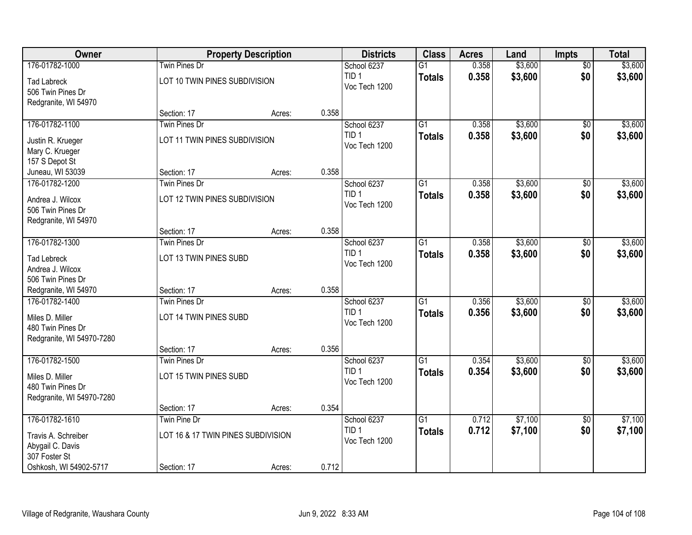| Owner                                   |                                     | <b>Property Description</b> |       | <b>Districts</b>                  | <b>Class</b>    | <b>Acres</b> | Land    | <b>Impts</b>    | <b>Total</b> |
|-----------------------------------------|-------------------------------------|-----------------------------|-------|-----------------------------------|-----------------|--------------|---------|-----------------|--------------|
| 176-01782-1000                          | <b>Twin Pines Dr</b>                |                             |       | School 6237                       | $\overline{G1}$ | 0.358        | \$3,600 | $\overline{50}$ | \$3,600      |
| <b>Tad Labreck</b><br>506 Twin Pines Dr | LOT 10 TWIN PINES SUBDIVISION       |                             |       | TID <sub>1</sub><br>Voc Tech 1200 | <b>Totals</b>   | 0.358        | \$3,600 | \$0             | \$3,600      |
| Redgranite, WI 54970                    |                                     |                             |       |                                   |                 |              |         |                 |              |
|                                         | Section: 17                         | Acres:                      | 0.358 |                                   |                 |              |         |                 |              |
| 176-01782-1100                          | Twin Pines Dr                       |                             |       | School 6237                       | $\overline{G1}$ | 0.358        | \$3,600 | \$0             | \$3,600      |
| Justin R. Krueger                       | LOT 11 TWIN PINES SUBDIVISION       |                             |       | TID <sub>1</sub>                  | <b>Totals</b>   | 0.358        | \$3,600 | \$0             | \$3,600      |
| Mary C. Krueger                         |                                     |                             |       | Voc Tech 1200                     |                 |              |         |                 |              |
| 157 S Depot St                          |                                     |                             |       |                                   |                 |              |         |                 |              |
| Juneau, WI 53039                        | Section: 17                         | Acres:                      | 0.358 |                                   |                 |              |         |                 |              |
| 176-01782-1200                          | <b>Twin Pines Dr</b>                |                             |       | School 6237                       | $\overline{G1}$ | 0.358        | \$3,600 | \$0             | \$3,600      |
| Andrea J. Wilcox                        | LOT 12 TWIN PINES SUBDIVISION       |                             |       | TID <sub>1</sub><br>Voc Tech 1200 | <b>Totals</b>   | 0.358        | \$3,600 | \$0             | \$3,600      |
| 506 Twin Pines Dr                       |                                     |                             |       |                                   |                 |              |         |                 |              |
| Redgranite, WI 54970                    |                                     |                             |       |                                   |                 |              |         |                 |              |
|                                         | Section: 17                         | Acres:                      | 0.358 |                                   |                 |              |         |                 |              |
| 176-01782-1300                          | <b>Twin Pines Dr</b>                |                             |       | School 6237<br>TID <sub>1</sub>   | G1              | 0.358        | \$3,600 | $\sqrt[6]{}$    | \$3,600      |
| <b>Tad Lebreck</b>                      | LOT 13 TWIN PINES SUBD              |                             |       | Voc Tech 1200                     | <b>Totals</b>   | 0.358        | \$3,600 | \$0             | \$3,600      |
| Andrea J. Wilcox                        |                                     |                             |       |                                   |                 |              |         |                 |              |
| 506 Twin Pines Dr                       |                                     |                             | 0.358 |                                   |                 |              |         |                 |              |
| Redgranite, WI 54970<br>176-01782-1400  | Section: 17<br><b>Twin Pines Dr</b> | Acres:                      |       | School 6237                       | $\overline{G1}$ | 0.356        | \$3,600 | $\overline{50}$ | \$3,600      |
|                                         |                                     |                             |       | TID <sub>1</sub>                  | <b>Totals</b>   | 0.356        | \$3,600 | \$0             | \$3,600      |
| Miles D. Miller                         | LOT 14 TWIN PINES SUBD              |                             |       | Voc Tech 1200                     |                 |              |         |                 |              |
| 480 Twin Pines Dr                       |                                     |                             |       |                                   |                 |              |         |                 |              |
| Redgranite, WI 54970-7280               | Section: 17                         | Acres:                      | 0.356 |                                   |                 |              |         |                 |              |
| 176-01782-1500                          | Twin Pines Dr                       |                             |       | School 6237                       | $\overline{G1}$ | 0.354        | \$3,600 | $\sqrt{6}$      | \$3,600      |
|                                         |                                     |                             |       | TID <sub>1</sub>                  | <b>Totals</b>   | 0.354        | \$3,600 | \$0             | \$3,600      |
| Miles D. Miller<br>480 Twin Pines Dr    | LOT 15 TWIN PINES SUBD              |                             |       | Voc Tech 1200                     |                 |              |         |                 |              |
| Redgranite, WI 54970-7280               |                                     |                             |       |                                   |                 |              |         |                 |              |
|                                         | Section: 17                         | Acres:                      | 0.354 |                                   |                 |              |         |                 |              |
| 176-01782-1610                          | Twin Pine Dr                        |                             |       | School 6237                       | $\overline{G1}$ | 0.712        | \$7,100 | $\overline{50}$ | \$7,100      |
| Travis A. Schreiber                     | LOT 16 & 17 TWIN PINES SUBDIVISION  |                             |       | TID <sub>1</sub>                  | <b>Totals</b>   | 0.712        | \$7,100 | \$0             | \$7,100      |
| Abygail C. Davis                        |                                     |                             |       | Voc Tech 1200                     |                 |              |         |                 |              |
| 307 Foster St                           |                                     |                             |       |                                   |                 |              |         |                 |              |
| Oshkosh, WI 54902-5717                  | Section: 17                         | Acres:                      | 0.712 |                                   |                 |              |         |                 |              |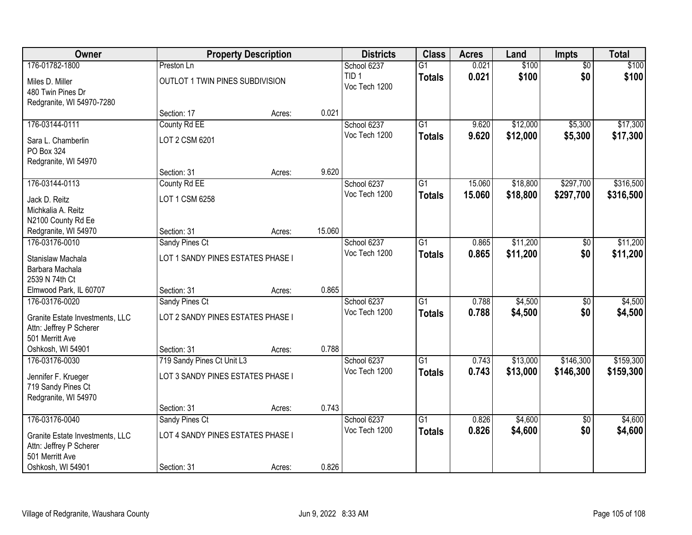| Owner                           |                                   | <b>Property Description</b> |        | <b>Districts</b> | <b>Class</b>    | <b>Acres</b> | Land     | <b>Impts</b>    | <b>Total</b> |
|---------------------------------|-----------------------------------|-----------------------------|--------|------------------|-----------------|--------------|----------|-----------------|--------------|
| 176-01782-1800                  | Preston Ln                        |                             |        | School 6237      | $\overline{G1}$ | 0.021        | \$100    | $\overline{50}$ | \$100        |
| Miles D. Miller                 | OUTLOT 1 TWIN PINES SUBDIVISION   |                             |        | TID <sub>1</sub> | <b>Totals</b>   | 0.021        | \$100    | \$0             | \$100        |
| 480 Twin Pines Dr               |                                   |                             |        | Voc Tech 1200    |                 |              |          |                 |              |
| Redgranite, WI 54970-7280       |                                   |                             |        |                  |                 |              |          |                 |              |
|                                 | Section: 17                       | Acres:                      | 0.021  |                  |                 |              |          |                 |              |
| 176-03144-0111                  | County Rd EE                      |                             |        | School 6237      | $\overline{G1}$ | 9.620        | \$12,000 | \$5,300         | \$17,300     |
| Sara L. Chamberlin              | LOT 2 CSM 6201                    |                             |        | Voc Tech 1200    | <b>Totals</b>   | 9.620        | \$12,000 | \$5,300         | \$17,300     |
| PO Box 324                      |                                   |                             |        |                  |                 |              |          |                 |              |
| Redgranite, WI 54970            |                                   |                             |        |                  |                 |              |          |                 |              |
|                                 | Section: 31                       | Acres:                      | 9.620  |                  |                 |              |          |                 |              |
| 176-03144-0113                  | County Rd EE                      |                             |        | School 6237      | $\overline{G1}$ | 15.060       | \$18,800 | \$297,700       | \$316,500    |
| Jack D. Reitz                   | LOT 1 CSM 6258                    |                             |        | Voc Tech 1200    | <b>Totals</b>   | 15.060       | \$18,800 | \$297,700       | \$316,500    |
| Michkalia A. Reitz              |                                   |                             |        |                  |                 |              |          |                 |              |
| N2100 County Rd Ee              |                                   |                             |        |                  |                 |              |          |                 |              |
| Redgranite, WI 54970            | Section: 31                       | Acres:                      | 15.060 |                  |                 |              |          |                 |              |
| 176-03176-0010                  | Sandy Pines Ct                    |                             |        | School 6237      | G1              | 0.865        | \$11,200 | \$0             | \$11,200     |
| Stanislaw Machala               | LOT 1 SANDY PINES ESTATES PHASE I |                             |        | Voc Tech 1200    | <b>Totals</b>   | 0.865        | \$11,200 | \$0             | \$11,200     |
| Barbara Machala                 |                                   |                             |        |                  |                 |              |          |                 |              |
| 2539 N 74th Ct                  |                                   |                             |        |                  |                 |              |          |                 |              |
| Elmwood Park, IL 60707          | Section: 31                       | Acres:                      | 0.865  |                  |                 |              |          |                 |              |
| 176-03176-0020                  | Sandy Pines Ct                    |                             |        | School 6237      | $\overline{G1}$ | 0.788        | \$4,500  | $\overline{30}$ | \$4,500      |
| Granite Estate Investments, LLC | LOT 2 SANDY PINES ESTATES PHASE I |                             |        | Voc Tech 1200    | Totals          | 0.788        | \$4,500  | \$0             | \$4,500      |
| Attn: Jeffrey P Scherer         |                                   |                             |        |                  |                 |              |          |                 |              |
| 501 Merritt Ave                 |                                   |                             |        |                  |                 |              |          |                 |              |
| Oshkosh, WI 54901               | Section: 31                       | Acres:                      | 0.788  |                  |                 |              |          |                 |              |
| 176-03176-0030                  | 719 Sandy Pines Ct Unit L3        |                             |        | School 6237      | $\overline{G1}$ | 0.743        | \$13,000 | \$146,300       | \$159,300    |
| Jennifer F. Krueger             | LOT 3 SANDY PINES ESTATES PHASE I |                             |        | Voc Tech 1200    | <b>Totals</b>   | 0.743        | \$13,000 | \$146,300       | \$159,300    |
| 719 Sandy Pines Ct              |                                   |                             |        |                  |                 |              |          |                 |              |
| Redgranite, WI 54970            |                                   |                             |        |                  |                 |              |          |                 |              |
|                                 | Section: 31                       | Acres:                      | 0.743  |                  |                 |              |          |                 |              |
| 176-03176-0040                  | Sandy Pines Ct                    |                             |        | School 6237      | $\overline{G1}$ | 0.826        | \$4,600  | $\overline{50}$ | \$4,600      |
| Granite Estate Investments, LLC | LOT 4 SANDY PINES ESTATES PHASE I |                             |        | Voc Tech 1200    | <b>Totals</b>   | 0.826        | \$4,600  | \$0             | \$4,600      |
| Attn: Jeffrey P Scherer         |                                   |                             |        |                  |                 |              |          |                 |              |
| 501 Merritt Ave                 |                                   |                             |        |                  |                 |              |          |                 |              |
| Oshkosh, WI 54901               | Section: 31                       | Acres:                      | 0.826  |                  |                 |              |          |                 |              |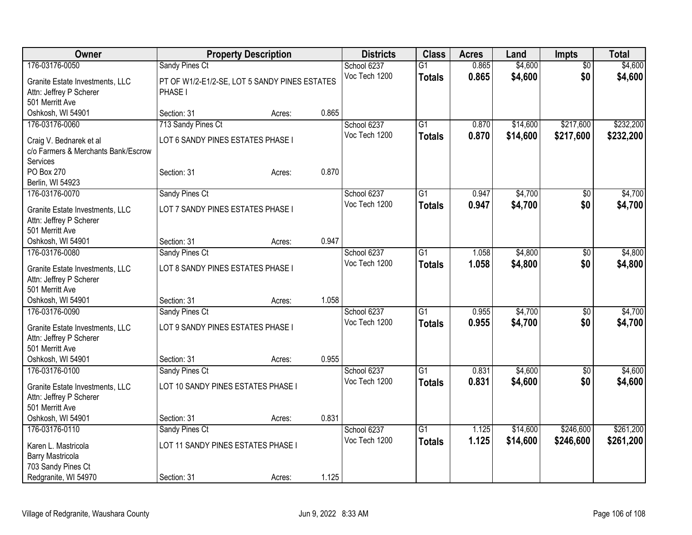| Owner                                      |                                               | <b>Property Description</b> |       | <b>Districts</b> | <b>Class</b>    | <b>Acres</b> | Land     | <b>Impts</b>    | <b>Total</b> |
|--------------------------------------------|-----------------------------------------------|-----------------------------|-------|------------------|-----------------|--------------|----------|-----------------|--------------|
| 176-03176-0050                             | <b>Sandy Pines Ct</b>                         |                             |       | School 6237      | $\overline{G1}$ | 0.865        | \$4,600  | $\overline{50}$ | \$4,600      |
| Granite Estate Investments, LLC            | PT OF W1/2-E1/2-SE, LOT 5 SANDY PINES ESTATES |                             |       | Voc Tech 1200    | <b>Totals</b>   | 0.865        | \$4,600  | \$0             | \$4,600      |
| Attn: Jeffrey P Scherer                    | <b>PHASE I</b>                                |                             |       |                  |                 |              |          |                 |              |
| 501 Merritt Ave                            |                                               |                             |       |                  |                 |              |          |                 |              |
| Oshkosh, WI 54901                          | Section: 31                                   | Acres:                      | 0.865 |                  |                 |              |          |                 |              |
| 176-03176-0060                             | 713 Sandy Pines Ct                            |                             |       | School 6237      | G1              | 0.870        | \$14,600 | \$217,600       | \$232,200    |
| Craig V. Bednarek et al                    | LOT 6 SANDY PINES ESTATES PHASE I             |                             |       | Voc Tech 1200    | <b>Totals</b>   | 0.870        | \$14,600 | \$217,600       | \$232,200    |
| c/o Farmers & Merchants Bank/Escrow        |                                               |                             |       |                  |                 |              |          |                 |              |
| Services                                   |                                               |                             |       |                  |                 |              |          |                 |              |
| PO Box 270                                 | Section: 31                                   | Acres:                      | 0.870 |                  |                 |              |          |                 |              |
| Berlin, WI 54923                           |                                               |                             |       |                  |                 |              |          |                 |              |
| 176-03176-0070                             | <b>Sandy Pines Ct</b>                         |                             |       | School 6237      | $\overline{G1}$ | 0.947        | \$4,700  | \$0             | \$4,700      |
|                                            |                                               |                             |       | Voc Tech 1200    | <b>Totals</b>   | 0.947        | \$4,700  | \$0             | \$4,700      |
| Granite Estate Investments, LLC            | LOT 7 SANDY PINES ESTATES PHASE I             |                             |       |                  |                 |              |          |                 |              |
| Attn: Jeffrey P Scherer<br>501 Merritt Ave |                                               |                             |       |                  |                 |              |          |                 |              |
| Oshkosh, WI 54901                          | Section: 31                                   | Acres:                      | 0.947 |                  |                 |              |          |                 |              |
| 176-03176-0080                             | <b>Sandy Pines Ct</b>                         |                             |       | School 6237      | $\overline{G1}$ | 1.058        | \$4,800  | \$0             | \$4,800      |
|                                            |                                               |                             |       | Voc Tech 1200    |                 | 1.058        | \$4,800  | \$0             |              |
| Granite Estate Investments, LLC            | LOT 8 SANDY PINES ESTATES PHASE I             |                             |       |                  | <b>Totals</b>   |              |          |                 | \$4,800      |
| Attn: Jeffrey P Scherer                    |                                               |                             |       |                  |                 |              |          |                 |              |
| 501 Merritt Ave                            |                                               |                             |       |                  |                 |              |          |                 |              |
| Oshkosh, WI 54901                          | Section: 31                                   | Acres:                      | 1.058 |                  |                 |              |          |                 |              |
| 176-03176-0090                             | Sandy Pines Ct                                |                             |       | School 6237      | $\overline{G1}$ | 0.955        | \$4,700  | \$0             | \$4,700      |
| Granite Estate Investments, LLC            | LOT 9 SANDY PINES ESTATES PHASE I             |                             |       | Voc Tech 1200    | <b>Totals</b>   | 0.955        | \$4,700  | \$0             | \$4,700      |
| Attn: Jeffrey P Scherer                    |                                               |                             |       |                  |                 |              |          |                 |              |
| 501 Merritt Ave                            |                                               |                             |       |                  |                 |              |          |                 |              |
| Oshkosh, WI 54901                          | Section: 31                                   | Acres:                      | 0.955 |                  |                 |              |          |                 |              |
| 176-03176-0100                             | Sandy Pines Ct                                |                             |       | School 6237      | $\overline{G1}$ | 0.831        | \$4,600  | $\sqrt{6}$      | \$4,600      |
| Granite Estate Investments, LLC            | LOT 10 SANDY PINES ESTATES PHASE I            |                             |       | Voc Tech 1200    | <b>Totals</b>   | 0.831        | \$4,600  | \$0             | \$4,600      |
| Attn: Jeffrey P Scherer                    |                                               |                             |       |                  |                 |              |          |                 |              |
| 501 Merritt Ave                            |                                               |                             |       |                  |                 |              |          |                 |              |
| Oshkosh, WI 54901                          | Section: 31                                   | Acres:                      | 0.831 |                  |                 |              |          |                 |              |
| 176-03176-0110                             | Sandy Pines Ct                                |                             |       | School 6237      | $\overline{G1}$ | 1.125        | \$14,600 | \$246,600       | \$261,200    |
|                                            |                                               |                             |       | Voc Tech 1200    | <b>Totals</b>   | 1.125        | \$14,600 | \$246,600       | \$261,200    |
| Karen L. Mastricola                        | LOT 11 SANDY PINES ESTATES PHASE I            |                             |       |                  |                 |              |          |                 |              |
| Barry Mastricola<br>703 Sandy Pines Ct     |                                               |                             |       |                  |                 |              |          |                 |              |
| Redgranite, WI 54970                       | Section: 31                                   | Acres:                      | 1.125 |                  |                 |              |          |                 |              |
|                                            |                                               |                             |       |                  |                 |              |          |                 |              |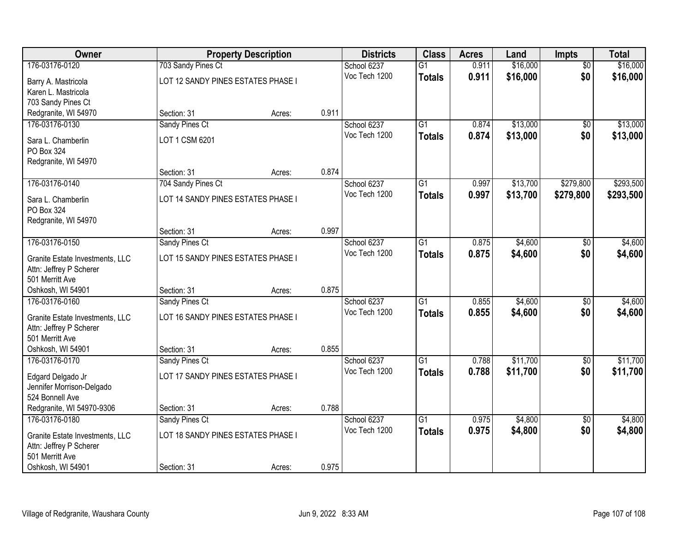| Owner                           |                                    | <b>Property Description</b> |       | <b>Districts</b> | <b>Class</b>    | <b>Acres</b> | Land     | <b>Impts</b>    | <b>Total</b> |
|---------------------------------|------------------------------------|-----------------------------|-------|------------------|-----------------|--------------|----------|-----------------|--------------|
| 176-03176-0120                  | 703 Sandy Pines Ct                 |                             |       | School 6237      | $\overline{G1}$ | 0.911        | \$16,000 | $\overline{60}$ | \$16,000     |
| Barry A. Mastricola             | LOT 12 SANDY PINES ESTATES PHASE I |                             |       | Voc Tech 1200    | <b>Totals</b>   | 0.911        | \$16,000 | \$0             | \$16,000     |
| Karen L. Mastricola             |                                    |                             |       |                  |                 |              |          |                 |              |
| 703 Sandy Pines Ct              |                                    |                             |       |                  |                 |              |          |                 |              |
| Redgranite, WI 54970            | Section: 31                        | Acres:                      | 0.911 |                  |                 |              |          |                 |              |
| 176-03176-0130                  | Sandy Pines Ct                     |                             |       | School 6237      | $\overline{G1}$ | 0.874        | \$13,000 | $\overline{50}$ | \$13,000     |
| Sara L. Chamberlin              | LOT 1 CSM 6201                     |                             |       | Voc Tech 1200    | Totals          | 0.874        | \$13,000 | \$0             | \$13,000     |
| PO Box 324                      |                                    |                             |       |                  |                 |              |          |                 |              |
| Redgranite, WI 54970            |                                    |                             |       |                  |                 |              |          |                 |              |
|                                 | Section: 31                        | Acres:                      | 0.874 |                  |                 |              |          |                 |              |
| 176-03176-0140                  | 704 Sandy Pines Ct                 |                             |       | School 6237      | G1              | 0.997        | \$13,700 | \$279,800       | \$293,500    |
| Sara L. Chamberlin              | LOT 14 SANDY PINES ESTATES PHASE I |                             |       | Voc Tech 1200    | <b>Totals</b>   | 0.997        | \$13,700 | \$279,800       | \$293,500    |
| PO Box 324                      |                                    |                             |       |                  |                 |              |          |                 |              |
| Redgranite, WI 54970            |                                    |                             |       |                  |                 |              |          |                 |              |
|                                 | Section: 31                        | Acres:                      | 0.997 |                  |                 |              |          |                 |              |
| 176-03176-0150                  | Sandy Pines Ct                     |                             |       | School 6237      | $\overline{G1}$ | 0.875        | \$4,600  | \$0             | \$4,600      |
| Granite Estate Investments, LLC | LOT 15 SANDY PINES ESTATES PHASE I |                             |       | Voc Tech 1200    | <b>Totals</b>   | 0.875        | \$4,600  | \$0             | \$4,600      |
| Attn: Jeffrey P Scherer         |                                    |                             |       |                  |                 |              |          |                 |              |
| 501 Merritt Ave                 |                                    |                             |       |                  |                 |              |          |                 |              |
| Oshkosh, WI 54901               | Section: 31                        | Acres:                      | 0.875 |                  |                 |              |          |                 |              |
| 176-03176-0160                  | Sandy Pines Ct                     |                             |       | School 6237      | $\overline{G1}$ | 0.855        | \$4,600  | \$0             | \$4,600      |
| Granite Estate Investments, LLC | LOT 16 SANDY PINES ESTATES PHASE I |                             |       | Voc Tech 1200    | <b>Totals</b>   | 0.855        | \$4,600  | \$0             | \$4,600      |
| Attn: Jeffrey P Scherer         |                                    |                             |       |                  |                 |              |          |                 |              |
| 501 Merritt Ave                 |                                    |                             |       |                  |                 |              |          |                 |              |
| Oshkosh, WI 54901               | Section: 31                        | Acres:                      | 0.855 |                  |                 |              |          |                 |              |
| 176-03176-0170                  | Sandy Pines Ct                     |                             |       | School 6237      | $\overline{G1}$ | 0.788        | \$11,700 | $\overline{60}$ | \$11,700     |
| Edgard Delgado Jr               | LOT 17 SANDY PINES ESTATES PHASE I |                             |       | Voc Tech 1200    | <b>Totals</b>   | 0.788        | \$11,700 | \$0             | \$11,700     |
| Jennifer Morrison-Delgado       |                                    |                             |       |                  |                 |              |          |                 |              |
| 524 Bonnell Ave                 |                                    |                             |       |                  |                 |              |          |                 |              |
| Redgranite, WI 54970-9306       | Section: 31                        | Acres:                      | 0.788 |                  |                 |              |          |                 |              |
| 176-03176-0180                  | Sandy Pines Ct                     |                             |       | School 6237      | $\overline{G1}$ | 0.975        | \$4,800  | $\overline{30}$ | \$4,800      |
| Granite Estate Investments, LLC | LOT 18 SANDY PINES ESTATES PHASE I |                             |       | Voc Tech 1200    | <b>Totals</b>   | 0.975        | \$4,800  | \$0             | \$4,800      |
| Attn: Jeffrey P Scherer         |                                    |                             |       |                  |                 |              |          |                 |              |
| 501 Merritt Ave                 |                                    |                             |       |                  |                 |              |          |                 |              |
| Oshkosh, WI 54901               | Section: 31                        | Acres:                      | 0.975 |                  |                 |              |          |                 |              |